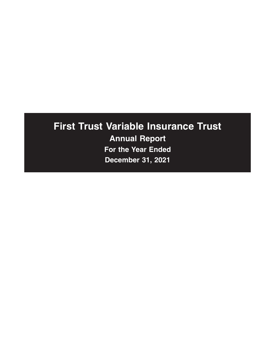# **First Trust Variable Insurance Trust Annual Report For the Year Ended December 31, 2021**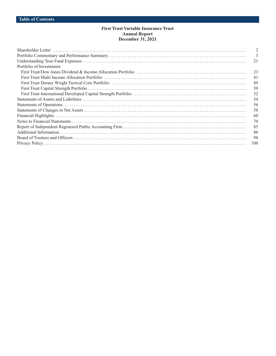## **First Trust Variable Insurance Trust Annual Report December 31, 2021**

|                          | 2   |
|--------------------------|-----|
|                          | 3   |
|                          | 21  |
| Portfolio of Investments |     |
|                          | 23  |
|                          | 41  |
|                          | 49  |
|                          | 50  |
|                          | 52  |
|                          | 54  |
|                          | 56  |
|                          | 58  |
|                          | 60  |
|                          | 70  |
|                          | 85  |
|                          | 86  |
|                          | -98 |
|                          | 100 |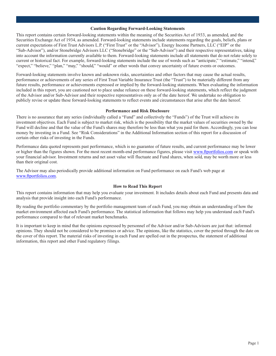#### **Caution Regarding Forward-Looking Statements**

This report contains certain forward-looking statements within the meaning of the Securities Act of 1933, as amended, and the Securities Exchange Act of 1934, as amended. Forward-looking statements include statements regarding the goals, beliefs, plans or current expectations of First Trust Advisors L.P. ("First Trust" or the "Advisor"), Energy Income Partners, LLC ("EIP" or the "Sub-Advisor"), and/or Stonebridge Advisors LLC ("Stonebridge" or the "Sub-Advisor") and their respective representatives, taking into account the information currently available to them. Forward-looking statements include all statements that do not relate solely to current or historical fact. For example, forward-looking statements include the use of words such as "anticipate," "estimate," "intend," "expect," "believe," "plan," "may," "should," "would" or other words that convey uncertainty of future events or outcomes.

Forward-looking statements involve known and unknown risks, uncertainties and other factors that may cause the actual results, performance or achievements of any series of First Trust Variable Insurance Trust (the "Trust") to be materially different from any future results, performance or achievements expressed or implied by the forward-looking statements. When evaluating the information included in this report, you are cautioned not to place undue reliance on these forward-looking statements, which reflect the judgment of the Advisor and/or Sub-Advisor and their respective representatives only as of the date hereof. We undertake no obligation to publicly revise or update these forward-looking statements to reflect events and circumstances that arise after the date hereof.

#### **Performance and Risk Disclosure**

There is no assurance that any series (individually called a "Fund" and collectively the "Funds") of the Trust will achieve its investment objectives. Each Fund is subject to market risk, which is the possibility that the market values of securities owned by the Fund will decline and that the value of the Fund's shares may therefore be less than what you paid for them. Accordingly, you can lose money by investing in a Fund. See "Risk Considerations" in the Additional Information section of this report for a discussion of certain other risks of investing in the Funds.

Performance data quoted represents past performance, which is no guarantee of future results, and current performance may be lower or higher than the figures shown. For the most recent month-end performance figures, please visit [www.ftportfolios.com](http://www.ftportfolios.com) or speak with your financial advisor. Investment returns and net asset value will fluctuate and Fund shares, when sold, may be worth more or less than their original cost.

The Advisor may also periodically provide additional information on Fund performance on each Fund's web page at [www.ftportfolios.com.](http://www.ftportfolios.com)

#### **How to Read This Report**

This report contains information that may help you evaluate your investment. It includes details about each Fund and presents data and analysis that provide insight into each Fund's performance.

By reading the portfolio commentary by the portfolio management team of each Fund, you may obtain an understanding of how the market environment affected each Fund's performance. The statistical information that follows may help you understand each Fund's performance compared to that of relevant market benchmarks.

It is important to keep in mind that the opinions expressed by personnel of the Advisor and/or Sub-Advisors are just that: informed opinions. They should not be considered to be promises or advice. The opinions, like the statistics, cover the period through the date on the cover of this report. The material risks of investing in each Fund are spelled out in the prospectus, the statement of additional information, this report and other Fund regulatory filings.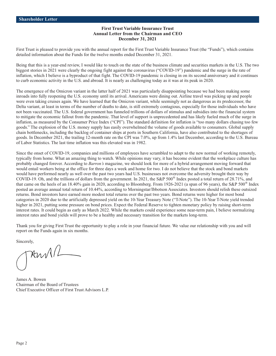#### **First Trust Variable Insurance Trust Annual Letter from the Chairman and CEO December 31, 2021**

<span id="page-3-0"></span>First Trust is pleased to provide you with the annual report for the First Trust Variable Insurance Trust (the "Funds"), which contains detailed information about the Funds for the twelve months ended December 31, 2021.

Being that this is a year-end review, I would like to touch on the state of the business climate and securities markets in the U.S. The two biggest stories in 2021 were clearly the ongoing fight against the coronavirus ("COVID-19") pandemic and the surge in the rate of inflation, which I believe is a byproduct of that fight. The COVID-19 pandemic is closing in on its second anniversary and it continues to curb economic activity in the U.S. and abroad. It is nearly as challenging today as it was at its peak in 2020.

The emergence of the Omicron variant in the latter half of 2021 was particularly disappointing because we had been making some inroads into fully reopening the U.S. economy until its arrival. Americans were dining out. Airline travel was picking up and people were even taking cruises again. We have learned that the Omicron variant, while seemingly not as dangerous as its predecessor, the Delta variant, at least in terms of the number of deaths to date, is still extremely contagious, especially for those individuals who have not been vaccinated. The U.S. federal government has funneled trillions of dollars of stimulus and subsidies into the financial system to mitigate the economic fallout from the pandemic. That level of support is unprecedented and has likely fueled much of the surge in inflation, as measured by the Consumer Price Index ("CPI"). The standard definition for inflation is "too many dollars chasing too few goods." The explosion of the U.S. money supply has easily overwhelmed the volume of goods available to consumers. Global supply chain bottlenecks, including the backlog of container ships at ports in Southern California, have also contributed to the shortages of goods. In December 2021, the trailing 12-month rate on the CPI was 7.0%, up from 1.4% last December, according to the U.S. Bureau of Labor Statistics. The last time inflation was this elevated was in 1982.

Since the onset of COVID-19, companies and millions of employees have scrambled to adapt to the new normal of working remotely, typically from home. What an amazing thing to watch. While opinions may vary, it has become evident that the workplace culture has probably changed forever. According to *Barron's* magazine, we should look for more of a hybrid arrangement moving forward that would entail workers being at the office for three days a week and home for two. I do not believe that the stock and bond markets would have performed nearly as well over the past two years had U.S. businesses not overcome the adversity brought their way by COVID-19. Oh, and the trillions of dollars from the government. In 2021, the S&P 500<sup>®</sup> Index posted a total return of 28.71%, and that came on the heels of an 18.40% gain in 2020, according to Bloomberg. From 1926-2021 (a span of 96 years), the S&P 500® Index posted an average annual total return of 10.44%, according to Morningstar/Ibbotson Associates. Investors should relish these outsized returns. Bond investors have earned more modest total returns over the past two years. Bond returns were higher for most bond categories in 2020 due to the artificially depressed yield on the 10-Year Treasury Note ("T-Note"). The 10-Year T-Note yield trended higher in 2021, putting some pressure on bond prices. Expect the Federal Reserve to tighten monetary policy by raising short-term interest rates. It could begin as early as March 2022. While the markets could experience some near-term pain, I believe normalizing interest rates and bond yields will prove to be a healthy and necessary transition for the markets long-term.

Thank you for giving First Trust the opportunity to play a role in your financial future. We value our relationship with you and will report on the Funds again in six months.

Sincerely,

 $\mathcal{H} \mathcal{W}$ 

James A. Bowen Chairman of the Board of Trustees Chief Executive Officer of First Trust Advisors L.P.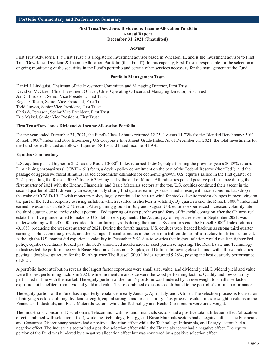## **First Trust/Dow Jones Dividend & Income Allocation Portfolio Annual Report December 31, 2021 (Unaudited)**

#### **Advisor**

<span id="page-4-0"></span>First Trust Advisors L.P. ("First Trust") is a registered investment advisor based in Wheaton, IL and is the investment advisor to First Trust/Dow Jones Dividend & Income Allocation Portfolio (the "Fund"). In this capacity, First Trust is responsible for the selection and ongoing monitoring of the securities in the Fund's portfolio and certain other services necessary for the management of the Fund.

#### **Portfolio Management Team**

Daniel J. Lindquist, Chairman of the Investment Committee and Managing Director, First Trust David G. McGarel, Chief Investment Officer, Chief Operating Officer and Managing Director, First Trust Jon C. Erickson, Senior Vice President, First Trust Roger F. Testin, Senior Vice President, First Trust Todd Larson, Senior Vice President, First Trust Chris A. Peterson, Senior Vice President, First Trust Eric Maisel, Senior Vice President, First Trust

#### **First Trust/Dow Jones Dividend & Income Allocation Portfolio**

For the year ended December 31, 2021, the Fund's Class I Shares returned 12.25% versus 11.73% for the Blended Benchmark: 50% Russell 3000® Index and 50% Bloomberg U.S Corporate Investment-Grade Index. As of December 31, 2021, the total investments for the Fund were allocated as follows: Equities, 58.1% and Fixed Income, 41.9%.

#### **Equities Commentary**

U.S. equities pushed higher in 2021 as the Russell 3000<sup>®</sup> Index returned 25.66%, outperforming the previous year's 20.89% return. Diminishing coronavirus ("COVID-19") fears, a dovish policy commitment on the part of the Federal Reserve (the "Fed"), and the passage of aggressive fiscal stimulus, raised economists' estimates for economic growth. U.S. equities rallied in the first quarter of 2021 propelling the Russell  $3000^\circ$  Index 6.35% higher by the end of March. All industries posted positive performance during the first quarter of 2021 with the Energy, Financials, and Basic Materials sectors at the top. U.S. equities continued their ascent in the second quarter of 2021, driven by an exceptionally strong first quarter earnings season and a resurgent macroeconomic backdrop in the wake of COVID-19. Dovish monetary policy largely continued to be a tailwind for stocks despite modest changes in messaging on the part of the Fed in response to rising inflation, which resulted in short-term volatility. By quarter's end, the Russell 3000® Index had earned investors a sizable 8.24% return. After gaining ground in July and August, U.S. equities experienced increased volatility late in the third quarter due to anxiety about potential Fed tapering of asset purchases and fears of financial contagion after the Chinese real estate firm Evergrande failed to make its U.S. dollar debt payments. The August payroll report, released in September 2021, was underwhelming with 235,000 jobs added to non-farm payrolls during the month. By quarter's end, the Russell 3000<sup>®</sup> Index returned -0.10%, producing the weakest quarter of 2021. During the fourth quarter, U.S. equities were headed back up as strong third quarter earnings, solid economic growth, and the passage of fiscal stimulus in the form of a trillion-dollar infrastructure bill lifted sentiment. Although the U.S. market did experience volatility in December 2021 due to worries that higher inflation would result in tighter Fed policy, equities eventually looked past the Fed's announced acceleration in asset purchase tapering. The Real Estate and Technology industries led the performance with Basic Materials, Consumer Staples, and Utilities following close behind, with all five industries posting a double-digit return for the fourth quarter. The Russell 3000® Index returned 9.28%, posting the best quarterly performance of 2021.

A portfolio factor attribution reveals the largest factor exposures were small size, value, and dividend yield. Dividend yield and value were the best performing factors in 2021, while momentum and size were the worst performing factors. Quality and low volatility performed in-line with the market. The equity portion of the Fund's portfolio was hindered by an overweight to small size factor exposure but benefited from dividend yield and value. These combined exposures contributed to the portfolio's in-line performance.

The equity portion of the Fund has a quarterly rebalance in early January, April, July, and October. The selection process is focused on identifying stocks exhibiting dividend strength, capital strength and price stability. This process resulted in overweight positions in the Financials, Industrials, and Basic Materials sectors, while the Technology and Health Care sectors were underweight.

The Industrials, Consumer Discretionary, Telecommunications, and Financials sectors had a positive total attribution effect (allocation effect combined with selection effect), while the Technology, Energy, and Basic Materials sectors had a negative effect. The Financials and Consumer Discretionary sectors had a positive allocation effect while the Technology, Industrials, and Energy sectors had a negative effect. The Industrials sector had a positive selection effect while the Financials sector had a negative effect. The equity portion of the Fund was hindered by a negative allocation effect but was countered by a positive selection effect.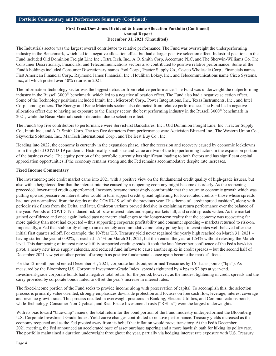#### **First Trust/Dow Jones Dividend & Income Allocation Portfolio (Continued) Annual Report December 31, 2021 (Unaudited)**

The Industrials sector was the largest overall contributor to relative performance. The Fund was overweight the underperforming industry in the Benchmark, which led to a negative allocation effect but had a larger positive selection effect. Industrial positions in the Fund included Old Dominion Freight Line Inc., Tetra Tech, Inc., A.O. Smith Corp, Accenture PLC, and The Sherwin-Williams Co. The Consumer Discretionary, Financials, and Telecommunications sectors also contributed to positive relative performance. Some of the Fund's holdings included Consumer Discretionary names Pool Corp., Tractor Supply Co., Costco Wholesale Corp., Financials names First American Financial Corp., Raymond James Financial, Inc., Houlihan Lokey, Inc., and Telecommunications name Cisco Systems, Inc., all which posted over 40% returns in 2021.

The Information Technology sector was the biggest detractor from relative performance. The Fund was underweight the outperforming industry in the Russell 3000® benchmark, which led to a negative allocation effect. The Fund also had a negative selection effect. Some of the Technology positions included Intuit, Inc., Microsoft Corp., Power Integrations, Inc., Texas Instruments, Inc., and Intel Corp., among others. The Energy and Basic Materials sectors also detracted from relative performance. The Fund had a negative allocation effect due to having no exposure to the Energy sector, the best performing industry in the Russell  $3000^\circ$  benchmark in 2021, while the Basic Materials sector detracted due to selection effect.

The Fund's top five contributors to performance were ServisFirst Bancshares, Inc., Old Dominion Freight Line, Inc., Tractor Supply Co., Intuit Inc., and A.O. Smith Corp. The top five detractors from performance were Activision Blizzard Inc., The Western Union Co., Skyworks Solutions, Inc., ManTech International Corp., and The Best Buy Co., Inc.

Heading into 2022, the economy is currently in the expansion phase, after the recession and recovery caused by economic lockdowns from the global COVID-19 pandemic. Historically, small size and value are two of the top performing factors in the expansion portion of the business cycle. The equity portion of the portfolio currently has significant loading to both factors and has significant capital appreciation opportunities if the economy remains strong and the Fed remains accommodative despite rate increases.

## **Fixed Income Commentary**

The investment-grade credit market came into 2021 with a positive view on the fundamental credit quality of high-grade issuers, but also with a heightened fear that the interest rate rise caused by a reopening economy might become disorderly. As the reopening proceeded, lower-rated credit outperformed. Investors became increasingly comfortable that the return to economic growth which was putting upward pressure on interest rates would in turn support credit spread tightening for lower-rated credits – those whose spreads had not yet normalized from the depths of the COVID-19 selloff the previous year. This theme of "credit spread cushion", along with periodic risk flares from the Delta, and later, Omicron variants proved decisive in explaining return performance over the balance of the year. Periods of COVID-19-induced risk-off saw interest rates and equity markets fall, and credit spreads widen. As the market gained confidence and once again looked past near-term challenges to the longer-term reality that the economy was recovering far more quickly than most had expected – thus supporting corporate profitability and consumer spending – markets returned to risk-on. Importantly, a Fed that stubbornly clung to an extremely accommodative monetary policy kept interest rates well-behaved after the initial first quarter selloff. For example, the 10-Year U.S. Treasury yield never regained the yearly high reached on March 31, 2021 – having started the year at 0.92%, it reached 1.74% on March 31, 2021, but then ended the year at 1.54% without retesting the March level. This dampening of interest rate volatility supported credit spreads. It took the late November confluence of the Fed's hawkish pivot, a heavy new issue supply calendar, and reduced fund inflows to cause another spike in credit spreads – but the second half of December 2021 saw yet another period of strength as positive fundamentals once again became the market's focus.

For the 12-month period ended December 31, 2021, corporate bonds outperformed Treasuries by 161 basis points ("bps"). As measured by the Bloomberg U.S. Corporate Investment-Grade Index, spreads tightened by 4 bps to 92 bps at year-end. Investment-grade corporate bonds had a negative total return for the period, however, as the modest tightening in credit spreads and the carry provided by corporate bonds failed to offset the year's increase in interest rates.

The fixed-income portion of the Fund seeks to provide income along with preservation of capital. To accomplish this, the selection process is primarily value oriented, strongly emphasizes downside protection and focuses on free cash flow, leverage, interest coverage and revenue growth rates. This process resulted in overweight positions in Banking, Electric Utilities, and Communications bonds, while Technology, Consumer Non-Cyclical, and Real Estate Investment Trusts ("REITs") were the largest underweights.

With its bias toward "blue-chip" issuers, the total return for the bond portion of the Fund modestly underperformed the Bloomberg U.S. Corporate Investment-Grade Index. Yield curve changes contributed to relative performance. Treasury yields increased as the economy reopened and as the Fed pivoted away from its belief that inflation would prove transitory. At the Fed's December 2021 meeting, the Fed announced an accelerated pace of asset purchase tapering and a more hawkish path for hiking its policy rate. The portfolio maintained a duration underweight throughout the year, partially via hedging interest rate exposure with U.S. Treasury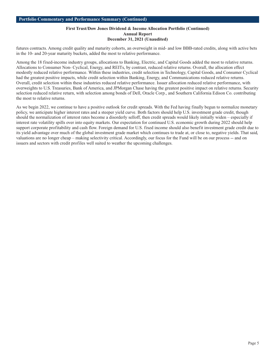## **First Trust/Dow Jones Dividend & Income Allocation Portfolio (Continued) Annual Report December 31, 2021 (Unaudited)**

futures contracts. Among credit quality and maturity cohorts, an overweight in mid- and low BBB-rated credits, along with active bets in the 10- and 20-year maturity buckets, added the most to relative performance.

Among the 18 fixed-income industry groups, allocations to Banking, Electric, and Capital Goods added the most to relative returns. Allocations to Consumer Non- Cyclical, Energy, and REITs, by contrast, reduced relative returns. Overall, the allocation effect modestly reduced relative performance. Within these industries, credit selection in Technology, Capital Goods, and Consumer Cyclical had the greatest positive impacts, while credit selection within Banking, Energy, and Communications reduced relative returns. Overall, credit selection within these industries reduced relative performance. Issuer allocation reduced relative performance, with overweights to U.S. Treasuries, Bank of America, and JPMorgan Chase having the greatest positive impact on relative returns. Security selection reduced relative return, with selection among bonds of Dell, Oracle Corp., and Southern California Edison Co. contributing the most to relative returns.

As we begin 2022, we continue to have a positive outlook for credit spreads. With the Fed having finally begun to normalize monetary policy, we anticipate higher interest rates and a steeper yield curve. Both factors should help U.S. investment grade credit, though should the normalization of interest rates become a disorderly selloff, then credit spreads would likely initially widen – especially if interest rate volatility spills over into equity markets. Our expectation for continued U.S. economic growth during 2022 should help support corporate profitability and cash flow. Foreign demand for U.S. fixed income should also benefit investment grade credit due to its yield advantage over much of the global investment grade market which continues to trade at, or close to, negative yields. That said, valuations are no longer cheap – making selectivity critical. Accordingly, our focus for the Fund will be on our process -- and on issuers and sectors with credit profiles well suited to weather the upcoming challenges.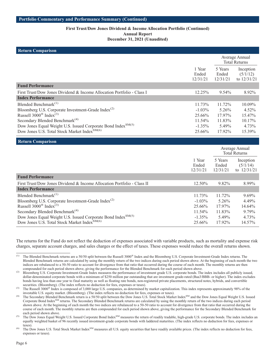#### **First Trust/Dow Jones Dividend & Income Allocation Portfolio (Continued) Annual Report**

**December 31, 2021 (Unaudited)**

| <b>Return Comparison</b>                                                                                                             |                             |                              |                                        |
|--------------------------------------------------------------------------------------------------------------------------------------|-----------------------------|------------------------------|----------------------------------------|
|                                                                                                                                      |                             |                              | Average Annual<br><b>Total Returns</b> |
|                                                                                                                                      | 1 Year<br>Ended<br>12/31/21 | 5 Years<br>Ended<br>12/31/21 | Inception<br>(5/1/12)<br>to 12/31/21   |
| <b>Fund Performance</b>                                                                                                              |                             |                              |                                        |
| First Trust/Dow Jones Dividend & Income Allocation Portfolio - Class I                                                               | 12.25%                      | 9.54%                        | 8.92%                                  |
| <b>Index Performance</b>                                                                                                             |                             |                              |                                        |
| Blended Benchmark $^{(1)}$                                                                                                           | 11.73%                      | 11.72%                       | 10.09%                                 |
| Bloomberg U.S. Corporate Investment-Grade Index <sup>(2)</sup>                                                                       | $-1.03\%$                   | 5.26%                        | 4.52%                                  |
| Russell $3000^{\circ}$ Index <sup>(3)</sup>                                                                                          | 25.66%                      | 17.97%                       | 15.47%                                 |
| Secondary Blended Benchmark <sup>(4)</sup>                                                                                           | 11.54%                      | 11.83%                       | 10.17%                                 |
| Dow Jones Equal Weight U.S. Issued Corporate Bond Index <sup>SM(5)</sup>                                                             | $-1.35%$                    | 5.49%                        | 4.73%                                  |
| Dow Jones U.S. Total Stock Market Index <sup>SM(6)</sup>                                                                             | 25.66%                      | 17.92%                       | 15.39%                                 |
| <b>Return Comparison</b>                                                                                                             |                             |                              |                                        |
|                                                                                                                                      |                             |                              | Average Annual<br><b>Total Returns</b> |
|                                                                                                                                      | 1 Year<br>Ended<br>12/31/21 | 5 Years<br>Ended<br>12/31/21 | Inception<br>(5/1/14)<br>to 12/31/21   |
| <b>Fund Performance</b>                                                                                                              |                             |                              |                                        |
| First Trust/Dow Jones Dividend & Income Allocation Portfolio - Class II                                                              | 12.50%                      | 9.82%                        | 8.99%                                  |
| <b>Index Performance</b>                                                                                                             |                             |                              |                                        |
| Blended Benchmark $(1)$                                                                                                              | 11.73%                      | 11.72%                       | 9.69%                                  |
| Bloomberg U.S. Corporate Investment-Grade Index <sup>(2)</sup>                                                                       | $-1.03%$                    | 5.26%                        | 4.49%                                  |
| Russell $3000^{\circ}$ Index <sup>(3)</sup>                                                                                          | 25.66%                      | 17.97%                       | 14.64%                                 |
| Secondary Blended Benchmark <sup>(4)</sup>                                                                                           |                             |                              |                                        |
|                                                                                                                                      | 11.54%                      | 11.83%                       | 9.79%                                  |
| Dow Jones Equal Weight U.S. Issued Corporate Bond Index <sup>SM(5)</sup><br>Dow Jones U.S. Total Stock Market Index <sup>SM(6)</sup> | $-1.35\%$                   | 5.49%                        | 4.73%                                  |

The returns for the Fund do not reflect the deduction of expenses associated with variable products, such as mortality and expense risk charges, separate account charges, and sales charges or the effect of taxes. These expenses would reduce the overall returns shown.

<sup>&</sup>lt;sup>(1)</sup> The Blended Benchmark returns are a 50/50 split between the Russell 3000<sup>®</sup> Index and the Bloomberg U.S. Corporate Investment-Grade Index returns. The Blended Benchmark returns are calculated by using the monthly return of the two indices during each period shown above. At the beginning of each month the two indices are rebalanced to a 50-50 ratio to account for divergence from that ratio that occurred during the course of each month. The monthly returns are then compounded for each period shown above, giving the performance for the Blended Benchmark for each period shown above.

<sup>&</sup>lt;sup>(2)</sup> Bloomberg U.S. Corporate Investment-Grade Index measures the performance of investment grade U.S. corporate bonds. The index includes all publicly issued, dollar-denominated corporate bonds with a minimum of \$250 million par outstanding that are investment grade-rated (Baa3/BBB- or higher). The index excludes bonds having less than one year to final maturity as well as floating rate bonds, non-registered private placements, structured notes, hybrids, and convertible securities. (Bloomberg). (The index reflects no deduction for fees, expenses or taxes).

<sup>&</sup>lt;sup>(3)</sup> The Russell 3000<sup>®</sup> Index is composed of 3,000 large U.S. companies, as determined by market capitalization. This index represents approximately 98% of the investable U.S. equity market. (Bloomberg). (The index reflects no deduction for fees, expenses or taxes).

The Secondary Blended Benchmark return is a 50/50 split between the Dow Jones U.S. Total Stock Market Index<sup>SM</sup> and the Dow Jones Equal Weight U.S. Issued Corporate Bond IndexSM returns. The Secondary Blended Benchmark returns are calculated by using the monthly return of the two indices during each period shown above. At the beginning of each month the two indices are rebalanced to a 50-50 ratio to account for divergence from that ratio that occurred during the course of each month. The monthly returns are then compounded for each period shown above, giving the performance for the Secondary Blended Benchmark for each period shown above.

<sup>&</sup>lt;sup>(5)</sup> The Dow Jones Equal Weight U.S. Issued Corporate Bond Index<sup>SM</sup> measures the return of readily tradable, high-grade U.S. corporate bonds. The index includes an equally weighted basket of 96 recently issued investment-grade corporate bonds with laddered maturities. (The index reflects no deduction for fees, expenses or taxes).

<sup>&</sup>lt;sup>(6)</sup> The Dow Jones U.S. Total Stock Market Index<sup>SM</sup> measures all U.S. equity securities that have readily available prices. (The index reflects no deduction for fees, expenses or taxes).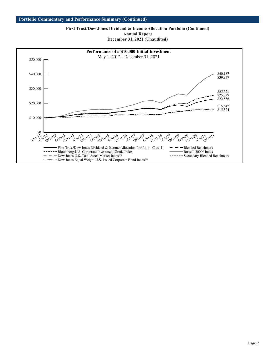**First Trust/Dow Jones Dividend & Income Allocation Portfolio (Continued) Annual Report December 31, 2021 (Unaudited)**

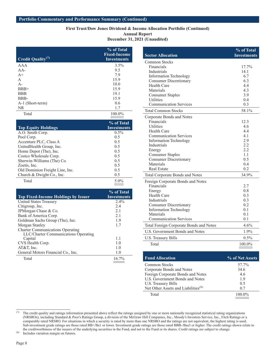## **First Trust/Dow Jones Dividend & Income Allocation Portfolio (Continued) Annual Report**

**December 31, 2021 (Unaudited)**

| <b>Credit Quality</b> <sup>(7)</sup> | % of Total<br><b>Fixed-Income</b><br><b>Investments</b> |
|--------------------------------------|---------------------------------------------------------|
| AAA                                  | $3.5\%$                                                 |
| $AA-$                                | 9.5                                                     |
| $A+$                                 | 7.9                                                     |
| $\mathsf{A}$                         | 15.9                                                    |
| $A -$                                | 10.0                                                    |
| $BBB+$                               | 15.9                                                    |
| <b>BBB</b>                           | 19.1                                                    |
| BBB-                                 | 15.9                                                    |
| A-1 (Short-term)                     | 0.6                                                     |
| <b>NR</b>                            | 1.7                                                     |
| Total                                | 100.0%                                                  |

|                                 | % of Total         |
|---------------------------------|--------------------|
| <b>Top Equity Holdings</b>      | <b>Investments</b> |
| A.O. Smith Corp.                | $0.5\%$            |
| Pool Corp.                      | 0.5                |
| Accenture PLC, Class A          | 0.5                |
| UnitedHealth Group, Inc.        | 0.5                |
| Home Depot (The), Inc.          | 0.5                |
| Costco Wholesale Corp.          | 0.5                |
| Sherwin-Williams (The) Co.      | 0.5                |
| Zoetis, Inc.                    | 0.5                |
| Old Dominion Freight Line, Inc. | 0.5                |
| Church & Dwight Co., Inc.       | 0.5                |
| Total                           | $5.0\%$            |

|                                            | % of Total         |
|--------------------------------------------|--------------------|
| <b>Top Fixed-Income Holdings by Issuer</b> | <b>Investments</b> |
| United States Treasury                     | $2.4\%$            |
| Citigroup, Inc.                            | 2.4                |
| JPM organ Chase & Co.                      | 2.1                |
| Bank of America Corp.                      | 2.1                |
| Goldman Sachs Group (The), Inc.            | 1.9                |
| Morgan Stanley                             | 1.7                |
| <b>Charter Communications Operating</b>    |                    |
| LLC/Charter Communications Operating       |                    |
| Capital                                    | 1.1                |
| CVS Health Corp.                           | 1.0                |
| $AT&T$ , Inc.                              | 1.0                |
| General Motors Financial Co., Inc.         | 1.0                |
| Total                                      | 16.7%              |

|                                                          | % of Total      |
|----------------------------------------------------------|-----------------|
| <b>Sector Allocation</b>                                 | Investments     |
| Common Stocks                                            |                 |
| Financials                                               | 17.7%           |
| Industrials                                              | 14.1            |
| <b>Information Technology</b>                            | 6.7             |
| <b>Consumer Discretionary</b>                            | 6.3             |
| <b>Health Care</b>                                       | 4.4             |
| Materials                                                | 4.3             |
| <b>Consumer Staples</b>                                  | 3.9             |
| Utilities                                                | 0.4             |
| <b>Communication Services</b>                            | 0.3             |
| <b>Total Common Stocks</b>                               | 58.1%           |
| Corporate Bonds and Notes                                |                 |
| Financials                                               | 12.3            |
| <b>Utilities</b>                                         | 4.6             |
| <b>Health Care</b>                                       | 4.4             |
| <b>Communication Services</b>                            | 4.1             |
| <b>Information Technology</b>                            | 2.9             |
| Industrials                                              | 2.2<br>2.2      |
| Energy                                                   | 1.1             |
| <b>Consumer Staples</b><br><b>Consumer Discretionary</b> | 0.5             |
| Materials                                                | 0.4             |
| <b>Real Estate</b>                                       | 0.2             |
| Total Corporate Bonds and Notes                          | 34.9%           |
| Foreign Corporate Bonds and Notes                        |                 |
| Financials                                               | 2.7             |
| Energy                                                   | 0.8             |
| <b>Health Care</b>                                       | 0.3             |
| <b>Industrials</b>                                       | 0.3             |
| <b>Consumer Discretionary</b>                            | 0.2             |
| <b>Information Technology</b>                            | 0.1             |
| Materials                                                | 0.1             |
| <b>Communication Services</b>                            | 0.1             |
| Total Foreign Corporate Bonds and Notes                  | 4.6%            |
| <b>U.S. Government Bonds and Notes</b>                   | 1.9%            |
| U.S. Treasury Bills                                      | $0.5\%$         |
| Total                                                    | 100.0%          |
|                                                          |                 |
| <b>Fund Allocation</b>                                   | % of Net Assets |

| T unu Anotanon                                  | 70 ULINULANNUN |
|-------------------------------------------------|----------------|
| <b>Common Stocks</b>                            | 57.7%          |
| Corporate Bonds and Notes                       | 34.6           |
| Foreign Corporate Bonds and Notes               | 4.6            |
| U.S. Government Bonds and Notes                 | 1.9            |
| U.S. Treasury Bills                             | 0.5            |
| Net Other Assets and Liabilities <sup>(8)</sup> | 0.7            |
| Total                                           | 100.0%         |
|                                                 |                |

<sup>(7)</sup> The credit quality and ratings information presented above reflect the ratings assigned by one or more nationally recognized statistical rating organizations (NRSROs), including Standard & Poor's Ratings Group, a division of the McGraw Hill Companies, Inc., Moody's Investors Service, Inc., Fitch Ratings or a comparably rated NRSRO. For situations in which a security is rated by more than one NRSRO and the ratings are not equivalent, the highest rating is used. Sub-investment grade ratings are those rated BB+/Ba1 or lower. Investment grade ratings are those rated BBB-/Baa3 or higher. The credit ratings shown relate to the creditworthiness of the issuers of the underlying securities in the Fund, and not to the Fund or its shares. Credit ratings are subject to change.

(8) Includes variation margin on futures.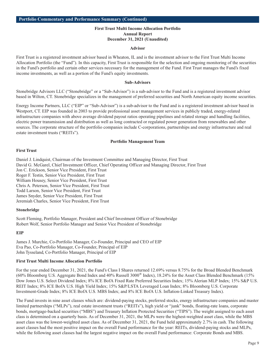#### **Advisor**

First Trust is a registered investment advisor based in Wheaton, IL and is the investment advisor to the First Trust Multi Income Allocation Portfolio (the "Fund"). In this capacity, First Trust is responsible for the selection and ongoing monitoring of the securities in the Fund's portfolio and certain other services necessary for the management of the Fund. First Trust manages the Fund's fixed income investments, as well as a portion of the Fund's equity investments.

#### **Sub-Advisors**

Stonebridge Advisors LLC ("Stonebridge" or a "Sub-Advisor") is a sub-advisor to the Fund and is a registered investment advisor based in Wilton, CT. Stonebridge specializes in the management of preferred securities and North American equity income securities.

Energy Income Partners, LLC ("EIP" or "Sub-Advisor") is a sub-advisor to the Fund and is a registered investment advisor based in Westport, CT. EIP was founded in 2003 to provide professional asset management services in publicly traded, energy-related infrastructure companies with above average dividend payout ratios operating pipelines and related storage and handling facilities, electric power transmission and distribution as well as long contracted or regulated power generation from renewables and other sources. The corporate structure of the portfolio companies include C-corporations, partnerships and energy infrastructure and real estate investment trusts ("REITs").

#### **Portfolio Management Team**

#### **First Trust**

Daniel J. Lindquist, Chairman of the Investment Committee and Managing Director, First Trust David G. McGarel, Chief Investment Officer, Chief Operating Officer and Managing Director, First Trust Jon C. Erickson, Senior Vice President, First Trust Roger F. Testin, Senior Vice President, First Trust William Housey, Senior Vice President, First Trust Chris A. Peterson, Senior Vice President, First Trust Todd Larson, Senior Vice President, First Trust James Snyder, Senior Vice President, First Trust Jeremiah Charles, Senior Vice President, First Trust

## **Stonebridge**

Scott Fleming, Portfolio Manager, President and Chief Investment Officer of Stonebridge Robert Wolf, Senior Portfolio Manager and Senior Vice President of Stonebridge

## **EIP**

James J. Murchie, Co-Portfolio Manager, Co-Founder, Principal and CEO of EIP Eva Pao, Co-Portfolio Manager, Co-Founder, Principal of EIP John Tysseland, Co-Portfolio Manager, Principal of EIP

## **First Trust Multi Income Allocation Portfolio**

For the year ended December 31, 2021, the Fund's Class I Shares returned 12.69% versus 8.75% for the Broad Blended Benchmark (60% Bloomberg U.S. Aggregate Bond Index and 40% Russell 3000® Index), 18.24% for the Asset Class Blended Benchmark (15% Dow Jones U.S. Select Dividend Index; 8% ICE BofA Fixed Rate Preferred Securities Index; 15% Alerian MLP Index; 15% S&P U.S. REIT Index; 8% ICE BofA U.S. High Yield Index; 15% S&P/LSTA Leveraged Loan Index; 8% Bloomberg U.S. Corporate Investment-Grade Index; 8% ICE BofA U.S. MBS Index; and 8% ICE BofA U.S. Inflation-Linked Treasury Index).

The Fund invests in nine asset classes which are: dividend-paying stocks, preferred stocks, energy infrastructure companies and master limited partnerships ("MLPs"), real estate investment trusts ("REITs"), high yield or "junk" bonds, floating-rate loans, corporate bonds, mortgage-backed securities ("MBS") and Treasury Inflation Protected Securities ("TIPS"). The weight assigned to each asset class is determined on a quarterly basis. As of December 31, 2021, the MLPs were the highest-weighted asset class, while the MBS asset class was the lowest-weighted asset class. As of December 31, 2021, the Fund held approximately 2.7% in cash. The following asset classes had the most positive impact on the overall Fund performance for the year: REITs, dividend-paying stocks and MLPs, while the following asset classes had the largest negative impact on the overall Fund performance: Corporate Bonds and MBS.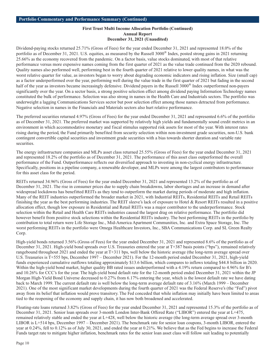Dividend-paying stocks returned 25.71% (Gross of Fees) for the year ended December 31, 2021 and represented 18.0% of the portfolio as of December 31, 2021. U.S. equities, as measured by the Russell 3000® Index, posted strong gains in 2021 returning 25.66% as the economy recovered from the pandemic. On a factor basis, value stocks dominated, with most of that relative performance versus more expensive names coming from the first quarter of 2021 as the value trade continued from the 2020 rebound. Quality names also performed well, performing best in the fourth quarter of 2021 relative to lower quality names, in what was the worst relative quarter for value, as investors began to worry about degrading economic indicators and rising inflation. Size (small cap) as a factor underperformed over the year, performing well during the value trade in the first quarter of 2021 but fading in the second half of the year as investors became increasingly defensive. Dividend payers in the Russell 3000® Index outperformed non-payers significantly over the year. On a sector basis, a strong positive selection effect among dividend paying Information Technology names constituted the bulk of performance. Selection was also strong in names in the Health Care and Industrials sectors. The portfolio was underweight a lagging Communications Services sector but poor selection effect among those names detracted from performance. Negative selection in names in the Financials and Materials sectors also hurt relative performance.

The preferred securities returned 4.97% (Gross of Fees) for the year ended December 31, 2021 and represented 6.6% of the portfolio as of December 31, 2021. The preferred market was supported by relatively high yields and fundamentally sound credit metrics in an environment in which accommodative monetary and fiscal stimulus supported risk assets for most of the year. With interest rates rising during the period, the Fund primarily benefited from security selection within non-investment grade securities, non-U.S. bank contingent convertible capital securities and investment grade securities with a bias towards shorter duration and variable rate securities.

The energy infrastructure companies and MLPs asset class returned 25.55% (Gross of Fees) for the year ended December 31, 2021 and represented 18.2% of the portfolio as of December 31, 2021. The performance of this asset class outperformed the overall performance of the Fund. Outperformance reflects our diversified approach to investing in non-cyclical energy infrastructure. Specifically, positions in a pipeline company, a renewable developer, and MLPs were among the largest contributors to performance for this asset class for the period.

REITs returned 34.96% (Gross of Fees) for the year ended December 31, 2021 and represented 13.2% of the portfolio as of December 31, 2021. The rise in consumer prices due to supply chain breakdowns, labor shortages and an increase in demand after widespread lockdowns has benefitted REITs as they tend to outperform the market during periods of moderate and high inflation. Many of the REIT industries outperformed the broader market in 2021, with Industrial REITs, Residential REITs and Retail REITs finishing the year as the best performing industries. The REIT sleeve's lack of exposure to Hotel & Resort REITs resulted in a positive allocation effect, though low exposure in Residential and Retail REITs was a major contributor to the underperformance. Stock selection within the Retail and Health Care REITs industries caused the largest drag on relative performance. The portfolio did however benefit from positive stock selections within the Residential REITs industry. The best performing REITs in the portfolio by contribution to total return were Life Storage Inc., Mid-America Apartment Communities, Inc. and Extra Space Storage, Inc. The worst performing REITs in the portfolio were Omega Healthcare Investors, Inc., SBA Communications Corp. and SL Green Realty Corp.

High-yield bonds returned 3.56% (Gross of Fees) for the year ended December 31, 2021 and represented 8.6% of the portfolio as of December 31, 2021. High-yield bond spreads over U.S. Treasuries entered the year at T+387 basis points ("bps"), remained relatively rangebound throughout 2021 and ended the year at T+311 bps, well below the historic average (the long-term average spread over U.S. Treasuries is T+555 bps, December 1997 – December 2021). For the 12-month period ended December 31, 2021, high-yield funds experienced cumulative outflows totaling approximately \$13.6 billion, which compares to inflows totaling \$44.8 billion in 2020. Within the high-yield bond market, higher quality BB rated issues underperformed with a 4.19% return compared to 4.96% for B's and 10.26% for CCC's for the year. The high-yield bond default rate for the 12-month period ended December 31, 2021 within the JP Morgan High-Yield Bond Universe decreased to 0.27% from 6.17% entering the year, which is the lowest default rate we have dating back to March 1999. The current default rate is well below the long-term average default rate of 3.16% (March 1999 – December 2021). One of the most significant market developments during the fourth quarter of 2021 was the Federal Reserve's (the "Fed") pivot away from its belief that inflation would prove transitory. The Fed conceded that while inflation may initially have been limited to areas tied to the reopening of the economy and supply chain, it has now both broadened and accelerated.

Floating-rate loans returned 3.82% (Gross of Fees) for the year ended December 31, 2021 and represented 15.3% of the portfolio as of December 31, 2021. Senior loan spreads over 3-month London Inter-Bank Offered Rate ("LIBOR") entered the year at L+475, remained relatively stable and ended the year at L+428, well below the historic average (the long-term average spread over 3-month LIBOR is L+514 bps, December 1997 – December 2021). The benchmark rate for senior loan coupons, 3-month LIBOR, entered the year at 0.24%, fell to 0.12% as of July 30, 2021, and ended the year at 0.21%. We believe that as the Fed begins to increase the Federal Funds target rate to mitigate higher inflation, benchmark rates for the senior loan asset class will follow suit leading to potentially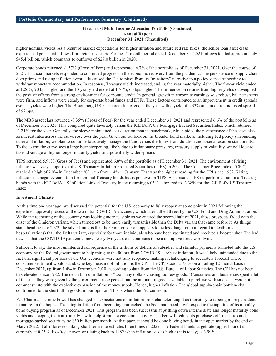higher nominal yields. As a result of market expectations for higher inflation and future Fed rate hikes, the senior loan asset class experienced persistent inflows from retail investors. For the 12-month period ended December 31, 2021 inflows totaled approximately \$45.4 billion, which compares to outflows of \$27.0 billion in 2020.

Corporate bonds returned -1.57% (Gross of Fees) and represented 6.7% of the portfolio as of December 31, 2021. Over the course of 2021, financial markets responded to continued progress in the economic recovery from the pandemic. The persistence of supply chain disruptions and rising inflation eventually caused the Fed to pivot from its "transitory" narrative to a policy stance of needing to withdraw monetary accommodation. In response, Treasury yields increased, ending the year materially higher. The 5-year yield ended at 1.26%, 90 bps higher and the 10-year yield ended at 1.51%, 60 bps higher. The influence on returns from higher yields outweighed the positive effects from a strong environment for corporate credit. In general, growth in corporate earnings was robust, balance sheets were firm, and inflows were steady for corporate bond funds and ETFs. These factors contributed to an improvement in credit spreads even as yields were higher. The Bloomberg U.S. Corporate Index ended the year with a yield of 2.33% and an option-adjusted spread of 92 bps.

The MBS asset class returned -0.35% (Gross of Fees) for the year ended December 31, 2021 and represented 6.6% of the portfolio as of December 31, 2021. This compared quite favorably versus the ICE BofA US Mortgage Backed Securities Index, which returned -1.21% for the year. Generally, the sleeve maintained less duration than its benchmark, which aided the performance of the asset class as interest rates across the curve rose over the year. Given our outlook on the broader bond markets, including Fed policy surrounding taper and inflation, we plan to continue to actively manage the Fund versus the Index from duration and asset allocation standpoints. To the extent the curve sees a large bear steepening, likely due to inflationary pressures, treasury supply or volatility, we will look to take advantage of higher longer maturity yields and potentially wider spreads

TIPS returned 5.96% (Gross of Fees) and represented 6.8% of the portfolio as of December 31, 2021. The environment of rising inflation was very supportive of U.S. Treasury-Inflation Protected Securities (TIPS) in 2021. The Consumer Price Index ("CPI") reached a high of 7.0% in December 2021, up from 1.4% in January. That was the highest reading for the CPI since 1982. Rising inflation is a negative condition for nominal Treasury bonds but is positive for TIPS. As a result, TIPS outperformed nominal Treasury bonds with the ICE BofA US Inflation-Linked Treasury Index returning 6.03% compared to -2.38% for the ICE BofA US Treasury Index.

## **Investment Climate**

At this time one year ago, we discussed the potential for the U.S. economy to fully reopen at some point in 2021 following the expedited approval process of the two initial COVID-19 vaccines, which later tallied three, by the U.S. Food and Drug Administration. While the reopening of the economy was looking more feasible as we entered the second half of 2021, those prospects faded with the onset of the Omicron variant, which turned out to be more easily transmissible than the Delta variant that came before it. As things stand heading into 2022, the silver lining is that the Omicron variant appears to be less dangerous (in regard to deaths and hospitalizations) than the Delta variant, especially for those individuals who have been vaccinated and received a booster shot. The bad news is that the COVID-19 pandemic, now nearly two years old, continues to be a disruptive force worldwide.

Suffice it to say, the most unintended consequence of the trillions of dollars of subsidies and stimulus payments funneled into the U.S. economy by the federal government to help mitigate the fallout from COVID-19 is robust inflation. It was likely unintended due to the fact that significant portions of the U.S. economy were not fully reopened, making it challenging to accurately forecast where consumer sentiment would stand. One key measure of inflation is the CPI. The CPI stood at 7.0% on a trailing 12-month basis in December 2021, up from 1.4% in December 2020, according to data from the U.S. Bureau of Labor Statistics. The CPI has not been this elevated since 1982. The definition of inflation is "too many dollars chasing too few goods." Consumers and businesses spent a lot of the cash they were given by the government, as expected, but the amount of goods available to purchase with said cash were not commensurate with the explosive expansion of the money supply. Hence, higher inflation. The global supply-chain bottlenecks contributed to the shortfall in goods, in our opinion. This is where the Fed comes in.

Fed Chairman Jerome Powell has changed his expectations on inflation from characterizing it as transitory to it being more persistent in nature. In the hopes of keeping inflation from becoming entrenched, the Fed announced it will expedite the tapering of its monthly bond buying program as of December 2021. This program has been successful at pushing down intermediate and longer maturity bond yields and keeping them artificially low to help stimulate economic activity. The Fed will reduce its purchases of Treasuries and mortgage-backed securities by \$30 billion per month. At that pace, it should be done buying bonds in the open market by the end of March 2022. It also foresees hiking short-term interest rates three times in 2022. The Federal Funds target rate (upper bound) is currently at 0.25%. Its 40-year average (dating back to 1982 when inflation was as high as it is today) is 3.99%.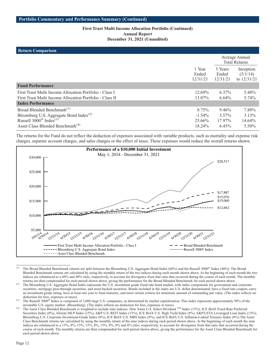## **Return Comparison**

| <b>INGULLER COMPAINSON</b>                               |                             |                              |                                        |
|----------------------------------------------------------|-----------------------------|------------------------------|----------------------------------------|
|                                                          |                             |                              | Average Annual<br><b>Total Returns</b> |
|                                                          | 1 Year<br>Ended<br>12/31/21 | 5 Years<br>Ended<br>12/31/21 | Inception<br>(5/1/14)<br>to $12/31/21$ |
| <b>Fund Performance</b>                                  |                             |                              |                                        |
| First Trust Multi Income Allocation Portfolio - Class I  | 12.69%                      | $6.37\%$                     | 5.48%                                  |
| First Trust Multi Income Allocation Portfolio - Class II | 13.07%                      | $6.64\%$                     | 5.74%                                  |
| <b>Index Performance</b>                                 |                             |                              |                                        |
| Broad Blended Benchmark <sup>(1)</sup>                   | 8.75%                       | $9.46\%$                     | 7.88%                                  |
| Bloomberg U.S. Aggregate Bond Index <sup>(2)</sup>       | $-1.54\%$                   | $3.57\%$                     | 3.13%                                  |
| Russell $3000^{\circ}$ Index <sup>(3)</sup>              | 25.66%                      | 17.97%                       | 14.64%                                 |
| Asset Class Blended Benchmark <sup>(4)</sup>             | $18.24\%$                   | 6.45%                        | $5.50\%$                               |

The returns for the Fund do not reflect the deduction of expenses associated with variable products, such as mortality and expense risk charges, separate account charges, and sales charges or the effect of taxes. These expenses would reduce the overall returns shown.



<sup>&</sup>lt;sup>(1)</sup> The Broad Blended Benchmark returns are split between the Bloomberg U.S. Aggregate Bond Index (60%) and the Russell 3000<sup>®</sup> Index (40%). The Broad Blended Benchmark returns are calculated by using the monthly return of the two indices during each month shown above. At the beginning of each month the two indices are rebalanced to a 60% and 40% ratio, respectively, to account for divergence from that ratio that occurred during the course of each month. The monthly returns are then compounded for each period shown above, giving the performance for the Broad Blended Benchmark for each period shown above.

<sup>&</sup>lt;sup>(2)</sup> The Bloomberg U.S. Aggregate Bond Index represents the U.S. investment grade fixed rate bond market, with index components for government and corporate securities, mortgage pass-through securities, and asset-backed securities. Bonds included in the index are U.S. dollar denominated; have a fixed rate coupon; carry an investment-grade rating; have at least one year to final maturity; and meet certain criteria for minimum amount of outstanding par value. (The index reflects no deduction for fees, expenses or taxes).

The Russell 3000<sup>®</sup> Index is composed of 3,000 large U.S. companies, as determined by market capitalization. This index represents approximately 98% of the investable U.S. equity market. (Bloomberg). (The index reflects no deduction for fees, expenses or taxes).

<sup>(4)</sup> The Asset Class Blended Benchmark is weighted to include nine indexes: Dow Jones U.S. Select Dividend  $\text{TM}$  Index (15%), ICE BofA Fixed Rate Preferred Securities Index (8%), Alerian MLP Index (15%), S&P U.S. REIT Index (15%), ICE BofA U.S. High Yield Index (8%), S&P/LSTA Leveraged Loan Index (15%), Bloomberg U.S. Corporate Investment-Grade Index (8%), ICE BofA U.S. MBS Index (8%), and ICE BofA U.S. Inflation-Linked Treasury Index (8%). The Asset Class Benchmark returns are calculated by using the monthly return of the nine indices during each period shown above. At the beginning of each month the nine indices are rebalanced to a 15%, 8%, 15%, 15%, 8%, 15%, 8%, 8% and 8% ratio, respectively, to account for divergence from that ratio that occurred during the course of each month. The monthly returns are then compounded for each period shown above, giving the performance for the Asset Class Blended Benchmark for each period shown above.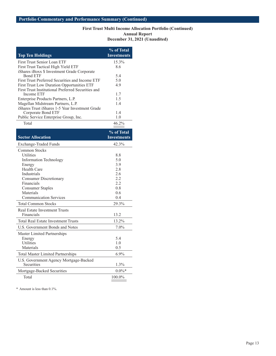| <b>Top Ten Holdings</b>                            | % of Total<br><b>Investments</b> |
|----------------------------------------------------|----------------------------------|
| First Trust Senior Loan ETF                        | 15.3%                            |
| First Trust Tactical High Yield ETF                | 8.6                              |
| iShares iBoxx \$ Investment Grade Corporate        |                                  |
| Bond ETF                                           | 5.4                              |
| First Trust Preferred Securities and Income ETF    | 5.0                              |
| <b>First Trust Low Duration Opportunities ETF</b>  | 4.9                              |
| First Trust Institutional Preferred Securities and |                                  |
| Income ETF                                         | 1.7                              |
| Enterprise Products Partners, L.P.                 | 1.5                              |
| Magellan Midstream Partners, L.P.                  | 1.4                              |
| iShares Trust iShares 1-5 Year Investment Grade    |                                  |
| Corporate Bond ETF                                 | 1.4                              |
| Public Service Enterprise Group, Inc.              | 1.0                              |
| Total                                              | 46.2%                            |
| <b>Sector Allocation</b>                           | % of Total<br>Investments        |
| Evchange Traded Eunds                              | $12.30\%$                        |

| <b>Exchange-Traded Funds</b>               | 42.3%     |
|--------------------------------------------|-----------|
| Common Stocks                              |           |
| <b>Utilities</b>                           | 8.8       |
| <b>Information Technology</b>              | 5.0       |
| Energy                                     | 3.9       |
| <b>Health Care</b>                         | 2.8       |
| <b>Industrials</b>                         | 2.6       |
| <b>Consumer Discretionary</b>              | 2.2       |
| Financials                                 | 2.2.      |
| <b>Consumer Staples</b>                    | 0.8       |
| Materials                                  | 0.6       |
| <b>Communication Services</b>              | 0.4       |
| <b>Total Common Stocks</b>                 | 29.3%     |
| <b>Real Estate Investment Trusts</b>       |           |
| Financials                                 | 13.2      |
| <b>Total Real Estate Investment Trusts</b> | 13.2%     |
| U.S. Government Bonds and Notes            | $7.0\%$   |
| Master Limited Partnerships                |           |
| Energy                                     | 5.4       |
| <b>Utilities</b>                           | 1.0       |
| Materials                                  | 0.5       |
| <b>Total Master Limited Partnerships</b>   | $6.9\%$   |
| U.S. Government Agency Mortgage-Backed     |           |
| Securities                                 | 1.3%      |
| Mortgage-Backed Securities                 | $0.0\%$ * |
| Total                                      | 100.0%    |

\* Amount is less than 0.1%.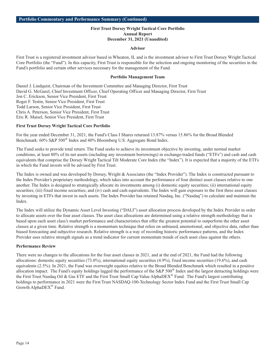## **First Trust Dorsey Wright Tactical Core Portfolio Annual Report December 31, 2021 (Unaudited)**

#### **Advisor**

First Trust is a registered investment advisor based in Wheaton, IL and is the investment advisor to First Trust Dorsey Wright Tactical Core Portfolio (the "Fund"). In this capacity, First Trust is responsible for the selection and ongoing monitoring of the securities in the Fund's portfolio and certain other services necessary for the management of the Fund.

#### **Portfolio Management Team**

Daniel J. Lindquist, Chairman of the Investment Committee and Managing Director, First Trust David G. McGarel, Chief Investment Officer, Chief Operating Officer and Managing Director, First Trust Jon C. Erickson, Senior Vice President, First Trust Roger F. Testin, Senior Vice President, First Trust Todd Larson, Senior Vice President, First Trust Chris A. Peterson, Senior Vice President, First Trust Eric R. Maisel, Senior Vice President, First Trust

#### **First Trust Dorsey Wright Tactical Core Portfolio**

For the year ended December 31, 2021, the Fund's Class I Shares returned 13.87% versus 15.86% for the Broad Blended Benchmark: 60% S&P 500® Index and 40% Bloomberg U.S. Aggregate Bond Index.

The Fund seeks to provide total return. The Fund seeks to achieve its investment objective by investing, under normal market conditions, at least 80% of its net assets (including any investment borrowings) in exchange-traded funds ("ETFs") and cash and cash equivalents that comprise the Dorsey Wright Tactical Tilt Moderate Core Index (the "Index"). It is expected that a majority of the ETFs in which the Fund invests will be advised by First Trust.

The Index is owned and was developed by Dorsey, Wright & Associates (the "Index Provider"). The Index is constructed pursuant to the Index Provider's proprietary methodology, which takes into account the performance of four distinct asset classes relative to one another. The Index is designed to strategically allocate its investments among (i) domestic equity securities; (ii) international equity securities; (iii) fixed income securities; and (iv) cash and cash equivalents. The Index will gain exposure to the first three asset classes by investing in ETFs that invest in such assets. The Index Provider has retained Nasdaq, Inc. ("Nasdaq") to calculate and maintain the Index.

The Index will utilize the Dynamic Asset Level Investing ("DALI") asset allocation process developed by the Index Provider in order to allocate assets over the four asset classes. The asset class allocations are determined using a relative strength methodology that is based upon each asset class's market performance and characteristics that offer the greatest potential to outperform the other asset classes at a given time. Relative strength is a momentum technique that relies on unbiased, unemotional, and objective data, rather than biased forecasting and subjective research. Relative strength is a way of recording historic performance patterns, and the Index Provider uses relative strength signals as a trend indicator for current momentum trends of each asset class against the others.

#### **Performance Review**

There were no changes to the allocations for the four asset classes in 2021, and at the end of 2021, the Fund had the following allocations: domestic equity securities (73.0%), international equity securities (4.9%), fixed income securities (19.6%), and cash equivalents (2.5%). In 2021, the Fund was overweight equities relative to the Broad Blended Benchmark which resulted in a positive allocation impact. The Fund's equity holdings lagged the performance of the S&P 500® Index and the largest detracting holdings were the First Trust Nasdaq Oil & Gas ETF and the First Trust Small Cap Value AlphaDEX<sup>®</sup> Fund. The Fund's largest contributing holdings to performance in 2021 were the First Trust NASDAQ-100-Technology Sector Index Fund and the First Trust Small Cap Growth AlphaDEX® Fund.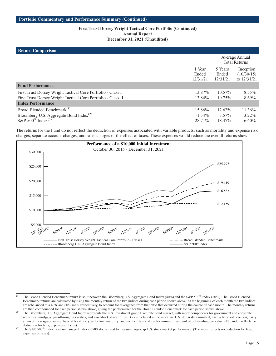## **First Trust Dorsey Wright Tactical Core Portfolio (Continued) Annual Report December 31, 2021 (Unaudited)**

## **Return Comparison**

| <b>INTULLE COMPAITSON</b>                                                                                                                               |                               |                              |                                          |
|---------------------------------------------------------------------------------------------------------------------------------------------------------|-------------------------------|------------------------------|------------------------------------------|
|                                                                                                                                                         |                               |                              | Average Annual<br><b>Total Returns</b>   |
|                                                                                                                                                         | 1 Year<br>Ended<br>12/31/21   | 5 Years<br>Ended<br>12/31/21 | Inception<br>(10/30/15)<br>to $12/31/21$ |
| <b>Fund Performance</b>                                                                                                                                 |                               |                              |                                          |
| First Trust Dorsey Wright Tactical Core Portfolio - Class I<br>First Trust Dorsey Wright Tactical Core Portfolio - Class II<br><b>Index Performance</b> | 13.87%<br>13.84%              | $10.57\%$<br>$10.75\%$       | $8.55\%$<br>8.69%                        |
| Broad Blended Benchmark <sup>(1)</sup><br>Bloomberg U.S. Aggregate Bond Index <sup>(2)</sup><br>S&P $500^{\circledR}$ Index <sup>(3)</sup>              | 15.86%<br>$-1.54\%$<br>28.71% | 12.62%<br>$3.57\%$<br>18.47% | 11.36%<br>$3.22\%$<br>16.60%             |

The returns for the Fund do not reflect the deduction of expenses associated with variable products, such as mortality and expense risk charges, separate account charges, and sales charges or the effect of taxes. These expenses would reduce the overall returns shown.



<sup>(1)</sup> The Broad Blended Benchmark return is split between the Bloomberg U.S. Aggregate Bond Index (40%) and the S&P 500® Index (60%). The Broad Blended Benchmark returns are calculated by using the monthly return of the two indices during each period shown above. At the beginning of each month the two indices are rebalanced to a 40% and 60% ratio, respectively, to account for divergence from that ratio that occurred during the course of each month. The monthly returns are then compounded for each period shown above, giving the performance for the Broad Blended Benchmark for each period shown above.

<sup>(2)</sup> The Bloomberg U.S. Aggregate Bond Index represents the U.S. investment grade fixed rate bond market, with index components for government and corporate securities, mortgage pass-through securities, and asset-backed securities. Bonds included in the index are U.S. dollar denominated; have a fixed rate coupon; carry an investment-grade rating; have at least one year to final maturity; and meet certain criteria for minimum amount of outstanding par value. (The index reflects no deduction for fees, expenses or taxes).

<sup>&</sup>lt;sup>(3)</sup> The S&P 500<sup>®</sup> Index is an unmanaged index of 500 stocks used to measure large-cap U.S. stock market performance. (The index reflects no deduction for fees, expenses or taxes).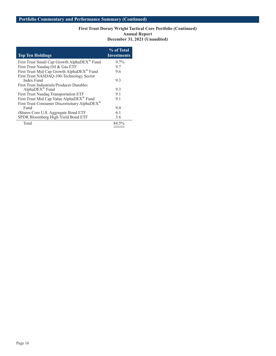## **First Trust Dorsey Wright Tactical Core Portfolio (Continued) Annual Report December 31, 2021 (Unaudited)**

| <b>Top Ten Holdings</b>                                  | % of Total<br><b>Investments</b> |
|----------------------------------------------------------|----------------------------------|
| First Trust Small Cap Growth AlphaDEX <sup>®</sup> Fund  | $9.7\%$                          |
| First Trust Nasdaq Oil & Gas ETF                         | 9.7                              |
| First Trust Mid Cap Growth AlphaDEX <sup>®</sup> Fund    | 9.6                              |
| First Trust NASDAQ-100-Technology Sector                 |                                  |
| Index Fund                                               | 9.3                              |
| <b>First Trust Industrials/Producer Durables</b>         |                                  |
| $AlphaDEX^{\otimes}$ Fund                                | 9.3                              |
| First Trust Nasdaq Transportation ETF                    | 9.1                              |
| First Trust Mid Cap Value AlphaDEX® Fund                 | 9.1                              |
| First Trust Consumer Discretionary AlphaDEX <sup>®</sup> |                                  |
| Fund                                                     | 9.0                              |
| iShares Core U.S. Aggregate Bond ETF                     | 6.1                              |
| SPDR Bloomberg High Yield Bond ETF                       | 3.6                              |
| Total                                                    | 84.5%                            |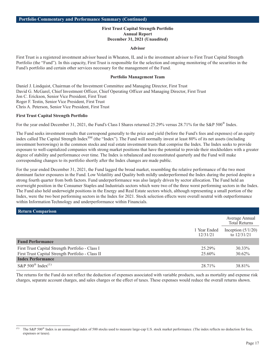## **First Trust Capital Strength Portfolio Annual Report December 31, 2021 (Unaudited)**

#### **Advisor**

First Trust is a registered investment advisor based in Wheaton, IL and is the investment advisor to First Trust Capital Strength Portfolio (the "Fund"). In this capacity, First Trust is responsible for the selection and ongoing monitoring of the securities in the Fund's portfolio and certain other services necessary for the management of the Fund.

#### **Portfolio Management Team**

Daniel J. Lindquist, Chairman of the Investment Committee and Managing Director, First Trust David G. McGarel, Chief Investment Officer, Chief Operating Officer and Managing Director, First Trust Jon C. Erickson, Senior Vice President, First Trust Roger F. Testin, Senior Vice President, First Trust Chris A. Peterson, Senior Vice President, First Trust

#### **First Trust Capital Strength Portfolio**

For the year ended December 31, 2021, the Fund's Class I Shares returned 25.29% versus 28.71% for the S&P 500<sup>®</sup> Index.

The Fund seeks investment results that correspond generally to the price and yield (before the Fund's fees and expenses) of an equity index called The Capital Strength Index<sup>SM</sup> (the "Index"). The Fund will normally invest at least 80% of its net assets (including investment borrowings) in the common stocks and real estate investment trusts that comprise the Index. The Index seeks to provide exposure to well-capitalized companies with strong market positions that have the potential to provide their stockholders with a greater degree of stability and performance over time. The Index is rebalanced and reconstituted quarterly and the Fund will make corresponding changes to its portfolio shortly after the Index changes are made public.

For the year ended December 31, 2021, the Fund lagged the broad market, resembling the relative performance of the two most dominant factor exposures in the Fund. Low Volatility and Quality both mildly underperformed the Index during the period despite a strong fourth quarter from both factors. Fund underperformance was also largely driven by sector allocation. The Fund held an overweight position in the Consumer Staples and Industrials sectors which were two of the three worst performing sectors in the Index. The Fund also held underweight positions in the Energy and Real Estate sectors which, although representing a small portion of the Index, were the two best performing sectors in the Index for 2021. Stock selection effects were overall neutral with outperformance within Information Technology and underperformance within Financials.

| <b>Return Comparison</b>                          |                          |                                        |
|---------------------------------------------------|--------------------------|----------------------------------------|
|                                                   |                          | Average Annual<br><b>Total Returns</b> |
|                                                   | 1 Year Ended<br>12/31/21 | Inception $(5/1/20)$<br>to $12/31/21$  |
| <b>Fund Performance</b>                           |                          |                                        |
| First Trust Capital Strength Portfolio - Class I  | 25.29%                   | 30.33%                                 |
| First Trust Capital Strength Portfolio - Class II | 25.60%                   | 30.62%                                 |
| <b>Index Performance</b>                          |                          |                                        |
| S&P $500^{\circledR}$ Index <sup>(1)</sup>        | 28.71%                   | 38.81%                                 |

The returns for the Fund do not reflect the deduction of expenses associated with variable products, such as mortality and expense risk charges, separate account charges, and sales charges or the effect of taxes. These expenses would reduce the overall returns shown.

<sup>(1)</sup> The S&P 500 $^{\circledR}$  Index is an unmanaged index of 500 stocks used to measure large-cap U.S. stock market performance. (The index reflects no deduction for fees, expenses or taxes).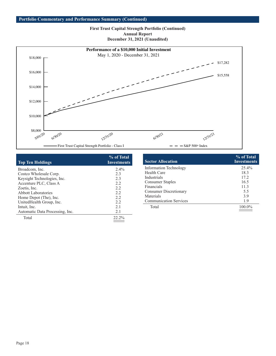## **First Trust Capital Strength Portfolio (Continued) Annual Report December 31, 2021 (Unaudited)**



| <b>Top Ten Holdings</b>         | % of Total<br><b>Investments</b> |
|---------------------------------|----------------------------------|
| Broadcom, Inc.                  | $2.4\%$                          |
| Costco Wholesale Corp.          | 2.3                              |
| Keysight Technologies, Inc.     | 2.3                              |
| Accenture PLC, Class A          | 2.2                              |
| Zoetis, Inc.                    | 2.2                              |
| <b>Abbott Laboratories</b>      | 2.2                              |
| Home Depot (The), Inc.          | 2.2                              |
| UnitedHealth Group, Inc.        | 2.2                              |
| Intuit, Inc.                    | 2.1                              |
| Automatic Data Processing, Inc. | 2.1                              |
| Total                           | 22.2%                            |
|                                 |                                  |

| <b>Sector Allocation</b>      | % of Total<br><b>Investments</b> |
|-------------------------------|----------------------------------|
| <b>Information Technology</b> | 25.4%                            |
| Health Care                   | 18.3                             |
| Industrials                   | 17.2                             |
| <b>Consumer Staples</b>       | 16.5                             |
| Financials                    | 11.3                             |
| <b>Consumer Discretionary</b> | 5.5                              |
| Materials                     | 3.9                              |
| <b>Communication Services</b> | 1.9                              |
| Total                         | 100.0%                           |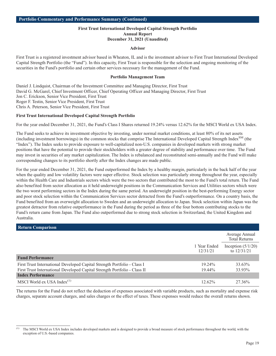## **First Trust International Developed Capital Strength Portfolio Annual Report December 31, 2021 (Unaudited)**

#### **Advisor**

First Trust is a registered investment advisor based in Wheaton, IL and is the investment advisor to First Trust International Developed Capital Strength Portfolio (the "Fund"). In this capacity, First Trust is responsible for the selection and ongoing monitoring of the securities in the Fund's portfolio and certain other services necessary for the management of the Fund.

#### **Portfolio Management Team**

Daniel J. Lindquist, Chairman of the Investment Committee and Managing Director, First Trust David G. McGarel, Chief Investment Officer, Chief Operating Officer and Managing Director, First Trust Jon C. Erickson, Senior Vice President, First Trust Roger F. Testin, Senior Vice President, First Trust Chris A. Peterson, Senior Vice President, First Trust

#### **First Trust International Developed Capital Strength Portfolio**

For the year ended December 31, 2021, the Fund's Class I Shares returned 19.24% versus 12.62% for the MSCI World ex USA Index.

The Fund seeks to achieve its investment objective by investing, under normal market conditions, at least 80% of its net assets (including investment borrowings) in the common stocks that comprise The International Developed Capital Strength Index $<sup>SM</sup>$  (the</sup> "Index"). The Index seeks to provide exposure to well-capitalized non-U.S. companies in developed markets with strong market positions that have the potential to provide their stockholders with a greater degree of stability and performance over time. The Fund may invest in securities of any market capitalization. The Index is rebalanced and reconstituted semi-annually and the Fund will make corresponding changes to its portfolio shortly after the Index changes are made public.

For the year ended December 31, 2021, the Fund outperformed the Index by a healthy margin, particularly in the back half of the year when the quality and low volatility factors were super effective. Stock selection was particularly strong throughout the year, especially within the Health Care and Industrials sectors which were the two sectors that contributed the most to the Fund's total return. The Fund also benefited from sector allocation as it held underweight positions in the Communication Services and Utilities sectors which were the two worst performing sectors in the Index during the same period. An underweight position in the best-performing Energy sector and poor stock selection within the Communication Services sector detracted from the Fund's outperformance. On a country basis, the Fund benefited from an overweight allocation to Sweden and an underweight allocation to Japan. Stock selection within Japan was the greatest detractor from relative outperformance in the Fund during the period as three of the four bottom contributing stocks to the Fund's return came from Japan. The Fund also outperformed due to strong stock selection in Switzerland, the United Kingdom and Australia.

| <b>Return Comparison</b>                                                  |                          |                                        |
|---------------------------------------------------------------------------|--------------------------|----------------------------------------|
|                                                                           |                          | Average Annual<br><b>Total Returns</b> |
|                                                                           | 1 Year Ended<br>12/31/21 | Inception $(5/1/20)$<br>to $12/31/21$  |
| <b>Fund Performance</b>                                                   |                          |                                        |
| First Trust International Developed Capital Strength Portfolio - Class I  | $19.24\%$                | 33.63%                                 |
| First Trust International Developed Capital Strength Portfolio - Class II | $19.44\%$                | 33.93%                                 |
| <b>Index Performance</b>                                                  |                          |                                        |
| MSCI World ex USA Index $(1)$                                             | $12.62\%$                | 27.36%                                 |

The returns for the Fund do not reflect the deduction of expenses associated with variable products, such as mortality and expense risk charges, separate account charges, and sales charges or the effect of taxes. These expenses would reduce the overall returns shown.

<sup>&</sup>lt;sup>(1)</sup> The MSCI World ex USA Index includes developed markets and is designed to provide a broad measure of stock performance throughout the world, with the exception of U.S.-based companies.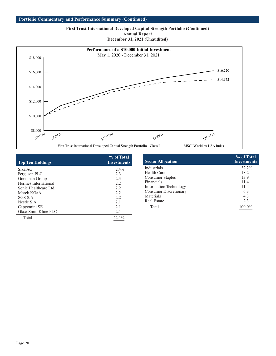#### **Portfolio Commentary and Performance Summary (Continued)**

**First Trust International Developed Capital Strength Portfolio (Continued) Annual Report December 31, 2021 (Unaudited)**



| <b>Top Ten Holdings</b> | % of Total<br><b>Investments</b> |
|-------------------------|----------------------------------|
| Sika AG                 | $2.4\%$                          |
| Ferguson PLC            | 2.3                              |
| Goodman Group           | 2.3                              |
| Hermes International    | 2.2                              |
| Sonic Healthcare Ltd.   | 2.2                              |
| Merck KGaA              | 2.2                              |
| SGS S.A.                | 2.2                              |
| Nestle S.A.             | 2.1                              |
| Capgemini SE            | 2.1                              |
| GlaxoSmithKline PLC     | 2.1                              |
| Total                   | 22.1%                            |

| <b>Sector Allocation</b>      | % of Total<br><b>Investments</b> |
|-------------------------------|----------------------------------|
| Industrials                   | 32.2%                            |
| <b>Health Care</b>            | 18.2                             |
| <b>Consumer Staples</b>       | 13.9                             |
| Financials                    | 11.4                             |
| <b>Information Technology</b> | 11.4                             |
| <b>Consumer Discretionary</b> | 6.3                              |
| Materials                     | 4.3                              |
| <b>Real Estate</b>            | 2.3                              |
| Total                         | 100.0%                           |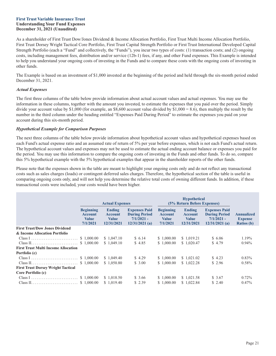#### <span id="page-22-0"></span>**First Trust Variable Insurance Trust Understanding Your Fund Expenses December 31, 2021 (Unaudited)**

As a shareholder of First Trust Dow/Jones Dividend & Income Allocation Portfolio, First Trust Multi Income Allocation Portfolio, First Trust Dorsey Wright Tactical Core Portfolio, First Trust Capital Strength Portfolio or First Trust International Developed Capital Strength Portfolio (each a "Fund" and collectively, the "Funds"), you incur two types of costs: (1) transaction costs; and (2) ongoing costs, including management fees, distribution and/or service (12b-1) fees, if any, and other Fund expenses. This Example is intended to help you understand your ongoing costs of investing in the Funds and to compare these costs with the ongoing costs of investing in other funds.

The Example is based on an investment of \$1,000 invested at the beginning of the period and held through the six-month period ended December 31, 2021.

## *Actual Expenses*

The first three columns of the table below provide information about actual account values and actual expenses. You may use the information in these columns, together with the amount you invested, to estimate the expenses that you paid over the period. Simply divide your account value by \$1,000 (for example, an \$8,600 account value divided by \$1,000 = 8.6), then multiply the result by the number in the third column under the heading entitled "Expenses Paid During Period" to estimate the expenses you paid on your account during this six-month period.

## *Hypothetical Example for Comparison Purposes*

The next three columns of the table below provide information about hypothetical account values and hypothetical expenses based on each Fund's actual expense ratio and an assumed rate of return of 5% per year before expenses, which is not each Fund's actual return. The hypothetical account values and expenses may not be used to estimate the actual ending account balance or expenses you paid for the period. You may use this information to compare the ongoing costs of investing in the Funds and other funds. To do so, compare this 5% hypothetical example with the 5% hypothetical examples that appear in the shareholder reports of the other funds.

Please note that the expenses shown in the table are meant to highlight your ongoing costs only and do not reflect any transactional costs such as sales charges (loads) or contingent deferred sales charges. Therefore, the hypothetical section of the table is useful in comparing ongoing costs only, and will not help you determine the relative total costs of owning different funds. In addition, if these transactional costs were included, your costs would have been higher.

|                                                    | <b>Actual Expenses</b>                                         |                                                               |                                                                                  | <b>Hypothetical</b><br>(5% Return Before Expenses)             |                                                               |                                                                                  |                                                          |  |
|----------------------------------------------------|----------------------------------------------------------------|---------------------------------------------------------------|----------------------------------------------------------------------------------|----------------------------------------------------------------|---------------------------------------------------------------|----------------------------------------------------------------------------------|----------------------------------------------------------|--|
|                                                    | <b>Beginning</b><br><b>Account</b><br><b>Value</b><br>7/1/2021 | <b>Ending</b><br><b>Account</b><br><b>Value</b><br>12/31/2021 | <b>Expenses Paid</b><br><b>During Period</b><br>$7/1/2021 -$<br>$12/31/2021$ (a) | <b>Beginning</b><br><b>Account</b><br><b>Value</b><br>7/1/2021 | <b>Ending</b><br><b>Account</b><br><b>Value</b><br>12/31/2021 | <b>Expenses Paid</b><br><b>During Period</b><br>$7/1/2021 -$<br>$12/31/2021$ (a) | <b>Annualized</b><br><b>Expense</b><br><b>Ratios</b> (b) |  |
| <b>First Trust/Dow Jones Dividend</b>              |                                                                |                                                               |                                                                                  |                                                                |                                                               |                                                                                  |                                                          |  |
| & Income Allocation Portfolio                      |                                                                |                                                               |                                                                                  |                                                                |                                                               |                                                                                  |                                                          |  |
| Class I $\ldots$ $\ldots$ $\qquad \qquad$ 1,000.00 |                                                                | \$1,047.10                                                    | \$6.14                                                                           | \$1,000.00                                                     | \$1,019.21                                                    | \$6.06                                                                           | 1.19%                                                    |  |
|                                                    |                                                                | \$1,049.10                                                    | \$4.85                                                                           | \$1,000.00                                                     | \$1,020.47                                                    | \$4.79                                                                           | $0.94\%$                                                 |  |
| <b>First Trust Multi Income Allocation</b>         |                                                                |                                                               |                                                                                  |                                                                |                                                               |                                                                                  |                                                          |  |
| Portfolio (c)                                      |                                                                |                                                               |                                                                                  |                                                                |                                                               |                                                                                  |                                                          |  |
| Class I $\ldots$ $\ldots$ $\$$ 1,000.00            |                                                                | \$1,049.40                                                    | \$4.29                                                                           | \$1,000.00                                                     | \$1,021.02                                                    | \$4.23                                                                           | $0.83\%$                                                 |  |
|                                                    |                                                                | \$1,050.80                                                    | \$3.00                                                                           | \$1,000.00                                                     | \$1,022.28                                                    | \$2.96                                                                           | 0.58%                                                    |  |
| <b>First Trust Dorsey Wright Tactical</b>          |                                                                |                                                               |                                                                                  |                                                                |                                                               |                                                                                  |                                                          |  |
| Core Portfolio (c)                                 |                                                                |                                                               |                                                                                  |                                                                |                                                               |                                                                                  |                                                          |  |
| Class I $\ldots$ $\ldots$ $\$$ 1,000.00            |                                                                | \$1,018.50                                                    | \$3.66                                                                           | \$1,000.00                                                     | \$1,021.58                                                    | \$3.67                                                                           | 0.72%                                                    |  |
|                                                    |                                                                | \$1,019.40                                                    | \$2.39                                                                           | \$1,000.00                                                     | \$1,022.84                                                    | \$2.40                                                                           | $0.47\%$                                                 |  |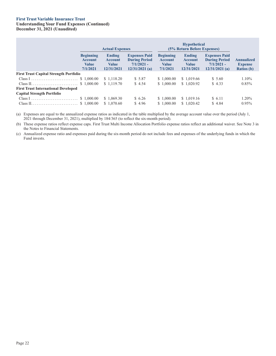## **First Trust Variable Insurance Trust**

## **Understanding Your Fund Expenses (Continued) December 31, 2021 (Unaudited)**

|                                               | <b>Actual Expenses</b>                                         |                                                        |                                                                                  | <b>Hypothetical</b><br>(5% Return Before Expenses)             |                                                               |                                                                                  |                                                          |
|-----------------------------------------------|----------------------------------------------------------------|--------------------------------------------------------|----------------------------------------------------------------------------------|----------------------------------------------------------------|---------------------------------------------------------------|----------------------------------------------------------------------------------|----------------------------------------------------------|
|                                               | <b>Beginning</b><br><b>Account</b><br><b>Value</b><br>7/1/2021 | <b>Ending</b><br><b>Account</b><br>Value<br>12/31/2021 | <b>Expenses Paid</b><br><b>During Period</b><br>$7/1/2021 -$<br>$12/31/2021$ (a) | <b>Beginning</b><br><b>Account</b><br><b>Value</b><br>7/1/2021 | <b>Ending</b><br><b>Account</b><br><b>Value</b><br>12/31/2021 | <b>Expenses Paid</b><br><b>During Period</b><br>$7/1/2021 -$<br>$12/31/2021$ (a) | <b>Annualized</b><br><b>Expense</b><br><b>Ratios</b> (b) |
| <b>First Trust Capital Strength Portfolio</b> |                                                                |                                                        |                                                                                  |                                                                |                                                               |                                                                                  |                                                          |
|                                               |                                                                | \$1,118.20                                             | \$5.87                                                                           | \$1,000.00                                                     | \$1,019.66                                                    | \$5.60                                                                           | $1.10\%$                                                 |
|                                               |                                                                | \$1.119.70                                             | \$4.54                                                                           | \$1,000.00                                                     | \$1,020.92                                                    | \$4.33                                                                           | $0.85\%$                                                 |
| <b>First Trust International Developed</b>    |                                                                |                                                        |                                                                                  |                                                                |                                                               |                                                                                  |                                                          |
| <b>Capital Strength Portfolio</b>             |                                                                |                                                        |                                                                                  |                                                                |                                                               |                                                                                  |                                                          |
|                                               |                                                                | \$1,069.30                                             | \$6.26                                                                           | \$1,000.00                                                     | \$1,019.16                                                    | \$ 6.11                                                                          | 1.20%                                                    |
|                                               |                                                                | \$1,070.60                                             | \$4.96                                                                           | \$1,000.00                                                     | \$1,020.42                                                    | \$4.84                                                                           | $0.95\%$                                                 |

(a) Expenses are equal to the annualized expense ratios as indicated in the table multiplied by the average account value over the period (July 1, 2021 through December 31, 2021), multiplied by 184/365 (to reflect the six-month period).

(b) These expense ratios reflect expense caps. First Trust Multi Income Allocation Portfolio expense ratios reflect an additional waiver. See Note 3 in the Notes to Financial Statements.

(c) Annualized expense ratio and expenses paid during the six-month period do not include fees and expenses of the underlying funds in which the Fund invests.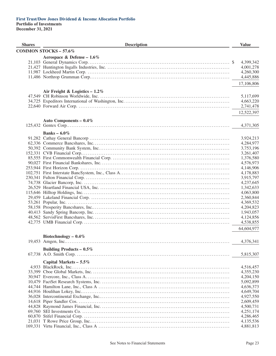<span id="page-24-0"></span>

| <b>Shares</b> | <b>Description</b>               | <b>Value</b>           |
|---------------|----------------------------------|------------------------|
|               | <b>COMMON STOCKS - 57.6%</b>     |                        |
|               | Aerospace & Defense - $1.6\%$    |                        |
|               |                                  | 4,399,342              |
|               |                                  | 4,001,278              |
|               |                                  | 4,260,300              |
|               |                                  | 4,445,886              |
|               |                                  | 17,106,806             |
|               |                                  |                        |
|               | Air Freight & Logistics $-1.2\%$ |                        |
|               |                                  | 5,117,699              |
|               |                                  | 4,663,220              |
|               |                                  | 2,741,478              |
|               |                                  | 12,522,397             |
|               | Auto Components - 0.4%           |                        |
|               |                                  | 4,371,305              |
|               |                                  |                        |
|               | Banks – $6.0\%$                  |                        |
|               |                                  | 3,924,213              |
|               |                                  | 4,284,977              |
|               |                                  | 3,753,196              |
|               |                                  | 3,261,407              |
|               |                                  | 1,376,580              |
|               |                                  | 4,576,973<br>4,146,906 |
|               |                                  | 4,178,883              |
|               |                                  | 3,915,797              |
|               |                                  | 4,237,645              |
|               |                                  | 1,342,633              |
|               |                                  | 4,063,800              |
|               |                                  | 2,360,844              |
|               |                                  | 4,369,532              |
|               |                                  | 4,204,823              |
|               |                                  | 1,943,057              |
|               |                                  | 4,124,856              |
|               |                                  | 4,538,855              |
|               |                                  | 64,604,977             |
|               | Biotechnology $-0.4\%$           |                        |
|               |                                  | 4,376,341              |
|               |                                  |                        |
|               | Building Products – $0.5\%$      |                        |
|               |                                  | 5,815,307              |
|               | Capital Markets - 5.5%           |                        |
|               |                                  | 4,516,457              |
|               |                                  | 4,355,230              |
|               |                                  | 4,204,150              |
|               |                                  | 5,092,899              |
|               |                                  | 4,636,373              |
|               |                                  | 4,649,704              |
|               |                                  | 4,927,550              |
|               |                                  | 2,609,459              |
|               |                                  | 4,500,731              |
|               |                                  | 4,251,174              |
|               |                                  | 4,286,465<br>4,135,536 |
|               |                                  | 4,881,813              |
|               |                                  |                        |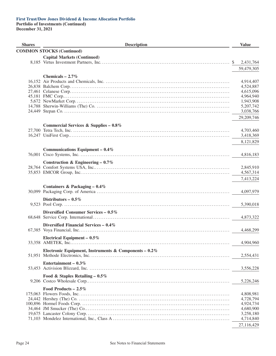**Shares Little Shares Description Constant Description Value COMMON STOCKS (Continued) Capital Markets (Continued)** 8,185 Virtus Investment Partners, Inc. . . . . . . . . . . . . . . . . . . . . . . . . . . . . . . . . . . . . . . . . . . . . . . . . . . . . . . . . . . . . . . . . . . . . . . . \$ 2,431,764 59,479,305 **Chemicals – 2.7%** 16,152 Air Products and Chemicals, Inc. . . . . . . . . . . . . . . . . . . . . . . . . . . . . . . . . . . . . . . . . . . . . . . . . . . . . . . . . . . . . . . . . . . . . . 4,914,407 26,838 Balchem Corp. . . . . . . . . . . . . . . . . . . . . . . . . . . . . . . . . . . . . . . . . . . . . . . . . . . . . . . . . . . . . . . . . . . . . . . . . . . . . . . . . . . . . . . . . 4,524,887 27,461 Celanese Corp. . . . . . . . . . . . . . . . . . . . . . . . . . . . . . . . . . . . . . . . . . . . . . . . . . . . . . . . . . . . . . . . . . . . . . . . . . . . . . . . . . . . . . . . . 4,615,096 45,181 FMC Corp.. . . . . . . . . . . . . . . . . . . . . . . . . . . . . . . . . . . . . . . . . . . . . . . . . . . . . . . . . . . . . . . . . . . . . . . . . . . . . . . . . . . . . . . . . . . . 4,964,940 5,672 NewMarket Corp. . . . . . . . . . . . . . . . . . . . . . . . . . . . . . . . . . . . . . . . . . . . . . . . . . . . . . . . . . . . . . . . . . . . . . . . . . . . . . . . . . . . . . 1,943,908 14,788 Sherwin-Williams (The) Co. . . . . . . . . . . . . . . . . . . . . . . . . . . . . . . . . . . . . . . . . . . . . . . . . . . . . . . . . . . . . . . . . . . . . . . . . . . 5,207,742 24,449 Stepan Co. . . . . . . . . . . . . . . . . . . . . . . . . . . . . . . . . . . . . . . . . . . . . . . . . . . . . . . . . . . . . . . . . . . . . . . . . . . . . . . . . . . . . . . . . . . . . 3,038,766 29,209,746 **Commercial Services & Supplies – 0.8%** 27,700 Tetra Tech, Inc. . . . . . . . . . . . . . . . . . . . . . . . . . . . . . . . . . . . . . . . . . . . . . . . . . . . . . . . . . . . . . . . . . . . . . . . . . . . . . . . . . . . . . . . 4,703,460 16,247 UniFirst Corp.. . . . . . . . . . . . . . . . . . . . . . . . . . . . . . . . . . . . . . . . . . . . . . . . . . . . . . . . . . . . . . . . . . . . . . . . . . . . . . . . . . . . . . . . . 3,418,369 8,121,829 **Communications Equipment – 0.4%** 76,001 Cisco Systems, Inc. . . . . . . . . . . . . . . . . . . . . . . . . . . . . . . . . . . . . . . . . . . . . . . . . . . . . . . . . . . . . . . . . . . . . . . . . . . . . . . . . . . . 4,816,183 **Construction & Engineering – 0.7%** 28,764 Comfort Systems USA, Inc.. . . . . . . . . . . . . . . . . . . . . . . . . . . . . . . . . . . . . . . . . . . . . . . . . . . . . . . . . . . . . . . . . . . . . . . . . . . 2,845,910 35,853 EMCOR Group, Inc. . . . . . . . . . . . . . . . . . . . . . . . . . . . . . . . . . . . . . . . . . . . . . . . . . . . . . . . . . . . . . . . . . . . . . . . . . . . . . . . . . . 4,567,314 7,413,224 **Containers & Packaging – 0.4%** 30,099 Packaging Corp. of America . . . . . . . . . . . . . . . . . . . . . . . . . . . . . . . . . . . . . . . . . . . . . . . . . . . . . . . . . . . . . . . . . . . . . . . . . . 4,097,979 **Distributors – 0.5%** 9,523 Pool Corp. . . . . . . . . . . . . . . . . . . . . . . . . . . . . . . . . . . . . . . . . . . . . . . . . . . . . . . . . . . . . . . . . . . . . . . . . . . . . . . . . . . . . . . . . . . . . 5,390,018 **Diversified Consumer Services – 0.5%** 68,648 Service Corp. International . . . . . . . . . . . . . . . . . . . . . . . . . . . . . . . . . . . . . . . . . . . . . . . . . . . . . . . . . . . . . . . . . . . . . . . . . . . . 4,873,322 **Diversified Financial Services – 0.4%** 67,385 Voya Financial, Inc. . . . . . . . . . . . . . . . . . . . . . . . . . . . . . . . . . . . . . . . . . . . . . . . . . . . . . . . . . . . . . . . . . . . . . . . . . . . . . . . . . . . 4,468,299 **Electrical Equipment – 0.5%** 33,358 AMETEK, Inc.. . . . . . . . . . . . . . . . . . . . . . . . . . . . . . . . . . . . . . . . . . . . . . . . . . . . . . . . . . . . . . . . . . . . . . . . . . . . . . . . . . . . . . . . 4,904,960 **Electronic Equipment, Instruments & Components – 0.2%** 51,951 Methode Electronics, Inc. . . . . . . . . . . . . . . . . . . . . . . . . . . . . . . . . . . . . . . . . . . . . . . . . . . . . . . . . . . . . . . . . . . . . . . . . . . . . . 2,554,431 **Entertainment – 0.3%** 53,453 Activision Blizzard, Inc. . . . . . . . . . . . . . . . . . . . . . . . . . . . . . . . . . . . . . . . . . . . . . . . . . . . . . . . . . . . . . . . . . . . . . . . . . . . . . . 3,556,228 **Food & Staples Retailing – 0.5%** 9,206 Costco Wholesale Corp.. . . . . . . . . . . . . . . . . . . . . . . . . . . . . . . . . . . . . . . . . . . . . . . . . . . . . . . . . . . . . . . . . . . . . . . . . . . . . . . 5,226,246 **Food Products – 2.5%** 175,063 Flowers Foods, Inc. . . . . . . . . . . . . . . . . . . . . . . . . . . . . . . . . . . . . . . . . . . . . . . . . . . . . . . . . . . . . . . . . . . . . . . . . . . . . . . . . . . . 4,808,981 24,442 Hershey (The) Co. . . . . . . . . . . . . . . . . . . . . . . . . . . . . . . . . . . . . . . . . . . . . . . . . . . . . . . . . . . . . . . . . . . . . . . . . . . . . . . . . . . . . 4,728,794 100,896 Hormel Foods Corp. . . . . . . . . . . . . . . . . . . . . . . . . . . . . . . . . . . . . . . . . . . . . . . . . . . . . . . . . . . . . . . . . . . . . . . . . . . . . . . . . . . 4,924,734 34,464 JM Smucker (The) Co.. . . . . . . . . . . . . . . . . . . . . . . . . . . . . . . . . . . . . . . . . . . . . . . . . . . . . . . . . . . . . . . . . . . . . . . . . . . . . . . . 4,680,900 19,675 Lancaster Colony Corp. . . . . . . . . . . . . . . . . . . . . . . . . . . . . . . . . . . . . . . . . . . . . . . . . . . . . . . . . . . . . . . . . . . . . . . . . . . . . . . . 3,258,180 71,103 Mondelez International, Inc., Class A . . . . . . . . . . . . . . . . . . . . . . . . . . . . . . . . . . . . . . . . . . . . . . . . . . . . . . . . . . . . . . . . . 4,714,840 27,116,429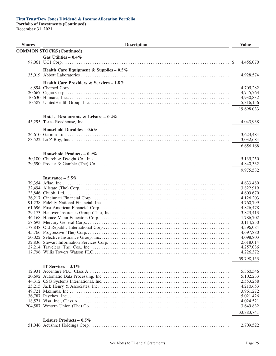#### **First Trust/Dow Jones Dividend & Income Allocation Portfolio Portfolio of Investments (Continued)**

| <b>Shares</b> | <b>Description</b>                         |    | <b>Value</b>           |
|---------------|--------------------------------------------|----|------------------------|
|               | <b>COMMON STOCKS (Continued)</b>           |    |                        |
|               | Gas Utilities - $0.4\%$                    |    |                        |
|               |                                            | -S | 4,456,070              |
|               | Health Care Equipment & Supplies - $0.5\%$ |    |                        |
|               |                                            |    | 4,928,574              |
|               |                                            |    |                        |
|               | Health Care Providers & Services – $1.8\%$ |    |                        |
|               |                                            |    | 4,705,282              |
|               |                                            |    | 4,745,763<br>4,930,832 |
|               |                                            |    | 5,316,156              |
|               |                                            |    |                        |
|               |                                            |    | 19,698,033             |
|               | Hotels, Restaurants & Leisure – $0.4\%$    |    |                        |
|               |                                            |    | 4,043,938              |
|               | Household Durables - $0.6\%$               |    |                        |
|               |                                            |    | 3,623,484              |
|               |                                            |    | 3,032,684              |
|               |                                            |    | 6,656,168              |
|               |                                            |    |                        |
|               | Household Products - $0.9\%$               |    |                        |
|               |                                            |    | 5,135,250              |
|               |                                            |    | 4,840,332              |
|               |                                            |    | 9,975,582              |
|               | Insurance $-5.5\%$                         |    |                        |
|               |                                            |    | 4,633,480              |
|               |                                            |    | 3,822,919              |
|               |                                            |    | 4,609,670              |
|               |                                            |    | 4,126,203              |
|               |                                            |    | 4,760,799              |
|               |                                            |    | 4,826,478              |
|               |                                            |    | 3,823,413              |
|               |                                            |    | 1,786,702<br>3,114,250 |
|               |                                            |    | 4,396,084              |
|               |                                            |    | 4,697,880              |
|               |                                            |    | 4,098,803              |
|               |                                            |    | 2,618,014              |
|               |                                            |    | 4,257,086              |
|               |                                            |    | 4,226,372              |
|               |                                            |    | 59,798,153             |
|               |                                            |    |                        |
|               | IT Services $-3.1\%$                       |    | 5,360,546              |
|               |                                            |    | 5,102,233              |
|               |                                            |    | 2,553,258              |
|               |                                            |    | 4,210,653              |
|               |                                            |    | 3,961,272              |
|               |                                            |    | 5,021,426              |
|               |                                            |    | 4,024,521              |
|               |                                            |    | 3,649,832              |
|               |                                            |    | 33,883,741             |
|               | Leisure Products - 0.5%                    |    |                        |
|               |                                            |    | 2,709,522              |
|               |                                            |    |                        |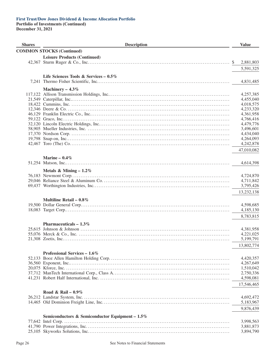## **First Trust/Dow Jones Dividend & Income Allocation Portfolio Portfolio of Investments (Continued)**

| <b>Shares</b> | <b>Description</b>                              | <b>Value</b>           |
|---------------|-------------------------------------------------|------------------------|
|               | <b>COMMON STOCKS (Continued)</b>                |                        |
|               | <b>Leisure Products (Continued)</b>             |                        |
|               |                                                 | 2,881,803<br>\$        |
|               |                                                 |                        |
|               |                                                 | 5,591,325              |
|               | Life Sciences Tools & Services – $0.5\%$        |                        |
|               |                                                 | 4,831,485              |
|               |                                                 |                        |
|               | Machinery $-4.3\%$                              | 4,257,385              |
|               |                                                 | 4,455,040              |
|               |                                                 | 4,018,575              |
|               |                                                 | 4,233,320              |
|               |                                                 | 4,361,958              |
|               |                                                 | 4,766,416              |
|               |                                                 | 4,479,776              |
|               |                                                 | 3,496,601              |
|               |                                                 | 4,434,040              |
|               |                                                 | 4,264,093              |
|               |                                                 | 4,242,878              |
|               |                                                 | 47,010,082             |
|               |                                                 |                        |
|               | Marine $-0.4\%$                                 |                        |
|               |                                                 | 4,614,398              |
|               |                                                 |                        |
|               | Metals & Mining $-1.2\%$                        |                        |
|               |                                                 | 4,724,870              |
|               |                                                 | 4,711,842<br>3,795,426 |
|               |                                                 |                        |
|               |                                                 | 13,232,138             |
|               | Multiline Retail – $0.8\%$                      |                        |
|               |                                                 | 4,598,685              |
|               |                                                 | 4,185,130              |
|               |                                                 | 8,783,815              |
|               |                                                 |                        |
|               | Pharmaceuticals $-1.3\%$                        |                        |
|               |                                                 | 4,381,958              |
|               |                                                 | 4,221,025              |
|               |                                                 | 5,199,791              |
|               |                                                 | 13,802,774             |
|               |                                                 |                        |
|               | Professional Services – $1.6\%$                 |                        |
|               |                                                 | 4,420,357              |
|               |                                                 | 4,267,649              |
|               |                                                 | 1,510,042              |
|               |                                                 | 2,750,336              |
|               |                                                 | 4,598,081              |
|               |                                                 | 17,546,465             |
|               | Road & Rail – $0.9\%$                           |                        |
|               |                                                 | 4,692,472              |
|               |                                                 | 5,183,967              |
|               |                                                 |                        |
|               |                                                 | 9,876,439              |
|               | Semiconductors & Semiconductor Equipment - 1.5% |                        |
|               |                                                 | 3,998,563              |
|               |                                                 | 3,881,873              |
|               |                                                 | 3,894,790              |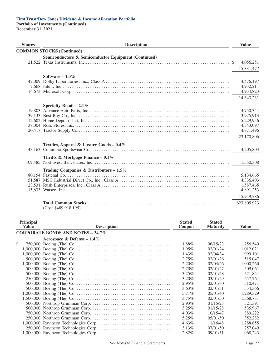| <b>Shares</b> | <b>Description</b>                                   | <b>Value</b>                                                  |
|---------------|------------------------------------------------------|---------------------------------------------------------------|
|               | <b>COMMON STOCKS (Continued)</b>                     |                                                               |
|               | Semiconductors & Semiconductor Equipment (Continued) | 4,056,251<br><sup>\$</sup><br>15,831,477                      |
|               | Software $-1.3\%$                                    | 4,476,197<br>4,932,211<br>4,934,823<br>14,343,231             |
|               | Specialty Retail $-2.1\%$                            | 4,750,344<br>3,975,913<br>5,229,956<br>4,343,097<br>4,871,496 |
|               |                                                      | 23,170,806                                                    |
|               | Textiles, Apparel & Luxury Goods - 0.4%              | 4,205,803                                                     |
|               | Thrifts & Mortgage Finance – $0.1\%$                 | 1,550,308                                                     |
|               | Trading Companies & Distributors - $1.5\%$           | 5,134,665<br>4,336,403<br>1,587,465<br>4,891,253              |
|               | $(C_{\text{out}}$ $\&$ $100.018.105$                 | 15,949,786<br>623,805,923                                     |

|  | (Cost \$489,918,195) |
|--|----------------------|
|--|----------------------|

| Principal<br><b>Value</b> | <b>Description</b>                       | <b>Stated</b><br>Coupon | <b>Stated</b><br><b>Maturity</b> | Value     |
|---------------------------|------------------------------------------|-------------------------|----------------------------------|-----------|
|                           | <b>CORPORATE BONDS AND NOTES - 34.7%</b> |                         |                                  |           |
|                           | Aerospace & Defense – $1.4\%$            |                         |                                  |           |
| \$                        |                                          | 1.88%                   | 06/15/23                         | 756,540   |
|                           |                                          | 1.95%                   | 02/01/24                         | 1,012,021 |
|                           |                                          | $1.43\%$                | 02/04/24                         | 999,101   |
|                           |                                          | 2.75%                   | 02/01/26                         | 515,047   |
|                           |                                          | $2.20\%$                | 02/04/26                         | 1,000,260 |
|                           |                                          | $2.70\%$                | 02/01/27                         | 509.061   |
|                           |                                          | $3.25\%$                | 02/01/28                         | 521,824   |
|                           |                                          | $3.20\%$                | 03/01/29                         | 257,764   |
|                           |                                          | $2.95\%$                | 02/01/30                         | 510,471   |
|                           |                                          | $3.63\%$                | 02/01/31                         | 534,366   |
|                           |                                          | 5.71%                   | 05/01/40                         | 1,289,329 |
|                           |                                          | $3.75\%$                | 02/01/50                         | 1,568,731 |
|                           |                                          | $2.93\%$                | 01/15/25                         | 521.391   |
|                           |                                          | $3.25\%$                | 01/15/28                         | 535,967   |
|                           |                                          | $4.03\%$                | 10/15/47                         | 889,222   |
|                           |                                          | 5.25%                   | 05/01/50                         | 352,282   |
|                           |                                          | $4.63\%$                | 11/16/48                         | 1,288,655 |
|                           |                                          | $3.13\%$                | 07/01/50                         | 257,049   |
|                           |                                          | 2.82%                   | 09/01/51                         | 968.243   |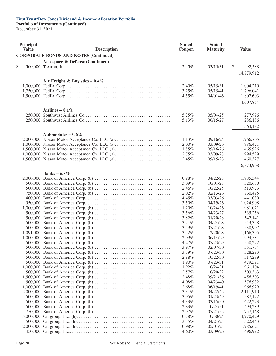**Portfolio of Investments (Continued)**

| Principal<br><b>Value</b> | <b>Description</b>                            | <b>Stated</b><br>Coupon | <b>Stated</b><br><b>Maturity</b> | <b>Value</b>         |
|---------------------------|-----------------------------------------------|-------------------------|----------------------------------|----------------------|
|                           | <b>CORPORATE BONDS AND NOTES (Continued)</b>  |                         |                                  |                      |
|                           | Aerospace & Defense (Continued)               |                         |                                  |                      |
| \$                        |                                               | 2.45%                   | 03/15/31                         | \$<br>492,588        |
|                           |                                               |                         |                                  |                      |
|                           |                                               |                         |                                  | 14,779,912           |
|                           | Air Freight & Logistics - $0.4\%$             |                         |                                  |                      |
|                           |                                               | 2.40%                   | 05/15/31                         | 1,004,210            |
|                           |                                               | 3.25%                   | 05/15/41                         | 1,796,041            |
|                           |                                               | 4.55%                   | 04/01/46                         | 1,807,603            |
|                           |                                               |                         |                                  | 4,607,854            |
|                           | Airlines - $0.1\%$                            |                         |                                  |                      |
|                           |                                               | 5.25%                   | 05/04/25                         | 277,996              |
|                           |                                               | 5.13%                   | 06/15/27                         | 286,186              |
|                           |                                               |                         |                                  | 564,182              |
|                           |                                               |                         |                                  |                      |
|                           | Automobiles – $0.6\%$                         |                         | 09/16/24                         |                      |
|                           | 2,000,000 Nissan Motor Acceptance Co. LLC (a) | 1.13%<br>2.00%          | 03/09/26                         | 1,966,705<br>986,421 |
|                           |                                               | 1.85%                   | 09/16/26                         | 1,465,926            |
|                           |                                               | 2.75%                   | 03/09/28                         | 994,529              |
|                           |                                               | 2.45%                   | 09/15/28                         | 1,460,327            |
|                           |                                               |                         |                                  | 6,873,908            |
|                           |                                               |                         |                                  |                      |
|                           | Banks - $6.8\%$                               | 0.98%                   | 04/22/25                         | 1,985,344            |
|                           |                                               | 3.09%                   | 10/01/25                         | 520,680              |
|                           |                                               | 2.46%                   | 10/22/25                         | 513,973              |
|                           |                                               | 2.02%                   | 02/13/26                         | 760,495              |
|                           |                                               | 4.45%                   | 03/03/26                         | 441,030              |
|                           |                                               | 3.50%                   | 04/19/26                         | 1,024,908            |
|                           |                                               | 1.20%                   | 10/24/26                         | 981,021              |
|                           |                                               | 3.56%                   | 04/23/27                         | 535,256              |
|                           |                                               | 3.82%                   | 01/20/28                         | 542,141              |
|                           |                                               | 3.71%                   | 04/24/28                         | 543,358              |
|                           |                                               | 3.59%                   | 07/21/28                         | 538,907              |
|                           |                                               | 3.42%                   | 12/20/28                         | 1,166,395            |
|                           |                                               | 2.09%                   | 06/14/29                         | 994,581              |
|                           |                                               | 4.27%                   | 07/23/29                         | 558,272              |
|                           |                                               | 3.97%<br>3.19%          | 02/07/30<br>07/23/30             | 551,734<br>528,293   |
|                           |                                               | 2.88%                   | 10/22/30                         | 517,289              |
|                           |                                               | 1.90%                   | 07/23/31                         | 479,591              |
|                           |                                               | 1.92%                   | 10/24/31                         | 961,104              |
|                           |                                               | 2.57%                   | 10/20/32                         | 503,363              |
|                           |                                               | 2.48%                   | 09/21/36                         | 1,456,303            |
|                           |                                               | 4.08%                   | 04/23/40                         | 576,932              |
|                           |                                               | 2.68%                   | 06/19/41                         | 966,929              |
|                           |                                               | 3.31%                   | 04/22/42                         | 2,111,910            |
|                           |                                               | 3.95%                   | 01/23/49                         | 587,172              |
|                           |                                               | 4.33%                   | 03/15/50                         | 622,273              |
|                           |                                               | 2.83%                   | 10/24/51                         | 494,289              |
|                           |                                               | 2.97%                   | 07/21/52                         | 757,168              |
|                           |                                               | 0.78%                   | 10/30/24                         | 4,970,429            |
|                           |                                               | $3.35\%$                | 04/24/25                         | 522,443              |
|                           |                                               | $0.98\%$<br>4.60%       | 05/01/25<br>03/09/26             | 1,985,621<br>496,992 |
|                           |                                               |                         |                                  |                      |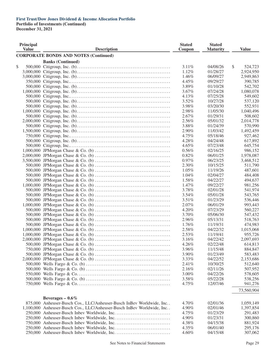**Portfolio of Investments (Continued)**

| Principal<br><b>Value</b> | <b>Description</b>                                                     | <b>Stated</b><br>Coupon | <b>Stated</b><br><b>Maturity</b> | <b>Value</b>  |
|---------------------------|------------------------------------------------------------------------|-------------------------|----------------------------------|---------------|
|                           | <b>CORPORATE BONDS AND NOTES (Continued)</b>                           |                         |                                  |               |
|                           | <b>Banks (Continued)</b>                                               |                         |                                  |               |
| \$                        |                                                                        | 3.11%                   | 04/08/26                         | \$<br>524,723 |
|                           |                                                                        | 1.12%                   | 01/28/27                         | 2,924,950     |
|                           |                                                                        | 1.46%                   | 06/09/27                         | 2,949,863     |
|                           |                                                                        | 4.45%                   | 09/29/27                         | 390,785       |
|                           |                                                                        | 3.89%                   | 01/10/28                         | 542,702       |
|                           |                                                                        | 3.67%                   | 07/24/28                         | 1,080,078     |
|                           |                                                                        | 4.13%                   | 07/25/28                         | 549,602       |
|                           |                                                                        | 3.52%                   | 10/27/28                         | 537,120       |
|                           |                                                                        | 3.98%                   | 03/20/30                         | 552,931       |
|                           |                                                                        | 2.98%                   | 11/05/30                         | 1,040,496     |
|                           |                                                                        | 2.67%                   | 01/29/31                         | 508,602       |
|                           |                                                                        | 2.56%                   | 05/01/32                         | 2,014,778     |
|                           |                                                                        | 3.88%                   | 01/24/39                         | 570,990       |
|                           |                                                                        | 2.90%                   | 11/03/42                         | 1,492,459     |
|                           |                                                                        | 4.75%                   | 05/18/46                         | 927,462       |
|                           |                                                                        | 4.28%                   | 04/24/48                         | 617,892       |
|                           |                                                                        | $4.65\%$                | 07/23/48                         | 645,754       |
|                           |                                                                        | 0.56%                   | 02/16/25                         | 986,152       |
|                           |                                                                        | 0.82%                   | 06/01/25                         | 1,978,087     |
|                           |                                                                        | 0.97%                   | 06/23/25                         | 3,468,512     |
|                           |                                                                        | 2.30%                   | 10/15/25                         | 511,790       |
|                           |                                                                        | 1.05%                   | 11/19/26                         | 487,601       |
|                           |                                                                        | 1.04%                   | 02/04/27                         | 484,408       |
|                           |                                                                        | 1.58%                   | 04/22/27                         | 494,637       |
|                           |                                                                        | 1.47%                   | 09/22/27                         | 981,256       |
|                           |                                                                        | 3.78%                   | 02/01/28                         | 541,974       |
|                           |                                                                        | 3.54%                   | 05/01/28                         | 543,765       |
|                           |                                                                        | 3.51%                   | 01/23/29                         | 536,446       |
|                           |                                                                        | 2.07%                   | 06/01/29                         | 993,443       |
|                           |                                                                        | 4.20%                   | 07/23/29                         | 560,227       |
|                           |                                                                        | 3.70%                   | 05/06/30                         | 547,432       |
|                           |                                                                        | 2.96%                   | 05/13/31                         | 518,763       |
|                           |                                                                        | 1.76%                   | 11/19/31                         | 474,983       |
|                           |                                                                        | 2.58%                   | 04/22/32                         | 1,015,068     |
|                           |                                                                        | 2.53%                   | 11/19/41                         | 955,726       |
|                           |                                                                        | 3.16%                   | 04/22/42                         | 2,097,693     |
|                           |                                                                        | 4.26%                   | 02/22/48                         | 614,813       |
|                           |                                                                        | 3.96%                   | 11/15/48                         | 884,847       |
|                           |                                                                        | 3.90%                   | 01/23/49                         | 583,483       |
|                           |                                                                        | 3.33%                   | 04/22/52                         | 2,153,686     |
|                           |                                                                        | 2.41%                   | 10/30/25                         | 512,640       |
|                           |                                                                        | 2.16%                   | 02/11/26                         | 507,952       |
|                           |                                                                        |                         | 04/22/26                         | 578,605       |
|                           |                                                                        | 3.00%                   | 05/22/28                         |               |
|                           |                                                                        | 3.58%                   | 12/07/46                         | 538,256       |
|                           |                                                                        | 4.75%                   |                                  | 941,276       |
|                           |                                                                        |                         |                                  | 73,560,904    |
|                           | Beverages $-0.6\%$                                                     |                         |                                  |               |
|                           | 875,000 Anheuser-Busch Cos., LLC/Anheuser-Busch InBev Worldwide, Inc   | 4.70%                   | 02/01/36                         | 1,059,149     |
|                           | 1,100,000 Anheuser-Busch Cos., LLC/Anheuser-Busch InBev Worldwide, Inc | 4.90%                   | 02/01/46                         | 1,397,854     |
|                           |                                                                        | 4.75%                   | 01/23/29                         | 291,483       |
|                           |                                                                        | 4.90%                   | 01/23/31                         | 300,860       |
|                           |                                                                        | 4.38%                   | 04/15/38                         | 881,924       |
|                           |                                                                        | 4.35%                   | 06/01/40                         | 295,176       |
|                           |                                                                        | 4.60%                   | 04/15/48                         | 307,062       |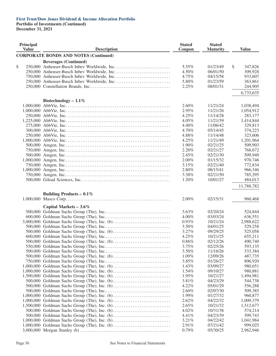**Portfolio of Investments (Continued) December 31, 2021**

| Principal<br><b>Value</b> | <b>Description</b>                           | <b>Stated</b><br>Coupon | <b>Stated</b><br><b>Maturity</b> | <b>Value</b>  |
|---------------------------|----------------------------------------------|-------------------------|----------------------------------|---------------|
|                           | <b>CORPORATE BONDS AND NOTES (Continued)</b> |                         |                                  |               |
|                           | <b>Beverages (Continued)</b>                 |                         |                                  |               |
| \$                        |                                              | 5.55%                   | 01/23/49                         | \$<br>347,826 |
|                           |                                              | 4.50%                   | 06/01/50                         | 309,928       |
|                           |                                              | 4.75%                   | 04/15/58                         | 933,607       |
|                           |                                              | 5.80%                   | 01/23/59                         | 363,861       |
|                           |                                              | 2.25%                   | 08/01/31                         | 244,905       |
|                           |                                              |                         |                                  | 6,733,635     |
|                           |                                              |                         |                                  |               |
|                           | Biotechnology - $1.1\%$                      |                         |                                  |               |
|                           |                                              | 2.60%                   | 11/21/24                         | 1,038,494     |
|                           |                                              | 2.95%                   | 11/21/26                         | 1,054,912     |
|                           |                                              | 4.25%                   | 11/14/28                         | 283,177       |
|                           |                                              | 4.05%                   | 11/21/39                         | 1,414,844     |
|                           |                                              | 4.40%                   | 11/06/42                         | 329,813       |
|                           |                                              | 4.70%                   | 05/14/45                         | 374,223       |
|                           |                                              | 4.88%                   | 11/14/48                         | 323,606       |
|                           |                                              | $4.25\%$                | 11/21/49                         | 1,201,964     |
|                           |                                              | 1.90%                   | 02/21/25                         | 509,903       |
|                           |                                              | 2.20%                   | 02/21/27                         | 768,672       |
|                           |                                              | 2.45%                   | 02/21/30                         | 509,940       |
|                           |                                              | 2.00%                   | 01/15/32                         | 970,746       |
|                           |                                              | 3.15%                   | 02/21/40                         | 772,834       |
|                           |                                              | 2.80%                   | 08/15/41                         | 966,346       |
|                           |                                              | 3.38%                   | 02/21/50                         | 785,295       |
|                           |                                              | 1.20%                   | 10/01/27                         | 484,013       |
|                           |                                              |                         |                                  | 11,788,782    |
|                           | Building Products - $0.1\%$                  |                         |                                  |               |
|                           |                                              | 2.00%                   | 02/15/31                         | 960,468       |
|                           |                                              |                         |                                  |               |
|                           | Capital Markets $-3.6\%$                     |                         |                                  |               |
|                           |                                              | 3.63%                   | 02/20/24                         | 524,844       |
|                           |                                              | 4.00%                   | 03/03/24                         | 636,551       |
|                           |                                              | 0.93%                   | 10/21/24                         | 2,988,622     |
|                           |                                              | 3.50%                   | 04/01/25                         | 529,258       |
|                           |                                              | 3.27%                   | 09/29/25                         | 525,058       |
|                           |                                              | 4.25%                   | 10/21/25                         | 655,211       |
|                           |                                              | 0.86%                   | 02/12/26                         | 490,740       |
|                           |                                              | 3.75%                   | 02/25/26                         | 593,135       |
|                           |                                              | 3.50%                   | 11/16/26                         | 533,384       |
|                           |                                              | 1.09%                   | 12/09/26                         | 487,735       |
|                           |                                              | 3.85%                   | 01/26/27                         | 806,920       |
|                           |                                              | 1.43%                   | 03/09/27                         | 980,651       |
|                           |                                              | 1.54%                   | 09/10/27                         | 980,881       |
|                           |                                              | 1.95%                   | 10/21/27                         | 1,494,981     |
|                           |                                              | 3.81%                   | 04/23/29                         | 544,738       |
|                           |                                              | 4.22%                   | 05/01/29                         | 556,288       |
|                           |                                              | $2.60\%$                | 02/07/30                         | 509,385       |
|                           |                                              | 1.99%                   | 01/27/32                         | 960,877       |
|                           |                                              | 2.62%                   | 04/22/32                         | 1,009,379     |
|                           |                                              | 2.65%                   | 10/21/32                         | 1,512,677     |
|                           |                                              | 4.02%                   | 10/31/38                         | 574,214       |
|                           |                                              | 4.41%                   | 04/23/39                         | 599,743       |
|                           |                                              | 3.21%                   | 04/22/42                         | 1,041,984     |
|                           |                                              | 2.91%                   | 07/21/42                         | 999,025       |
|                           |                                              | 0.79%                   | 05/30/25                         | 2,962,946     |
|                           |                                              |                         |                                  |               |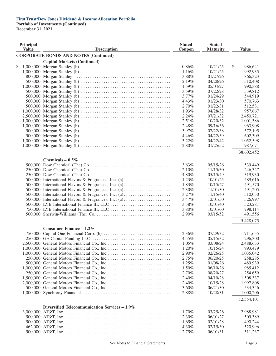**Portfolio of Investments (Continued)**

| Principal<br><b>Value</b> | <b>Description</b>                                   | <b>Stated</b><br>Coupon | <b>Stated</b><br><b>Maturity</b> | <b>Value</b>  |
|---------------------------|------------------------------------------------------|-------------------------|----------------------------------|---------------|
|                           | <b>CORPORATE BONDS AND NOTES (Continued)</b>         |                         |                                  |               |
|                           | <b>Capital Markets (Continued)</b>                   |                         |                                  |               |
| \$                        |                                                      | 0.86%                   | 10/21/25                         | \$<br>986,641 |
|                           |                                                      | 1.16%                   | 10/21/25                         | 992,935       |
|                           |                                                      | 3.88%                   | 01/27/26                         | 866,323       |
|                           |                                                      | 2.19%                   | 04/28/26                         | 510,408       |
|                           |                                                      | 1.59%                   | 05/04/27                         | 990,388       |
|                           |                                                      | 3.59%                   | 07/22/28                         | 539,812       |
|                           |                                                      | 3.77%                   | 01/24/29                         | 544,919       |
|                           |                                                      | 4.43%                   | 01/23/30                         | 570,763       |
|                           |                                                      | 2.70%                   | 01/22/31                         | 512,581       |
|                           |                                                      | 1.93%                   | 04/28/32                         | 957,667       |
|                           |                                                      | 2.24%                   | 07/21/32                         | 2,450,721     |
|                           |                                                      | 2.51%                   | 10/20/32                         | 1,001,386     |
|                           |                                                      | 2.48%                   | 09/16/36                         | 963,908       |
|                           |                                                      | 3.97%                   | 07/22/38                         | 572,195       |
|                           |                                                      | 4.46%                   | 04/22/39                         | 602,309       |
|                           |                                                      | 3.22%                   | 04/22/42                         | 1,052,598     |
|                           |                                                      | 2.80%                   | 01/25/52                         | 987,671       |
|                           |                                                      |                         |                                  |               |
|                           |                                                      |                         |                                  | 38,602,452    |
|                           | Chemicals - $0.5\%$                                  |                         |                                  |               |
|                           |                                                      | 3.63%                   | 05/15/26                         | 539,449       |
|                           |                                                      | 2.10%                   | 11/15/30                         | 246,327       |
|                           |                                                      | 4.80%                   | 05/15/49                         | 319,930       |
|                           | 500,000 International Flavors & Fragrances, Inc. (a) | 1.23%                   | 10/01/25                         | 489,616       |
|                           | 500,000 International Flavors & Fragrances, Inc. (a) | 1.83%                   | 10/15/27                         | 491,570       |
|                           | 500,000 International Flavors & Fragrances, Inc. (a) | 2.30%                   | 11/01/30                         | 491,205       |
|                           | 500,000 International Flavors & Fragrances, Inc. (a) | 3.27%                   | 11/15/40                         | 510,030       |
|                           | 500,000 International Flavors & Fragrances, Inc. (a) | 3.47%                   | 12/01/50                         | 526,997       |
|                           |                                                      | 3.38%                   | 10/01/40                         | 523,281       |
|                           |                                                      | 3.80%                   | 10/01/60                         | 798,114       |
|                           |                                                      | 2.90%                   | 03/15/52                         | 491,556       |
|                           |                                                      |                         |                                  |               |
|                           |                                                      |                         |                                  | 5,428,075     |
|                           | Consumer Finance $-1.2\%$                            |                         |                                  |               |
|                           |                                                      | 2.36%                   | 07/29/32                         | 711,655       |
|                           |                                                      | 4.55%                   | 05/15/32                         | 296,300       |
|                           |                                                      | 1.05%                   | 03/08/24                         | 2,488,633     |
|                           |                                                      | 1.20%                   | 10/15/24                         | 993,479       |
|                           |                                                      | 2.90%                   | 02/26/25                         | 1,035,042     |
|                           |                                                      | 2.75%                   | 06/20/25                         | 258,285       |
|                           |                                                      | 1.25%                   | 01/08/26                         | 489,939       |
|                           |                                                      | 1.50%                   | 06/10/26                         | 985,412       |
|                           |                                                      |                         |                                  |               |
|                           |                                                      | 2.70%                   | 08/20/27                         | 254,659       |
|                           |                                                      | 2.40%                   | 04/10/28                         | 1,508,337     |
|                           |                                                      | 2.40%                   | 10/15/28                         | 1,997,808     |
|                           |                                                      | 3.60%                   | 06/21/30                         | 534,346       |
|                           |                                                      | 2.88%                   | 10/28/31                         | 1,000,206     |
|                           |                                                      |                         |                                  | 12,554,101    |
|                           |                                                      |                         |                                  |               |
|                           | Diversified Telecommunication Services – 1.9%        | 1.70%                   | 03/25/26                         | 2,988,981     |
|                           |                                                      |                         |                                  |               |
|                           |                                                      | 2.30%                   | 06/01/27                         | 509,389       |
|                           |                                                      | 1.65%                   | 02/01/28                         | 490,244       |
|                           |                                                      | 4.30%                   | 02/15/30                         | 520,996       |
|                           |                                                      | 2.75%                   | 06/01/31                         | 511,237       |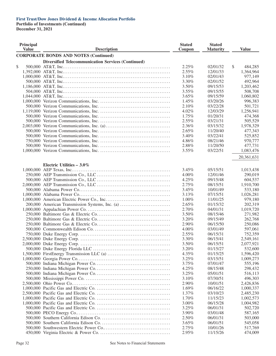**Portfolio of Investments (Continued)**

| Principal<br><b>Value</b> | <b>Description</b>                                        | <b>Stated</b><br>Coupon | <b>Stated</b><br><b>Maturity</b> | <b>Value</b>  |
|---------------------------|-----------------------------------------------------------|-------------------------|----------------------------------|---------------|
|                           |                                                           |                         |                                  |               |
|                           | <b>CORPORATE BONDS AND NOTES (Continued)</b>              |                         |                                  |               |
|                           | <b>Diversified Telecommunication Services (Continued)</b> |                         |                                  |               |
| \$                        |                                                           | 2.25%                   | 02/01/32                         | \$<br>484,285 |
|                           |                                                           | 2.55%                   | 12/01/33                         | 1,364,964     |
|                           |                                                           | 3.10%                   | 02/01/43                         | 977,149       |
|                           |                                                           | 3.30%                   | 02/01/52                         | 492,964       |
|                           |                                                           | 3.50%                   | 09/15/53                         | 1,203,462     |
|                           |                                                           | $3.55\%$                | 09/15/55                         | 508,708       |
|                           |                                                           | 3.65%                   | 09/15/59                         | 1,060,802     |
|                           |                                                           | 1.45%                   | 03/20/26                         | 996,383       |
|                           |                                                           | 2.10%                   | 03/22/28                         | 501,721       |
|                           |                                                           | 4.02%                   | 12/03/29                         | 1,256,941     |
|                           |                                                           | 1.75%                   | 01/20/31                         | 474,368       |
|                           |                                                           | 2.55%                   | 03/21/31                         | 505,529       |
|                           |                                                           | 2.36%                   | 03/15/32                         | 1,978,329     |
|                           |                                                           | 2.65%                   | 11/20/40                         | 477,343       |
|                           |                                                           | 3.40%                   | 03/22/41                         | 525,852       |
|                           |                                                           | 4.86%                   | 08/21/46                         | 970,777       |
|                           |                                                           | 2.88%                   | 11/20/50                         | 477,731       |
|                           |                                                           | $3.55\%$                | 03/22/51                         | 1,083,476     |
|                           |                                                           |                         |                                  | 20,361,631    |
|                           |                                                           |                         |                                  |               |
|                           | Electric Utilities $-3.0\%$                               |                         |                                  |               |
|                           |                                                           | $3.45\%$                | 05/15/51                         | 1,013,438     |
|                           |                                                           | $4.00\%$                | 12/01/46                         | 290,019       |
|                           |                                                           | 4.25%                   | 09/15/48                         | 604,537       |
|                           |                                                           | 2.75%                   | 08/15/51                         | 1,910,700     |
|                           |                                                           | 3.45%                   | 10/01/49                         | 533,180       |
|                           |                                                           | 3.13%                   | 07/15/51                         | 1,026,281     |
|                           |                                                           | $1.00\%$                | 11/01/25                         | 979,180       |
|                           | 200,000 American Transmission Systems, Inc. (a)           | 2.65%                   | 01/15/32                         | 202,319       |
|                           |                                                           | 2.70%                   | 04/01/31                         | 1,019,720     |
|                           |                                                           | 3.50%                   | 08/15/46                         | 271,982       |
|                           |                                                           | 3.20%                   | 09/15/49                         | 262,768       |
|                           |                                                           | 2.90%                   | 06/15/50                         | 250,086       |
|                           |                                                           | 4.00%                   | 03/01/49                         | 597,061       |
|                           |                                                           | 2.55%                   | 06/15/31                         | 752,359       |
|                           |                                                           | 3.30%                   | 06/15/41                         | 2,549,161     |
|                           |                                                           | 3.50%                   | 06/15/51                         | 2,077,921     |
|                           |                                                           | 3.20%                   | 01/15/27                         | 532,600       |
|                           |                                                           | 4.35%                   | 01/15/25                         | 1,596,420     |
|                           |                                                           | 3.25%                   | 03/15/51                         | 1,009,273     |
|                           |                                                           | 3.75%                   | 07/01/47                         | 555,196       |
|                           |                                                           | 4.25%                   | 08/15/48                         | 298,432       |
|                           |                                                           | 3.25%                   | 05/01/51                         | 516,113       |
|                           |                                                           | 3.10%                   | 07/30/51                         | 496,303       |
|                           |                                                           | 2.90%                   | 10/01/51                         |               |
|                           |                                                           |                         |                                  | 2,426,836     |
|                           |                                                           | 1.69%                   | 06/16/22                         | 1,000,337     |
|                           |                                                           | 1.37%                   | 03/10/23                         | 2,485,230     |
|                           |                                                           | 1.70%                   | 11/15/23                         | 1,002,573     |
|                           |                                                           | $3.00\%$                | 06/15/28                         | 1,004,982     |
|                           |                                                           | 3.25%                   | 06/01/31                         | 502,720       |
|                           |                                                           | 3.90%                   | 03/01/48                         | 587,165       |
|                           |                                                           | 2.50%                   | 06/01/31                         | 503,000       |
|                           |                                                           | 3.65%                   | 06/01/51                         | 545,058       |
|                           |                                                           | 2.75%                   | 10/01/26                         | 517,769       |
|                           |                                                           | 2.95%                   | 11/15/26                         | 474,009       |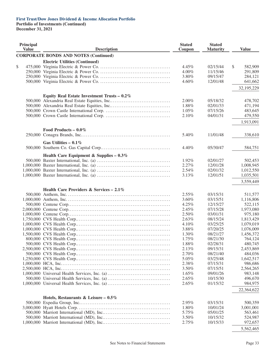## **First Trust/Dow Jones Dividend & Income Allocation Portfolio Portfolio of Investments (Continued)**

| Principal<br><b>Value</b> | <b>Description</b>                           | <b>Stated</b><br>Coupon | <b>Stated</b><br><b>Maturity</b> | <b>Value</b>  |
|---------------------------|----------------------------------------------|-------------------------|----------------------------------|---------------|
|                           | <b>CORPORATE BONDS AND NOTES (Continued)</b> |                         |                                  |               |
|                           | <b>Electric Utilities (Continued)</b>        |                         |                                  |               |
| \$                        |                                              | 4.45%                   | 02/15/44                         | \$<br>582,909 |
|                           |                                              | 4.00%                   | 11/15/46                         | 291,809       |
|                           |                                              | 3.80%                   | 09/15/47                         | 284,121       |
|                           |                                              | 4.60%                   | 12/01/48                         | 641,662       |
|                           |                                              |                         |                                  |               |
|                           |                                              |                         |                                  | 32,195,229    |
|                           | Equity Real Estate Investment Trusts - 0.2%  |                         |                                  |               |
|                           |                                              | 2.00%                   | 05/18/32                         | 478,702       |
|                           |                                              | 1.88%                   | 02/01/33                         | 471,194       |
|                           |                                              | $1.05\%$                | 07/15/26                         | 483,645       |
|                           |                                              | 2.10%                   | 04/01/31                         | 479,550       |
|                           |                                              |                         |                                  | 1,913,091     |
|                           | Food Products – $0.0\%$                      |                         |                                  |               |
|                           |                                              | 5.40%                   | 11/01/48                         | 338,610       |
|                           | Gas Utilities $-0.1\%$                       |                         |                                  |               |
|                           |                                              | 4.40%                   | 05/30/47                         | 584,751       |
|                           | Health Care Equipment & Supplies - $0.3\%$   |                         |                                  |               |
|                           |                                              | 1.92%                   | 02/01/27                         | 502,453       |
|                           |                                              | 2.27%                   | 12/01/28                         | 1,008,945     |
|                           |                                              | 2.54%                   | 02/01/32                         | 1,012,550     |
|                           |                                              | 3.13%                   | 12/01/51                         | 1,035,501     |
|                           |                                              |                         |                                  | 3,559,449     |
|                           | Health Care Providers & Services - 2.1%      |                         |                                  |               |
|                           |                                              | 2.55%                   | 03/15/31                         | 511,577       |
|                           |                                              | 3.60%                   | 03/15/51                         | 1,116,806     |
|                           |                                              | 4.25%                   | 12/15/27                         | 522,115       |
|                           |                                              | 2.45%                   | 07/15/28                         | 1,973,080     |
|                           |                                              | 2.50%                   | 03/01/31                         | 975,180       |
|                           |                                              | 2.63%                   | 08/15/24                         | 1,813,429     |
|                           |                                              | 4.10%                   | 03/25/25                         | 1,079,019     |
|                           |                                              | 3.88%                   | 07/20/25                         | 1,076,009     |
|                           |                                              | 1.30%                   | 08/21/27                         | 1,456,372     |
|                           |                                              | 1.75%                   | 08/21/30                         | 764,124       |
|                           |                                              | 1.88%                   | 02/28/31                         | 480,745       |
|                           |                                              | 2.13%                   | 09/15/31                         | 2,453,869     |
|                           |                                              | 2.70%                   | 08/21/40                         | 484,036       |
|                           |                                              | 5.05%                   | 03/25/48                         | 1,642,517     |
|                           |                                              | 2.38%                   | 07/15/31                         | 986,686       |
|                           |                                              | 3.50%                   | 07/15/51                         | 2,564,265     |
|                           |                                              | 1.65%                   | 09/01/26                         | 983,148       |
|                           |                                              | 2.65%                   | 10/15/30                         | 496,670       |
|                           |                                              | 2.65%                   | 01/15/32                         | 984,975       |
|                           |                                              |                         |                                  | 22,364,622    |
|                           |                                              |                         |                                  |               |
|                           | Hotels, Restaurants & Leisure - $0.5\%$      |                         |                                  |               |
|                           |                                              | 2.95%                   | 03/15/31                         | 500,359       |
|                           |                                              | 1.80%                   | 10/01/24                         | 3,001,001     |
|                           |                                              | 5.75%                   | 05/01/25                         | 563,461       |
|                           |                                              | 3.50%                   | 10/15/32                         | 524,987       |
|                           |                                              | 2.75%                   | 10/15/33                         | 972,657       |
|                           |                                              |                         |                                  | 5,562,465     |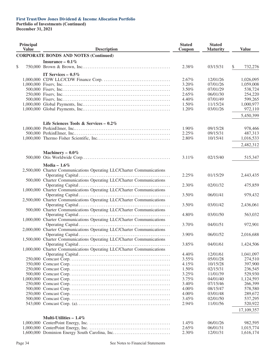**Portfolio of Investments (Continued)**

| Principal<br><b>Value</b> | <b>Description</b>                                                    | <b>Stated</b><br>Coupon | <b>Stated</b><br><b>Maturity</b> | <b>Value</b>       |
|---------------------------|-----------------------------------------------------------------------|-------------------------|----------------------------------|--------------------|
|                           | <b>CORPORATE BONDS AND NOTES (Continued)</b>                          |                         |                                  |                    |
|                           | Insurance $-0.1\%$                                                    |                         |                                  |                    |
| \$                        |                                                                       | 2.38%                   | 03/15/31                         | \$<br>732,276      |
|                           |                                                                       |                         |                                  |                    |
|                           | IT Services $-0.5\%$                                                  |                         |                                  |                    |
|                           |                                                                       | 2.67%                   | 12/01/26                         | 1,026,095          |
|                           |                                                                       | 3.20%                   | 07/01/26                         | 1,059,008          |
|                           |                                                                       | 3.50%                   | 07/01/29                         | 538,724            |
|                           |                                                                       | 2.65%                   | 06/01/30                         | 254,220            |
|                           |                                                                       | 4.40%                   | 07/01/49                         | 599,265            |
|                           |                                                                       | 1.50%                   | 11/15/24                         | 1,000,977          |
|                           |                                                                       | 1.20%                   | 03/01/26                         | 972,110            |
|                           |                                                                       |                         |                                  | 5,450,399          |
|                           |                                                                       |                         |                                  |                    |
|                           | Life Sciences Tools & Services - $0.2\%$                              |                         |                                  |                    |
|                           |                                                                       | 1.90%                   | 09/15/28                         | 978,466            |
|                           |                                                                       | 2.25%                   | 09/15/31                         | 487,313            |
|                           |                                                                       | 2.80%                   | 10/15/41                         | 1,016,533          |
|                           |                                                                       |                         |                                  | 2,482,312          |
|                           | Machinery - $0.0\%$                                                   |                         |                                  |                    |
|                           |                                                                       | 3.11%                   | 02/15/40                         | 515,347            |
|                           |                                                                       |                         |                                  |                    |
|                           | Media $-1.6\%$                                                        |                         |                                  |                    |
|                           | 2,500,000 Charter Communications Operating LLC/Charter Communications |                         |                                  |                    |
|                           |                                                                       | 2.25%                   | 01/15/29                         | 2,443,435          |
|                           | 500,000 Charter Communications Operating LLC/Charter Communications   |                         |                                  |                    |
|                           |                                                                       | 2.30%                   | 02/01/32                         | 475,859            |
|                           | 1,000,000 Charter Communications Operating LLC/Charter Communications |                         |                                  |                    |
|                           |                                                                       | 3.50%                   | 06/01/41                         | 979,432            |
|                           | 2,500,000 Charter Communications Operating LLC/Charter Communications |                         |                                  |                    |
|                           |                                                                       | 3.50%                   | 03/01/42                         | 2,436,061          |
|                           | 500,000 Charter Communications Operating LLC/Charter Communications   |                         |                                  |                    |
|                           |                                                                       | 4.80%                   | 03/01/50                         | 563,032            |
|                           | 1,000,000 Charter Communications Operating LLC/Charter Communications |                         |                                  |                    |
|                           |                                                                       | 3.70%                   | 04/01/51                         | 972,901            |
|                           | 2,000,000 Charter Communications Operating LLC/Charter Communications |                         |                                  |                    |
|                           |                                                                       | 3.90%                   | 06/01/52                         | 2,016,688          |
|                           | 1,500,000 Charter Communications Operating LLC/Charter Communications |                         |                                  |                    |
|                           |                                                                       | 3.85%                   | 04/01/61                         | 1,424,506          |
|                           | 1,000,000 Charter Communications Operating LLC/Charter Communications |                         |                                  |                    |
|                           |                                                                       | 4.40%                   | 12/01/61                         | 1,041,097          |
|                           |                                                                       | $3.55\%$                | 05/01/28                         | 274,510            |
|                           |                                                                       | 4.15%                   | 10/15/28                         | 397,900            |
|                           |                                                                       | 1.50%                   | 02/15/31                         | 236,545            |
|                           |                                                                       | 3.25%                   | 11/01/39                         | 529,930            |
|                           |                                                                       | 3.75%                   | 04/01/40                         | 1,124,593          |
|                           |                                                                       | 3.40%                   | 07/15/46                         | 266,399            |
|                           |                                                                       |                         | 08/15/47                         |                    |
|                           |                                                                       | 4.00%<br>$4.00\%$       | 03/01/48                         | 578,580<br>289,672 |
|                           |                                                                       |                         |                                  |                    |
|                           |                                                                       | 3.45%<br>2.94%          | 02/01/50<br>11/01/56             | 537,295<br>520,922 |
|                           |                                                                       |                         |                                  |                    |
|                           |                                                                       |                         |                                  | 17,109,357         |
|                           | Multi-Utilities $-1.4\%$                                              |                         |                                  |                    |
|                           |                                                                       | 1.45%                   | 06/01/26                         | 982,595            |
|                           |                                                                       | 2.65%                   | 06/01/31                         | 1,015,774          |
|                           |                                                                       | 2.30%                   | 12/01/31                         | 1,616,174          |
|                           |                                                                       |                         |                                  |                    |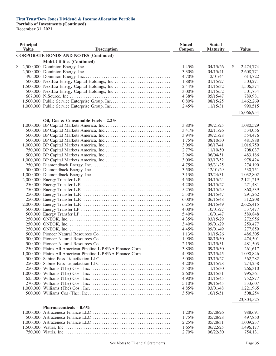| <b>Principal</b><br><b>Value</b> |  | <b>Description</b>                                           |       | <b>Stated</b><br><b>Maturity</b> | <b>Value</b>    |
|----------------------------------|--|--------------------------------------------------------------|-------|----------------------------------|-----------------|
|                                  |  | <b>CORPORATE BONDS AND NOTES (Continued)</b>                 |       |                                  |                 |
|                                  |  | <b>Multi-Utilities (Continued)</b>                           |       |                                  |                 |
| \$                               |  |                                                              | 1.45% | 04/15/26                         | \$<br>2,474,774 |
|                                  |  |                                                              | 3.30% | 04/15/41                         | 2,608,771       |
|                                  |  |                                                              | 4.70% | 12/01/44                         | 614,722         |
|                                  |  |                                                              | 1.88% | 01/15/27                         | 503,271         |
|                                  |  | 1,500,000 NextEra Energy Capital Holdings, Inc               | 2.44% | 01/15/32                         | 1,506,374       |
|                                  |  |                                                              | 3.00% | 01/15/52                         | 501,734         |
|                                  |  |                                                              | 4.38% | 05/15/47                         | 789,981         |
|                                  |  |                                                              | 0.80% | 08/15/25                         | 1,462,269       |
|                                  |  |                                                              | 2.45% | 11/15/31                         | 990,515         |
|                                  |  |                                                              |       |                                  | 15,066,954      |
|                                  |  | Oil, Gas & Consumable Fuels $-2.2\%$                         |       |                                  |                 |
|                                  |  |                                                              | 3.80% | 09/21/25                         | 1,080,529       |
|                                  |  |                                                              | 3.41% | 02/11/26                         | 534,056         |
|                                  |  |                                                              | 3.94% | 09/21/28                         | 554,476         |
|                                  |  |                                                              | 1.75% | 08/10/30                         | 481,888         |
|                                  |  |                                                              | 3.06% | 06/17/41                         | 1,016,759       |
|                                  |  |                                                              | 2.77% | 11/10/50                         | 708,037         |
|                                  |  |                                                              | 2.94% | 06/04/51                         | 483,186         |
|                                  |  |                                                              | 3.00% | 03/17/52                         | 978,424         |
|                                  |  |                                                              | 4.75% | 05/31/25                         | 274,190         |
|                                  |  |                                                              | 3.50% | 12/01/29                         | 530,751         |
|                                  |  |                                                              |       |                                  |                 |
|                                  |  |                                                              | 3.13% | 03/24/31                         | 1,032,802       |
|                                  |  |                                                              | 4.50% | 04/15/24                         | 2,121,219       |
|                                  |  |                                                              | 4.20% | 04/15/27                         | 271,481         |
|                                  |  |                                                              | 5.25% | 04/15/29                         | 860,539         |
|                                  |  |                                                              | 5.30% | 04/15/47                         | 291,262         |
|                                  |  |                                                              | 6.00% | 06/15/48                         | 312,208         |
|                                  |  |                                                              | 6.25% | 04/15/49                         | 2,625,415       |
|                                  |  |                                                              | 4.00% | 10/01/27                         | 537,477         |
|                                  |  |                                                              | 5.40% | 10/01/47                         | 589,848         |
|                                  |  |                                                              | 4.35% | 03/15/29                         | 272,956         |
|                                  |  |                                                              | 3.40% | 09/01/29                         | 259,477         |
|                                  |  |                                                              | 4.45% | 09/01/49                         | 277,859         |
|                                  |  |                                                              | 1.13% | 01/15/26                         | 486,305         |
|                                  |  |                                                              | 1.90% | 08/15/30                         | 474,501         |
|                                  |  |                                                              | 2.15% | 01/15/31                         | 481,503         |
|                                  |  | 250,000 Plains All American Pipeline L.P./PAA Finance Corp   | 3.80% | 09/15/30                         | 261,617         |
|                                  |  | 1,000,000 Plains All American Pipeline L.P./PAA Finance Corp | 4.90% | 02/15/45                         | 1,090,846       |
|                                  |  |                                                              | 5.00% | 03/15/27                         | 562,282         |
|                                  |  |                                                              | 4.20% | 03/15/28                         | 274,258         |
|                                  |  |                                                              | 3.50% | 11/15/30                         | 266,310         |
|                                  |  |                                                              | 2.60% | 03/15/31                         | 995,361         |
|                                  |  |                                                              | 4.90% | 01/15/45                         | 752,877         |
|                                  |  |                                                              | 5.10% | 09/15/45                         | 333,607         |
|                                  |  |                                                              | 4.85% | 03/01/48                         | 1,221,965       |
|                                  |  |                                                              | 3.50% | 10/15/51                         | 508,254         |
|                                  |  |                                                              |       |                                  | 23,804,525      |
|                                  |  | Pharmaceuticals $-0.6\%$                                     |       |                                  |                 |
|                                  |  |                                                              | 1.20% | 05/28/26                         | 988,691         |
|                                  |  |                                                              | 1.75% | 05/28/28                         | 497,850         |
|                                  |  |                                                              | 2.25% | 05/28/31                         | 1,009,237       |
|                                  |  |                                                              | 1.65% | 06/22/25                         | 1,496,177       |
|                                  |  |                                                              | 2.70% | 06/22/30                         | 754,131         |
|                                  |  |                                                              |       |                                  |                 |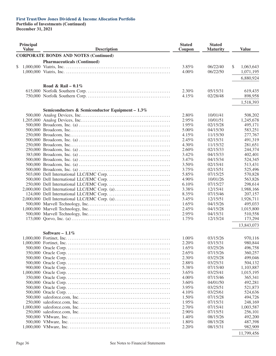**Portfolio of Investments (Continued)**

**December 31, 2021**

| Principal<br><b>Value</b> |  | <b>Description</b>                                 | <b>Stated</b><br>Coupon | <b>Stated</b><br><b>Maturity</b> | <b>Value</b>    |
|---------------------------|--|----------------------------------------------------|-------------------------|----------------------------------|-----------------|
|                           |  | <b>CORPORATE BONDS AND NOTES (Continued)</b>       |                         |                                  |                 |
|                           |  | <b>Pharmaceuticals (Continued)</b>                 |                         |                                  |                 |
| \$                        |  |                                                    | 3.85%                   | 06/22/40                         | \$<br>1,063,643 |
|                           |  |                                                    | 4.00%                   | 06/22/50                         | 1,071,195       |
|                           |  |                                                    |                         |                                  |                 |
|                           |  |                                                    |                         |                                  | 6,880,924       |
|                           |  | Road & Rail – $0.1\%$                              |                         |                                  |                 |
|                           |  |                                                    | 2.30%                   | 05/15/31                         | 619,435         |
|                           |  |                                                    | 4.15%                   | 02/28/48                         | 898,958         |
|                           |  |                                                    |                         |                                  |                 |
|                           |  |                                                    |                         |                                  | 1,518,393       |
|                           |  | Semiconductors & Semiconductor Equipment - $1.3\%$ |                         |                                  |                 |
|                           |  |                                                    | 2.80%                   | 10/01/41                         | 508,202         |
|                           |  |                                                    | 2.95%                   | 10/01/51                         | 1,245,678       |
|                           |  |                                                    | 1.95%                   | 02/15/28                         | 495,171         |
|                           |  |                                                    | 5.00%                   | 04/15/30                         | 583,251         |
|                           |  |                                                    | 4.15%                   | 11/15/30                         | 277,767         |
|                           |  |                                                    | 2.45%                   | 02/15/31                         | 491,319         |
|                           |  |                                                    | 4.30%                   | 11/15/32                         | 281,651         |
|                           |  |                                                    | 2.60%                   | 02/15/33                         | 244,374         |
|                           |  |                                                    | 3.42%                   | 04/15/33                         | 402,401         |
|                           |  |                                                    | 3.47%                   | 04/15/34                         | 524,345         |
|                           |  |                                                    |                         |                                  |                 |
|                           |  |                                                    | 3.50%                   | 02/15/41                         | 513,431         |
|                           |  |                                                    | 3.75%                   | 02/15/51                         | 525,496         |
|                           |  |                                                    | 5.85%                   | 07/15/25                         | 570,828         |
|                           |  |                                                    | 4.90%                   | 10/01/26                         | 563,826         |
|                           |  |                                                    | 6.10%                   | 07/15/27                         | 298,614         |
|                           |  |                                                    | 3.38%                   | 12/15/41                         | 1,988,166       |
|                           |  |                                                    | 8.35%                   | 07/15/46                         | 207,157         |
|                           |  | 2,000,000 Dell International LLC/EMC Corp. (a)     | 3.45%                   | 12/15/51                         | 1,926,711       |
|                           |  |                                                    | 1.65%                   | 04/15/26                         | 495,033         |
|                           |  |                                                    | 2.45%                   | 04/15/28                         | 1,015,800       |
|                           |  |                                                    | 2.95%                   | 04/15/31                         | 510,558         |
|                           |  |                                                    | 1.75%                   | 12/15/24                         | 173,294         |
|                           |  |                                                    |                         |                                  | 13,843,073      |
|                           |  |                                                    |                         |                                  |                 |
|                           |  | Software $-1.1\%$                                  |                         |                                  |                 |
|                           |  |                                                    | $1.00\%$                | 03/15/26                         | 970,116         |
|                           |  |                                                    | 2.20%                   | 03/15/31                         | 980,844         |
|                           |  |                                                    | 1.65%                   | 03/25/26                         | 496,758         |
|                           |  |                                                    | $2.65\%$                | 07/15/26                         | 360,257         |
|                           |  |                                                    | 2.30%                   | 03/25/28                         | 499,046         |
|                           |  |                                                    | 2.88%                   | 03/25/31                         | 504,132         |
|                           |  |                                                    | 5.38%                   | 07/15/40                         | 1,103,887       |
|                           |  |                                                    | 3.65%                   | 03/25/41                         | 1,015,195       |
|                           |  |                                                    | 4.00%                   | 07/15/46                         | 365,341         |
|                           |  |                                                    | 3.60%                   | 04/01/50                         | 492,281         |
|                           |  |                                                    | 3.95%                   | 03/25/51                         | 521,873         |
|                           |  |                                                    | 4.10%                   | 03/25/61                         | 524,636         |
|                           |  |                                                    | 1.50%                   | 07/15/28                         |                 |
|                           |  |                                                    |                         |                                  | 494,726         |
|                           |  |                                                    | 1.95%                   | 07/15/31                         | 248,169         |
|                           |  |                                                    | 2.70%                   | 07/15/41                         | 1,003,587       |
|                           |  |                                                    | 2.90%                   | 07/15/51                         | 256,101         |
|                           |  |                                                    | 1.40%                   | 08/15/26                         | 492,200         |
|                           |  |                                                    | 1.80%                   | 08/15/28                         | 487,398         |
|                           |  |                                                    | 2.20%                   | 08/15/31                         | 982,909         |
|                           |  |                                                    |                         |                                  | 11,799,456      |
|                           |  |                                                    |                         |                                  |                 |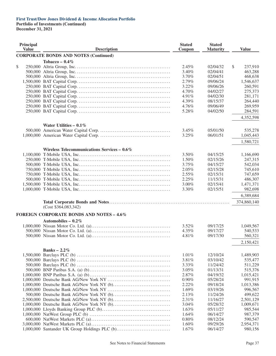| Principal<br><b>Value</b> | <b>Description</b>                              | <b>Stated</b><br>Coupon | <b>Stated</b><br><b>Maturity</b> | <b>Value</b>  |
|---------------------------|-------------------------------------------------|-------------------------|----------------------------------|---------------|
|                           | <b>CORPORATE BONDS AND NOTES (Continued)</b>    |                         |                                  |               |
|                           | Tobacco – $0.4\%$                               |                         |                                  |               |
| \$                        |                                                 | 2.45%                   | 02/04/32                         | \$<br>237,910 |
|                           |                                                 | 3.40%                   | 02/04/41                         | 463,288       |
|                           |                                                 | 3.70%                   | 02/04/51                         | 468,638       |
|                           |                                                 | 2.79%                   | 09/06/24                         | 1,546,637     |
|                           |                                                 | 3.22%                   | 09/06/26                         | 260,591       |
|                           |                                                 | 4.70%                   | 04/02/27                         | 275,373       |
|                           |                                                 | 4.91%                   | 04/02/30                         | 281,171       |
|                           |                                                 | 4.39%                   | 08/15/37                         | 264,440       |
|                           |                                                 | 4.76%                   | 09/06/49                         | 269,959       |
|                           |                                                 | 5.28%                   | 04/02/50                         | 284,591       |
|                           |                                                 |                         |                                  | 4,352,598     |
|                           | Water Utilities $-0.1\%$                        |                         |                                  |               |
|                           |                                                 | 3.45%                   | 05/01/50                         | 535,278       |
|                           |                                                 | 3.25%                   | 06/01/51                         | 1,045,443     |
|                           |                                                 |                         |                                  | 1,580,721     |
|                           | Wireless Telecommunications Services - 0.6%     |                         |                                  |               |
|                           |                                                 | 3.50%                   | 04/15/25                         | 1,166,690     |
|                           |                                                 | 1.50%                   | 02/15/26                         | 247,315       |
|                           |                                                 | 3.75%                   | 04/15/27                         | 542,034       |
|                           |                                                 | 2.05%                   | 02/15/28                         | 745,610       |
|                           |                                                 | 2.55%                   | 02/15/31                         | 747,659       |
|                           |                                                 | 2.25%                   | 11/15/31                         | 486,307       |
|                           |                                                 | 3.00%                   | 02/15/41                         | 1,471,371     |
|                           |                                                 | 3.30%                   | 02/15/51                         | 982,698       |
|                           |                                                 |                         |                                  | 6,389,684     |
|                           |                                                 |                         |                                  | 374,860,140   |
|                           | (Cost \$364,083,342)                            |                         |                                  |               |
|                           | <b>FOREIGN CORPORATE BONDS AND NOTES - 4.6%</b> |                         |                                  |               |
|                           | Automobiles – $0.2\%$                           |                         |                                  |               |
|                           |                                                 | 3.52%                   | 09/17/25                         | 1,049,567     |
|                           |                                                 | 4.35%                   | 09/17/27                         | 540,533       |
|                           |                                                 | 4.81%                   | 09/17/30                         | 560,321       |
|                           |                                                 |                         |                                  | 2,150,421     |
|                           | Banks $-2.2\%$                                  |                         |                                  |               |
|                           |                                                 | 1.01%                   | 12/10/24                         | 1,489,903     |
|                           |                                                 | 3.81%                   | 03/10/42                         | 535,477       |
|                           |                                                 | 3.33%                   | 11/24/42                         | 511,229       |
|                           |                                                 | 3.05%                   | 01/13/31                         | 515,376       |
|                           |                                                 | 2.87%                   | 04/19/32                         | 1,015,421     |
|                           |                                                 | $0.90\%$                | 05/28/24                         | 991,915       |
|                           |                                                 | 2.22%                   | 09/18/24                         | 1,013,386     |
|                           |                                                 | 1.69%                   | 03/19/26                         | 996,567       |
|                           |                                                 | 2.13%                   | 11/24/26                         | 499,622       |
|                           |                                                 | 2.31%                   | 11/16/27                         | 2,501,129     |
|                           |                                                 | 3.04%                   | 05/28/32                         | 1,009,671     |
|                           |                                                 | 1.63%                   | 05/11/27                         | 985,544       |
|                           |                                                 | 1.64%                   | 06/14/27                         | 987,379       |
|                           |                                                 | 0.80%                   | 08/12/24                         | 590,547       |
|                           |                                                 | 1.60%                   | 09/29/26                         | 2,954,371     |
|                           | 1,000,000 Santander UK Group Holdings PLC (b)   | 1.67%                   | 06/14/27                         | 980,156       |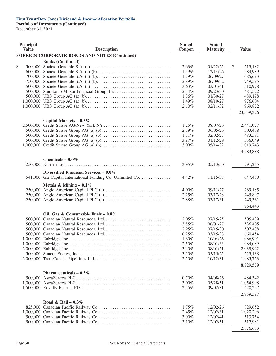| Principal<br><b>Value</b> | <b>Description</b>                                         | <b>Stated</b><br>Coupon | <b>Stated</b><br><b>Maturity</b> | <b>Value</b>           |
|---------------------------|------------------------------------------------------------|-------------------------|----------------------------------|------------------------|
|                           | <b>FOREIGN CORPORATE BONDS AND NOTES (Continued)</b>       |                         |                                  |                        |
|                           | <b>Banks (Continued)</b>                                   |                         |                                  |                        |
| \$                        |                                                            | 2.63%                   | 01/22/25                         | \$<br>513,182          |
|                           |                                                            | 1.49%                   | 12/14/26                         | 584,989                |
|                           |                                                            | 1.79%                   | 06/09/27                         | 685,693                |
|                           |                                                            | 2.89%                   | 06/09/32                         | 749,595                |
|                           |                                                            | 3.63%                   | 03/01/41                         | 510,978                |
|                           |                                                            | 2.14%                   | 09/23/30                         | 481,522                |
|                           |                                                            | 1.36%                   | 01/30/27                         | 489,198                |
|                           |                                                            | 1.49%                   | 08/10/27                         | 976,604                |
|                           |                                                            | 2.10%                   | 02/11/32                         | 969,872                |
|                           |                                                            |                         |                                  | 23,539,326             |
|                           | Capital Markets $-0.5\%$                                   |                         |                                  |                        |
|                           |                                                            | 1.25%                   | 08/07/26                         | 2,441,077              |
|                           |                                                            | 2.19%                   | 06/05/26                         | 503,438                |
|                           |                                                            | 1.31%                   | 02/02/27                         | 483,581                |
|                           |                                                            | 3.87%                   | 01/12/29                         | 536,049                |
|                           |                                                            | 3.09%                   | 05/14/32                         | 1,019,743              |
|                           |                                                            |                         |                                  | 4,983,888              |
|                           | Chemicals $-0.0\%$                                         |                         |                                  |                        |
|                           |                                                            | 3.95%                   | 05/13/50                         | 291,245                |
|                           | Diversified Financial Services - 0.0%                      |                         |                                  |                        |
|                           | 541,000 GE Capital International Funding Co. Unlimited Co. | 4.42%                   | 11/15/35                         | 647,450                |
|                           | Metals & Mining - $0.1\%$                                  |                         |                                  |                        |
|                           |                                                            | 4.00%                   | 09/11/27                         | 269,185                |
|                           |                                                            | 2.25%                   | 03/17/28                         | 245,897                |
|                           |                                                            | 2.88%                   | 03/17/31                         | 249,361                |
|                           |                                                            |                         |                                  | 764,443                |
|                           | Oil, Gas & Consumable Fuels - $0.8\%$                      |                         |                                  |                        |
|                           |                                                            | 2.05%                   | 07/15/25                         | 505,439                |
|                           |                                                            | 3.85%                   | 06/01/27                         | 536,405                |
|                           |                                                            | 2.95%                   | 07/15/30                         | 507,438                |
|                           |                                                            | 6.25%                   | 03/15/38                         | 660,454                |
|                           |                                                            | 1.60%                   | 10/04/26                         | 986,901                |
|                           |                                                            | 2.50%                   | 08/01/33                         | 984,089                |
|                           |                                                            | 3.40%                   | 08/01/51                         | 2,039,962              |
|                           |                                                            | 3.10%                   | 05/15/25                         | 523,138                |
|                           |                                                            | 2.50%                   |                                  |                        |
|                           |                                                            |                         | 10/12/31                         | 1,985,753<br>8,729,579 |
|                           | Pharmaceuticals $-0.3\%$                                   |                         |                                  |                        |
|                           |                                                            | 0.70%                   | 04/08/26                         | 484,342                |
|                           |                                                            |                         | 05/28/51                         |                        |
|                           |                                                            | 3.00%<br>2.15%          |                                  | 1,054,998              |
|                           |                                                            |                         | 09/02/31                         | 1,420,257<br>2,959,597 |
|                           |                                                            |                         |                                  |                        |
|                           | Road & Rail – $0.3\%$                                      |                         |                                  |                        |
|                           |                                                            | 1.75%                   | 12/02/26                         | 829,652                |
|                           |                                                            | 2.45%                   | 12/02/31                         | 1,020,296              |
|                           |                                                            | 3.00%                   | 12/02/41                         | 513,754                |
|                           |                                                            | 3.10%                   | 12/02/51                         | 512,981                |
|                           |                                                            |                         |                                  | 2,876,683              |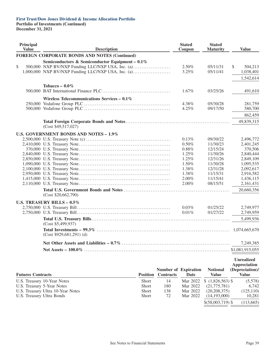| Principal<br><b>Value</b>  | <b>Description</b>                                   |                 |                             | <b>Stated</b><br>Coupon | <b>Stated</b><br><b>Maturity</b> | <b>Value</b>         |
|----------------------------|------------------------------------------------------|-----------------|-----------------------------|-------------------------|----------------------------------|----------------------|
|                            | <b>FOREIGN CORPORATE BONDS AND NOTES (Continued)</b> |                 |                             |                         |                                  |                      |
|                            | Semiconductors & Semiconductor Equipment - 0.1%      |                 |                             |                         |                                  |                      |
| \$                         | 500,000 NXP BV/NXP Funding LLC/NXP USA, Inc. (a)     |                 |                             | 2.50%                   | 05/11/31                         | S.<br>504,213        |
|                            | 1,000,000 NXP BV/NXP Funding LLC/NXP USA, Inc. (a)   |                 |                             | 3.25%                   | 05/11/41                         | 1,038,401            |
|                            |                                                      |                 |                             |                         |                                  | 1,542,614            |
|                            |                                                      |                 |                             |                         |                                  |                      |
|                            | Tobacco - $0.0\%$                                    |                 |                             |                         |                                  |                      |
|                            |                                                      |                 |                             | 1.67%                   | 03/25/26                         | 491,610              |
|                            | Wireless Telecommunications Services $-0.1\%$        |                 |                             |                         |                                  |                      |
|                            |                                                      |                 |                             | 4.38%                   | 05/30/28                         | 281,759              |
|                            |                                                      |                 |                             | 4.25%                   | 09/17/50                         | 580,700              |
|                            |                                                      |                 |                             |                         |                                  | 862,459              |
|                            |                                                      |                 |                             |                         |                                  | 49,839,315           |
|                            | (Cost \$49,517,027)                                  |                 |                             |                         |                                  |                      |
|                            |                                                      |                 |                             |                         |                                  |                      |
|                            | U.S. GOVERNMENT BONDS AND NOTES - 1.9%               |                 |                             |                         |                                  |                      |
|                            |                                                      |                 |                             | 0.13%                   | 09/30/22                         | 2,496,772            |
|                            |                                                      |                 |                             | 0.50%<br>0.88%          | 11/30/23<br>12/15/24             | 2,401,245<br>370,506 |
|                            |                                                      |                 |                             | 1.25%                   | 11/30/26                         | 2,840,444            |
|                            |                                                      |                 |                             | 1.25%                   | 12/31/26                         | 2,849,109            |
|                            |                                                      |                 |                             | 1.50%                   | 11/30/28                         | 1,095,535            |
|                            |                                                      |                 |                             | 1.38%                   | 12/31/28                         | 2,092,617            |
|                            |                                                      |                 |                             | 1.38%                   | 11/15/31                         | 2,916,582            |
|                            |                                                      |                 |                             | 2.00%                   | 11/15/41                         | 1,436,115            |
|                            |                                                      |                 |                             | 2.00%                   | 08/15/51                         | 2,161,431            |
|                            |                                                      |                 |                             |                         |                                  | 20,660,356           |
|                            | (Cost \$20,662,790)                                  |                 |                             |                         |                                  |                      |
|                            | <b>U.S. TREASURY BILLS - 0.5%</b>                    |                 |                             |                         |                                  |                      |
|                            |                                                      |                 |                             | 0.03%                   | 01/25/22                         | 2,749,977            |
|                            |                                                      |                 |                             | 0.01%                   | 01/27/22                         | 2,749,959            |
|                            |                                                      |                 |                             |                         |                                  | 5,499,936            |
|                            | (Cost \$5,499,937)                                   |                 |                             |                         |                                  |                      |
|                            |                                                      |                 |                             |                         |                                  | 1,074,665,670        |
|                            | $(Cost $929,681,291)$ (d)                            |                 |                             |                         |                                  |                      |
|                            |                                                      |                 |                             |                         |                                  |                      |
|                            |                                                      |                 |                             |                         |                                  | 7,249,385            |
|                            |                                                      |                 |                             |                         |                                  | \$1,081,915,055      |
|                            |                                                      |                 |                             |                         |                                  | <b>Unrealized</b>    |
|                            |                                                      |                 |                             |                         |                                  | <b>Appreciation</b>  |
|                            |                                                      |                 | <b>Number of Expiration</b> |                         | <b>Notional</b>                  | (Depreciation)/      |
| <b>Futures Contracts</b>   |                                                      | <b>Position</b> | <b>Contracts</b>            | Date                    | <b>Value</b>                     | <b>Value</b>         |
|                            | U.S. Treasury 10-Year Notes                          | Short           | 14                          | Mar 2022                | (1,826,563)                      | (5,578)              |
| U.S. Treasury 5-Year Notes |                                                      | Short           | 180                         | Mar 2022                | (21,775,781)                     | 6,742                |
|                            | U.S. Treasury Ultra 10-Year Notes                    | Short           | 138                         | Mar 2022                | (20, 208, 375)                   | (125, 110)           |
| U.S. Treasury Ultra Bonds  |                                                      | Short           | 72                          | Mar 2022                | (14, 193, 000)                   | 10,281               |
|                            |                                                      |                 |                             |                         | $$(58,003,719)$ \\$              | (113, 665)           |
|                            |                                                      |                 |                             |                         |                                  |                      |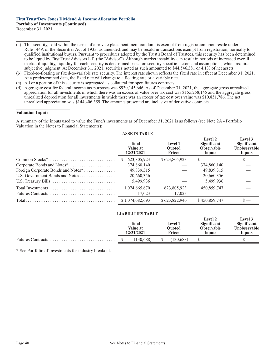- (a) This security, sold within the terms of a private placement memorandum, is exempt from registration upon resale under Rule 144A of the Securities Act of 1933, as amended, and may be resold in transactions exempt from registration, normally to qualified institutional buyers. Pursuant to procedures adopted by the Trust's Board of Trustees, this security has been determined to be liquid by First Trust Advisors L.P. (the "Advisor"). Although market instability can result in periods of increased overall market illiquidity, liquidity for each security is determined based on security specific factors and assumptions, which require subjective judgment. At December 31, 2021, securities noted as such amounted to \$44,546,381 or 4.1% of net assets.
- (b) Fixed-to-floating or fixed-to-variable rate security. The interest rate shown reflects the fixed rate in effect at December 31, 2021. At a predetermined date, the fixed rate will change to a floating rate or a variable rate.
- (c) All or a portion of this security is segregated as collateral for open futures contracts.
- (d) Aggregate cost for federal income tax purposes was \$930,145,646. As of December 31, 2021, the aggregate gross unrealized appreciation for all investments in which there was an excess of value over tax cost was \$155,258,145 and the aggregate gross unrealized depreciation for all investments in which there was an excess of tax cost over value was \$10,851,786. The net unrealized appreciation was \$144,406,359. The amounts presented are inclusive of derivative contracts.

#### **Valuation Inputs**

A summary of the inputs used to value the Fund's investments as of December 31, 2021 is as follows (see Note 2A - Portfolio Valuation in the Notes to Financial Statements):

|                                    | ASSETS TABLE                           |                                           |                                                              |                                                  |
|------------------------------------|----------------------------------------|-------------------------------------------|--------------------------------------------------------------|--------------------------------------------------|
|                                    | <b>Total</b><br>Value at<br>12/31/2021 | Level 1<br><b>Ouoted</b><br><b>Prices</b> | Level 2<br><b>Significant</b><br><b>Observable</b><br>Inputs | Level 3<br>Significant<br>Unobservable<br>Inputs |
|                                    | 623,805,923                            | \$623,805,923                             | S                                                            | $\mathbf{s}$ —                                   |
|                                    | 374,860,140                            |                                           | 374,860,140                                                  |                                                  |
| Foreign Corporate Bonds and Notes* | 49,839,315                             |                                           | 49,839,315                                                   |                                                  |
| U.S. Government Bonds and Notes    | 20,660,356                             |                                           | 20,660,356                                                   |                                                  |
|                                    | 5,499,936                              |                                           | 5.499.936                                                    |                                                  |
|                                    | 1,074,665,670                          | 623,805,923                               | 450,859,747                                                  |                                                  |
|                                    | 17,023                                 | 17,023                                    |                                                              |                                                  |
|                                    | \$1,074,682,693                        | \$623,822,946                             | \$450,859,747                                                |                                                  |
|                                    |                                        |                                           |                                                              |                                                  |

## **ASSETS TABLE**

|  | Total<br>Value at<br>12/31/2021 | <b>Level 1</b><br><b>Ouoted</b><br><b>Prices</b> | Level 2<br><b>Significant</b><br><b>Observable</b><br>Inputs | Level 3<br>Significant<br><b>Unobservable</b><br>Inputs |
|--|---------------------------------|--------------------------------------------------|--------------------------------------------------------------|---------------------------------------------------------|
|  |                                 |                                                  |                                                              |                                                         |
|  | (130.688)                       | (130.688)                                        | $\overline{\phantom{a}}$                                     |                                                         |

**LIABILITIES TABLE**

\* See Portfolio of Investments for industry breakout.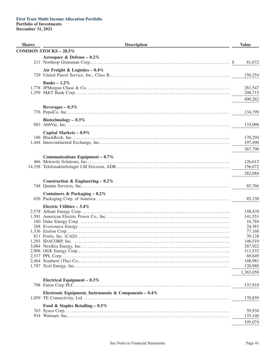| <b>Shares</b> | <b>Description</b>                                    | <b>Value</b>       |
|---------------|-------------------------------------------------------|--------------------|
|               | <b>COMMON STOCKS - 28.5%</b>                          |                    |
|               | Aerospace & Defense – $0.2\%$                         |                    |
|               |                                                       | 81,672             |
|               | Air Freight & Logistics - $0.4\%$                     |                    |
|               |                                                       | 156,254            |
|               | Banks $-1.2\%$                                        |                    |
|               |                                                       | 281,547            |
|               |                                                       | 208,715            |
|               |                                                       | 490,262            |
|               |                                                       |                    |
|               | Beverages $-0.3\%$                                    | 134,799            |
|               |                                                       |                    |
|               | Biotechnology $-0.3\%$                                |                    |
|               |                                                       | 133,098            |
|               | Capital Markets $-0.9\%$                              |                    |
|               |                                                       | 170,294            |
|               |                                                       | 197,496            |
|               |                                                       | 367,790            |
|               | Communications Equipment - $0.7\%$                    |                    |
|               |                                                       | 126,612            |
|               |                                                       | 156,072            |
|               |                                                       | 282,684            |
|               | Construction & Engineering – $0.2\%$                  |                    |
|               |                                                       | 85,766             |
|               | Containers & Packaging - $0.2\%$                      |                    |
|               |                                                       | 85,230             |
|               |                                                       |                    |
|               | Electric Utilities $-3.4\%$                           | 158,470            |
|               |                                                       | 141,551            |
|               |                                                       | 16,784             |
|               |                                                       | 24,383             |
|               |                                                       | 77,168             |
|               |                                                       | 39,128             |
|               |                                                       | 146,510            |
|               |                                                       | 287,922<br>111,532 |
|               |                                                       | 69,649             |
|               |                                                       | 168,981            |
|               |                                                       | 120,980            |
|               |                                                       | 1,363,058          |
|               | Electrical Equipment $-0.3\%$                         |                    |
|               |                                                       | 137,910            |
|               |                                                       |                    |
|               | Electronic Equipment, Instruments & Components - 0.4% | 170,859            |
|               |                                                       |                    |
|               | Food & Staples Retailing $-0.5\%$                     |                    |
|               |                                                       | 59,934<br>135,140  |
|               |                                                       |                    |
|               |                                                       | 195,074            |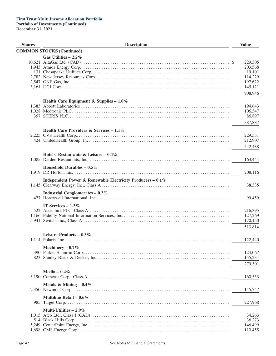| <b>Shares</b> | <b>Description</b>                                         | <b>Value</b>     |
|---------------|------------------------------------------------------------|------------------|
|               | <b>COMMON STOCKS (Continued)</b>                           |                  |
|               | Gas Utilities $-2.2\%$                                     |                  |
|               |                                                            | 229,305          |
|               |                                                            | 203,568          |
|               |                                                            | 19,101           |
|               |                                                            | 114,229          |
|               |                                                            | 197,622          |
|               |                                                            | 145,121          |
|               |                                                            | 908,946          |
|               | Health Care Equipment & Supplies - $1.0\%$                 |                  |
|               |                                                            | 194,643          |
|               |                                                            | 106,347          |
|               |                                                            | 86,897           |
|               |                                                            | 387,887          |
|               | Health Care Providers & Services – $1.1\%$                 |                  |
|               |                                                            | 229,531          |
|               |                                                            | 212,907          |
|               |                                                            | 442,438          |
|               | Hotels, Restaurants & Leisure - $0.4\%$                    |                  |
|               |                                                            | 163,444          |
|               | Household Durables $-0.5\%$                                |                  |
|               |                                                            | 208,116          |
|               | Independent Power & Renewable Electricity Producers - 0.1% |                  |
|               |                                                            | 38,335           |
|               | <b>Industrial Conglomerates - 0.2%</b>                     |                  |
|               |                                                            | 99,459           |
|               | IT Services $-1.3\%$                                       |                  |
|               |                                                            | 216,395          |
|               |                                                            | 127,269          |
|               |                                                            | 170,150          |
|               |                                                            | 513,814          |
|               | Leisure Products – $0.3\%$                                 |                  |
|               |                                                            | 122,440          |
|               | Machinery $-0.7\%$                                         |                  |
|               |                                                            | 124,067          |
|               |                                                            | 155,234          |
|               |                                                            | 279,301          |
|               | Media - $0.4\%$                                            |                  |
|               |                                                            | 160,553          |
|               |                                                            |                  |
|               | Metals & Mining $-0.4\%$                                   | 145,747          |
|               | Multiline Retail – $0.6\%$                                 |                  |
|               |                                                            | 227,968          |
|               |                                                            |                  |
|               | Multi-Utilities $-2.9\%$                                   |                  |
|               |                                                            | 34,263<br>36,273 |
|               |                                                            | 146,499          |
|               |                                                            | 110,455          |
|               |                                                            |                  |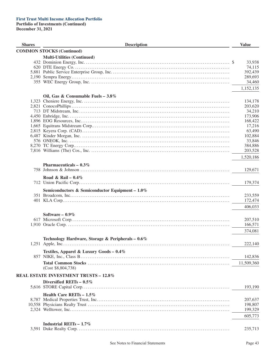| <b>Shares</b> | <b>Description</b>                                | <b>Value</b>       |
|---------------|---------------------------------------------------|--------------------|
|               | <b>COMMON STOCKS (Continued)</b>                  |                    |
|               | <b>Multi-Utilities (Continued)</b>                |                    |
|               |                                                   | 33,938             |
|               |                                                   | 74,115             |
|               |                                                   | 392,439            |
|               |                                                   | 289,693            |
|               |                                                   | 34,460             |
|               |                                                   | 1,152,135          |
|               | Oil, Gas & Consumable Fuels - $3.8\%$             |                    |
|               |                                                   | 134,178            |
|               |                                                   | 203,620            |
|               |                                                   | 34,210             |
|               |                                                   | 173,906            |
|               |                                                   | 168,422            |
|               |                                                   | 17,216             |
|               |                                                   | 63,490             |
|               |                                                   | 102,884            |
|               |                                                   | 33,846             |
|               |                                                   | 384,886<br>203,528 |
|               |                                                   |                    |
|               |                                                   | 1,520,186          |
|               | Pharmaceuticals $-0.3\%$                          |                    |
|               |                                                   | 129,671            |
|               | Road & Rail – $0.4\%$                             |                    |
|               |                                                   | 179,374            |
|               | Semiconductors & Semiconductor Equipment - 1.0%   |                    |
|               |                                                   | 233,559            |
|               |                                                   | 172,474            |
|               |                                                   | 406,033            |
|               |                                                   |                    |
|               | Software $-0.9\%$                                 |                    |
|               |                                                   | 207,510            |
|               |                                                   | 166,571            |
|               |                                                   | 374,081            |
|               | Technology Hardware, Storage & Peripherals - 0.6% |                    |
|               |                                                   | 222,140            |
|               |                                                   |                    |
|               | Textiles, Apparel & Luxury Goods - 0.4%           | 142,836            |
|               |                                                   |                    |
|               | (Cost \$8,804,738)                                | 11,509,360         |
|               |                                                   |                    |
|               | <b>REAL ESTATE INVESTMENT TRUSTS - 12.8%</b>      |                    |
|               | Diversified REITs $-0.5\%$                        |                    |
|               |                                                   | 193,190            |
|               | Health Care REITs $-1.5\%$                        |                    |
|               |                                                   | 207,637            |
|               |                                                   | 198,807            |
|               |                                                   | 199,329            |
|               |                                                   | 605,773            |
|               | Industrial REITs $-1.7\%$                         |                    |
|               |                                                   | 235,713            |
|               |                                                   |                    |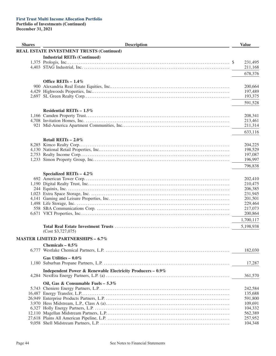| <b>Shares</b> | <b>Description</b>                                         | <b>Value</b> |
|---------------|------------------------------------------------------------|--------------|
|               | <b>REAL ESTATE INVESTMENT TRUSTS (Continued)</b>           |              |
|               | <b>Industrial REITs (Continued)</b>                        |              |
|               |                                                            | 231,495      |
|               |                                                            | 211,168      |
|               |                                                            |              |
|               |                                                            | 678,376      |
|               | Office REITs $-1.4\%$                                      |              |
|               |                                                            | 200,664      |
|               |                                                            | 197,489      |
|               |                                                            | 193,375      |
|               |                                                            |              |
|               |                                                            | 591,528      |
|               | Residential REITs $-1.5\%$                                 |              |
|               |                                                            | 208,341      |
|               |                                                            | 213,461      |
|               |                                                            | 211,314      |
|               |                                                            | 633,116      |
|               |                                                            |              |
|               | Retail REITs - 2.0%                                        |              |
|               |                                                            | 204,225      |
|               |                                                            | 198,529      |
|               |                                                            | 197,087      |
|               |                                                            | 196,997      |
|               |                                                            | 796,838      |
|               | Specialized REITs $-4.2\%$                                 |              |
|               |                                                            | 202,410      |
|               |                                                            | 210,475      |
|               |                                                            | 206,385      |
|               |                                                            | 231,945      |
|               |                                                            | 201,501      |
|               |                                                            | 229,464      |
|               |                                                            | 217,073      |
|               |                                                            | 200,864      |
|               |                                                            |              |
|               |                                                            | 1,700,117    |
|               |                                                            | 5,198,938    |
|               | (Cost \$3,727,075)                                         |              |
|               | <b>MASTER LIMITED PARTNERSHIPS - 6.7%</b>                  |              |
|               | Chemicals - $0.5\%$                                        |              |
|               |                                                            | 182,030      |
|               |                                                            |              |
|               | Gas Utilities - $0.0\%$                                    |              |
|               |                                                            | 17,287       |
|               | Independent Power & Renewable Electricity Producers - 0.9% |              |
|               |                                                            | 361,570      |
|               |                                                            |              |
|               | Oil, Gas & Consumable Fuels $-5.3\%$                       | 242,584      |
|               |                                                            | 135,688      |
|               |                                                            | 591,800      |
|               |                                                            | 109,691      |
|               |                                                            |              |
|               |                                                            | 104,332      |
|               |                                                            | 562,389      |
|               |                                                            | 257,952      |
|               |                                                            | 104,348      |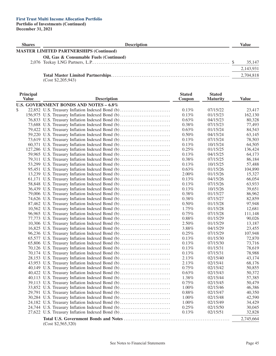| <b>Shares</b> | <b>Description</b>                             | Value     |
|---------------|------------------------------------------------|-----------|
|               | <b>MASTER LIMITED PARTNERSHIPS (Continued)</b> |           |
|               | Oil, Gas & Consumable Fuels (Continued)        | 35,147    |
|               |                                                | 2,143,931 |
|               |                                                | 2,704,818 |

(Cost \$2,205,943)

| Principal    |                                                  | <b>Stated</b> | <b>Stated</b>        |              |
|--------------|--------------------------------------------------|---------------|----------------------|--------------|
| <b>Value</b> | <b>Description</b>                               | Coupon        | <b>Maturity</b>      | <b>Value</b> |
|              | U.S. GOVERNMENT BONDS AND NOTES - 6.8%           |               |                      |              |
| \$           | 22,852 U.S. Treasury Inflation Indexed Bond (b)  | 0.13%         | 07/15/22             | 23,417       |
|              | 156,975 U.S. Treasury Inflation Indexed Bond (b) | 0.13%         | 01/15/23             | 162,130      |
|              | 76,833 U.S. Treasury Inflation Indexed Bond (b)  | $0.63\%$      | 04/15/23             | 80,328       |
|              | 73,688 U.S. Treasury Inflation Indexed Bond (b)  | 0.38%         | 07/15/23             | 77,493       |
|              | 79,422 U.S. Treasury Inflation Indexed Bond (b)  | 0.63%         | 01/15/24             | 84,543       |
|              | 59,220 U.S. Treasury Inflation Indexed Bond (b)  | 0.50%         | 04/15/24             | 63,145       |
|              | 73,619 U.S. Treasury Inflation Indexed Bond (b)  | 0.13%         | 07/15/24             | 78,503       |
|              | 60,371 U.S. Treasury Inflation Indexed Bond (b)  | 0.13%         | 10/15/24             | 64,505       |
|              | 127,286 U.S. Treasury Inflation Indexed Bond (b) | 0.25%         | 01/15/25             | 136,424      |
|              | 59,965 U.S. Treasury Inflation Indexed Bond (b)  | 0.13%         | 04/15/25             | 64,173       |
|              | 79,311 U.S. Treasury Inflation Indexed Bond (b)  | $0.38\%$      | 07/15/25             | 86,184       |
|              | 53,299 U.S. Treasury Inflation Indexed Bond (b)  | 0.13%         | 10/15/25             | 57,488       |
|              | 95,451 U.S. Treasury Inflation Indexed Bond (b)  | $0.63\%$      | 01/15/26             | 104,890      |
|              | 13,239 U.S. Treasury Inflation Indexed Bond (b)  | 2.00%         | 01/15/26             | 15,327       |
|              | 61,171 U.S. Treasury Inflation Indexed Bond (b)  | 0.13%         | 04/15/26             | 66,054       |
|              | 58,848 U.S. Treasury Inflation Indexed Bond (b)  | 0.13%         | 07/15/26             | 63,933       |
|              | 36,439 U.S. Treasury Inflation Indexed Bond (b)  | 0.13%         | 10/15/26             | 39,651       |
|              | 79,006 U.S. Treasury Inflation Indexed Bond (b)  | 0.38%         | 01/15/27             | 86,962       |
|              | 74,626 U.S. Treasury Inflation Indexed Bond (b)  | 0.38%         | 07/15/27             | 82,859       |
|              | 87,462 U.S. Treasury Inflation Indexed Bond (b)  | 0.50%         | 01/15/28             | 97,948       |
|              | 10,562 U.S. Treasury Inflation Indexed Bond (b)  | 1.75%         | 01/15/28             | 12,681       |
|              | 96,965 U.S. Treasury Inflation Indexed Bond (b)  | 0.75%         | 07/15/28             | 111,148      |
|              | 77,773 U.S. Treasury Inflation Indexed Bond (b)  | $0.88\%$      | 01/15/29             | 90,026       |
|              | 10,306 U.S. Treasury Inflation Indexed Bond (b)  | 2.50%         | 01/15/29             | 13,187       |
|              | 16,825 U.S. Treasury Inflation Indexed Bond (b)  | 3.88%         | 04/15/29             | 23,455       |
|              | 96,236 U.S. Treasury Inflation Indexed Bond (b)  | 0.25%         | 07/15/29             | 107,948      |
|              | 65,577 U.S. Treasury Inflation Indexed Bond (b)  | 0.13%         | 01/15/30             | 72,870       |
|              | 65,806 U.S. Treasury Inflation Indexed Bond (b)  | 0.13%         | 07/15/30             | 73,716       |
|              | 70,126 U.S. Treasury Inflation Indexed Bond (b)  | 0.13%         | 01/15/31             | 78,619       |
|              | 70,174 U.S. Treasury Inflation Indexed Bond (b)  | 0.13%         | 07/15/31             | 78,988       |
|              | 28,153 U.S. Treasury Inflation Indexed Bond (b)  | 2.13%         | 02/15/40             | 43,174       |
|              | 43,953 U.S. Treasury Inflation Indexed Bond (b)  | 2.13%         | 02/15/41             | 68,176       |
|              | 40,149 U.S. Treasury Inflation Indexed Bond (b)  | 0.75%         | 02/15/42             | 50,855       |
|              | 40,422 U.S. Treasury Inflation Indexed Bond (b)  | 0.63%         | 02/15/43             | 50,372       |
|              | 40,113 U.S. Treasury Inflation Indexed Bond (b)  | 1.38%         | 02/15/44             | 57,385       |
|              | 39,113 U.S. Treasury Inflation Indexed Bond (b)  | 0.75%         | 02/15/45             | 50,479       |
|              | 33,852 U.S. Treasury Inflation Indexed Bond (b)  | $1.00\%$      | 02/15/46             | 46,386       |
|              | 29,791 U.S. Treasury Inflation Indexed Bond (b)  | $0.88\%$      | 02/15/47             | 40,350       |
|              | 30,284 U.S. Treasury Inflation Indexed Bond (b)  | $1.00\%$      | 02/15/48             | 42,590       |
|              | 24,182 U.S. Treasury Inflation Indexed Bond (b)  | 1.00%         |                      | 34,429       |
|              |                                                  | 0.25%         | 02/15/49<br>02/15/50 | 30,045       |
|              | 24,744 U.S. Treasury Inflation Indexed Bond (b)  |               |                      |              |
|              | 27,622 U.S. Treasury Inflation Indexed Bond (b)  | 0.13%         | 02/15/51             | 32,828       |
|              | (Cost \$2,565,320)                               |               |                      | 2,745,664    |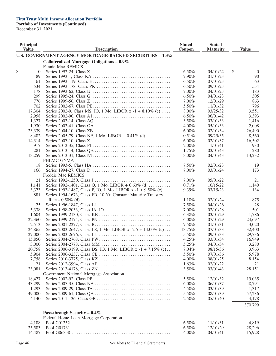# **First Trust Multi Income Allocation Portfolio**

**Portfolio of Investments (Continued)**

**December 31, 2021**

| Principal<br><b>Value</b> | <b>Description</b>                                            | <b>Stated</b><br>Coupon | <b>Stated</b><br><b>Maturity</b> | <b>Value</b>         |
|---------------------------|---------------------------------------------------------------|-------------------------|----------------------------------|----------------------|
|                           | U.S. GOVERNMENT AGENCY MORTGAGE-BACKED SECURITIES - 1.3%      |                         |                                  |                      |
|                           | Collateralized Mortgage Obligations $-0.9\%$                  |                         |                                  |                      |
|                           | Fannie Mae REMICS                                             |                         |                                  |                      |
| \$<br>$\theta$            |                                                               | 6.50%                   | 04/01/22                         | \$<br>$\overline{0}$ |
| 89                        |                                                               | 7.90%                   | 01/01/23                         | 90                   |
| 61                        |                                                               | 6.50%                   | 07/01/23                         | 63                   |
| 534                       |                                                               | 6.50%                   | 09/01/23                         | 554                  |
| 178                       |                                                               | 7.00%                   | 04/01/23                         | 183                  |
| 299                       |                                                               | 6.50%                   | 04/01/23                         | 305                  |
| 776                       |                                                               | 7.00%                   | 12/01/29                         | 863                  |
| 702                       |                                                               | 5.50%                   | 11/01/32                         | 796                  |
| 17,304                    | Series 2002-9, Class MS, IO, 1 Mo. LIBOR x -1 + 8.10% (c)     | 8.00%                   | 03/25/32                         | 3,551                |
| 2,958                     |                                                               | 6.50%                   | 06/01/42                         | 3,393                |
| 1,377                     |                                                               | 3.50%                   | 03/01/33                         | 1,416                |
| 1,930                     |                                                               | 4.00%                   | 05/01/33                         | 2,008                |
| 23,339                    |                                                               | $6.00\%$                | 02/01/34                         | 26,490               |
| 8,482                     | Series 2005-79, Class NF, 1 Mo. LIBOR + $0.41\%$ (d)          | 0.51%                   | 09/25/35                         | 8,560                |
| 14,314                    |                                                               | $6.00\%$                | 02/01/37                         | 16,502               |
| 917                       |                                                               | $2.00\%$                | 11/01/41                         | 930                  |
| 281                       |                                                               | 1.75%                   | 03/01/43                         | 280                  |
| 13,259                    |                                                               | 3.00%                   | 04/01/43                         | 13,232               |
|                           | <b>FHLMC-GNMA</b>                                             |                         |                                  |                      |
| 18                        |                                                               | 7.50%                   | 02/01/23                         | 19                   |
| 166                       |                                                               | 7.00%                   | 03/01/24                         | 173                  |
|                           | Freddie Mac REMICS                                            |                         |                                  |                      |
| 21                        |                                                               | 7.00%                   | 05/01/22                         | 21                   |
| 1,141                     | Series 1992-1401, Class Q, 1 Mo. LIBOR + $0.60\%$ (d)         | 0.71%                   | 10/15/22                         | 1,140                |
| 3,373                     | Series 1993-1487, Class P, IO, 1 Mo. LIBOR x -1 + 9.50% (c)   | 9.39%                   | 03/15/23                         | 134                  |
| 881                       | Series 1994-1673, Class FB, 10 Yr. Constant Maturity Treasury |                         |                                  |                      |
|                           |                                                               | 1.10%                   | 02/01/24                         | 875                  |
| 25                        |                                                               | 7.50%                   | 04/01/26                         | 28                   |
| 5,338                     |                                                               | 7.00%                   | 02/01/28                         | 501                  |
| 1,604                     |                                                               | 6.38%                   | 03/01/29                         | 1,786                |
| 22,360                    |                                                               | $6.00\%$                | 07/01/29                         | 24,697               |
| 2,513                     |                                                               | 7.50%                   | 01/01/31                         | 3,020                |
|                           | Series 2003-2647, Class LS, 1 Mo. LIBOR x -2.5 + 14.00% (c)   |                         | 07/01/33                         |                      |
| 24,865                    |                                                               | 13.75%                  | 09/01/33                         | 32,400               |
| 27,000                    |                                                               | 5.50%                   |                                  | 29,736               |
| 15,850                    |                                                               | 4.25%                   | 03/01/34                         | 16,949               |
| 3,000                     |                                                               | 5.25%                   | 04/01/34                         | 3,280                |
| 20,758                    | Series 2006-3199, Class DS, IO, 1 Mo. LIBOR x -1 + 7.15% (c). | 7.04%                   | 08/15/36                         | 3,963                |
| 5,904                     |                                                               | 5.50%                   | 07/01/36                         | 5,978                |
| 7,758                     |                                                               | 4.00%                   | 08/01/25                         | 8,154                |
| 21                        |                                                               | 1.63%                   | 02/01/22                         | 21                   |
| 23,081                    |                                                               | 3.50%                   | 03/01/43                         | 28,151               |
|                           | Government National Mortgage Association                      |                         |                                  |                      |
| 18,477                    |                                                               | 5.50%                   | 12/01/32                         | 19,035               |
| 43,299                    |                                                               | $6.00\%$                | 06/01/37                         | 48,791               |
| 1,293                     |                                                               | 4.50%                   | 03/01/39                         | 1,317                |
| 49,000                    |                                                               | 5.50%                   | 08/01/39                         | 57,236               |
| 4,140                     |                                                               | 2.50%                   | 05/01/40                         | 4,178                |
|                           |                                                               |                         |                                  | 370,799              |
|                           | Pass-through Security - $0.4\%$                               |                         |                                  |                      |
|                           | Federal Home Loan Mortgage Corporation                        |                         |                                  |                      |
| 4,188                     |                                                               | 6.50%                   | 11/01/31                         | 4,819                |
| 25,583                    |                                                               | 6.50%                   | 12/01/29                         | 28,296               |
| 14,487                    |                                                               | 4.00%                   | 04/01/41                         | 15,928               |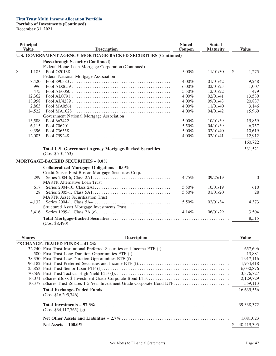# **First Trust Multi Income Allocation Portfolio**

**Portfolio of Investments (Continued)**

**December 31, 2021**

| Principal<br><b>Value</b> | <b>Description</b>                                                   | <b>Stated</b><br>Coupon | <b>Stated</b><br><b>Maturity</b> | <b>Value</b> |
|---------------------------|----------------------------------------------------------------------|-------------------------|----------------------------------|--------------|
|                           | <b>U.S. GOVERNMENT AGENCY MORTGAGE-BACKED SECURITIES (Continued)</b> |                         |                                  |              |
|                           | <b>Pass-through Security (Continued)</b>                             |                         |                                  |              |
|                           | Federal Home Loan Mortgage Corporation (Continued)                   |                         |                                  |              |
| \$<br>1,185               |                                                                      | 5.00%                   | 11/01/30                         | \$<br>1,275  |
|                           | Federal National Mortgage Association                                |                         |                                  |              |
| 8,420                     |                                                                      | $4.00\%$                | 01/01/42                         | 9,248        |
| 996                       |                                                                      | 6.00%                   | 02/01/23                         | 1,007        |
| 475                       |                                                                      | 5.50%                   | 12/01/22                         | 479          |
| 12,362                    |                                                                      | 4.00%                   | 02/01/41                         | 13,580       |
| 18,958                    |                                                                      | 4.00%                   | 09/01/43                         | 20,837       |
| 2,863                     |                                                                      | 4.00%                   | 11/01/40                         | 3,146        |
| 14,522                    |                                                                      | 4.00%                   | 04/01/42                         | 15,960       |
|                           | Government National Mortgage Association                             |                         |                                  |              |
| 13,588                    |                                                                      | 5.00%                   | 10/01/39                         | 15,859       |
| 6,115                     |                                                                      | 5.50%                   | 04/01/39                         | 6,757        |
| 9,396                     |                                                                      | 5.00%                   | 02/01/40                         | 10,619       |
| 12,003                    |                                                                      | 4.00%                   | 02/01/41                         | 12,912       |
|                           |                                                                      |                         |                                  |              |
|                           |                                                                      |                         |                                  | 160,722      |
|                           |                                                                      |                         |                                  | 531,521      |
|                           | (Cost \$510,453)                                                     |                         |                                  |              |
|                           |                                                                      |                         |                                  |              |
|                           | MORTGAGE-BACKED SECURITIES - 0.0%                                    |                         |                                  |              |
|                           | Collateralized Mortgage Obligations - $0.0\%$                        |                         |                                  |              |
|                           | Credit Suisse First Boston Mortgage Securities Corp.                 |                         |                                  |              |
| 299                       |                                                                      | 4.75%                   | 09/25/19                         | $\theta$     |
|                           | <b>MASTR Alternative Loan Trust</b>                                  |                         |                                  |              |
| 617                       |                                                                      | 5.50%                   | 10/01/19                         | 610          |
| 28                        |                                                                      | 5.50%                   | 01/01/20                         | 28           |
|                           | <b>MASTR Asset Securitization Trust</b>                              |                         |                                  |              |
| 4,132                     |                                                                      | 5.50%                   | 02/01/34                         | 4,373        |
|                           | Structured Asset Mortgage Investments Trust                          |                         |                                  |              |
|                           |                                                                      |                         |                                  |              |
| 3,416                     |                                                                      | 4.14%                   | 06/01/29                         | 3,504        |
|                           |                                                                      |                         |                                  | 8,515        |
|                           | (Cost \$8,490)                                                       |                         |                                  |              |
|                           |                                                                      |                         |                                  |              |
|                           |                                                                      |                         |                                  |              |
| <b>Shares</b>             | <b>Description</b>                                                   |                         |                                  | <b>Value</b> |
|                           | <b>EXCHANGE-TRADED FUNDS - 41.2%</b>                                 |                         |                                  |              |
|                           |                                                                      |                         |                                  | 657,696      |
|                           |                                                                      |                         |                                  | 13,881       |
|                           |                                                                      |                         |                                  | 1,917,116    |
|                           |                                                                      |                         |                                  | 1,954,418    |
|                           |                                                                      |                         |                                  |              |
|                           |                                                                      |                         |                                  | 6,030,876    |
|                           |                                                                      |                         |                                  | 3,376,727    |
|                           |                                                                      |                         |                                  | 2,129,729    |
|                           |                                                                      |                         |                                  | 559,113      |
|                           | (Cost \$16,295,746)                                                  |                         |                                  | 16,639,556   |
|                           | $(Cost $34,117,765)$ (g)                                             |                         |                                  | 39, 338, 372 |
|                           |                                                                      |                         |                                  | 1,081,023    |
|                           |                                                                      |                         |                                  | 40,419,395   |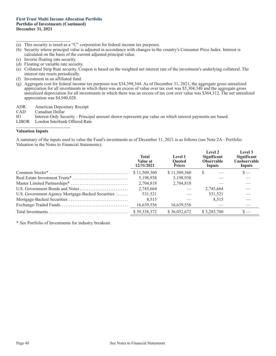#### **First Trust Multi Income Allocation Portfolio Portfolio of Investments (Continued) December 31, 2021**

- (a) This security is taxed as a "C" corporation for federal income tax purposes.
- (b) Security whose principal value is adjusted in accordance with changes to the country's Consumer Price Index. Interest is calculated on the basis of the current adjusted principal value.
- (c) Inverse floating rate security.
- (d) Floating or variable rate security.
- (e) Collateral Strip Rate security. Coupon is based on the weighted net interest rate of the investment's underlying collateral. The interest rate resets periodically.
- (f) Investment in an affiliated fund.
- (g) Aggregate cost for federal income tax purposes was \$34,398,344. As of December 31, 2021, the aggregate gross unrealized appreciation for all investments in which there was an excess of value over tax cost was \$5,304,340 and the aggregate gross unrealized depreciation for all investments in which there was an excess of tax cost over value was \$364,312. The net unrealized appreciation was \$4,940,028.
- ADR American Depositary Receipt
- CAD Canadian Dollar<br>IO Interest-Only See
- IO Interest-Only Security Principal amount shown represents par value on which interest payments are based.<br>
LIBOR London Interbank Offered Rate
- London Interbank Offered Rate

#### **Valuation Inputs**

A summary of the inputs used to value the Fund's investments as of December 31, 2021 is as follows (see Note 2A - Portfolio Valuation in the Notes to Financial Statements):

|                                                   | <b>Total</b><br>Value at<br>12/31/2021 | Level 1<br><b>Ouoted</b><br><b>Prices</b> | Level 2<br>Significant<br><b>Observable</b><br>Inputs | Level 3<br><b>Significant</b><br>Unobservable<br>Inputs |
|---------------------------------------------------|----------------------------------------|-------------------------------------------|-------------------------------------------------------|---------------------------------------------------------|
|                                                   | \$11,509,360                           | \$11,509,360                              | S                                                     | $\mathbf{s}$ —                                          |
|                                                   | 5.198.938                              | 5,198,938                                 |                                                       |                                                         |
|                                                   | 2,704,818                              | 2,704,818                                 |                                                       |                                                         |
|                                                   | 2,745,664                              |                                           | 2,745,664                                             |                                                         |
| U.S. Government Agency Mortgage-Backed Securities | 531,521                                |                                           | 531,521                                               |                                                         |
|                                                   | 8,515                                  |                                           | 8.515                                                 |                                                         |
|                                                   | 16,639,556                             | 16,639,556                                |                                                       |                                                         |
|                                                   | \$39,338,372                           | \$36,052,672                              | \$3,285,700                                           |                                                         |

\* See Portfolio of Investments for industry breakout.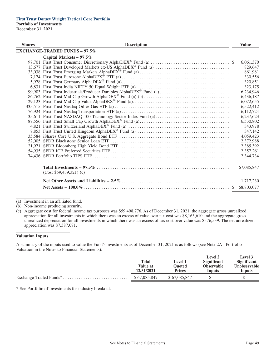| <b>Shares</b> | <b>Description</b>                   | <b>Value</b> |
|---------------|--------------------------------------|--------------|
|               | <b>EXCHANGE-TRADED FUNDS - 97.5%</b> |              |
|               | Capital Markets - $97.5\%$           |              |
|               |                                      | 6,061,370    |
|               |                                      | 829,647      |
|               |                                      | 861,981      |
|               |                                      | 330,556      |
|               |                                      | 320,851      |
|               |                                      | 323,175      |
|               |                                      | 6,234,946    |
|               |                                      | 6,436,187    |
|               |                                      | 6,072,655    |
|               |                                      | 6,522,412    |
|               |                                      | 6,112,724    |
|               |                                      | 6,237,623    |
|               |                                      | 6,530,802    |
|               |                                      | 343,978      |
|               |                                      | 347,142      |
|               |                                      | 4,059,423    |
|               |                                      | 2,372,988    |
|               |                                      | 2,385,392    |
|               |                                      | 2,357,261    |
|               |                                      | 2,344,734    |
|               | $(Cost $59,439,321)$ (c)             | 67,085,847   |
|               |                                      | 1,717,230    |
|               |                                      |              |

(a) Investment in an affiliated fund.

(b) Non-income producing security.

(c) Aggregate cost for federal income tax purposes was \$59,498,776. As of December 31, 2021, the aggregate gross unrealized appreciation for all investments in which there was an excess of value over tax cost was \$8,163,610 and the aggregate gross unrealized depreciation for all investments in which there was an excess of tax cost over value was \$576,539. The net unrealized appreciation was \$7,587,071.

#### **Valuation Inputs**

A summary of the inputs used to value the Fund's investments as of December 31, 2021 is as follows (see Note 2A - Portfolio Valuation in the Notes to Financial Statements):

| 12/31/2021<br><b>Prices</b><br>Inputs<br>Inputs | Total<br>Value at | <b>Level 1</b><br>Ouoted | Level 2<br>Significant<br><b>Observable</b> | <b>Level</b> 3<br><b>Significant</b><br><b>Unobservable</b> |
|-------------------------------------------------|-------------------|--------------------------|---------------------------------------------|-------------------------------------------------------------|
|                                                 | \$67,085,847      | \$67,085,847             |                                             |                                                             |

\* See Portfolio of Investments for industry breakout.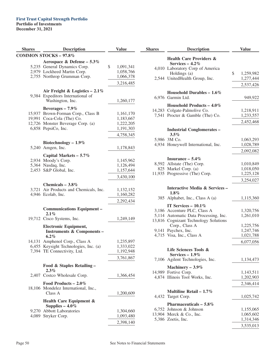# **First Trust Capital Strength Portfolio**

**Portfolio of Investments**

**December 31, 2021**

| <b>Shares</b> | <b>Description</b>                                                                                                                                 | <b>Value</b>                                           | <b>Shares</b> | <b>Description</b>                                                                                                                      | <b>Value</b>                                     |
|---------------|----------------------------------------------------------------------------------------------------------------------------------------------------|--------------------------------------------------------|---------------|-----------------------------------------------------------------------------------------------------------------------------------------|--------------------------------------------------|
|               | <b>COMMON STOCKS - 97.8%</b>                                                                                                                       |                                                        |               | <b>Health Care Providers &amp;</b>                                                                                                      |                                                  |
|               | Aerospace & Defense - $5.3\%$<br>5,235 General Dynamics Corp.<br>2,979 Lockheed Martin Corp.<br>2,755 Northrop Grumman Corp.                       | \$<br>1,091,341<br>1,058,766<br>1,066,378<br>3,216,485 |               | Services $-4.2\%$<br>4,010 Laboratory Corp of America<br>Holdings (a)<br>2,544 UnitedHealth Group, Inc.                                 | \$<br>1,259,982<br>1,277,444                     |
|               | Air Freight & Logistics $-2.1\%$                                                                                                                   |                                                        |               |                                                                                                                                         | 2,537,426                                        |
|               | 9,384 Expeditors International of<br>Washington, Inc.                                                                                              | 1,260,177                                              |               | Household Durables $-1.6\%$<br>6,976 Garmin Ltd.                                                                                        | 949,922                                          |
|               | Beverages $-7.9\%$<br>15,937 Brown-Forman Corp., Class B<br>19,991 Coca-Cola (The) Co.<br>12,726 Monster Beverage Corp. (a)<br>6,858 PepsiCo, Inc. | 1,161,170<br>1,183,667<br>1,222,205<br>1,191,303       |               | Household Products $-4.0\%$<br>14,283 Colgate-Palmolive Co.<br>7,541 Procter & Gamble (The) Co.<br><b>Industrial Conglomerates -</b>    | 1,218,911<br>1,233,557<br>2,452,468              |
|               |                                                                                                                                                    | 4,758,345                                              |               | $3.5\%$                                                                                                                                 |                                                  |
|               | Biotechnology $-1.9\%$<br>5,240 Amgen, Inc.                                                                                                        | 1,178,843                                              |               | 5,986 3M Co.<br>4,934 Honeywell International, Inc.                                                                                     | 1,063,293<br>1,028,789                           |
|               | Capital Markets - 5.7%                                                                                                                             |                                                        |               |                                                                                                                                         | 2,092,082                                        |
|               | 2,934 Moody's Corp.<br>5,364 Nasdaq, Inc.<br>2,453 S&P Global, Inc.                                                                                | 1,145,962<br>1,126,494<br>1,157,644<br>3,430,100       |               | Insurance $-5.4\%$<br>8,592 Allstate (The) Corp.<br>825 Markel Corp. (a)<br>11,935 Progressive (The) Corp.                              | 1,010,849<br>1,018,050<br>1,225,128              |
|               | Chemicals $-3.8\%$                                                                                                                                 |                                                        |               |                                                                                                                                         | 3,254,027                                        |
|               | 3,721 Air Products and Chemicals, Inc.<br>4,946 Ecolab, Inc.                                                                                       | 1,132,152<br>1,160,282                                 |               | Interactive Media & Services-<br>$1.8\%$<br>385 Alphabet, Inc., Class A (a)                                                             | 1,115,360                                        |
|               |                                                                                                                                                    | 2,292,434                                              |               |                                                                                                                                         |                                                  |
|               | <b>Communications Equipment -</b><br>2.1%<br>19,712 Cisco Systems, Inc.                                                                            | 1,249,149                                              |               | IT Services $-10.1\%$<br>3,186 Accenture PLC, Class A<br>5,114 Automatic Data Processing, Inc.<br>13,816 Cognizant Technology Solutions | 1,320,756<br>1,261,010                           |
|               | <b>Electronic Equipment,</b><br><b>Instruments &amp; Components-</b><br>$6.2\%$                                                                    |                                                        |               | Corp., Class A<br>9,141 Paychex, Inc.<br>4,715 Visa, Inc., Class A                                                                      | 1,225,756<br>1,247,746<br>1,021,788              |
|               | 14,131 Amphenol Corp., Class A<br>6,455 Keysight Technologies, Inc. (a)<br>7,394 TE Connectivity, Ltd.                                             | 1,235,897<br>1,333,022<br>1,192,948                    |               | Life Sciences Tools &                                                                                                                   | 6,077,056                                        |
|               |                                                                                                                                                    | 3,761,867                                              |               | Services - $1.9\%$<br>7,106 Agilent Technologies, Inc.                                                                                  | 1,134,473                                        |
|               | Food & Staples Retailing -                                                                                                                         |                                                        |               | Machinery $-3.9\%$                                                                                                                      |                                                  |
|               | $2.3\%$<br>2,407 Costco Wholesale Corp.                                                                                                            | 1,366,454                                              |               | 14,989 Fortive Corp.<br>4,874 Illinois Tool Works, Inc.                                                                                 | 1,143,511<br>1,202,903                           |
|               | Food Products $-2.0\%$                                                                                                                             |                                                        |               |                                                                                                                                         | 2,346,414                                        |
|               | 18,106 Mondelez International, Inc.,<br>Class A                                                                                                    | 1,200,609                                              |               | Multiline Retail – $1.7\%$<br>4,432 Target Corp.                                                                                        | 1,025,742                                        |
|               | <b>Health Care Equipment &amp;</b><br>Supplies $-4.0\%$<br>9,270 Abbott Laboratories<br>4,089 Stryker Corp.                                        | 1,304,660<br>1,093,480<br>2,398,140                    |               | Pharmaceuticals $-5.8\%$<br>6,752 Johnson & Johnson<br>13,904 Merck & Co., Inc.<br>5,386 Zoetis, Inc.                                   | 1,155,065<br>1,065,602<br>1,314,346<br>3,535,013 |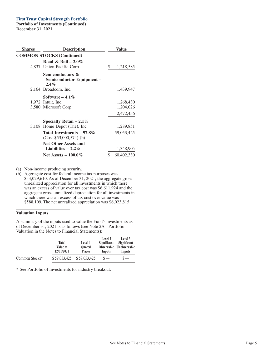### **First Trust Capital Strength Portfolio**

**Portfolio of Investments (Continued) December 31, 2021**

| <b>Shares</b> | <b>Description</b>                                       | Value            |
|---------------|----------------------------------------------------------|------------------|
|               | <b>COMMON STOCKS (Continued)</b>                         |                  |
|               | Road & Rail – $2.0\%$<br>4,837 Union Pacific Corp.       | \$<br>1,218,585  |
|               | Semiconductors &<br>Semiconductor Equipment –<br>$2.4\%$ |                  |
|               | 2,164 Broadcom, Inc.                                     | 1,439,947        |
|               | Software $-4.1\%$                                        |                  |
|               | 1,972 Intuit, Inc.                                       | 1,268,430        |
|               | 3,580 Microsoft Corp.                                    | 1,204,026        |
|               |                                                          | 2,472,456        |
|               | Specialty Retail – 2.1%                                  |                  |
|               | 3,108 Home Depot (The), Inc.                             | 1,289,851        |
|               | Total Investments $-97.8\%$<br>$(Cost $53,000,574)$ (b)  | 59,053,425       |
|               | <b>Net Other Assets and</b><br>Liabilities $-2.2\%$      | 1,348,905        |
|               | Net Assets $-100.0\%$                                    | \$<br>60,402,330 |

(a) Non-income producing security.

(b) Aggregate cost for federal income tax purposes was \$53,029,610. As of December 31, 2021, the aggregate gross unrealized appreciation for all investments in which there was an excess of value over tax cost was \$6,611,924 and the aggregate gross unrealized depreciation for all investments in which there was an excess of tax cost over value was \$588,109. The net unrealized appreciation was \$6,023,815.

### **Valuation Inputs**

A summary of the inputs used to value the Fund's investments as of December 31, 2021 is as follows (see Note 2A - Portfolio Valuation in the Notes to Financial Statements):

|                | <b>Total</b><br>Value at<br>12/31/2021 | Level 1<br><b>Ouoted</b><br><b>Prices</b> | Level 2<br>Significant<br>Inputs | Level 3<br>Significant<br>Observable Unobservable<br>Inputs |
|----------------|----------------------------------------|-------------------------------------------|----------------------------------|-------------------------------------------------------------|
| Common Stocks* | \$59,053,425                           | \$59,053,425                              |                                  |                                                             |

\* See Portfolio of Investments for industry breakout.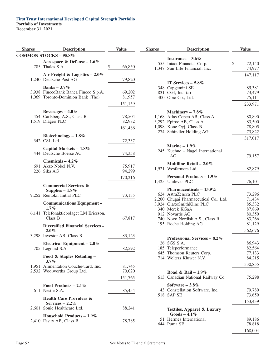### **First Trust International Developed Capital Strength Portfolio Portfolio of Investments December 31, 2021**

| <b>Shares</b> | <b>Description</b>                                                                                | <b>Value</b>                |
|---------------|---------------------------------------------------------------------------------------------------|-----------------------------|
|               | <b>COMMON STOCKS - 95.8%</b>                                                                      |                             |
|               | Aerospace & Defense – $1.6\%$<br>785 Thales S.A.                                                  | \$<br>66,850                |
|               | Air Freight & Logistics $-2.0\%$<br>1,240 Deutsche Post AG                                        | 79,820                      |
|               | Banks – $3.7\%$<br>3,938 FinecoBank Banca Fineco S.p.A.<br>1,069 Toronto-Dominion Bank (The)      | 69,202<br>81,957<br>151,159 |
|               | Beverages $-4.0\%$<br>454 Carlsberg A.S., Class B<br>1,519 Diageo PLC                             | 78,504<br>82,982<br>161,486 |
|               | Biotechnology $-1.8\%$<br>342 CSL Ltd.                                                            | 72,337                      |
|               | Capital Markets - 1.8%<br>444 Deutsche Boerse AG                                                  | 74,358                      |
|               | Chemicals $-4.2\%$<br>691 Akzo Nobel N.V.<br>226 Sika AG                                          | 75,917<br>94,299<br>170,216 |
|               | <b>Commercial Services &amp;</b><br>Supplies $-1.8\%$<br>9,252 Rentokil Initial PLC               | 73,135                      |
|               | <b>Communications Equipment -</b><br>$1.7\%$<br>6,141 Telefonaktiebolaget LM Ericsson,<br>Class B | 67,817                      |
|               | <b>Diversified Financial Services -</b><br>$2.0\%$                                                |                             |
|               | 3,298 Investor AB, Class B                                                                        | 83,123                      |
|               | Electrical Equipment - 2.0%<br>705 Legrand S.A.                                                   | 82,592                      |
|               | Food & Staples Retailing -                                                                        |                             |
|               | 3.7%<br>1,951 Alimentation Couche-Tard, Inc.<br>2,532 Woolworths Group Ltd.                       | 81,745<br>70,020<br>151,765 |
|               | Food Products $-2.1\%$<br>611 Nestle S.A.                                                         | 85,454                      |
|               | <b>Health Care Providers &amp;</b><br>Services $-2.2\%$<br>2,601 Sonic Healthcare Ltd.            | 88,241                      |
|               | Household Products $-1.9\%$<br>2,410 Essity AB, Class B                                           | 78,785                      |

| <b>Shares</b> | <b>Description</b>                                       | <b>Value</b> |
|---------------|----------------------------------------------------------|--------------|
|               | Insurance $-3.6\%$                                       |              |
|               | 555 Intact Financial Corp.                               | \$<br>72,140 |
|               |                                                          |              |
|               | 1,347 Sun Life Financial, Inc.                           | 74,977       |
|               |                                                          | 147,117      |
|               | IT Services $-5.8\%$                                     |              |
| 348           | Capgemini SE                                             | 85,381       |
|               | 831 CGI, Inc. (a)                                        | 73,479       |
|               | 400 Obic Co., Ltd.                                       | 75,111       |
|               |                                                          | 233,971      |
|               | Machinery $-7.8\%$                                       |              |
|               | 1,168 Atlas Copco AB, Class A                            | 80,890       |
|               | 3,292 Epiroc AB, Class A                                 | 83,500       |
|               | 1,098 Kone Oyj, Class B                                  | 78,805       |
|               | 274 Schindler Holding AG                                 | 73,822       |
|               |                                                          | 317,017      |
|               | Marine $-1.9\%$                                          |              |
|               | 245 Kuehne + Nagel International                         |              |
|               | AG                                                       | 79,157       |
|               | Multiline Retail $-2.0\%$<br>1,921 Wesfarmers Ltd.       |              |
|               |                                                          | 82,879       |
|               | <b>Personal Products - 1.9%</b><br>1,425 Unilever PLC    | 76,101       |
|               |                                                          |              |
|               | Pharmaceuticals $-13.9\%$<br>624 AstraZeneca PLC         | 73,296       |
|               |                                                          | 71,434       |
|               | 2,200 Chugai Pharmaceutical Co., Ltd.                    |              |
|               | 3,924 GlaxoSmithKline PLC                                | 85,332       |
|               | 340 Merck KGaA                                           | 87,869       |
|               | 912 Novartis AG                                          | 80,350       |
|               | 740 Novo Nordisk A.S., Class B                           | 83,266       |
|               | 195 Roche Holding AG                                     | 81,129       |
|               |                                                          | 562,676      |
|               | Professional Services - 8.2%                             |              |
|               | 26 SGS S.A.                                              | 86,943       |
|               | 185 Teleperformance                                      | 82,564       |
|               | 645 Thomson Reuters Corp.                                | 77,133       |
|               | 714 Wolters Kluwer N.V.                                  | 84,215       |
|               |                                                          | 330,855      |
|               | Road & Rail – $1.9\%$                                    |              |
|               | 613 Canadian National Railway Co.                        | 75,298       |
|               | Software $-3.8\%$                                        |              |
|               | 43 Constellation Software, Inc.                          | 79,780       |
|               | 518 SAP SE                                               | 73,659       |
|               |                                                          | 153,439      |
|               | <b>Textiles, Apparel &amp; Luxury</b><br>$Goods - 4.1\%$ |              |
| 51            | Hermes International                                     | 89,186       |
|               | 644 Puma SE                                              | 78,818       |
|               |                                                          | 168,004      |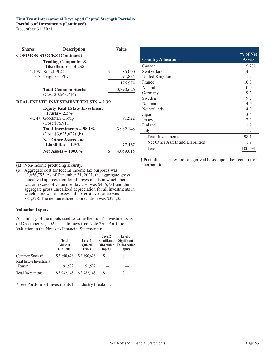#### **First Trust International Developed Capital Strength Portfolio Portfolio of Investments (Continued) December 31, 2021**

| <b>Shares</b> | <b>Description</b>                                      | Value           |
|---------------|---------------------------------------------------------|-----------------|
|               | <b>COMMON STOCKS (Continued)</b>                        |                 |
|               | Trading Companies &<br>Distributors $-4.4\%$            |                 |
|               | 2,179 Bunzl PLC                                         | \$<br>85,090    |
|               | 518 Ferguson PLC                                        | 91,884          |
|               |                                                         | 176,974         |
|               | <b>Total Common Stocks</b>                              | 3,890,626       |
|               | $(Cost \ $3,548,716)$                                   |                 |
|               | <b>REAL ESTATE INVESTMENT TRUSTS - 2.3%</b>             |                 |
|               | <b>Equity Real Estate Investment</b><br>Trusts $-2.3\%$ |                 |
|               | 4,747 Goodman Group<br>(Cost \$76,911)                  | 91,522          |
|               | Total Investments $-98.1\%$<br>$(Cost $3,625,627)$ (b)  | 3,982,148       |
|               | <b>Net Other Assets and</b><br>Liabilities $-1.9\%$     | 77,467          |
|               | Net Assets $-100.0\%$                                   | \$<br>4,059,615 |

(a) Non-income producing security.

(b) Aggregate cost for federal income tax purposes was \$3,656,795. As of December 31, 2021, the aggregate gross unrealized appreciation for all investments in which there was an excess of value over tax cost was \$406,731 and the aggregate gross unrealized depreciation for all investments in which there was an excess of tax cost over value was \$81,378. The net unrealized appreciation was \$325,353.

### **Valuation Inputs**

A summary of the inputs used to value the Fund's investments as of December 31, 2021 is as follows (see Note 2A - Portfolio Valuation in the Notes to Financial Statements):

|                                          | <b>Total</b><br>Value at<br>12/31/2021 | Level 1<br><b>Ouoted</b><br><b>Prices</b> | Level 2<br>Significant<br>Inputs | Level 3<br>Significant<br>Observable Unobservable<br>Inputs |
|------------------------------------------|----------------------------------------|-------------------------------------------|----------------------------------|-------------------------------------------------------------|
| Common Stocks*<br>Real Estate Investment | \$3,890,626                            | \$3,890,626                               | $s-$                             | $\mathbf{s}$ —                                              |
| Trusts*                                  | 91,522                                 | 91.522                                    |                                  |                                                             |
| <b>Total Investments</b>                 | \$3,982,148                            | \$3,982,148                               |                                  |                                                             |

\* See Portfolio of Investments for industry breakout.

| <b>Country Allocation</b> †      | % of Net<br><b>Assets</b> |
|----------------------------------|---------------------------|
| Canada                           | $15.2\%$                  |
| Switzerland                      | 14.3                      |
| United Kingdom                   | 11.7                      |
| France                           | 10.0                      |
| Australia                        | 10.0                      |
| Germany                          | 9.7                       |
| Sweden                           | 9.7                       |
| Denmark                          | 4.0                       |
| <b>Netherlands</b>               | 4.0                       |
| Japan                            | 3.6                       |
| Jersey                           | 2.3                       |
| Finland                          | 1.9                       |
| Italy                            | 1.7                       |
| <b>Total Investments</b>         | 98.1                      |
| Net Other Assets and Liabilities | 1.9                       |
| Total                            | $100.0\%$                 |

† Portfolio securities are categorized based upon their country of incorporation.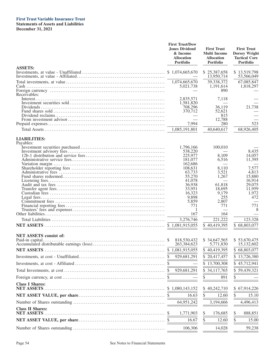### **First Trust Variable Insurance Trust**

**Statements of Assets and Liabilities December 31, 2021**

|                                              | <b>First Trust/Dow</b><br><b>Jones Dividend</b><br>& Income<br><b>Allocation</b><br>Portfolio | <b>First Trust</b><br><b>Multi Income</b><br><b>Allocation</b><br><b>Portfolio</b> | <b>First Trust</b><br><b>Dorsey Wright</b><br><b>Tactical Core</b><br><b>Portfolio</b> |
|----------------------------------------------|-----------------------------------------------------------------------------------------------|------------------------------------------------------------------------------------|----------------------------------------------------------------------------------------|
| <b>ASSETS:</b>                               |                                                                                               | \$25,387,658<br>13,950,714                                                         | \$13,519,798<br>53,566,049                                                             |
|                                              | 1,074,665,670<br>5,021,738                                                                    | 39,338,372<br>1,191,614                                                            | 67,085,847<br>1,818,297                                                                |
| Receivables:                                 | 2,835,571<br>1,581,820                                                                        | 890<br>7,118                                                                       |                                                                                        |
|                                              | 708,296<br>370,712                                                                            | 36,119<br>52,621<br>815                                                            | 21,738                                                                                 |
|                                              | 7,994<br>1,085,191,801                                                                        | 12,788<br>280<br>40,640,617                                                        | 523<br>68,926,405                                                                      |
| <b>LIABILITIES:</b>                          |                                                                                               |                                                                                    |                                                                                        |
| Payables:                                    | 1,796,166<br>538,220                                                                          | 100,010                                                                            | 8,435                                                                                  |
|                                              | 225,977<br>181,077<br>162,686                                                                 | 8,109<br>6,516                                                                     | 14,057<br>11,395                                                                       |
|                                              | 108,631<br>63,733<br>55,270                                                                   | 8,110<br>3,521<br>1,267                                                            | 7,577<br>4,813<br>15,880                                                               |
|                                              | 41,078<br>36,938<br>33,951                                                                    | 61,818<br>18,695<br>9,179                                                          | 16,914<br>29,075<br>11,959                                                             |
|                                              | 16,323<br>9.898<br>5,859<br>771                                                               | 255<br>2,807<br>771                                                                | 1,972<br>472<br>771                                                                    |
|                                              | -1<br>167                                                                                     | 164                                                                                | 8                                                                                      |
|                                              | 3,276,746                                                                                     | 221,222<br>\$40,419,395                                                            | 123,328<br>\$68,803,077                                                                |
| <b>NET ASSETS</b> consist of:                |                                                                                               |                                                                                    |                                                                                        |
|                                              | 818,530,432<br>263,384,623                                                                    | \$34,647,565<br>5,771,830                                                          | \$53,670,475<br>15,132,602                                                             |
|                                              | 1,081,915,055<br>\$<br>929,681,291<br>S                                                       | 40,419,395<br>S<br>\$20,417,457                                                    | 68,803,077<br>S<br>\$13,726,380                                                        |
|                                              |                                                                                               | 13,700,308                                                                         | 45,712,941                                                                             |
|                                              | 929,681,291<br>S                                                                              | \$34,117,765                                                                       | \$59,439,321                                                                           |
|                                              |                                                                                               | \$<br>891                                                                          | \$                                                                                     |
| <b>Class I Shares:</b><br><b>NET ASSETS</b>  | \$1,080,143,152                                                                               | 40,242,710                                                                         | \$67,914,226                                                                           |
|                                              | 16.63                                                                                         | \$<br>12.60                                                                        | \$<br>15.10                                                                            |
|                                              | 64,951,242                                                                                    | 3,194,666                                                                          | 4,496,413                                                                              |
| <b>Class II Shares:</b><br><b>NET ASSETS</b> | \$<br>1,771,903                                                                               | \$<br>176,685                                                                      | \$<br>888,851                                                                          |
|                                              | 16.67                                                                                         | \$<br>12.60                                                                        | \$<br>15.00                                                                            |
|                                              | 106,306                                                                                       | 14,028                                                                             | 59,238                                                                                 |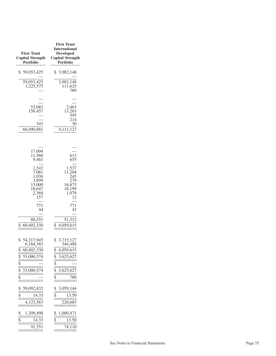| <b>First Trust</b><br><b>Capital Strength</b><br><b>Portfolio</b>                                                                                 | <b>First Trust</b><br><b>International</b><br><b>Developed</b><br><b>Capital Strength</b><br><b>Portfolio</b>    |
|---------------------------------------------------------------------------------------------------------------------------------------------------|------------------------------------------------------------------------------------------------------------------|
| \$59,053,425                                                                                                                                      | \$ 3,982,148                                                                                                     |
| 59,053,425<br>1,225,575                                                                                                                           | 3,982,148<br>111,625<br>789                                                                                      |
| 53,081<br>158,457<br>343<br>60,490,881                                                                                                            | 2,463<br>13,263<br>595<br>214<br>30<br>4,111,127                                                                 |
| 17,004<br>11,560<br>9,461                                                                                                                         | 613<br>655                                                                                                       |
| 1,543<br>7,061<br>1,036<br>3,899<br>15,000<br>18,647<br>2,368<br>157                                                                              | 1,537<br>11,204<br>245<br>279<br>16,875<br>18,199<br>1,079<br>12                                                 |
| 771<br>44                                                                                                                                         | 771<br>43                                                                                                        |
| 88,551<br>\$<br>60,402,330                                                                                                                        | 51,512<br>\$<br>4,059,615                                                                                        |
| \$54,217,945<br>6,184,385<br>\$<br>60,402,330<br>$\overline{\$}$<br>53,000,574<br>$\overline{\$}$<br>$\overline{\mathcal{S}}$<br>53,000,574<br>\$ | \$ 3,715,127<br>344,488<br>\$<br>4,059,615<br>\$<br>3,625,627<br>\$<br>$\overline{\$}$<br>3,625,627<br>\$<br>788 |
| \$<br>59,092,832<br>$\frac{1}{2}$<br>14.33<br>4,123,563                                                                                           | \$<br>3,059,144<br>13.50<br>\$<br>226,683                                                                        |
| \$<br>1,309,498<br>$\overline{\$}$<br>14.33<br>91,351                                                                                             | \$<br>1,000,471<br>\$<br>13.50<br>74,110                                                                         |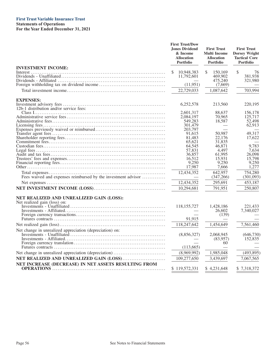## **First Trust Variable Insurance Trust**

**Statements of Operations For the Year Ended December 31, 2021**

|                                                                          | <b>First Trust/Dow</b><br><b>Jones Dividend</b><br>& Income<br><b>Allocation</b><br>Portfolio | <b>First Trust</b><br><b>Multi Income</b><br><b>Allocation</b><br><b>Portfolio</b> | <b>First Trust</b><br><b>Dorsey Wright</b><br><b>Tactical Core</b><br><b>Portfolio</b> |
|--------------------------------------------------------------------------|-----------------------------------------------------------------------------------------------|------------------------------------------------------------------------------------|----------------------------------------------------------------------------------------|
| <b>INVESTMENT INCOME:</b>                                                |                                                                                               |                                                                                    |                                                                                        |
|                                                                          | 10,948,383<br>\$<br>11,792,601<br>(11, 951)                                                   | \$<br>150,169<br>469,902<br>475.240<br>(7,669)                                     | \$<br>76<br>381,938<br>321,980                                                         |
|                                                                          | 22,729,033                                                                                    | 1,087,642                                                                          | 703,994                                                                                |
|                                                                          |                                                                                               |                                                                                    |                                                                                        |
| <b>EXPENSES:</b>                                                         |                                                                                               |                                                                                    |                                                                                        |
| 12b-1 distribution and/or service fees:                                  | 6,252,578                                                                                     | 213,560                                                                            | 220,195                                                                                |
|                                                                          | 2,601,317                                                                                     | 88.637                                                                             | 156,178                                                                                |
|                                                                          | 2,084,197                                                                                     | 70,965                                                                             | 125,717                                                                                |
|                                                                          | 549.283                                                                                       | 18,587                                                                             | 52,498                                                                                 |
|                                                                          | 301,479                                                                                       |                                                                                    | 62,913                                                                                 |
|                                                                          | 203,797                                                                                       |                                                                                    |                                                                                        |
|                                                                          | 91,615                                                                                        | 50,987                                                                             | 49,317                                                                                 |
|                                                                          | 81,483                                                                                        | 22,176                                                                             | 17,622                                                                                 |
|                                                                          | 65.621                                                                                        | 31.835                                                                             |                                                                                        |
|                                                                          | 64,545                                                                                        | 46,871                                                                             | 9,783                                                                                  |
|                                                                          | 57,831                                                                                        | 4,497                                                                              | 7.634                                                                                  |
|                                                                          | 36,857<br>16.512                                                                              | 61,995<br>15.931                                                                   | 26,098<br>15.798                                                                       |
|                                                                          | 9.250                                                                                         | 9.250                                                                              | 9,250                                                                                  |
|                                                                          | 17.987                                                                                        | 7.666                                                                              | 1.277                                                                                  |
|                                                                          |                                                                                               |                                                                                    |                                                                                        |
| Fees waived and expenses reimbursed by the investment advisor            | 12,434,352                                                                                    | 642,957<br>(347, 266)                                                              | 754,280<br>(301,093)                                                                   |
|                                                                          | 12,434,352                                                                                    | 295,691                                                                            | 453,187                                                                                |
|                                                                          | 10,294,681                                                                                    | 791.951                                                                            | 250,807                                                                                |
| NET REALIZED AND UNREALIZED GAIN (LOSS):<br>Net realized gain (loss) on: | 118, 155, 727                                                                                 | 1,428,186<br>26,602                                                                | 221,433<br>7,340,027                                                                   |
|                                                                          |                                                                                               | (139)                                                                              |                                                                                        |
|                                                                          | 91,915                                                                                        |                                                                                    |                                                                                        |
|                                                                          | 118,247,642                                                                                   | 1,454,649                                                                          | 7,561,460                                                                              |
| Net change in unrealized appreciation (depreciation) on:                 |                                                                                               |                                                                                    |                                                                                        |
|                                                                          | (8,856,327)                                                                                   | 2,068,945<br>(83,957)<br>60                                                        | (646, 730)<br>152,835                                                                  |
|                                                                          | (113, 665)                                                                                    |                                                                                    |                                                                                        |
|                                                                          | (8,969,992)                                                                                   | 1,985,048                                                                          | (493,895)                                                                              |
| NET REALIZED AND UNREALIZED GAIN (LOSS)                                  | 109,277,650                                                                                   | 3,439,697                                                                          | 7,067,565                                                                              |
|                                                                          |                                                                                               |                                                                                    |                                                                                        |
| NET INCREASE (DECREASE) IN NET ASSETS RESULTING FROM                     | \$119,572,331                                                                                 | \$4,231,648                                                                        | \$7,318,372                                                                            |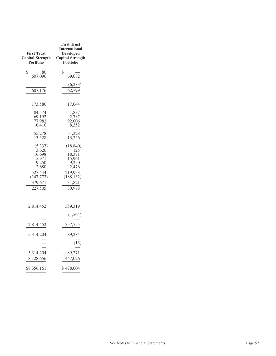| <b>First Trust</b><br><b>Capital Strength</b><br><b>Portfolio</b>                                      | <b>First Trust</b><br><b>International</b><br><b>Developed</b><br><b>Capital Strength</b><br>Portfolio |
|--------------------------------------------------------------------------------------------------------|--------------------------------------------------------------------------------------------------------|
| \$<br>80<br>607,096                                                                                    | \$<br>69,082                                                                                           |
| 607,176                                                                                                | (6, 283)<br>62,799                                                                                     |
| 173,586                                                                                                | 17,044                                                                                                 |
| 84,574<br>69,192<br>77,982<br>10,416                                                                   | 4,837<br>2,787<br>92,006<br>8,352                                                                      |
| 55,278<br>13,528                                                                                       | 54,328<br>13,256                                                                                       |
| (5, 337)<br>3,626<br>16,698<br>15,971<br>9,250<br>2,680<br>527,444<br>(147, 773)<br>379,671<br>227,505 | (18, 840)<br>125<br>18,371<br>15,961<br>9,250<br>2,476<br>219,953<br>(188, 132)<br>31,821<br>30,978    |
| 2,814,452                                                                                              | 359,319<br>(1, 564)                                                                                    |
| 2,814,452                                                                                              | 357,755                                                                                                |
| 5,314,204                                                                                              | 89,284                                                                                                 |
| 5,314,204<br>8,128,656                                                                                 | (13)<br>89,271<br>447,026                                                                              |
| \$8,356,161                                                                                            | \$478,004                                                                                              |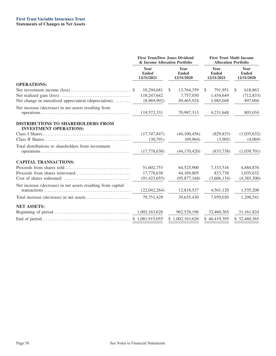|                                                                                                                                                                                  | <b>First Trust/Dow Jones Dividend</b><br>& Income Allocation Portfolio          |                         | <b>First Trust Multi Income</b><br><b>Allocation Portfolio</b> |                                    |  |
|----------------------------------------------------------------------------------------------------------------------------------------------------------------------------------|---------------------------------------------------------------------------------|-------------------------|----------------------------------------------------------------|------------------------------------|--|
|                                                                                                                                                                                  | <b>Year</b><br>Year<br><b>Ended</b><br><b>Ended</b><br>12/31/2021<br>12/31/2020 |                         | Year<br><b>Ended</b><br>12/31/2021                             | Year<br><b>Ended</b><br>12/31/2020 |  |
| <b>OPERATIONS:</b>                                                                                                                                                               |                                                                                 |                         |                                                                |                                    |  |
|                                                                                                                                                                                  | 10,294,681                                                                      | 13,764,359<br>S.        | 791,951<br><sup>\$</sup>                                       | 618,863<br><sup>\$</sup>           |  |
| Net change in unrealized appreciation (depreciation)                                                                                                                             | 118,247,642<br>(8,969,992)                                                      | 7,757,030<br>49,465,924 | 1,454,649<br>1,985,048                                         | (712, 833)<br>897,004              |  |
|                                                                                                                                                                                  |                                                                                 |                         |                                                                |                                    |  |
| Net increase (decrease) in net assets resulting from<br>$operations \dots \dots \dots \dots \dots \dots \dots \dots \dots \dots \dots \dots \dots \dots \dots \dots \dots \dots$ | 119,572,331                                                                     | 70,987,313              | 4,231,648                                                      | 803,034                            |  |
|                                                                                                                                                                                  |                                                                                 |                         |                                                                |                                    |  |
| <b>DISTRIBUTIONS TO SHAREHOLDERS FROM</b><br><b>INVESTMENT OPERATIONS:</b>                                                                                                       |                                                                                 |                         |                                                                |                                    |  |
|                                                                                                                                                                                  | (17,747,847)                                                                    | (44,100,456)            | (829, 833)                                                     | (1,035,632)                        |  |
|                                                                                                                                                                                  | (30,791)                                                                        | (69, 964)               | (3,905)                                                        | (4,069)                            |  |
| Total distributions to shareholders from investment                                                                                                                              |                                                                                 |                         |                                                                |                                    |  |
|                                                                                                                                                                                  | (17,778,638)                                                                    | (44, 170, 420)          | (833,738)                                                      | (1,039,701)                        |  |
| <b>CAPITAL TRANSACTIONS:</b>                                                                                                                                                     |                                                                                 |                         |                                                                |                                    |  |
|                                                                                                                                                                                  | 51,602,753                                                                      | 64,525,900              | 7,333,516                                                      | 4,884,876                          |  |
|                                                                                                                                                                                  | 17,778,638                                                                      | 44,169,805              | 833.738                                                        | 1,035,632                          |  |
|                                                                                                                                                                                  | (91, 423, 655)                                                                  | (95,877,168)            | (3,606,134)                                                    | (4,385,300)                        |  |
| Net increase (decrease) in net assets resulting from capital                                                                                                                     | (22,042,264)                                                                    | 12,818,537              | 4,561,120                                                      | 1,535,208                          |  |
|                                                                                                                                                                                  | 79,751,429                                                                      | 39,635,430              | 7,959,030                                                      | 1,298,541                          |  |
| <b>NET ASSETS:</b>                                                                                                                                                               |                                                                                 |                         |                                                                |                                    |  |
|                                                                                                                                                                                  | 1,002,163,626                                                                   | 962,528,196             | 32,460,365                                                     | 31,161,824                         |  |
|                                                                                                                                                                                  |                                                                                 | \$1,002,163,626         | \$40,419,395                                                   | \$32,460,365                       |  |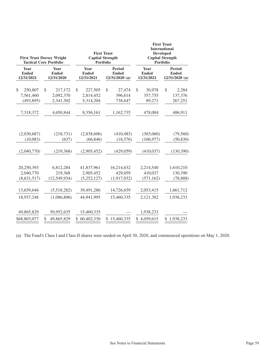|                            | <b>First Trust Dorsey Wright</b><br><b>Tactical Core Portfolio</b> | <b>First Trust</b><br><b>Capital Strength</b><br><b>Portfolio</b> |                  |                          | <b>First Trust</b><br><b>International</b><br><b>Developed</b><br><b>Capital Strength</b><br><b>Portfolio</b> |
|----------------------------|--------------------------------------------------------------------|-------------------------------------------------------------------|------------------|--------------------------|---------------------------------------------------------------------------------------------------------------|
| Year                       | Year                                                               | Year                                                              | <b>Period</b>    | Year                     | <b>Period</b>                                                                                                 |
| <b>Ended</b>               | <b>Ended</b>                                                       | <b>Ended</b>                                                      | <b>Ended</b>     | <b>Ended</b>             | <b>Ended</b>                                                                                                  |
| 12/31/2021                 | 12/31/2020                                                         | 12/31/2021                                                        | $12/31/2020$ (a) | 12/31/2021               | $12/31/2020$ (a)                                                                                              |
| \$                         | \$                                                                 | \$                                                                | \$               | 30,978                   | \$                                                                                                            |
| 250,807                    | 217,172                                                            | 227,505                                                           | 27,474           | \$                       | 2,284                                                                                                         |
| 7,561,460                  | 2,092,370                                                          | 2,814,452                                                         | 396,614          | 357,755                  | 137,376                                                                                                       |
| (493, 895)                 | 2,341,302                                                          | 5,314,204                                                         | 738,647          | 89,271                   | 267,251                                                                                                       |
| 7,318,372                  | 4,650,844                                                          | 8,356,161                                                         | 1,162,735        | 478,004                  | 406,911                                                                                                       |
| (2,030,687)                | (218, 731)                                                         | (2,838,606)                                                       | (410, 483)       | (303,060)                | (79, 560)                                                                                                     |
| (10,083)                   | (637)                                                              | (66, 846)                                                         | (18, 576)        | (106, 977)               | (50, 830)                                                                                                     |
| (2,040,770)                | (219, 368)                                                         | (2,905,452)                                                       | (429, 059)       | (410, 037)               | (130, 390)                                                                                                    |
| 20,250,393                 | 6,812,284                                                          | 41,837,961                                                        | 16,214,632       | 2,214,540                | 1,610,210                                                                                                     |
| 2,040,770                  | 219,368                                                            | 2,905,452                                                         | 429,059          | 410,037                  | 130,390                                                                                                       |
| (8, 631, 517)              | (12,549,934)                                                       | (5, 252, 127)                                                     | (1,917,032)      | (571, 162)               | (78, 888)                                                                                                     |
| 13,659,646                 | (5,518,282)                                                        | 39,491,286                                                        | 14,726,659       | 2,053,415                | 1,661,712                                                                                                     |
| 18,937,248                 | (1,086,806)                                                        | 44,941,995                                                        | 15,460,335       | 2,121,382                | 1,938,233                                                                                                     |
| 49,865,829<br>\$68,803,077 | 50,952,635<br>\$<br>49,865,829                                     | 15,460,335<br>\$60,402,330                                        | 15,460,335<br>\$ | 1,938,233<br>\$4,059,615 | \$1,938,233                                                                                                   |

(a) The Fund's Class I and Class II shares were seeded on April 30, 2020, and commenced operations on May 1, 2020.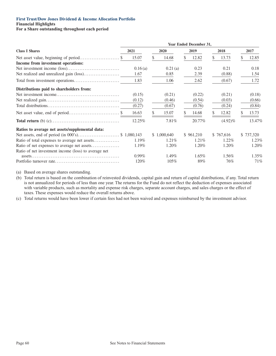**Financial Highlights**

**For a Share outstanding throughout each period**

|                                                      | Year Ended December 31, |     |             |  |           |   |            |  |           |  |
|------------------------------------------------------|-------------------------|-----|-------------|--|-----------|---|------------|--|-----------|--|
| <b>Class I Shares</b>                                | 2021                    |     | 2020        |  | 2019      |   | 2018       |  | 2017      |  |
|                                                      | 15.07                   | \$. | 14.68       |  | 12.82     | S | 13.73      |  | 12.85     |  |
| Income from investment operations:                   |                         |     |             |  |           |   |            |  |           |  |
|                                                      | 0.16(a)                 |     | 0.21(a)     |  | 0.23      |   | 0.21       |  | 0.18      |  |
|                                                      | 1.67                    |     | 0.85        |  | 2.39      |   | (0.88)     |  | 1.54      |  |
|                                                      | 1.83                    |     | 1.06        |  | 2.62      |   | (0.67)     |  | 1.72      |  |
| Distributions paid to shareholders from:             |                         |     |             |  |           |   |            |  |           |  |
|                                                      | (0.15)                  |     | (0.21)      |  | (0.22)    |   | (0.21)     |  | (0.18)    |  |
|                                                      | (0.12)                  |     | (0.46)      |  | (0.54)    |   | (0.03)     |  | (0.66)    |  |
|                                                      | (0.27)                  |     | (0.67)      |  | (0.76)    |   | (0.24)     |  | (0.84)    |  |
|                                                      | 16.63                   |     | 15.07       |  | 14.68     |   | 12.82      |  | 13.73     |  |
|                                                      | 12.25%                  |     | 7.81%       |  | 20.77%    |   | $(4.92)\%$ |  | 13.47%    |  |
| Ratios to average net assets/supplemental data:      |                         |     |             |  |           |   |            |  |           |  |
|                                                      |                         |     | \$1,000,640 |  | \$961,210 |   | \$767,616  |  | \$737,320 |  |
| Ratio of total expenses to average net assets        | $1.19\%$                |     | 1.21\%      |  | $1.21\%$  |   | $1.22\%$   |  | 1.23%     |  |
| Ratio of net expenses to average net assets          | 1.19%                   |     | 1.20%       |  | 1.20%     |   | 1.20%      |  | 1.20%     |  |
| Ratio of net investment income (loss) to average net |                         |     |             |  |           |   |            |  |           |  |
|                                                      | $0.99\%$                |     | 1.49%       |  | $1.65\%$  |   | 1.56%      |  | 1.35%     |  |
|                                                      | 120%                    |     | 105%        |  | 89%       |   | 76%        |  | 71%       |  |

(a) Based on average shares outstanding.

(b) Total return is based on the combination of reinvested dividends, capital gain and return of capital distributions, if any. Total return is not annualized for periods of less than one year. The returns for the Fund do not reflect the deduction of expenses associated with variable products, such as mortality and expense risk charges, separate account charges, and sales charges or the effect of taxes. These expenses would reduce the overall returns above.

(c) Total returns would have been lower if certain fees had not been waived and expenses reimbursed by the investment advisor.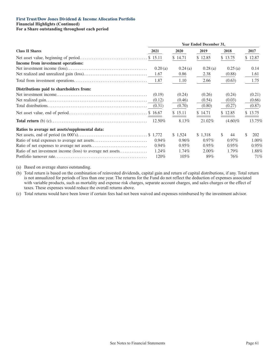#### **First Trust/Dow Jones Dividend & Income Allocation Portfolio Financial Highlights (Continued)**

**For a Share outstanding throughout each period**

|                                                             | Year Ended December 31, |             |          |                     |            |  |  |
|-------------------------------------------------------------|-------------------------|-------------|----------|---------------------|------------|--|--|
| <b>Class II Shares</b>                                      | 2021                    | <b>2020</b> | 2019     | 2018                | 2017       |  |  |
|                                                             |                         | \$14.71     | \$12.85  | \$13.75             | \$12.87    |  |  |
| Income from investment operations:                          |                         |             |          |                     |            |  |  |
|                                                             | 0.20(a)                 | 0.24(a)     | 0.28(a)  | 0.25(a)             | 0.14       |  |  |
|                                                             | 1.67                    | 0.86        | 2.38     | (0.88)              | 1.61       |  |  |
|                                                             | 1.87                    | 1.10        | 2.66     | (0.63)              | 1.75       |  |  |
| Distributions paid to shareholders from:                    |                         |             |          |                     |            |  |  |
|                                                             | (0.19)                  | (0.24)      | (0.26)   | (0.24)              | (0.21)     |  |  |
|                                                             | (0.12)                  | (0.46)      | (0.54)   | (0.03)              | (0.66)     |  |  |
|                                                             | (0.31)                  | (0.70)      | (0.80)   | (0.27)              | (0.87)     |  |  |
|                                                             |                         | \$15.11     | \$14.71  | \$12.85             | \$13.75    |  |  |
|                                                             | 12.50%                  | 8.13%       | 21.02%   | $(4.60)\%$          | 13.75%     |  |  |
| Ratios to average net assets/supplemental data:             |                         |             |          |                     |            |  |  |
|                                                             |                         | \$1,524     | \$1,318  | <sup>\$</sup><br>44 | \$.<br>202 |  |  |
|                                                             | $0.94\%$                | $0.96\%$    | $0.97\%$ | $0.97\%$            | $1.00\%$   |  |  |
|                                                             | $0.94\%$                | $0.95\%$    | $0.95\%$ | $0.95\%$            | 0.95%      |  |  |
| Ratio of net investment income (loss) to average net assets | 1.24%                   | 1.74%       | $2.00\%$ | $1.79\%$            | 1.88%      |  |  |
|                                                             | 120%                    | $105\%$     | 89%      | 76%                 | 71%        |  |  |

(a) Based on average shares outstanding.

(b) Total return is based on the combination of reinvested dividends, capital gain and return of capital distributions, if any. Total return is not annualized for periods of less than one year. The returns for the Fund do not reflect the deduction of expenses associated with variable products, such as mortality and expense risk charges, separate account charges, and sales charges or the effect of taxes. These expenses would reduce the overall returns above.

(c) Total returns would have been lower if certain fees had not been waived and expenses reimbursed by the investment advisor.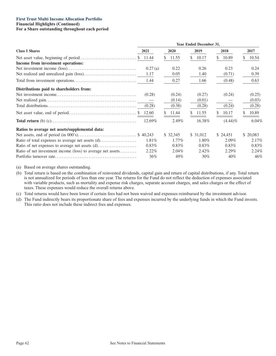## **First Trust Multi Income Allocation Portfolio**

#### **Financial Highlights (Continued)**

### **For a Share outstanding throughout each period**

|                                                             | Year Ended December 31, |             |             |             |             |  |
|-------------------------------------------------------------|-------------------------|-------------|-------------|-------------|-------------|--|
| <b>Class I Shares</b>                                       | 2021                    | <b>2020</b> | 2019        | 2018        | 2017        |  |
| Income from investment operations:                          |                         | 11.55<br>S. | 10.17<br>S. | 10.89<br>\$ | 10.54<br>S. |  |
|                                                             | 0.27(a)                 | 0.22        | 0.26        | 0.23        | 0.24        |  |
|                                                             | 1.17                    | 0.05        | 1.40        | (0.71)      | 0.39        |  |
|                                                             | 1.44                    | 0.27        | 1.66        | (0.48)      | 0.63        |  |
| Distributions paid to shareholders from:                    |                         |             |             |             |             |  |
|                                                             | (0.28)                  | (0.24)      | (0.27)      | (0.24)      | (0.25)      |  |
|                                                             |                         | (0.14)      | (0.01)      |             | (0.03)      |  |
|                                                             | (0.28)                  | (0.38)      | (0.28)      | (0.24)      | (0.28)      |  |
|                                                             |                         | 11.44       | 11.55       | 10.17       | 10.89       |  |
|                                                             | 12.69%                  | 2.49%       | 16.38%      | $(4.44)\%$  | 6.04%       |  |
| Ratios to average net assets/supplemental data:             |                         |             |             |             |             |  |
|                                                             |                         | \$ 32,345   | \$ 31,012   | \$ 24,451   | \$20,083    |  |
|                                                             | 1.81%                   | 1.77%       | 1.80%       | $2.09\%$    | 2.17%       |  |
|                                                             | $0.83\%$                | $0.83\%$    | $0.83\%$    | $0.83\%$    | 0.83%       |  |
| Ratio of net investment income (loss) to average net assets | $2.22\%$                | $2.04\%$    | 2.42%       | $2.29\%$    | 2.24%       |  |
|                                                             | 36%                     | 49%         | 30%         | 40%         | 46%         |  |

(a) Based on average shares outstanding.

(b) Total return is based on the combination of reinvested dividends, capital gain and return of capital distributions, if any. Total return is not annualized for periods of less than one year. The returns for the Fund do not reflect the deduction of expenses associated with variable products, such as mortality and expense risk charges, separate account charges, and sales charges or the effect of taxes. These expenses would reduce the overall returns above.

(c) Total returns would have been lower if certain fees had not been waived and expenses reimbursed by the investment advisor.

(d) The Fund indirectly bears its proportionate share of fees and expenses incurred by the underlying funds in which the Fund invests. This ratio does not include these indirect fees and expenses.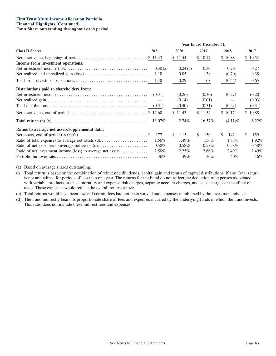# **First Trust Multi Income Allocation Portfolio**

# **Financial Highlights (Continued)**

## **For a Share outstanding throughout each period**

|                                                                                                                                                                   | Year Ended December 31,                  |                                                |                                                |                                                |                                             |  |  |  |
|-------------------------------------------------------------------------------------------------------------------------------------------------------------------|------------------------------------------|------------------------------------------------|------------------------------------------------|------------------------------------------------|---------------------------------------------|--|--|--|
| <b>Class II Shares</b>                                                                                                                                            | 2021                                     | 2020                                           | 2019                                           | 2018                                           | 2017                                        |  |  |  |
| Income from investment operations:                                                                                                                                |                                          | \$11.54                                        | \$10.17                                        | \$10.88                                        | \$10.54                                     |  |  |  |
|                                                                                                                                                                   | 0.30(a)<br>1.18                          | 0.24(a)<br>0.05                                | 0.30<br>1.38                                   | 0.26<br>(0.70)                                 | 0.27<br>0.38                                |  |  |  |
|                                                                                                                                                                   | 1.48                                     | 0.29                                           | 1.68                                           | (0.44)                                         | 0.65                                        |  |  |  |
| Distributions paid to shareholders from:                                                                                                                          | (0.31)<br>(0.31)                         | (0.26)<br>(0.14)<br>(0.40)<br>\$11.43          | (0.30)<br>(0.01)<br>(0.31)<br>\$11.54          | (0.27)<br>(0.27)<br>\$10.17                    | (0.28)<br>(0.03)<br>(0.31)<br>\$10.88       |  |  |  |
|                                                                                                                                                                   | 13.07%                                   | 2.74%                                          | 16.57%                                         | $(4.11)\%$                                     | 6.22%                                       |  |  |  |
| Ratios to average net assets/supplemental data:<br>Ratio of net expenses to average net assets (d)<br>Ratio of net investment income (loss) to average net assets | 177<br>1.56%<br>$0.58\%$<br>2.50%<br>36% | 115<br>S.<br>1.49%<br>$0.58\%$<br>2.25%<br>49% | S.<br>150<br>1.56%<br>$0.58\%$<br>2.66%<br>30% | S.<br>142<br>1.83%<br>$0.58\%$<br>2.49%<br>40% | \$<br>159<br>1.92%<br>0.58%<br>2.49%<br>46% |  |  |  |

(a) Based on average shares outstanding.

(b) Total return is based on the combination of reinvested dividends, capital gain and return of capital distributions, if any. Total return is not annualized for periods of less than one year. The returns for the Fund do not reflect the deduction of expenses associated with variable products, such as mortality and expense risk charges, separate account charges, and sales charges or the effect of taxes. These expenses would reduce the overall returns above.

(c) Total returns would have been lower if certain fees had not been waived and expenses reimbursed by the investment advisor.

(d) The Fund indirectly bears its proportionate share of fees and expenses incurred by the underlying funds in which the Fund invests. This ratio does not include these indirect fees and expenses.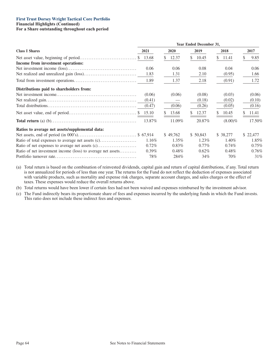#### **First Trust Dorsey Wright Tactical Core Portfolio Financial Highlights (Continued)**

**For a Share outstanding throughout each period**

|                                                             | Year Ended December 31, |             |             |              |            |  |
|-------------------------------------------------------------|-------------------------|-------------|-------------|--------------|------------|--|
| <b>Class I Shares</b>                                       | 2021                    | <b>2020</b> | 2019        | 2018         | 2017       |  |
|                                                             |                         | 12.37<br>S. | 10.45<br>\$ | 11.41<br>\$. | 9.85<br>S. |  |
| Income from investment operations:                          |                         |             |             |              |            |  |
|                                                             | 0.06                    | 0.06        | 0.08        | 0.04         | 0.06       |  |
|                                                             | 1.83                    | 1.31        | 2.10        | (0.95)       | 1.66       |  |
|                                                             | 1.89                    | 1.37        | 2.18        | (0.91)       | 1.72       |  |
| Distributions paid to shareholders from:                    |                         |             |             |              |            |  |
|                                                             | (0.06)                  | (0.06)      | (0.08)      | (0.03)       | (0.06)     |  |
|                                                             | (0.41)                  |             | (0.18)      | (0.02)       | (0.10)     |  |
|                                                             | (0.47)                  | (0.06)      | (0.26)      | (0.05)       | (0.16)     |  |
|                                                             |                         | 13.68       | 12.37       | 10.45        | 11.41      |  |
|                                                             | 13.87%                  | 11.09%      | 20.87%      | $(8.00)\%$   | 17.50%     |  |
| Ratios to average net assets/supplemental data:             |                         |             |             |              |            |  |
|                                                             |                         | \$49,762    | \$ 50,843   | \$38,277     | \$ 22,477  |  |
|                                                             | 1.16%                   | $1.35\%$    | 1.23%       | 1.40%        | 1.85%      |  |
|                                                             | $0.72\%$                | $0.83\%$    | $0.77\%$    | $0.74\%$     | 0.75%      |  |
| Ratio of net investment income (loss) to average net assets | $0.39\%$                | $0.48\%$    | $0.62\%$    | $0.48\%$     | 0.76%      |  |
|                                                             | 78%                     | 284\%       | 34%         | 70%          | 31%        |  |

(a) Total return is based on the combination of reinvested dividends, capital gain and return of capital distributions, if any. Total return is not annualized for periods of less than one year. The returns for the Fund do not reflect the deduction of expenses associated with variable products, such as mortality and expense risk charges, separate account charges, and sales charges or the effect of taxes. These expenses would reduce the overall returns above.

(b) Total returns would have been lower if certain fees had not been waived and expenses reimbursed by the investment advisor.

(c) The Fund indirectly bears its proportionate share of fees and expenses incurred by the underlying funds in which the Fund invests. This ratio does not include these indirect fees and expenses.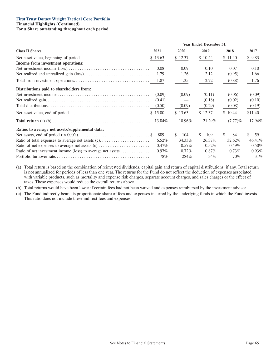#### **First Trust Dorsey Wright Tactical Core Portfolio Financial Highlights (Continued) For a Share outstanding throughout each period**

|                                                             | <b>Year Ended December 31,</b> |                      |           |            |          |
|-------------------------------------------------------------|--------------------------------|----------------------|-----------|------------|----------|
| <b>Class II Shares</b>                                      | 2021                           | <b>2020</b>          | 2019      | 2018       | 2017     |
|                                                             |                                | \$12.37              | \$10.44   | \$11.40    | \$9.83   |
| Income from investment operations:                          |                                |                      |           |            |          |
|                                                             | 0.08                           | 0.09                 | 0.10      | 0.07       | 0.10     |
|                                                             | 1.79                           | 1.26                 | 2.12      | (0.95)     | 1.66     |
|                                                             | 1.87                           | 1.35                 | 2.22      | (0.88)     | 1.76     |
| Distributions paid to shareholders from:                    |                                |                      |           |            |          |
|                                                             | (0.09)                         | (0.09)               | (0.11)    | (0.06)     | (0.09)   |
|                                                             | (0.41)                         |                      | (0.18)    | (0.02)     | (0.10)   |
|                                                             | (0.50)                         | (0.09)               | (0.29)    | (0.08)     | (0.19)   |
|                                                             |                                | \$13.63              | \$12.37   | \$10.44    | \$11.40  |
|                                                             | 13.84%                         | 10.96%               | 21.29%    | $(7.77)\%$ | 17.94%   |
| Ratios to average net assets/supplemental data:             |                                |                      |           |            |          |
|                                                             | 889                            | <sup>\$</sup><br>104 | 109<br>S. | S.<br>84   | \$<br>59 |
| Ratio of total expenses to average net assets (c)           | 6.52%                          | 34.33%               | 26.37%    | 32.62%     | 46.41%   |
|                                                             | $0.47\%$                       | $0.57\%$             | $0.52\%$  | $0.49\%$   | 0.50%    |
| Ratio of net investment income (loss) to average net assets | $0.97\%$                       | $0.72\%$             | $0.87\%$  | $0.73\%$   | 0.93%    |
|                                                             | 78%                            | 284\%                | 34%       | 70%        | 31%      |

(a) Total return is based on the combination of reinvested dividends, capital gain and return of capital distributions, if any. Total return is not annualized for periods of less than one year. The returns for the Fund do not reflect the deduction of expenses associated with variable products, such as mortality and expense risk charges, separate account charges, and sales charges or the effect of taxes. These expenses would reduce the overall returns above.

(b) Total returns would have been lower if certain fees had not been waived and expenses reimbursed by the investment advisor.

(c) The Fund indirectly bears its proportionate share of fees and expenses incurred by the underlying funds in which the Fund invests. This ratio does not include these indirect fees and expenses.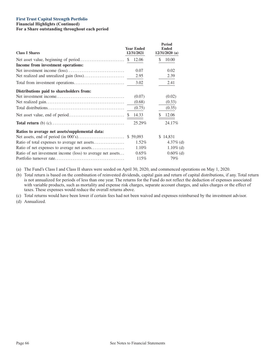### **First Trust Capital Strength Portfolio**

**Financial Highlights (Continued) For a Share outstanding throughout each period**

| <b>Class I Shares</b>                                       | <b>Year Ended</b><br>12/31/2021 | <b>Period</b><br><b>Ended</b><br>$12/31/2020$ (a) |
|-------------------------------------------------------------|---------------------------------|---------------------------------------------------|
|                                                             | 12.06                           | 10.00<br>\$                                       |
| Income from investment operations:                          |                                 |                                                   |
|                                                             | 0.07                            | 0.02                                              |
|                                                             | 2.95                            | 2.39                                              |
|                                                             | 3.02                            | 2.41                                              |
| Distributions paid to shareholders from:                    |                                 |                                                   |
|                                                             | (0.07)                          | (0.02)                                            |
|                                                             | (0.68)                          | (0.33)                                            |
|                                                             | (0.75)                          | (0.35)                                            |
|                                                             | 14.33                           | 12.06<br>\$                                       |
|                                                             | 25.29%                          | 24.17%                                            |
| Ratios to average net assets/supplemental data:             |                                 |                                                   |
|                                                             |                                 | \$14,831                                          |
| Ratio of total expenses to average net assets               | $1.52\%$                        | $4.37\%$ (d)                                      |
|                                                             | 1.10%                           | $1.10\%$ (d)                                      |
| Ratio of net investment income (loss) to average net assets | $0.65\%$                        | $0.60\%$ (d)                                      |
|                                                             | 115%                            | 79%                                               |

(a) The Fund's Class I and Class II shares were seeded on April 30, 2020, and commenced operations on May 1, 2020.

(b) Total return is based on the combination of reinvested dividends, capital gain and return of capital distributions, if any. Total return is not annualized for periods of less than one year. The returns for the Fund do not reflect the deduction of expenses associated with variable products, such as mortality and expense risk charges, separate account charges, and sales charges or the effect of taxes. These expenses would reduce the overall returns above.

(c) Total returns would have been lower if certain fees had not been waived and expenses reimbursed by the investment advisor.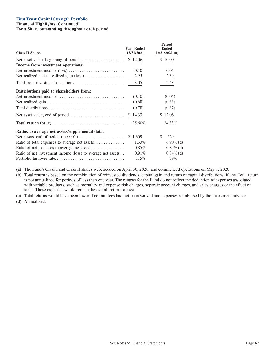### **First Trust Capital Strength Portfolio**

**Financial Highlights (Continued) For a Share outstanding throughout each period**

| <b>Class II Shares</b>                                      | <b>Year Ended</b><br>12/31/2021 | <b>Period</b><br><b>Ended</b><br>$12/31/2020$ (a) |
|-------------------------------------------------------------|---------------------------------|---------------------------------------------------|
|                                                             |                                 | \$10.00                                           |
| Income from investment operations:                          |                                 |                                                   |
|                                                             | 0.10                            | 0.04                                              |
|                                                             | 2.95                            | 2.39                                              |
|                                                             | 3.05                            | 2.43                                              |
| Distributions paid to shareholders from:                    |                                 |                                                   |
|                                                             | (0.10)                          | (0.04)                                            |
|                                                             | (0.68)                          | (0.33)                                            |
|                                                             | (0.78)                          | (0.37)                                            |
|                                                             | \$14.33                         | \$12.06                                           |
|                                                             | 25.60%                          | 24.33%                                            |
| Ratios to average net assets/supplemental data:             |                                 |                                                   |
|                                                             | \$1,309                         | S<br>629                                          |
|                                                             | 1.33%                           | $6.90\%$ (d)                                      |
|                                                             | $0.85\%$                        | $0.85\%$ (d)                                      |
| Ratio of net investment income (loss) to average net assets | $0.91\%$                        | $0.84\%$ (d)                                      |
|                                                             | 115%                            | 79%                                               |

(a) The Fund's Class I and Class II shares were seeded on April 30, 2020, and commenced operations on May 1, 2020.

(b) Total return is based on the combination of reinvested dividends, capital gain and return of capital distributions, if any. Total return is not annualized for periods of less than one year. The returns for the Fund do not reflect the deduction of expenses associated with variable products, such as mortality and expense risk charges, separate account charges, and sales charges or the effect of taxes. These expenses would reduce the overall returns above.

(c) Total returns would have been lower if certain fees had not been waived and expenses reimbursed by the investment advisor.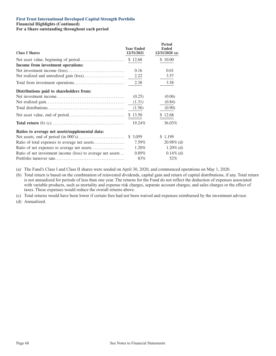## **First Trust International Developed Capital Strength Portfolio**

**Financial Highlights (Continued)**

**For a Share outstanding throughout each period**

| <b>Class I Shares</b>                                       | <b>Year Ended</b><br>12/31/2021 | Period<br><b>Ended</b><br>$12/31/2020$ (a) |
|-------------------------------------------------------------|---------------------------------|--------------------------------------------|
|                                                             |                                 | \$10.00                                    |
| Income from investment operations:                          |                                 |                                            |
|                                                             | 0.16                            | 0.01                                       |
|                                                             | 2.22                            | 3.57                                       |
|                                                             | 2.38                            | 3.58                                       |
| Distributions paid to shareholders from:                    |                                 |                                            |
|                                                             | (0.25)                          | (0.06)                                     |
|                                                             | (1.31)                          | (0.84)                                     |
|                                                             | (1.56)                          | (0.90)                                     |
|                                                             | \$13.50                         | \$12.68                                    |
|                                                             | 19.24%                          | 36.03%                                     |
| Ratios to average net assets/supplemental data:             |                                 |                                            |
|                                                             | \$3,059                         | \$1,199                                    |
| Ratio of total expenses to average net assets               | 7.59%                           | $20.98\%$ (d)                              |
|                                                             | 1.20%                           | $1.20\%$ (d)                               |
| Ratio of net investment income (loss) to average net assets | $0.89\%$                        | $0.14\%$ (d)                               |
|                                                             | 83%                             | 52%                                        |

(a) The Fund's Class I and Class II shares were seeded on April 30, 2020, and commenced operations on May 1, 2020.

(b) Total return is based on the combination of reinvested dividends, capital gain and return of capital distributions, if any. Total return is not annualized for periods of less than one year. The returns for the Fund do not reflect the deduction of expenses associated with variable products, such as mortality and expense risk charges, separate account charges, and sales charges or the effect of taxes. These expenses would reduce the overall returns above.

(c) Total returns would have been lower if certain fees had not been waived and expenses reimbursed by the investment advisor.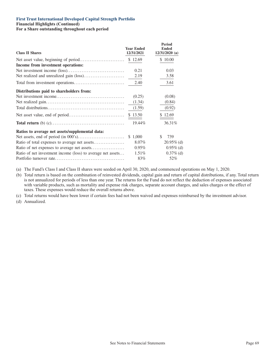## **First Trust International Developed Capital Strength Portfolio**

**Financial Highlights (Continued)**

**For a Share outstanding throughout each period**

| <b>Class II Shares</b>                                      | <b>Year Ended</b><br>12/31/2021 | Period<br><b>Ended</b><br>$12/31/2020$ (a) |
|-------------------------------------------------------------|---------------------------------|--------------------------------------------|
|                                                             | \$12.69                         | \$10.00                                    |
| Income from investment operations:                          |                                 |                                            |
|                                                             | 0.21                            | 0.03                                       |
|                                                             | 2.19                            | 3.58                                       |
|                                                             | 2.40                            | 3.61                                       |
| Distributions paid to shareholders from:                    |                                 |                                            |
|                                                             | (0.25)                          | (0.08)                                     |
|                                                             | (1.34)                          | (0.84)                                     |
|                                                             | (1.59)                          | (0.92)                                     |
|                                                             | \$13.50                         | \$12.69                                    |
|                                                             | 19.44%                          | 36.31%                                     |
| Ratios to average net assets/supplemental data:             |                                 |                                            |
|                                                             | \$1,000                         | S.<br>739                                  |
|                                                             | $8.07\%$                        | $20.95\%$ (d)                              |
|                                                             | $0.95\%$                        | $0.95\%$ (d)                               |
| Ratio of net investment income (loss) to average net assets | 1.51%                           | $0.37\%$ (d)                               |
|                                                             | 83%                             | 52%                                        |

(a) The Fund's Class I and Class II shares were seeded on April 30, 2020, and commenced operations on May 1, 2020.

(b) Total return is based on the combination of reinvested dividends, capital gain and return of capital distributions, if any. Total return is not annualized for periods of less than one year. The returns for the Fund do not reflect the deduction of expenses associated with variable products, such as mortality and expense risk charges, separate account charges, and sales charges or the effect of taxes. These expenses would reduce the overall returns above.

(c) Total returns would have been lower if certain fees had not been waived and expenses reimbursed by the investment advisor.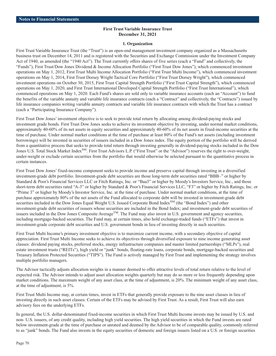### **First Trust Variable Insurance Trust December 31, 2021**

#### **1. Organization**

First Trust Variable Insurance Trust (the "Trust") is an open-end management investment company organized as a Massachusetts business trust on December 14, 2011 and is registered with the Securities and Exchange Commission under the Investment Company Act of 1940, as amended (the "1940 Act"). The Trust currently offers shares of five series (each a "Fund" and collectively, the "Funds"), First Trust/Dow Jones Dividend & Income Allocation Portfolio ("First Trust Dow Jones"), which commenced investment operations on May 1, 2012, First Trust Multi Income Allocation Portfolio ("First Trust Multi Income"), which commenced investment operations on May 1, 2014, First Trust Dorsey Wright Tactical Core Portfolio ("First Trust Dorsey Wright"), which commenced investment operations on October 30, 2015, First Trust Capital Strength Portfolio ("First Trust Capital Strength"), which commenced operations on May 1, 2020, and First Trust International Developed Capital Strength Portfolio ("First Trust International"), which commenced operations on May 1, 2020. Each Fund's shares are sold only to variable insurance accounts (each an "Account") to fund the benefits of the variable annuity and variable life insurance contracts (each a "Contract" and collectively, the "Contracts") issued by life insurance companies writing variable annuity contracts and variable life insurance contracts with which the Trust has a contract (each a "Participating Insurance Company").

First Trust Dow Jones' investment objective is to seek to provide total return by allocating among dividend-paying stocks and investment grade bonds. First Trust Dow Jones seeks to achieve its investment objective by investing, under normal market conditions, approximately 40-60% of its net assets in equity securities and approximately 40-60% of its net assets in fixed-income securities at the time of purchase. Under normal market conditions at the time of purchase at least 80% of the Fund's net assets (including investment borrowings) will be invested in securities of issuers included in a Dow Jones index. The equity portion of the portfolio will be derived from a quantitative process that seeks to provide total return through investing generally in dividend-paying stocks included in the Dow Jones U.S. Total Stock Market Index<sup>SM</sup>. First Trust Advisors L.P. ("First Trust" or the "Advisor") reserves the right to over-weight, under-weight or exclude certain securities from the portfolio that would otherwise be selected pursuant to the quantitative process in certain instances.

First Trust Dow Jones' fixed-income component seeks to provide income and preserve capital through investing in a diversified investment-grade debt portfolio. Investment-grade debt securities are those long-term debt securities rated "BBB–" or higher by Standard & Poor's Financial Services LLC or Fitch Ratings, Inc. or "Baa3" or higher by Moody's Investors Service, Inc., and those short-term debt securities rated "A-3" or higher by Standard & Poor's Financial Services LLC, "F3" or higher by Fitch Ratings, Inc. or "Prime 3" or higher by Moody's Investor Service, Inc. at the time of purchase. Under normal market conditions, at the time of purchase approximately 80% of the net assets of the Fund allocated to corporate debt will be invested in investment-grade debt securities included in the Dow Jones Equal Weight U.S. Issued Corporate Bond Index<sup>SM</sup> (the "Bond Index") and other investment-grade debt securities of issuers whose securities are included in the Bond Index; and investment-grade debt securities of issuers included in the Dow Jones Composite Average<sup>TM</sup>. The Fund may also invest in U.S. government and agency securities, including mortgage-backed securities. The Fund may, at certain times, also hold exchange-traded funds ("ETFs") that invest in investment-grade corporate debt securities and U.S. government bonds in lieu of investing directly in such securities.

First Trust Multi Income's primary investment objective is to maximize current income, with a secondary objective of capital appreciation. First Trust Multi Income seeks to achieve its objectives through diversified exposure to nine income generating asset classes: dividend paying stocks, preferred stocks, energy infrastructure companies and master limited partnerships ("MLPs"), real estate investment trusts ("REITs"), high yield or "junk" bonds, floating-rate loans, corporate bonds, mortgage-backed securities and Treasury Inflation Protected Securities ("TIPS"). The Fund is actively managed by First Trust and implementing the strategy involves multiple portfolio managers.

The Advisor tactically adjusts allocation weights in a manner deemed to offer attractive levels of total return relative to the level of expected risk. The Advisor intends to adjust asset allocation weights quarterly but may do so more or less frequently depending upon market conditions. The maximum weight of any asset class, at the time of adjustment, is 20%. The minimum weight of any asset class, at the time of adjustment, is 5%.

First Trust Multi Income may, at certain times, invest in ETFs that generally provide exposure to the nine asset classes in lieu of investing directly in such asset classes. Certain of the ETFs may be advised by First Trust. As a result, First Trust will also earn advisory fees on the underlying ETFs.

In general, the U.S. dollar-denominated fixed-income securities in which First Trust Multi Income invests may be issued by U.S. and non- U.S. issuers, of any credit quality, including high yield securities. The high yield securities in which the Fund invests are rated below investment-grade at the time of purchase or unrated and deemed by the Advisor to be of comparable quality, commonly referred to as "junk" bonds. The Fund also invests in the equity securities of domestic and foreign issuers listed on a U.S. or foreign securities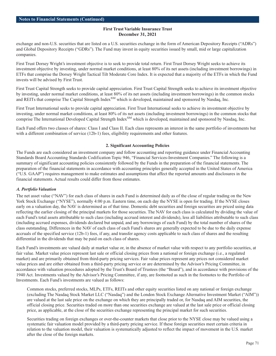exchange and non-U.S. securities that are listed on a U.S. securities exchange in the form of American Depository Receipts ("ADRs") and Global Depository Receipts ("GDRs"). The Fund may invest in equity securities issued by small, mid or large capitalization companies.

First Trust Dorsey Wright's investment objective is to seek to provide total return. First Trust Dorsey Wright seeks to achieve its investment objective by investing, under normal market conditions, at least 80% of its net assets (including investment borrowings) in ETFs that comprise the Dorsey Wright Tactical Tilt Moderate Core Index. It is expected that a majority of the ETFs in which the Fund invests will be advised by First Trust.

First Trust Capital Strength seeks to provide capital appreciation. First Trust Capital Strength seeks to achieve its investment objective by investing, under normal market conditions, at least 80% of its net assets (including investment borrowings) in the common stocks and REITs that comprise The Capital Strength Index<sup>SM</sup> which is developed, maintained and sponsored by Nasdaq, Inc.

First Trust International seeks to provide capital appreciation. First Trust International seeks to achieve its investment objective by investing, under normal market conditions, at least 80% of its net assets (including investment borrowings) in the common stocks that comprise The International Developed Capital Strength Index<sup>SM</sup> which is developed, maintained and sponsored by Nasdaq, Inc.

Each Fund offers two classes of shares: Class I and Class II. Each class represents an interest in the same portfolio of investments but with a different combination of service (12b-1) fees, eligibility requirements and other features.

# **2. Significant Accounting Policies**

The Funds are each considered an investment company and follow accounting and reporting guidance under Financial Accounting Standards Board Accounting Standards Codification Topic 946, "Financial Services-Investment Companies." The following is a summary of significant accounting policies consistently followed by the Funds in the preparation of the financial statements. The preparation of the financial statements in accordance with accounting principles generally accepted in the United States of America ("U.S. GAAP") requires management to make estimates and assumptions that affect the reported amounts and disclosures in the financial statements. Actual results could differ from those estimates.

# *A. Portfolio Valuation*

The net asset value ("NAV") for each class of shares in each Fund is determined daily as of the close of regular trading on the New York Stock Exchange ("NYSE"), normally 4:00 p.m. Eastern time, on each day the NYSE is open for trading. If the NYSE closes early on a valuation day, the NAV is determined as of that time. Domestic debt securities and foreign securities are priced using data reflecting the earlier closing of the principal markets for those securities. The NAV for each class is calculated by dividing the value of each Fund's total assets attributable to such class (including accrued interest and dividends), less all liabilities attributable to such class (including accrued expenses, dividends declared but unpaid, and any borrowings of each Fund) by the total number of shares of the class outstanding. Differences in the NAV of each class of each Fund's shares are generally expected to be due to the daily expense accruals of the specified service (12b-1) fees, if any, and transfer agency costs applicable to such class of shares and the resulting differential in the dividends that may be paid on each class of shares.

Each Fund's investments are valued daily at market value or, in the absence of market value with respect to any portfolio securities, at fair value. Market value prices represent last sale or official closing prices from a national or foreign exchange (i.e., a regulated market) and are primarily obtained from third-party pricing services. Fair value prices represent any prices not considered market value prices and are either obtained from a third-party pricing service or are determined by the Advisor's Pricing Committee, in accordance with valuation procedures adopted by the Trust's Board of Trustees (the "Board"), and in accordance with provisions of the 1940 Act. Investments valued by the Advisor's Pricing Committee, if any, are footnoted as such in the footnotes to the Portfolio of Investments. Each Fund's investments are valued as follows:

Common stocks, preferred stocks, MLPs, ETFs, REITs and other equity securities listed on any national or foreign exchange (excluding The Nasdaq Stock Market LLC ("Nasdaq") and the London Stock Exchange Alternative Investment Market ("AIM")) are valued at the last sale price on the exchange on which they are principally traded or, for Nasdaq and AIM securities, the official closing price. Securities traded on more than one securities exchange are valued at the last sale price or official closing price, as applicable, at the close of the securities exchange representing the principal market for such securities.

Securities trading on foreign exchanges or over-the-counter markets that close prior to the NYSE close may be valued using a systematic fair valuation model provided by a third-party pricing service. If these foreign securities meet certain criteria in relation to the valuation model, their valuation is systematically adjusted to reflect the impact of movement in the U.S. market after the close of the foreign markets.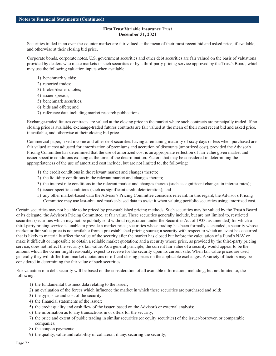Securities traded in an over-the-counter market are fair valued at the mean of their most recent bid and asked price, if available, and otherwise at their closing bid price.

Corporate bonds, corporate notes, U.S. government securities and other debt securities are fair valued on the basis of valuations provided by dealers who make markets in such securities or by a third-party pricing service approved by the Trust's Board, which may use the following valuation inputs when available:

- 1) benchmark yields;
- 2) reported trades;
- 3) broker/dealer quotes;
- 4) issuer spreads;
- 5) benchmark securities;
- 6) bids and offers; and
- 7) reference data including market research publications.

Exchange-traded futures contracts are valued at the closing price in the market where such contracts are principally traded. If no closing price is available, exchange-traded futures contracts are fair valued at the mean of their most recent bid and asked price, if available, and otherwise at their closing bid price.

Commercial paper, fixed income and other debt securities having a remaining maturity of sixty days or less when purchased are fair valued at cost adjusted for amortization of premiums and accretion of discounts (amortized cost), provided the Advisor's Pricing Committee has determined that the use of amortized cost is an appropriate reflection of fair value given market and issuer-specific conditions existing at the time of the determination. Factors that may be considered in determining the appropriateness of the use of amortized cost include, but are not limited to, the following:

- 1) the credit conditions in the relevant market and changes thereto;
- 2) the liquidity conditions in the relevant market and changes thereto;
- 3) the interest rate conditions in the relevant market and changes thereto (such as significant changes in interest rates);
- 4) issuer-specific conditions (such as significant credit deterioration); and
- 5) any other market-based data the Advisor's Pricing Committee considers relevant. In this regard, the Advisor's Pricing Committee may use last-obtained market-based data to assist it when valuing portfolio securities using amortized cost.

Certain securities may not be able to be priced by pre-established pricing methods. Such securities may be valued by the Trust's Board or its delegate, the Advisor's Pricing Committee, at fair value. These securities generally include, but are not limited to, restricted securities (securities which may not be publicly sold without registration under the Securities Act of 1933, as amended) for which a third-party pricing service is unable to provide a market price; securities whose trading has been formally suspended; a security whose market or fair value price is not available from a pre-established pricing source; a security with respect to which an event has occurred that is likely to materially affect the value of the security after the market has closed but before the calculation of a Fund's NAV or make it difficult or impossible to obtain a reliable market quotation; and a security whose price, as provided by the third-party pricing service, does not reflect the security's fair value. As a general principle, the current fair value of a security would appear to be the amount which the owner might reasonably expect to receive for the security upon its current sale. When fair value prices are used, generally they will differ from market quotations or official closing prices on the applicable exchanges. A variety of factors may be considered in determining the fair value of such securities.

Fair valuation of a debt security will be based on the consideration of all available information, including, but not limited to, the following:

- 1) the fundamental business data relating to the issuer;
- 2) an evaluation of the forces which influence the market in which these securities are purchased and sold;
- 3) the type, size and cost of the security;
- 4) the financial statements of the issuer;
- 5) the credit quality and cash flow of the issuer, based on the Advisor's or external analysis;
- 6) the information as to any transactions in or offers for the security;
- 7) the price and extent of public trading in similar securities (or equity securities) of the issuer/borrower, or comparable companies;
- 8) the coupon payments;
- 9) the quality, value and salability of collateral, if any, securing the security;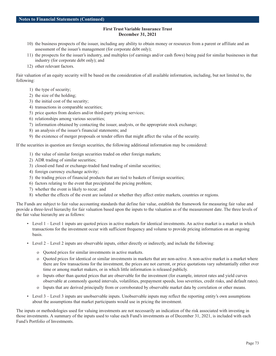- 10) the business prospects of the issuer, including any ability to obtain money or resources from a parent or affiliate and an assessment of the issuer's management (for corporate debt only);
- 11) the prospects for the issuer's industry, and multiples (of earnings and/or cash flows) being paid for similar businesses in that industry (for corporate debt only); and
- 12) other relevant factors.

Fair valuation of an equity security will be based on the consideration of all available information, including, but not limited to, the following:

- 1) the type of security;
- 2) the size of the holding;
- 3) the initial cost of the security;
- 4) transactions in comparable securities;
- 5) price quotes from dealers and/or third-party pricing services;
- 6) relationships among various securities;
- 7) information obtained by contacting the issuer, analysts, or the appropriate stock exchange;
- 8) an analysis of the issuer's financial statements; and
- 9) the existence of merger proposals or tender offers that might affect the value of the security.

If the securities in question are foreign securities, the following additional information may be considered:

- 1) the value of similar foreign securities traded on other foreign markets;
- 2) ADR trading of similar securities;
- 3) closed-end fund or exchange-traded fund trading of similar securities;
- 4) foreign currency exchange activity;
- 5) the trading prices of financial products that are tied to baskets of foreign securities;
- 6) factors relating to the event that precipitated the pricing problem;
- 7) whether the event is likely to recur; and
- 8) whether the effects of the event are isolated or whether they affect entire markets, countries or regions.

The Funds are subject to fair value accounting standards that define fair value, establish the framework for measuring fair value and provide a three-level hierarchy for fair valuation based upon the inputs to the valuation as of the measurement date. The three levels of the fair value hierarchy are as follows:

- Level 1 Level 1 inputs are quoted prices in active markets for identical investments. An active market is a market in which transactions for the investment occur with sufficient frequency and volume to provide pricing information on an ongoing basis.
- Level 2 Level 2 inputs are observable inputs, either directly or indirectly, and include the following:
	- o Quoted prices for similar investments in active markets.
	- o Quoted prices for identical or similar investments in markets that are non-active. A non-active market is a market where there are few transactions for the investment, the prices are not current, or price quotations vary substantially either over time or among market makers, or in which little information is released publicly.
	- o Inputs other than quoted prices that are observable for the investment (for example, interest rates and yield curves observable at commonly quoted intervals, volatilities, prepayment speeds, loss severities, credit risks, and default rates).
	- o Inputs that are derived principally from or corroborated by observable market data by correlation or other means.
- Level 3 Level 3 inputs are unobservable inputs. Unobservable inputs may reflect the reporting entity's own assumptions about the assumptions that market participants would use in pricing the investment.

The inputs or methodologies used for valuing investments are not necessarily an indication of the risk associated with investing in those investments. A summary of the inputs used to value each Fund's investments as of December 31, 2021, is included with each Fund's Portfolio of Investments.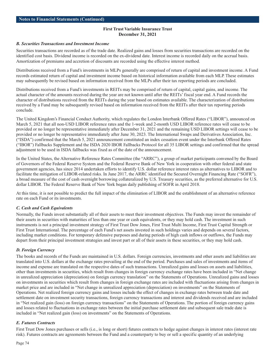#### *B. Securities Transactions and Investment Income*

Securities transactions are recorded as of the trade date. Realized gains and losses from securities transactions are recorded on the identified cost basis. Dividend income is recorded on the ex-dividend date. Interest income is recorded daily on the accrual basis. Amortization of premiums and accretion of discounts are recorded using the effective interest method.

Distributions received from a Fund's investments in MLPs generally are comprised of return of capital and investment income. A Fund records estimated return of capital and investment income based on historical information available from each MLP. These estimates may subsequently be revised based on information received from the MLPs after their tax reporting periods are concluded.

Distributions received from a Fund's investments in REITs may be comprised of return of capital, capital gains, and income. The actual character of the amounts received during the year are not known until after the REITs' fiscal year end. A Fund records the character of distributions received from the REITs during the year based on estimates available. The characterization of distributions received by a Fund may be subsequently revised based on information received from the REITs after their tax reporting periods conclude.

The United Kingdom's Financial Conduct Authority, which regulates the London Interbank Offered Rates ("LIBOR"), announced on March 5, 2021 that all non-USD LIBOR reference rates and the 1-week and 2-month USD LIBOR reference rates will cease to be provided or no longer be representative immediately after December 31, 2021 and the remaining USD LIBOR settings will cease to be provided or no longer be representative immediately after June 30, 2023. The International Swaps and Derivatives Association, Inc. ("ISDA") confirmed that the March 5, 2021 announcement constituted an index cessation event under the Interbank Offered Rates ("IBOR") Fallbacks Supplement and the ISDA 2020 IBOR Fallbacks Protocol for all 35 LIBOR settings and confirmed that the spread adjustment to be used in ISDA fallbacks was fixed as of the date of the announcement.

In the United States, the Alternative Reference Rates Committee (the "ARRC"), a group of market participants convened by the Board of Governors of the Federal Reserve System and the Federal Reserve Bank of New York in cooperation with other federal and state government agencies, has since 2014 undertaken efforts to identify U.S. dollar reference interest rates as alternatives to LIBOR and to facilitate the mitigation of LIBOR-related risks. In June 2017, the ARRC identified the Secured Overnight Financing Rate ("SOFR"), a broad measure of the cost of cash overnight borrowing collateralized by U.S. Treasury securities, as the preferred alternative for U.S. dollar LIBOR. The Federal Reserve Bank of New York began daily publishing of SOFR in April 2018.

At this time, it is not possible to predict the full impact of the elimination of LIBOR and the establishment of an alternative reference rate on each Fund or its investments.

# *C. Cash and Cash Equivalents*

Normally, the Funds invest substantially all of their assets to meet their investment objectives. The Funds may invest the remainder of their assets in securities with maturities of less than one year or cash equivalents, or they may hold cash. The investment in such instruments is not a principal investment strategy of First Trust Dow Jones, First Trust Multi Income, First Trust Capital Strength or First Trust International. The percentage of each Fund's net assets invested in such holdings varies and depends on several factors, including market conditions. For temporary defensive purposes and during periods of high cash inflows or outflows, the Funds may depart from their principal investment strategies and invest part or all of their assets in these securities, or they may hold cash.

#### *D. Foreign Currency*

The books and records of the Funds are maintained in U.S. dollars. Foreign currencies, investments and other assets and liabilities are translated into U.S. dollars at the exchange rates prevailing at the end of the period. Purchases and sales of investments and items of income and expense are translated on the respective dates of such transactions. Unrealized gains and losses on assets and liabilities, other than investments in securities, which result from changes in foreign currency exchange rates have been included in "Net change in unrealized appreciation (depreciation) on foreign currency translation" on the Statements of Operations. Unrealized gains and losses on investments in securities which result from changes in foreign exchange rates are included with fluctuations arising from changes in market price and are included in "Net change in unrealized appreciation (depreciation) on investments" on the Statements of Operations. Net realized foreign currency gains and losses include the effect of changes in exchange rates between trade date and settlement date on investment security transactions, foreign currency transactions and interest and dividends received and are included in "Net realized gain (loss) on foreign currency transactions" on the Statements of Operations. The portion of foreign currency gains and losses related to fluctuations in exchange rates between the initial purchase settlement date and subsequent sale trade date is included in "Net realized gain (loss) on investments" on the Statements of Operations.

#### *E. Futures Contracts*

First Trust Dow Jones purchases or sells (i.e., is long or short) futures contracts to hedge against changes in interest rates (interest rate risk). Futures contracts are agreements between the Fund and a counterparty to buy or sell a specific quantity of an underlying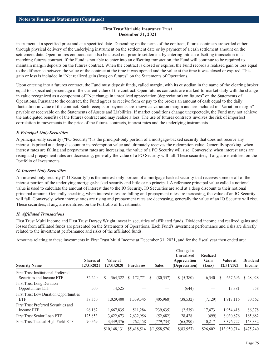instrument at a specified price and at a specified date. Depending on the terms of the contract, futures contracts are settled either through physical delivery of the underlying instrument on the settlement date or by payment of a cash settlement amount on the settlement date. Open futures contracts can also be closed out prior to settlement by entering into an offsetting transaction in a matching futures contract. If the Fund is not able to enter into an offsetting transaction, the Fund will continue to be required to maintain margin deposits on the futures contract. When the contract is closed or expires, the Fund records a realized gain or loss equal to the difference between the value of the contract at the time it was opened and the value at the time it was closed or expired. This gain or loss is included in "Net realized gain (loss) on futures" on the Statements of Operations.

Upon entering into a futures contract, the Fund must deposit funds, called margin, with its custodian in the name of the clearing broker equal to a specified percentage of the current value of the contract. Open futures contracts are marked-to-market daily with the change in value recognized as a component of "Net change in unrealized appreciation (depreciation) on futures" on the Statements of Operations. Pursuant to the contract, the Fund agrees to receive from or pay to the broker an amount of cash equal to the daily fluctuation in value of the contract. Such receipts or payments are known as variation margin and are included in "Variation margin" payable or receivable on the Statements of Assets and Liabilities. If market conditions change unexpectedly, the Fund may not achieve the anticipated benefits of the futures contract and may realize a loss. The use of futures contracts involves the risk of imperfect correlation in movements in the price of the futures contracts, interest rates and the underlying instruments.

# *F. Principal-Only Securities*

A principal-only security ("PO Security") is the principal-only portion of a mortgage-backed security that does not receive any interest, is priced at a deep discount to its redemption value and ultimately receives the redemption value. Generally speaking, when interest rates are falling and prepayment rates are increasing, the value of a PO Security will rise. Conversely, when interest rates are rising and prepayment rates are decreasing, generally the value of a PO Security will fall. These securities, if any, are identified on the Portfolio of Investments.

### *G. Interest-Only Securities*

An interest-only security ("IO Security") is the interest-only portion of a mortgage-backed security that receives some or all of the interest portion of the underlying mortgage-backed security and little or no principal. A reference principal value called a notional value is used to calculate the amount of interest due to the IO Security. IO Securities are sold at a deep discount to their notional principal amount. Generally speaking, when interest rates are falling and prepayment rates are increasing, the value of an IO Security will fall. Conversely, when interest rates are rising and prepayment rates are decreasing, generally the value of an IO Security will rise. These securities, if any, are identified on the Portfolio of Investments.

# *H. Affiliated Transactions*

First Trust Multi Income and First Trust Dorsey Wright invest in securities of affiliated funds. Dividend income and realized gains and losses from affiliated funds are presented on the Statements of Operations. Each Fund's investment performance and risks are directly related to the investment performance and risks of the affiliated funds.

Amounts relating to these investments in First Trust Multi Income at December 31, 2021, and for the fiscal year then ended are:

| <b>Security Name</b>                                                    | <b>Shares</b> at<br>12/31/2021 | Value at<br>12/31/2020 | <b>Purchases</b> | <b>Sales</b>   | Change in<br><b>Unrealized</b><br>Appreciation<br>(Depreciation) | <b>Realized</b><br>Gain<br>(Loss) | Value at<br>12/31/2021 | <b>Dividend</b><br>Income |
|-------------------------------------------------------------------------|--------------------------------|------------------------|------------------|----------------|------------------------------------------------------------------|-----------------------------------|------------------------|---------------------------|
| <b>First Trust Institutional Preferred</b><br>Securities and Income ETF | 32,240                         | S<br>564,322           | 172.771<br>S.    | (80, 557)<br>S | \$ (5,380)                                                       | 6,540                             | 657,696<br>S.          | \$28,928                  |
| <b>First Trust Long Duration</b><br>Opportunities ETF                   | 500                            | 14,525                 |                  |                | (644)                                                            |                                   | 13,881                 | 358                       |
| <b>First Trust Low Duration Opportunities</b><br>ETF                    | 38,350                         | 1,029,400              | 1,339,345        | (405,968)      | (38, 532)                                                        | (7,129)                           | 1,917,116              | 30,562                    |
| First Trust Preferred Securities and<br>Income ETF                      | 96,182                         | 1,667,835              | 511,284          | (239, 635)     | (2,539)                                                          | 17,473                            | 1,954,418              | 86,378                    |
| <b>First Trust Senior Loan ETF</b>                                      | 125,853                        | 3,422,673              | 2,632,956        | (52,682)       | 28,428                                                           | (499)                             | 6,030,876              | 165,682                   |
| First Trust Tactical High Yield ETF                                     | 70,569                         | 3,449,376              | 762,158          | (779, 734)     | (65,290)                                                         | 10,217                            | 3,376,727              | 163,332                   |
|                                                                         |                                | \$10,148,131           | \$5,418,514      | \$(1,558,576)  | \$(83,957)                                                       | \$26,602                          | \$13,950,714           | \$475,240                 |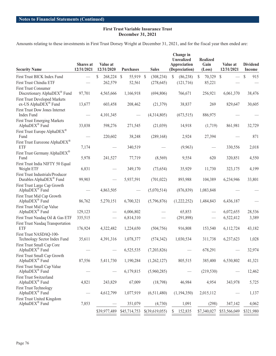Amounts relating to these investments in First Trust Dorsey Wright at December 31, 2021, and for the fiscal year then ended are:

| <b>Security Name</b>                                                    | Shares at<br>12/31/2021 | Value at<br>12/31/2020                        | <b>Purchases</b>           | <b>Sales</b>   | Change in<br><b>Unrealized</b><br>Appreciation<br>(Depreciation) | <b>Realized</b><br>Gain<br>(Loss) | Value at<br>12/31/2021 | <b>Dividend</b><br>Income |
|-------------------------------------------------------------------------|-------------------------|-----------------------------------------------|----------------------------|----------------|------------------------------------------------------------------|-----------------------------------|------------------------|---------------------------|
| First Trust BICK Index Fund                                             |                         | \$<br>268,224                                 | 55,919 \$<br><sup>\$</sup> | (308, 234)     | \$<br>(86, 238)                                                  | \$<br>70,329                      | $\mathcal{S}$          | $\mathbb{S}$<br>915       |
| First Trust Chindia ETF                                                 |                         | 262,579                                       | 52,561                     | (278, 645)     | (121, 716)                                                       | 85,221                            |                        |                           |
| <b>First Trust Consumer</b>                                             |                         |                                               |                            |                |                                                                  |                                   |                        |                           |
| Discretionary AlphaDEX® Fund                                            | 97,701                  | 4,565,666                                     | 1,166,918                  | (694, 806)     | 766,671                                                          | 256,921                           | 6,061,370              | 38,476                    |
| <b>First Trust Developed Markets</b>                                    |                         |                                               |                            |                |                                                                  |                                   |                        |                           |
| ex-US AlphaDEX <sup>®</sup> Fund                                        | 13,677                  | 603,458                                       | 208,462                    | (21, 379)      | 38,837                                                           | 269                               | 829,647                | 30,605                    |
| <b>First Trust Dow Jones Internet</b><br>Index Fund                     |                         | 4,101,345                                     |                            | (4,314,805)    | (673, 515)                                                       | 886,975                           |                        |                           |
| <b>First Trust Emerging Markets</b><br>AlphaDEX <sup>®</sup> Fund       | 33,038                  | 598,276                                       | 271,545                    | (21,039)       | 14,918                                                           | (1,719)                           | 861,981                | 32,729                    |
| First Trust Europe AlphaDEX <sup>®</sup><br>Fund                        |                         | 220,602                                       | 38,248                     | (289, 168)     | 2,924                                                            | 27,394                            |                        | 871                       |
| First Trust Eurozone AlphaDEX®                                          |                         |                                               |                            |                |                                                                  |                                   |                        |                           |
| <b>ETF</b>                                                              | 7,174                   |                                               | 340,519                    |                | (9,963)                                                          |                                   | 330,556                | 2,018                     |
| First Trust Germany AlphaDEX®<br>Fund                                   | 5,978                   | 241,527                                       | 77,719                     | (8,569)        | 9,554                                                            | 620                               | 320,851                | 4,550                     |
| First Trust India NIFTY 50 Equal<br>Weight ETF                          | 6,831                   |                                               | 349,170                    | (73, 654)      | 35,929                                                           | 11,730                            | 323,175                | 4,199                     |
| First Trust Industrials/Producer<br>Durables AlphaDEX <sup>®</sup> Fund | 99,903                  |                                               | 5,937,591                  | (701, 022)     | 893,988                                                          | 104,389                           | 6,234,946              | 33,801                    |
| First Trust Large Cap Growth                                            |                         |                                               |                            |                |                                                                  |                                   |                        |                           |
| AlphaDEX <sup>®</sup> Fund                                              |                         | 4,863,505                                     |                            | (5,070,514)    | (876, 839)                                                       | 1,083,848                         |                        |                           |
| First Trust Mid Cap Growth<br>AlphaDEX <sup>®</sup> Fund                | 86,762                  | 5,270,151                                     | 6,700,321                  | (5,796,876)    | (1,222,252)                                                      | 1,484,843                         | 6,436,187              |                           |
| First Trust Mid Cap Value                                               |                         |                                               |                            |                |                                                                  |                                   |                        |                           |
| AlphaDEX® Fund                                                          | 129,123                 |                                               | 6,006,802                  |                | 65,853                                                           |                                   | 6,072,655              | 28,536                    |
| First Trust Nasdaq Oil & Gas ETF                                        | 335,515                 | $\qquad \qquad \overbrace{\qquad \qquad }^{}$ | 6,814,310                  |                | (291, 898)                                                       |                                   | 6,522,412              | 3,389                     |
| <b>First Trust Nasdaq Transportation</b><br>ETF                         | 176,924                 | 4,322,482                                     | 1,224,650                  | (504, 756)     | 916,808                                                          | 153,540                           | 6,112,724              | 43,182                    |
| First Trust NASDAQ-100-                                                 |                         |                                               |                            |                |                                                                  |                                   |                        |                           |
| Technology Sector Index Fund                                            | 35,611                  | 4,391,316                                     | 1,078,377                  | (574, 342)     | 1,030,534                                                        | 311,738                           | 6,237,623              | 1,028                     |
| First Trust Small Cap Core<br>AlphaDEX® Fund                            |                         | $\hspace{0.05cm}$                             | 6,525,535                  | (7,203,826)    | $\qquad \qquad -$                                                | 678,291                           |                        | 32,974                    |
| First Trust Small Cap Growth                                            |                         |                                               |                            |                |                                                                  |                                   |                        |                           |
| AlphaDEX® Fund                                                          | 87,556                  | 5,411,730                                     | 1,190,284                  | (1,262,127)    | 805,515                                                          | 385,400                           | 6,530,802              | 41,321                    |
| First Trust Small Cap Value<br>AlphaDEX® Fund                           |                         |                                               | 6,179,815                  | (5,960,285)    |                                                                  | (219, 530)                        |                        | 12,462                    |
| <b>First Trust Switzerland</b><br>AlphaDEX® Fund                        | 4,821                   | 243,829                                       | 67,009                     | (18,798)       | 46,984                                                           | 4,954                             | 343,978                | 5,725                     |
| <b>First Trust Technology</b><br>AlphaDEX® Fund                         |                         | 4,612,799                                     | 1,077,919                  | (6,511,480)    | (1, 194, 350)                                                    | 2,015,112                         |                        | 1,137                     |
| First Trust United Kingdom<br>AlphaDEX <sup>®</sup> Fund                | 7,853                   |                                               | 351,079                    | (4,730)        | 1,091                                                            | (298)                             | 347,142                | 4,062                     |
|                                                                         |                         | \$39,977,489                                  | \$45,714,753               | \$(39,619,055) | 152,835<br>S                                                     | \$7,340,027                       | \$53,566,049           | \$321,980                 |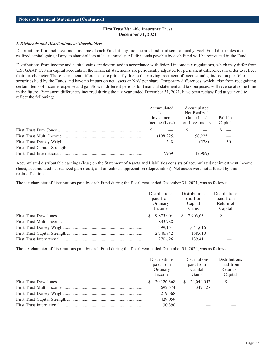#### *I. Dividends and Distributions to Shareholders*

Distributions from net investment income of each Fund, if any, are declared and paid semi-annually. Each Fund distributes its net realized capital gains, if any, to shareholders at least annually. All dividends payable by each Fund will be reinvested in the Fund.

Distributions from income and capital gains are determined in accordance with federal income tax regulations, which may differ from U.S. GAAP. Certain capital accounts in the financial statements are periodically adjusted for permanent differences in order to reflect their tax character. These permanent differences are primarily due to the varying treatment of income and gain/loss on portfolio securities held by the Funds and have no impact on net assets or NAV per share. Temporary differences, which arise from recognizing certain items of income, expense and gain/loss in different periods for financial statement and tax purposes, will reverse at some time in the future. Permanent differences incurred during the tax year ended December 31, 2021, have been reclassified at year end to reflect the following:

| Accumulated   | Accumulated    |         |
|---------------|----------------|---------|
| Net.          | Net Realized   |         |
| Investment    | Gain (Loss)    | Paid-in |
| Income (Loss) | on Investments | Capital |
|               |                | $\sim$  |
| (198, 225)    | 198,225        |         |
| 548           | (578)          | 30      |
|               |                |         |
| 17.969        | (17.969)       |         |

Accumulated distributable earnings (loss) on the Statement of Assets and Liabilities consists of accumulated net investment income (loss), accumulated net realized gain (loss), and unrealized appreciation (depreciation). Net assets were not affected by this reclassification.

The tax character of distributions paid by each Fund during the fiscal year ended December 31, 2021, was as follows:

| <b>Distributions</b><br>paid from<br>Ordinary<br>Income | <b>Distributions</b><br>paid from<br>Capital<br>Gains | <b>Distributions</b><br>paid from<br>Return of<br>Capital |
|---------------------------------------------------------|-------------------------------------------------------|-----------------------------------------------------------|
| 9.875.004<br>S.                                         | \$7.903.634                                           |                                                           |
| 833,738                                                 |                                                       |                                                           |
| 399.154                                                 | 1.641.616                                             |                                                           |
| 2.746.842                                               | 158,610                                               |                                                           |
| 270.626                                                 | 139.411                                               |                                                           |

The tax character of distributions paid by each Fund during the fiscal year ended December 31, 2020, was as follows:

| <b>Distributions</b><br>paid from<br>Ordinary<br>Income | <b>Distributions</b><br>paid from<br>Capital<br>Gains | <b>Distributions</b><br>paid from<br>Return of<br>Capital |
|---------------------------------------------------------|-------------------------------------------------------|-----------------------------------------------------------|
| 20,126,368                                              | 24,044,052                                            |                                                           |
| 692,574                                                 | 347,127                                               |                                                           |
| 219,368                                                 |                                                       |                                                           |
| 429,059                                                 |                                                       |                                                           |
| 130,390                                                 |                                                       |                                                           |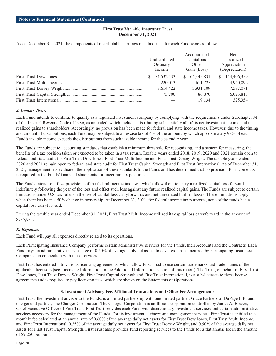As of December 31, 2021, the components of distributable earnings on a tax basis for each Fund were as follows:

|        |               |             | Accumulated  |                | <b>Net</b>   |
|--------|---------------|-------------|--------------|----------------|--------------|
|        | Undistributed |             | Capital and  |                | Unrealized   |
|        | Ordinary      |             | Other        |                | Appreciation |
| Income |               | Gain (Loss) |              | (Depreciation) |              |
|        | 54.532.433    |             | \$64.445.831 | <sup>\$</sup>  | 144,406,359  |
|        | 220,013       |             | 611.725      |                | 4,940,092    |
|        | 3,614,422     |             | 3.931.109    |                | 7,587,071    |
|        | 73,700        |             | 86,870       |                | 6,023,815    |
|        |               |             | 19.134       |                | 325,354      |

# *J. Income Taxes*

Each Fund intends to continue to qualify as a regulated investment company by complying with the requirements under Subchapter M of the Internal Revenue Code of 1986, as amended, which includes distributing substantially all of its net investment income and net realized gains to shareholders. Accordingly, no provision has been made for federal and state income taxes. However, due to the timing and amount of distributions, each Fund may be subject to an excise tax of 4% of the amount by which approximately 98% of each Fund's taxable income exceeds the distributions from such taxable income for the calendar year.

The Funds are subject to accounting standards that establish a minimum threshold for recognizing, and a system for measuring, the benefits of a tax position taken or expected to be taken in a tax return. Taxable years ended 2018, 2019, 2020 and 2021 remain open to federal and state audit for First Trust Dow Jones, First Trust Multi Income and First Trust Dorsey Wright. The taxable years ended 2020 and 2021 remain open to federal and state audit for First Trust Capital Strength and First Trust International. As of December 31, 2021, management has evaluated the application of these standards to the Funds and has determined that no provision for income tax is required in the Funds' financial statements for uncertain tax positions.

The Funds intend to utilize provisions of the federal income tax laws, which allow them to carry a realized capital loss forward indefinitely following the year of the loss and offset such loss against any future realized capital gains. The Funds are subject to certain limitations under U.S. tax rules on the use of capital loss carryforwards and net unrealized built-in losses. These limitations apply when there has been a 50% change in ownership. At December 31, 2021, for federal income tax purposes, none of the funds had a capital loss carryforward.

During the taxable year ended December 31, 2021, First Trust Multi Income utilized its capital loss carryforward in the amount of \$737,931.

# *K. Expenses*

Each Fund will pay all expenses directly related to its operations.

Each Participating Insurance Company performs certain administrative services for the Funds, their Accounts and the Contracts. Each Fund pays an administrative services fee of 0.20% of average daily net assets to cover expenses incurred by Participating Insurance Companies in connection with these services.

First Trust has entered into various licensing agreements, which allow First Trust to use certain trademarks and trade names of the applicable licensors (see Licensing Information in the Additional Information section of this report). The Trust, on behalf of First Trust Dow Jones, First Trust Dorsey Wright, First Trust Capital Strength and First Trust International, is a sub-licensee to these license agreements and is required to pay licensing fees, which are shown on the Statements of Operations.

#### **3. Investment Advisory Fee, Affiliated Transactions and Other Fee Arrangements**

First Trust, the investment advisor to the Funds, is a limited partnership with one limited partner, Grace Partners of DuPage L.P., and one general partner, The Charger Corporation. The Charger Corporation is an Illinois corporation controlled by James A. Bowen, Chief Executive Officer of First Trust. First Trust provides each Fund with discretionary investment services and certain administrative services necessary for the management of the Funds. For its investment advisory and management services, First Trust is entitled to a monthly fee calculated at an annual rate of 0.60% of the average daily net assets for First Trust Dow Jones, First Trust Multi Income, and First Trust International, 0.35% of the average daily net assets for First Trust Dorsey Wright, and 0.50% of the average daily net assets for First Trust Capital Strength. First Trust also provides fund reporting services to the Funds for a flat annual fee in the amount of \$9,250 per Fund.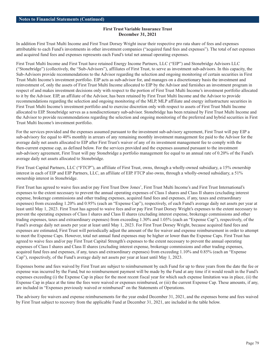In addition First Trust Multi Income and First Trust Dorsey Wright incur their respective pro rata share of fees and expenses attributable to each Fund's investments in other investment companies ("acquired fund fees and expenses"). The total of net expenses and acquired fund fees and expenses represents each Fund's total net annual operating expenses.

First Trust Multi Income and First Trust have retained Energy Income Partners, LLC ("EIP") and Stonebridge Advisors LLC ("Stonebridge") (collectively, the "Sub-Advisors"), affiliates of First Trust, to serve as investment sub-advisors. In this capacity, the Sub-Advisors provide recommendations to the Advisor regarding the selection and ongoing monitoring of certain securities in First Trust Multi Income's investment portfolio. EIP acts as sub-advisor for, and manages on a discretionary basis the investment and reinvestment of, only the assets of First Trust Multi Income allocated to EIP by the Advisor and furnishes an investment program in respect of and makes investment decisions only with respect to the portion of First Trust Multi Income's investment portfolio allocated to it by the Advisor. EIP, an affiliate of the Advisor, has been retained by First Trust Multi Income and the Advisor to provide recommendations regarding the selection and ongoing monitoring of the MLP, MLP affiliate and energy infrastructure securities in First Trust Multi Income's investment portfolio and to exercise discretion only with respect to assets of First Trust Multi Income allocated to EIP. Stonebridge serves as a nondiscretionary sub-advisor. Stonebridge has been retained by First Trust Multi Income and the Advisor to provide recommendations regarding the selection and ongoing monitoring of the preferred and hybrid securities in First Trust Multi Income's investment portfolio.

For the services provided and the expenses assumed pursuant to the investment sub-advisory agreement, First Trust will pay EIP a sub-advisory fee equal to 40% monthly in arrears of any remaining monthly investment management fee paid to the Advisor for the average daily net assets allocated to EIP after First Trust's waiver of any of its investment management fee to comply with the then-current expense cap, as defined below. For the services provided and the expenses assumed pursuant to the investment sub-advisory agreement, First Trust will pay Stonebridge a portfolio management fee equal to an annual rate of 0.20% of the Fund's average daily net assets allocated to Stonebridge.

First Trust Capital Partners, LLC ("FTCP"), an affiliate of First Trust, owns, through a wholly-owned subsidiary, a 15% ownership interest in each of EIP and EIP Partners, LLC, an affiliate of EIP. FTCP also owns, through a wholly-owned subsidiary, a 51% ownership interest in Stonebridge.

First Trust has agreed to waive fees and/or pay First Trust Dow Jones', First Trust Multi Income's and First Trust International's expenses to the extent necessary to prevent the annual operating expenses of Class I shares and Class II shares (excluding interest expense, brokerage commissions and other trading expenses, acquired fund fees and expenses, if any, taxes and extraordinary expenses) from exceeding 1.20% and 0.95% (each an "Expense Cap"), respectively, of each Fund's average daily net assets per year at least until May 1, 2023. First Trust has agreed to waive fees and/or pay First Trust Dorsey Wright's expenses to the extent necessary to prevent the operating expenses of Class I shares and Class II shares (excluding interest expense, brokerage commissions and other trading expenses, taxes and extraordinary expenses) from exceeding 1.30% and 1.05% (each an "Expense Cap"), respectively, of the Fund's average daily net assets per year at least until May 1, 2023. For First Trust Dorsey Wright, because acquired fund fees and expenses are estimated, First Trust will periodically adjust the amount of the fee waiver and expense reimbursement in order to attempt to meet the Expense Caps. However, total net annual fund expenses may be higher or lower than the Expense Caps. First Trust has agreed to waive fees and/or pay First Trust Capital Strength's expenses to the extent necessary to prevent the annual operating expenses of Class I shares and Class II shares (excluding interest expense, brokerage commissions and other trading expenses, acquired fund fees and expenses, if any, taxes and extraordinary expenses) from exceeding 1.10% and 0.85% (each an "Expense Cap"), respectively, of the Fund's average daily net assets per year at least until May 1, 2023.

Expenses borne and fees waived by First Trust are subject to reimbursement by each Fund for up to three years from the date the fee or expense was incurred by the Fund, but no reimbursement payment will be made by the Fund at any time if it would result in the Fund's expenses exceeding (i) the Expense Cap in place for the most recent fiscal year for which such expense limitation was in place, (ii) the Expense Cap in place at the time the fees were waived or expenses reimbursed, or (iii) the current Expense Cap. These amounts, if any, are included in "Expenses previously waived or reimbursed" on the Statements of Operations.

The advisory fee waivers and expense reimbursements for the year ended December 31, 2021, and the expenses borne and fees waived by First Trust subject to recovery from the applicable Fund at December 31, 2021, are included in the table below.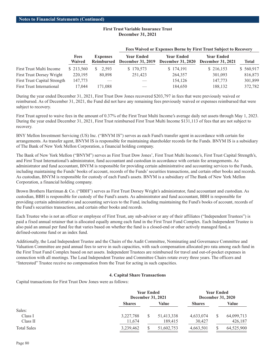|                                     |                              |                                      | Then there are multiple in the parties of the state more one lake to the set in the |                                               |                                        |           |  |  |  |  |
|-------------------------------------|------------------------------|--------------------------------------|-------------------------------------------------------------------------------------|-----------------------------------------------|----------------------------------------|-----------|--|--|--|--|
|                                     | <b>Fees</b><br><b>Waived</b> | <b>Expenses</b><br><b>Reimbursed</b> | <b>Year Ended</b><br><b>December 31, 2019</b>                                       | <b>Year Ended</b><br><b>December 31, 2020</b> | <b>Year Ended</b><br>December 31, 2021 | Total     |  |  |  |  |
| First Trust Multi Income            | \$213,560                    | S.<br>2.593                          | \$170,573                                                                           | \$174,191                                     | \$216,153                              | \$560,917 |  |  |  |  |
| <b>First Trust Dorsey Wright</b>    | 220,195                      | 80,898                               | 251.423                                                                             | 264,357                                       | 301,093                                | 816,873   |  |  |  |  |
| <b>First Trust Capital Strength</b> | 147,773                      |                                      |                                                                                     | 154,126                                       | 147,773                                | 301,899   |  |  |  |  |
| <b>First Trust International</b>    | 17.044                       | 171.088                              |                                                                                     | 184,650                                       | 188.132                                | 372,782   |  |  |  |  |

#### **Fees Waived or Expenses Borne by First Trust Subject to Recovery**

During the year ended December 31, 2021, First Trust Dow Jones recovered \$203,797 in fees that were previously waived or reimbursed. As of December 31, 2021, the Fund did not have any remaining fees previously waived or expenses reimbursed that were subject to recovery.

First Trust agreed to waive fees in the amount of 0.37% of the First Trust Multi Income's average daily net assets through May 1, 2023. During the year ended December 31, 2021, First Trust reimbursed First Trust Multi Income \$131,113 of fees that are not subject to recovery.

BNY Mellon Investment Servicing (US) Inc. ("BNYM IS") serves as each Fund's transfer agent in accordance with certain fee arrangements. As transfer agent, BNYM IS is responsible for maintaining shareholder records for the Funds. BNYM IS is a subsidiary of The Bank of New York Mellon Corporation, a financial holding company.

The Bank of New York Mellon ("BNYM") serves as First Trust Dow Jones', First Trust Multi Income's, First Trust Capital Strength's, and First Trust International's administrator, fund accountant and custodian in accordance with certain fee arrangements. As administrator and fund accountant, BNYM is responsible for providing certain administrative and accounting services to the Funds, including maintaining the Funds' books of account, records of the Funds' securities transactions, and certain other books and records. As custodian, BNYM is responsible for custody of each Fund's assets. BNYM is a subsidiary of The Bank of New York Mellon Corporation, a financial holding company.

Brown Brothers Harriman & Co. ("BBH") serves as First Trust Dorsey Wright's administrator, fund accountant and custodian. As custodian, BBH is responsible for custody of the Fund's assets. As administrator and fund accountant, BBH is responsible for providing certain administrative and accounting services to the Fund, including maintaining the Fund's books of account, records of the Fund's securities transactions, and certain other books and records.

Each Trustee who is not an officer or employee of First Trust, any sub-advisor or any of their affiliates ("Independent Trustees") is paid a fixed annual retainer that is allocated equally among each fund in the First Trust Fund Complex. Each Independent Trustee is also paid an annual per fund fee that varies based on whether the fund is a closed-end or other actively managed fund, a defined-outcome fund or an index fund.

Additionally, the Lead Independent Trustee and the Chairs of the Audit Committee, Nominating and Governance Committee and Valuation Committee are paid annual fees to serve in such capacities, with such compensation allocated pro rata among each fund in the First Trust Fund Complex based on net assets. Independent Trustees are reimbursed for travel and out-of-pocket expenses in connection with all meetings. The Lead Independent Trustee and Committee Chairs rotate every three years. The officers and "Interested" Trustee receive no compensation from the Trust for acting in such capacities.

# **4. Capital Share Transactions**

Capital transactions for First Trust Dow Jones were as follows:

|                    |               | <b>Year Ended</b><br>December 31, 2021 |            | <b>Year Ended</b><br><b>December 31, 2020</b> |  |            |
|--------------------|---------------|----------------------------------------|------------|-----------------------------------------------|--|------------|
|                    | <b>Shares</b> |                                        | Value      | <b>Shares</b>                                 |  | Value      |
| Sales:             |               |                                        |            |                                               |  |            |
| Class I            | 3,227,788     |                                        | 51,413,338 | 4,633,074                                     |  | 64,099,713 |
| Class II           | 11,674        |                                        | 189.415    | 30,427                                        |  | 426,187    |
| <b>Total Sales</b> | 3,239,462     |                                        | 51,602,753 | 4,663,501                                     |  | 64,525,900 |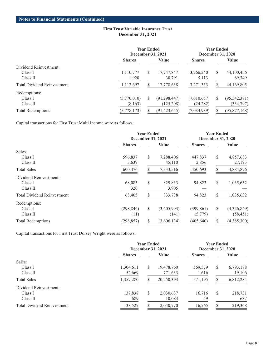|                                    |               | <b>Year Ended</b><br><b>December 31, 2021</b> |                |               | Year Ended<br><b>December 31, 2020</b> |                |  |
|------------------------------------|---------------|-----------------------------------------------|----------------|---------------|----------------------------------------|----------------|--|
|                                    | <b>Shares</b> |                                               | Value          | <b>Shares</b> |                                        | Value          |  |
| Dividend Reinvestment:             |               |                                               |                |               |                                        |                |  |
| Class I                            | 1,110,777     | S                                             | 17,747,847     | 3,266,240     | S                                      | 44,100,456     |  |
| Class II                           | 1,920         |                                               | 30,791         | 5,113         |                                        | 69,349         |  |
| <b>Total Dividend Reinvestment</b> | 1,112,697     |                                               | 17,778,638     | 3,271,353     |                                        | 44,169,805     |  |
| Redemptions:                       |               |                                               |                |               |                                        |                |  |
| Class I                            | (5,770,010)   | S                                             | (91, 298, 447) | (7,010,657)   | S                                      | (95, 542, 371) |  |
| Class II                           | (8,163)       |                                               | (125,208)      | (24, 282)     |                                        | (334, 797)     |  |
| <b>Total Redemptions</b>           | (5,778,173)   | S                                             | (91, 423, 655) | (7,034,939)   |                                        | (95, 877, 168) |  |

Capital transactions for First Trust Multi Income were as follows:

|                                    |               | <b>Year Ended</b><br><b>December 31, 2021</b> |             |               | <b>Year Ended</b><br><b>December 31, 2020</b> |              |  |
|------------------------------------|---------------|-----------------------------------------------|-------------|---------------|-----------------------------------------------|--------------|--|
|                                    | <b>Shares</b> |                                               | Value       | <b>Shares</b> |                                               | <b>Value</b> |  |
| Sales:                             |               |                                               |             |               |                                               |              |  |
| Class I                            | 596,837       | \$                                            | 7,288,406   | 447,837       | \$                                            | 4,857,683    |  |
| Class II                           | 3,639         |                                               | 45,110      | 2,856         |                                               | 27,193       |  |
| <b>Total Sales</b>                 | 600,476       | S                                             | 7,333,516   | 450,693       | S                                             | 4,884,876    |  |
| Dividend Reinvestment:             |               |                                               |             |               |                                               |              |  |
| Class I                            | 68,085        | \$                                            | 829,833     | 94,823        | \$                                            | 1,035,632    |  |
| Class II                           | 320           |                                               | 3,905       |               |                                               |              |  |
| <b>Total Dividend Reinvestment</b> | 68,405        |                                               | 833,738     | 94,823        |                                               | 1,035,632    |  |
| Redemptions:                       |               |                                               |             |               |                                               |              |  |
| Class I                            | (298, 846)    | \$                                            | (3,605,993) | (399, 861)    | \$                                            | (4,326,849)  |  |
| Class II                           | (11)          |                                               | (141)       | (5,779)       |                                               | (58, 451)    |  |
| <b>Total Redemptions</b>           | (298, 857)    | S                                             | (3,606,134) | (405, 640)    | S                                             | (4,385,300)  |  |

Capital transactions for First Trust Dorsey Wright were as follows:

|                                    | <b>Year Ended</b><br><b>December 31, 2021</b> |    |              | <b>Year Ended</b><br><b>December 31, 2020</b> |    |           |
|------------------------------------|-----------------------------------------------|----|--------------|-----------------------------------------------|----|-----------|
|                                    | <b>Shares</b>                                 |    | <b>Value</b> | <b>Shares</b>                                 |    | Value     |
| Sales:                             |                                               |    |              |                                               |    |           |
| Class I                            | 1,304,611                                     | S  | 19,478,760   | 569,579                                       | S  | 6,793,178 |
| Class II                           | 52,669                                        |    | 771,633      | 1,616                                         |    | 19,106    |
| <b>Total Sales</b>                 | 1,357,280                                     |    | 20,250,393   | 571,195                                       |    | 6,812,284 |
| Dividend Reinvestment:             |                                               |    |              |                                               |    |           |
| Class I                            | 137,838                                       | \$ | 2,030,687    | 16,716                                        | \$ | 218,731   |
| Class II                           | 689                                           |    | 10,083       | 49                                            |    | 637       |
| <b>Total Dividend Reinvestment</b> | 138,527                                       |    | 2,040,770    | 16,765                                        |    | 219,368   |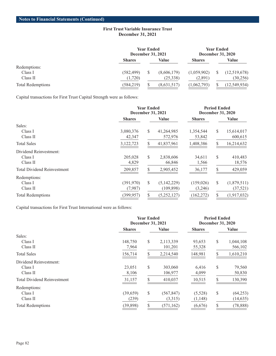|                          |               | <b>Year Ended</b><br>December 31, 2021 |             |               | <b>Year Ended</b><br><b>December 31, 2020</b> |              |  |
|--------------------------|---------------|----------------------------------------|-------------|---------------|-----------------------------------------------|--------------|--|
|                          | <b>Shares</b> |                                        | Value       | <b>Shares</b> |                                               | Value        |  |
| Redemptions:             |               |                                        |             |               |                                               |              |  |
| Class I                  | (582, 499)    |                                        | (8,606,179) | (1,059,902)   |                                               | (12,519,678) |  |
| Class II                 | (1,720)       |                                        | (25,338)    | (2,891)       |                                               | (30, 256)    |  |
| <b>Total Redemptions</b> | (584, 219)    |                                        | (8,631,517) | (1,062,793)   |                                               | (12,549,934) |  |

Capital transactions for First Trust Capital Strength were as follows:

|                                    |                               | <b>Year Ended</b><br><b>December 31, 2021</b> |             |               | <b>Period Ended</b><br><b>December 31, 2020</b> |               |  |  |
|------------------------------------|-------------------------------|-----------------------------------------------|-------------|---------------|-------------------------------------------------|---------------|--|--|
|                                    | <b>Value</b><br><b>Shares</b> |                                               |             | <b>Shares</b> |                                                 | <b>Value</b>  |  |  |
| Sales:                             |                               |                                               |             |               |                                                 |               |  |  |
| Class I                            | 3,080,376                     | <sup>\$</sup>                                 | 41,264,985  | 1,354,544     | S                                               | 15,614,017    |  |  |
| Class II                           | 42,347                        |                                               | 572,976     | 53,842        |                                                 | 600,615       |  |  |
| <b>Total Sales</b>                 | 3,122,723                     | S.                                            | 41,837,961  | 1,408,386     | S                                               | 16,214,632    |  |  |
| Dividend Reinvestment:             |                               |                                               |             |               |                                                 |               |  |  |
| Class I                            | 205,028                       | <sup>\$</sup>                                 | 2,838,606   | 34,611        | S                                               | 410,483       |  |  |
| Class II                           | 4,829                         |                                               | 66,846      | 1,566         |                                                 | 18,576        |  |  |
| <b>Total Dividend Reinvestment</b> | 209,857                       |                                               | 2,905,452   | 36,177        |                                                 | 429,059       |  |  |
| Redemptions:                       |                               |                                               |             |               |                                                 |               |  |  |
| Class I                            | (391,970)                     | \$                                            | (5,142,229) | (159, 026)    | \$                                              | (1,879,511)   |  |  |
| Class II                           | (7,987)                       |                                               | (109, 898)  | (3,246)       |                                                 | (37, 521)     |  |  |
| <b>Total Redemptions</b>           | (399, 957)                    |                                               | (5,252,127) | (162, 272)    |                                                 | (1, 917, 032) |  |  |

Capital transactions for First Trust International were as follows:

|                                    |                               | <b>Year Ended</b><br>December 31, 2021 |            | <b>Period Ended</b><br><b>December 31, 2020</b> |               |           |
|------------------------------------|-------------------------------|----------------------------------------|------------|-------------------------------------------------|---------------|-----------|
|                                    | <b>Value</b><br><b>Shares</b> |                                        |            | <b>Shares</b>                                   |               | Value     |
| Sales:                             |                               |                                        |            |                                                 |               |           |
| Class I                            | 148,750                       | \$                                     | 2,113,339  | 93,653                                          | \$            | 1,044,108 |
| Class II                           | 7,964                         |                                        | 101,201    | 55,328                                          |               | 566,102   |
| <b>Total Sales</b>                 | 156,714                       | S                                      | 2,214,540  | 148,981                                         | <sup>\$</sup> | 1,610,210 |
| Dividend Reinvestment:             |                               |                                        |            |                                                 |               |           |
| Class I                            | 23,051                        | \$                                     | 303,060    | 6,416                                           | S             | 79,560    |
| Class II                           | 8,106                         |                                        | 106,977    | 4,099                                           |               | 50,830    |
| <b>Total Dividend Reinvestment</b> | 31,157                        |                                        | 410,037    | 10,515                                          |               | 130,390   |
| Redemptions:                       |                               |                                        |            |                                                 |               |           |
| Class I                            | (39, 659)                     | \$                                     | (567, 847) | (5,528)                                         | \$            | (64,253)  |
| Class II                           | (239)                         |                                        | (3,315)    | (1,148)                                         |               | (14, 635) |
| <b>Total Redemptions</b>           | (39, 898)                     |                                        | (571, 162) | (6,676)                                         |               | (78, 888) |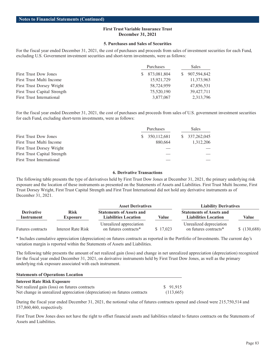#### **5. Purchases and Sales of Securities**

For the fiscal year ended December 31, 2021, the cost of purchases and proceeds from sales of investment securities for each Fund, excluding U.S. Government investment securities and short-term investments, were as follows:

|                                     | Purchases         | Sales          |  |  |
|-------------------------------------|-------------------|----------------|--|--|
| <b>First Trust Dow Jones</b>        | 873,081,804<br>S. | \$ 907,594,842 |  |  |
| First Trust Multi Income            | 15,921,729        | 11,373,963     |  |  |
| First Trust Dorsey Wright           | 58,724,959        | 47,856,531     |  |  |
| <b>First Trust Capital Strength</b> | 75,520,190        | 39,427,711     |  |  |
| First Trust International           | 3,877,067         | 2,313,796      |  |  |

For the fiscal year ended December 31, 2021, the cost of purchases and proceeds from sales of U.S. government investment securities for each Fund, excluding short-term investments, were as follows:

|                                  | Purchases |               |  | Sales         |  |  |
|----------------------------------|-----------|---------------|--|---------------|--|--|
| <b>First Trust Dow Jones</b>     | S.        | 350, 112, 681 |  | \$337,262,045 |  |  |
| First Trust Multi Income         |           | 880.664       |  | 1,312,206     |  |  |
| First Trust Dorsey Wright        |           |               |  |               |  |  |
| First Trust Capital Strength     |           |               |  |               |  |  |
| <b>First Trust International</b> |           |               |  |               |  |  |

#### **6. Derivative Transactions**

The following table presents the type of derivatives held by First Trust Dow Jones at December 31, 2021, the primary underlying risk exposure and the location of these instruments as presented on the Statements of Assets and Liabilities. First Trust Multi Income, First Trust Dorsey Wright, First Trust Capital Strength and First Trust International did not hold any derivative instruments as of December 31, 2021.

|                                 |                                | <b>Asset Derivatives</b>                                       |          | <b>Liability Derivatives</b>                                   |              |  |  |
|---------------------------------|--------------------------------|----------------------------------------------------------------|----------|----------------------------------------------------------------|--------------|--|--|
| <b>Derivative</b><br>Instrument | <b>Risk</b><br><b>Exposure</b> | <b>Statements of Assets and</b><br><b>Liabilities Location</b> | Value    | <b>Statements of Assets and</b><br><b>Liabilities Location</b> | <b>Value</b> |  |  |
| <b>Futures contracts</b>        | Interest Rate Risk             | Unrealized appreciation<br>on futures contracts <sup>*</sup>   | \$17.023 | Unrealized depreciation<br>on futures contracts <sup>*</sup>   | \$(130,688)  |  |  |

\* Includes cumulative appreciation (depreciation) on futures contracts as reported in the Portfolio of Investments. The current day's variation margin is reported within the Statements of Assets and Liabilities.

The following table presents the amount of net realized gain (loss) and change in net unrealized appreciation (depreciation) recognized for the fiscal year ended December 31, 2021, on derivative instruments held by First Trust Dow Jones, as well as the primary underlying risk exposure associated with each instrument.

#### **Statements of Operations Location**

| <b>Interest Rate Risk Exposure</b>                                        |           |
|---------------------------------------------------------------------------|-----------|
| Net realized gain (loss) on futures contracts                             | \$91.915  |
| Net change in unrealized appreciation (depreciation) on futures contracts | (113,665) |

During the fiscal year ended December 31, 2021, the notional value of futures contracts opened and closed were 215,750,514 and 157,860,460, respectively.

First Trust Dow Jones does not have the right to offset financial assets and liabilities related to futures contracts on the Statements of Assets and Liabilities.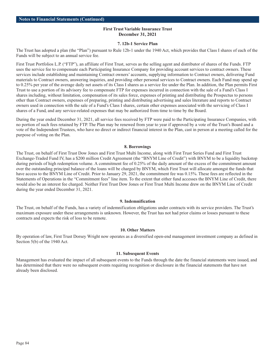#### **7. 12b-1 Service Plan**

The Trust has adopted a plan (the "Plan") pursuant to Rule 12b-1 under the 1940 Act, which provides that Class I shares of each of the Funds will be subject to an annual service fee.

First Trust Portfolios L.P. ("FTP"), an affiliate of First Trust, serves as the selling agent and distributor of shares of the Funds. FTP uses the service fee to compensate each Participating Insurance Company for providing account services to contract owners. These services include establishing and maintaining Contract owners' accounts, supplying information to Contract owners, delivering Fund materials to Contract owners, answering inquiries, and providing other personal services to Contract owners. Each Fund may spend up to 0.25% per year of the average daily net assets of its Class I shares as a service fee under the Plan. In addition, the Plan permits First Trust to use a portion of its advisory fee to compensate FTP for expenses incurred in connection with the sale of a Fund's Class I shares including, without limitation, compensation of its sales force, expenses of printing and distributing the Prospectus to persons other than Contract owners, expenses of preparing, printing and distributing advertising and sales literature and reports to Contract owners used in connection with the sale of a Fund's Class I shares, certain other expenses associated with the servicing of Class I shares of a Fund, and any service-related expenses that may be authorized from time to time by the Board.

During the year ended December 31, 2021, all service fees received by FTP were paid to the Participating Insurance Companies, with no portion of such fees retained by FTP. The Plan may be renewed from year to year if approved by a vote of the Trust's Board and a vote of the Independent Trustees, who have no direct or indirect financial interest in the Plan, cast in person at a meeting called for the purpose of voting on the Plan.

#### **8. Borrowings**

The Trust, on behalf of First Trust Dow Jones and First Trust Multi Income, along with First Trust Series Fund and First Trust Exchange-Traded Fund IV, has a \$200 million Credit Agreement (the "BNYM Line of Credit") with BNYM to be a liquidity backstop during periods of high redemption volume. A commitment fee of 0.25% of the daily amount of the excess of the commitment amount over the outstanding principal balance of the loans will be charged by BNYM, which First Trust will allocate amongst the funds that have access to the BNYM Line of Credit. Prior to January 29, 2021, the commitment fee was 0.15%. These fees are reflected in the Statements of Operations in the "Commitment fees" line item. To the extent that either fund accesses the BNYM Line of Credit, there would also be an interest fee charged. Neither First Trust Dow Jones or First Trust Multi Income drew on the BNYM Line of Credit during the year ended December 31, 2021.

#### **9. Indemnification**

The Trust, on behalf of the Funds, has a variety of indemnification obligations under contracts with its service providers. The Trust's maximum exposure under these arrangements is unknown. However, the Trust has not had prior claims or losses pursuant to these contracts and expects the risk of loss to be remote.

#### **10. Other Matters**

By operation of law, First Trust Dorsey Wright now operates as a diversified open-end management investment company as defined in Section 5(b) of the 1940 Act.

#### **11. Subsequent Events**

Management has evaluated the impact of all subsequent events to the Funds through the date the financial statements were issued, and has determined that there were no subsequent events requiring recognition or disclosure in the financial statements that have not already been disclosed.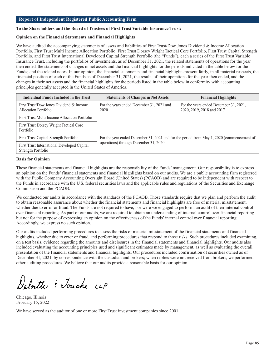## **Report of Independent Registered Public Accounting Firm**

#### **To the Shareholders and the Board of Trustees of First Trust Variable Insurance Trust:**

# **Opinion on the Financial Statements and Financial Highlights**

We have audited the accompanying statements of assets and liabilities of First Trust/Dow Jones Dividend & Income Allocation Portfolio, First Trust Multi Income Allocation Portfolio, First Trust Dorsey Wright Tactical Core Portfolio, First Trust Capital Strength Portfolio, and First Trust International Developed Capital Strength Portfolio (the "Funds"), each a series of the First Trust Variable Insurance Trust, including the portfolios of investments, as of December 31, 2021, the related statements of operations for the year then ended, the statements of changes in net assets and the financial highlights for the periods indicated in the table below for the Funds; and the related notes. In our opinion, the financial statements and financial highlights present fairly, in all material respects, the financial position of each of the Funds as of December 31, 2021, the results of their operations for the year then ended, and the changes in their net assets and the financial highlights for the periods listed in the table below in conformity with accounting principles generally accepted in the United States of America.

| Individual Funds Included in the Trust                            | <b>Statements of Changes in Net Assets</b>                                                | <b>Financial Highlights</b>                                         |  |  |
|-------------------------------------------------------------------|-------------------------------------------------------------------------------------------|---------------------------------------------------------------------|--|--|
| First Trust/Dow Jones Dividend & Income<br>Allocation Portfolio   | For the years ended December 31, 2021 and<br>2020                                         | For the years ended December 31, 2021,<br>2020, 2019, 2018 and 2017 |  |  |
| First Trust Multi Income Allocation Portfolio                     |                                                                                           |                                                                     |  |  |
| First Trust Dorsey Wright Tactical Core<br>Portfolio              |                                                                                           |                                                                     |  |  |
| First Trust Capital Strength Portfolio                            | For the year ended December 31, 2021 and for the period from May 1, 2020 (commencement of |                                                                     |  |  |
| First Trust International Developed Capital<br>Strength Portfolio | operations) through December 31, 2020                                                     |                                                                     |  |  |

#### **Basis for Opinion**

These financial statements and financial highlights are the responsibility of the Funds' management. Our responsibility is to express an opinion on the Funds' financial statements and financial highlights based on our audits. We are a public accounting firm registered with the Public Company Accounting Oversight Board (United States) (PCAOB) and are required to be independent with respect to the Funds in accordance with the U.S. federal securities laws and the applicable rules and regulations of the Securities and Exchange Commission and the PCAOB.

We conducted our audits in accordance with the standards of the PCAOB. Those standards require that we plan and perform the audit to obtain reasonable assurance about whether the financial statements and financial highlights are free of material misstatement, whether due to error or fraud. The Funds are not required to have, nor were we engaged to perform, an audit of their internal control over financial reporting. As part of our audits, we are required to obtain an understanding of internal control over financial reporting but not for the purpose of expressing an opinion on the effectiveness of the Funds' internal control over financial reporting. Accordingly, we express no such opinion.

Our audits included performing procedures to assess the risks of material misstatement of the financial statements and financial highlights, whether due to error or fraud, and performing procedures that respond to those risks. Such procedures included examining, on a test basis, evidence regarding the amounts and disclosures in the financial statements and financial highlights. Our audits also included evaluating the accounting principles used and significant estimates made by management, as well as evaluating the overall presentation of the financial statements and financial highlights. Our procedures included confirmation of securities owned as of December 31, 2021, by correspondence with the custodian and brokers; when replies were not received from brokers, we performed other auditing procedures. We believe that our audits provide a reasonable basis for our opinion.

Deloitte : Touche LLP

Chicago, Illinois February 15, 2022

We have served as the auditor of one or more First Trust investment companies since 2001.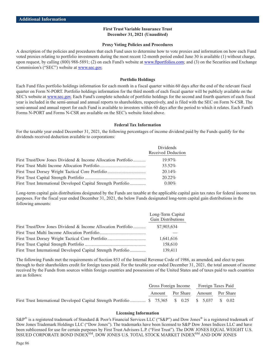#### **Proxy Voting Policies and Procedures**

A description of the policies and procedures that each Fund uses to determine how to vote proxies and information on how each Fund voted proxies relating to portfolio investments during the most recent 12-month period ended June 30 is available (1) without charge, upon request, by calling (800) 988-5891; (2) on each Fund's website at [www.ftportfolios.com;](https://www.ftportfolios.com) and (3) on the Securities and Exchange Commission's ("SEC") website at [www.sec.gov.](http://www.sec.gov)

#### **Portfolio Holdings**

Each Fund files portfolio holdings information for each month in a fiscal quarter within 60 days after the end of the relevant fiscal quarter on Form N-PORT. Portfolio holdings information for the third month of each fiscal quarter will be publicly available on the SEC's website at [www.sec.gov.](http://www.sec.gov.) Each Fund's complete schedule of portfolio holdings for the second and fourth quarters of each fiscal year is included in the semi-annual and annual reports to shareholders, respectively, and is filed with the SEC on Form N-CSR. The semi-annual and annual report for each Fund is available to investors within 60 days after the period to which it relates. Each Fund's Forms N-PORT and Forms N-CSR are available on the SEC's website listed above.

#### **Federal Tax Information**

For the taxable year ended December 31, 2021, the following percentages of income dividend paid by the Funds qualify for the dividends received deduction available to corporations:

|                                                                | <b>Dividends</b>   |
|----------------------------------------------------------------|--------------------|
|                                                                | Received Deduction |
| First Trust/Dow Jones Dividend & Income Allocation Portfolio   | $19.97\%$          |
|                                                                | 33.52%             |
|                                                                | 20.14\%            |
|                                                                | $20.22\%$          |
| First Trust International Developed Capital Strength Portfolio | $0.00\%$           |

Long-term capital gain distributions designated by the Funds are taxable at the applicable capital gain tax rates for federal income tax purposes. For the fiscal year ended December 31, 2021, the below Funds designated long-term capital gain distributions in the following amounts:

|                                                                | Long-Term Capital<br><b>Gain Distributions</b> |
|----------------------------------------------------------------|------------------------------------------------|
| First Trust/Dow Jones Dividend & Income Allocation Portfolio   | \$7,903,634                                    |
|                                                                |                                                |
|                                                                | 1,641,616                                      |
|                                                                | 158,610                                        |
| First Trust International Developed Capital Strength Portfolio | 139,411                                        |

The following Funds met the requirements of Section 853 of the Internal Revenue Code of 1986, as amended, and elect to pass through to their shareholders credit for foreign taxes paid. For the taxable year ended December 31, 2021, the total amount of income received by the Funds from sources within foreign countries and possessions of the United States and of taxes paid to such countries are as follows:

|                                                                                                    | Gross Foreign Income              |  | Foreign Taxes Paid |  |  |  |
|----------------------------------------------------------------------------------------------------|-----------------------------------|--|--------------------|--|--|--|
|                                                                                                    | Amount Per Share Amount Per Share |  |                    |  |  |  |
| First Trust International Developed Capital Strength Portfolio  \$ 75,365 \$ 0.25 \$ 5,037 \$ 0.02 |                                   |  |                    |  |  |  |

#### **Licensing Information**

S&P<sup>®</sup> is a registered trademark of Standard & Poor's Financial Services LLC ("S&P") and Dow Jones<sup>®</sup> is a registered trademark of Dow Jones Trademark Holdings LLC ("Dow Jones"). The trademarks have been licensed to S&P Dow Jones Indices LLC and have been sublicensed for use for certain purposes by First Trust Advisors L.P. ("First Trust"). The DOW JONES EQUAL WEIGHT U.S. ISSUED CORPORATE BOND INDEX<sup>SM</sup>, DOW JONES U.S. TOTAL STOCK MARKET INDEX<sup>SM</sup> AND DOW JONES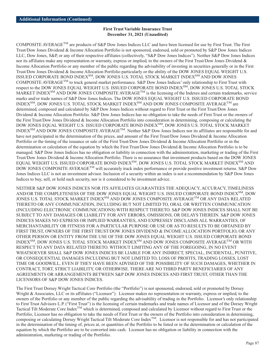COMPOSITE AVERAGETM are products of S&P Dow Jones Indices LLC and have been licensed for use by First Trust. The First Trust/Dow Jones Dividend & Income Allocation Portfolio is not sponsored, endorsed, sold or promoted by S&P Dow Jones Indices LLC, Dow Jones, S&P, or any of their respective affiliates (collectively, "S&P Dow Jones Indices"). Neither S&P Dow Jones Indices nor its affiliates make any representation or warranty, express or implied, to the owners of the First Trust/Dow Jones Dividend & Income Allocation Portfolio or any member of the public regarding the advisability of investing in securities generally or in the First Trust/Dow Jones Dividend & Income Allocation Portfolio particularly or the ability of the DOW JONES EQUAL WEIGHT U.S. ISSUED CORPORATE BOND INDEX<sup>SM</sup>, DOW JONES U.S. TOTAL STOCK MARKET INDEX<sup>SM</sup> AND DOW JONES COMPOSITE AVERAGE<sup>TM</sup> to track general market performance. S&P Dow Jones Indices' only relationship to First Trust with respect to the DOW JONES EQUAL WEIGHT U.S. ISSUED CORPORATE BOND INDEXSM, DOW JONES U.S. TOTAL STOCK MARKET INDEX<sup>SM</sup> AND DOW JONES COMPOSITE AVERAGE<sup>TM</sup> is the licensing of the Indexes and certain trademarks, service marks and/or trade names of S&P Dow Jones Indices. The DOW JONES EQUAL WEIGHT U.S. ISSUED CORPORATE BOND INDEX $^{\text{SM}}$ , DOW JONES U.S. TOTAL STOCK MARKET INDEX $^{\text{SM}}$  AND DOW JONES COMPOSITE AVERAGE $^{\text{TM}}$  are determined, composed and calculated by S&P Dow Jones Indices without regard to First Trust or the First Trust/Dow Jones Dividend & Income Allocation Portfolio. S&P Dow Jones Indices has no obligation to take the needs of First Trust or the owners of the First Trust/Dow Jones Dividend & Income Allocation Portfolio into consideration in determining, composing or calculating the DOW JONES EQUAL WEIGHT U.S. ISSUED CORPORATE BOND INDEX<sup>SM</sup>, DOW JONES U.S. TOTAL STOCK MARKET INDEXSM AND DOW JONES COMPOSITE AVERAGETM. Neither S&P Dow Jones Indices nor its affiliates are responsible for and have not participated in the determination of the prices, and amount of the First Trust/Dow Jones Dividend & Income Allocation Portfolio or the timing of the issuance or sale of the First Trust/Dow Jones Dividend & Income Allocation Portfolio or in the determination or calculation of the equation by which the First Trust/Dow Jones Dividend & Income Allocation Portfolio is to be managed. S&P Dow Jones Indices has no obligation or liability in connection with the administration, marketing or trading of the First Trust/Dow Jones Dividend & Income Allocation Portfolio. There is no assurance that investment products based on the DOW JONES EQUAL WEIGHT U.S. ISSUED CORPORATE BOND INDEX<sup>SM</sup>, DOW JONES U.S. TOTAL STOCK MARKET INDEX<sup>SM</sup> AND DOW JONES COMPOSITE AVERAGE<sup>TM</sup> will accurately track index performance or provide positive investment returns. S&P Dow Jones Indices LLC is not an investment advisor. Inclusion of a security within an index is not a recommendation by S&P Dow Jones Indices to buy, sell, or hold such security, nor is it considered to be investment advice.

NEITHER S&P DOW JONES INDICES NOR ITS AFFILIATES GUARANTEES THE ADEQUACY, ACCURACY, TIMELINESS AND/OR THE COMPLETENESS OF THE DOW JONES EQUAL WEIGHT U.S. ISSUED CORPORATE BOND INDEX<sup>SM</sup>, DOW JONES U.S. TOTAL STOCK MARKET INDEX<sup>SM</sup> AND DOW JONES COMPOSITE AVERAGE<sup>TM</sup> OR ANY DATA RELATED THERETO OR ANY COMMUNICATION, INCLUDING BUT NOT LIMITED TO, ORAL OR WRITTEN COMMUNICATION (INCLUDING ELECTRONIC COMMUNICATIONS) WITH RESPECT THERETO. S&P DOW JONES INDICES SHALL NOT BE SUBJECT TO ANY DAMAGES OR LIABILITY FOR ANY ERRORS, OMISSIONS, OR DELAYS THEREIN. S&P DOW JONES INDICES MAKES NO EXPRESS OR IMPLIED WARRANTIES, AND EXPRESSLY DISCLAIMS ALL WARRANTIES, OF MERCHANTABILITY OR FITNESS FOR A PARTICULAR PURPOSE OR USE OR AS TO RESULTS TO BE OBTAINED BY FIRST TRUST, OWNERS OF THE FIRST TRUST/DOW JONES DIVIDEND & INCOME ALLOCATION PORTFOLIO, OR ANY OTHER PERSON OR ENTITY FROM THE USE OF THE DOW JONES EQUAL WEIGHT U.S. ISSUED CORPORATE BOND INDEX<sup>SM</sup>, DOW JONES U.S. TOTAL STOCK MARKET INDEX<sup>SM</sup> AND DOW JONES COMPOSITE AVERAGE<sup>TM</sup> OR WITH RESPECT TO ANY DATA RELATED THERETO. WITHOUT LIMITING ANY OF THE FOREGOING, IN NO EVENT WHATSOEVER SHALL S&P DOW JONES INDICES BE LIABLE FOR ANY INDIRECT, SPECIAL, INCIDENTAL, PUNITIVE, OR CONSEQUENTIAL DAMAGES INCLUDING BUT NOT LIMITED TO, LOSS OF PROFITS, TRADING LOSSES, LOST TIME OR GOODWILL, EVEN IF THEY HAVE BEEN ADVISED OF THE POSSIBILITY OF SUCH DAMAGES, WHETHER IN CONTRACT, TORT, STRICT LIABILITY, OR OTHERWISE. THERE ARE NO THIRD PARTY BENEFICIARIES OF ANY AGREEMENTS OR ARRANGEMENTS BETWEEN S&P DOW JONES INDICES AND FIRST TRUST, OTHER THAN THE LICENSORS OF S&P DOW JONES INDICES.

The First Trust Dorsey Wright Tactical Core Portfolio (the "Portfolio") is not sponsored, endorsed, sold or promoted by Dorsey Wright & Associates, LLC or its affiliates ("Licensor"). Licensor makes no representation or warranty, express or implied, to the owners of the Portfolio or any member of the public regarding the advisability of trading in the Portfolio. Licensor's only relationship to First Trust Advisors L.P. ("First Trust") is the licensing of certain trademarks and trade names of Licensor and of the Dorsey Wright Tactical Tilt Moderate Core Index<sup>TM</sup> which is determined, composed and calculated by Licensor without regard to First Trust or the Portfolio, Licensor has no obligation to take the needs of First Trust or the owners of the Portfolio into consideration in determining, composing or calculating Dorsey Wright Tactical Tilt Moderate Core Index<sup>TM</sup>. Licensor is not responsible for and has not participated in the determination of the timing of, prices at, or quantities of the Portfolio to be listed or in the determination or calculation of the equation by which the Portfolio are to be converted into cash. Licensor has no obligation or liability in connection with the administration, marketing or trading of the Portfolio.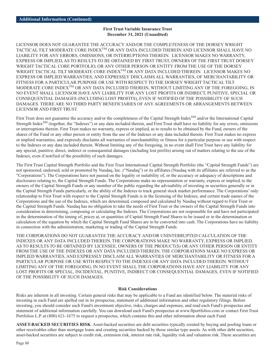LICENSOR DOES NOT GUARANTEE THE ACCURACY AND/OR THE COMPLETENESS OF THE DORSEY WRIGHT TACTICAL TILT MODERATE CORE INDEX<sup>TM</sup> OR ANY DATA INCLUDED THEREIN AND LICENSOR SHALL HAVE NO LIABILITY FOR ANY ERRORS, OMISSIONS, OR INTERRUPTIONS THEREIN. LICENSOR MAKES NO WARRANTY, EXPRESS OR IMPLIED, AS TO RESULTS TO BE OBTAINED BY FIRST TRUST, OWNERS OF THE FIRST TRUST DORSEY WRIGHT TACTICAL CORE PORTFOLIO, OR ANY OTHER PERSON OR ENTITY FROM THE USE OF THE DORSEY WRIGHT TACTICAL TILT MODERATE CORE INDEXTM OR ANY DATA INCLUDED THEREIN. LICENSOR MAKES NO EXPRESS OR IMPLIED WARRANTIES, AND EXPRESSLY DISCLAIMS ALL WARRANTIES, OF MERCHANTABILITY OR FITNESS FOR A PARTICULAR PURPOSE OR USE WITH RESPECT TO THE DORSEY WRIGHT TACTICAL TILT MODERATE CORE INDEXTM OR ANY DATA INCLUDED THEREIN, WITHOUT LIMITING ANY OF THE FOREGOING, IN NO EVENT SHALL LICENSOR HAVE ANY LIABILITY FOR ANY LOST PROFITS OR INDIRECT, PUNITIVE, SPECIAL OR CONSEQUENTIAL DAMAGES (INCLUDING LOST PROFITS), EVEN IF NOTIFIED OF THE POSSIBILITY OF SUCH DAMAGES. THERE ARE NO THIRD PARTY BENEFICIARIES OF ANY AGREEMENTS OR ARRANGEMENTS BETWEEN LICENSOR AND FIRST TRUST.

First Trust does not guarantee the accuracy and/or the completeness of the Capital Strength Index<sup>SM</sup> and/or the International Capital Strength Index<sup>SM</sup> (together, the "Indexes") or any data included therein, and First Trust shall have no liability for any errors, omissions or interruptions therein. First Trust makes no warranty, express or implied, as to results to be obtained by the Fund, owners of the shares of the Fund or any other person or entity from the use of the Indexes or any data included therein. First Trust makes no express or implied warranties, and expressly disclaims all warranties of merchantability or fitness for a particular purpose or use with respect to the Indexes or any data included therein. Without limiting any of the foregoing, in no event shall First Trust have any liability for any special, punitive, direct, indirect or consequential damages (including lost profits) arising out of matters relating to the use of the Indexes, even if notified of the possibility of such damages.

The First Trust Capital Strength Portfolio and the First Trust International Capital Strength Portfolio (the "Capital Strength Funds") are not sponsored, endorsed, sold or promoted by Nasdaq, Inc. ("Nasdaq") or its affiliates (Nasdaq with its affiliates are referred to as the "Corporations"). The Corporations have not passed on the legality or suitability of, or the accuracy or adequacy of descriptions and disclosures relating to, the Capital Strength Funds. The Corporations make no representation or warranty, express or implied, to the owners of the Capital Strength Funds or any member of the public regarding the advisability of investing in securities generally or in the Capital Strength Funds particularly, or the ability of the Indexes to track general stock market performance. The Corporations' only relationship to First Trust with respect to the Capital Strength Funds is in the licensing of the Indexes, and certain trade names of the Corporations and the use of the Indexes, which are determined, composed and calculated by Nasdaq without regard to First Trust or the Capital Strength Funds. Nasdaq has no obligation to take the needs of First Trust or the owners of the Capital Strength Funds into consideration in determining, composing or calculating the Indexes. The Corporations are not responsible for and have not participated in the determination of the timing of, prices at, or quantities of Capital Strength Fund Shares to be issued or in the determination or calculation of the equation by which the Capital Strength Fund Shares are to be converted into cash. The Corporations have no liability in connection with the administration, marketing or trading of the Capital Strength Funds.

THE CORPORATIONS DO NOT GUARANTEE THE ACCURACY AND/OR UNINTERRUPTED CALCULATION OF THE INDEXES OR ANY DATA INCLUDED THEREIN. THE CORPORATIONS MAKE NO WARRANTY, EXPRESS OR IMPLIED, AS TO RESULTS TO BE OBTAINED BY LICENSEE, OWNERS OF THE PRODUCT(S) OR ANY OTHER PERSON OR ENTITY FROM THE USE OF THE INDEXES OR ANY DATA INCLUDED THEREIN. THE CORPORATIONS MAKE NO EXPRESS OR IMPLIED WARRANTIES, AND EXPRESSLY DISCLAIM ALL WARRANTIES OF MERCHANTABILITY OR FITNESS FOR A PARTICULAR PURPOSE OR USE WITH RESPECT TO THE INDEXES OR ANY DATA INCLUDED THEREIN. WITHOUT LIMITING ANY OF THE FOREGOING, IN NO EVENT SHALL THE CORPORATIONS HAVE ANY LIABILITY FOR ANY LOST PROFITS OR SPECIAL, INCIDENTAL, PUNITIVE, INDIRECT OR CONSEQUENTIAL DAMAGES, EVEN IF NOTIFIED OF THE POSSIBILITY OF SUCH DAMAGES.

## **Risk Considerations**

Risks are inherent in all investing. Certain general risks that may be applicable to a Fund are identified below. The material risks of investing in each Fund are spelled out in its prospectus, statement of additional information and other regulatory filings. Before investing, you should consider each Fund's investment objective, risks, charges and expenses, and read each Fund's prospectus and statement of additional information carefully. You can download each Fund's prospectus at www.ftportfolios.com or contact First Trust Portfolios L.P. at (800) 621-1675 to request a prospectus, which contains this and other information about each Fund.

**ASSET-BACKED SECURITIES RISK**. Asset-backed securities are debt securities typically created by buying and pooling loans or other receivables other than mortgage loans and creating securities backed by those similar type assets. As with other debt securities, asset-backed securities are subject to credit risk, extension risk, interest rate risk, liquidity risk and valuation risk. These securities are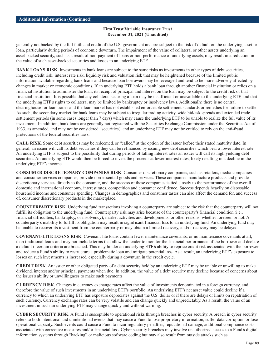generally not backed by the full faith and credit of the U.S. government and are subject to the risk of default on the underlying asset or loan, particularly during periods of economic downturn. The impairment of the value of collateral or other assets underlying an asset-backed security, such as a result of non-payment of loans or non-performance of underlying assets, may result in a reduction in the value of such asset-backed securities and losses to an underlying ETF.

**BANK LOANS RISK.** Investments in bank loans are subject to the same risks as investments in other types of debt securities, including credit risk, interest rate risk, liquidity risk and valuation risk that may be heightened because of the limited public information available regarding bank loans and because loan borrowers may be leveraged and tend to be more adversely affected by changes in market or economic conditions. If an underlying ETF holds a bank loan through another financial institution or relies on a financial institution to administer the loan, its receipt of principal and interest on the loan may be subject to the credit risk of that financial institution. It is possible that any collateral securing a loan may be insufficient or unavailable to the underlying ETF, and that the underlying ETF's rights to collateral may be limited by bankruptcy or insolvency laws. Additionally, there is no central clearinghouse for loan trades and the loan market has not established enforceable settlement standards or remedies for failure to settle. As such, the secondary market for bank loans may be subject to irregular trading activity, wide bid/ask spreads and extended trade settlement periods (in some cases longer than 7 days) which may cause the underlying ETF to be unable to realize the full value of its investment. In addition, bank loans are generally not registered with the Securities Exchange Commission under the Securities Act of 1933, as amended, and may not be considered "securities," and an underlying ETF may not be entitled to rely on the anti-fraud protections of the federal securities laws.

**CALL RISK**. Some debt securities may be redeemed, or "called," at the option of the issuer before their stated maturity date. In general, an issuer will call its debt securities if they can be refinanced by issuing new debt securities which bear a lower interest rate. An underlying ETF is subject to the possibility that during periods of falling interest rates an issuer will call its high yielding debt securities. An underlying ETF would then be forced to invest the proceeds at lower interest rates, likely resulting in a decline in the underlying ETF's income.

**CONSUMER DISCRETIONARY COMPANIES RISK**. Consumer discretionary companies, such as retailers, media companies and consumer services companies, provide non-essential goods and services. These companies manufacture products and provide discretionary services directly to the consumer, and the success of these companies is tied closely to the performance of the overall domestic and international economy, interest rates, competition and consumer confidence. Success depends heavily on disposable household income and consumer spending. Changes in demographics and consumer tastes can also affect the demand for, and success of, consumer discretionary products in the marketplace.

**COUNTERPARTY RISK**. Underlying fund transactions involving a counterparty are subject to the risk that the counterparty will not fulfill its obligation to the underlying fund. Counterparty risk may arise because of the counterparty's financial condition (i.e., financial difficulties, bankruptcy, or insolvency), market activities and developments, or other reasons, whether foreseen or not. A counterparty's inability to fulfill its obligation may result in significant financial loss to an underlying fund. An underlying fund may be unable to recover its investment from the counterparty or may obtain a limited recovery, and/or recovery may be delayed.

**COVENANT-LITE LOANS RISK**. Covenant-lite loans contain fewer maintenance covenants, or no maintenance covenants at all, than traditional loans and may not include terms that allow the lender to monitor the financial performance of the borrower and declare a default if certain criteria are breached. This may hinder an underlying ETF's ability to reprice credit risk associated with the borrower and reduce a Fund's ability to restructure a problematic loan and mitigate potential loss. As a result, an underlying ETF's exposure to losses on such investments is increased, especially during a downturn in the credit cycle.

**CREDIT RISK**. An issuer or other obligated party of a debt security held by an underlying ETF may be unable or unwilling to make dividend, interest and/or principal payments when due. In addition, the value of a debt security may decline because of concerns about the issuer's ability or unwillingness to make such payments.

**CURRENCY RISK**. Changes in currency exchange rates affect the value of investments denominated in a foreign currency, and therefore the value of such investments in an underlying ETF's portfolio. An underlying ETF's net asset value could decline if a currency to which an underlying ETF has exposure depreciates against the U.S. dollar or if there are delays or limits on repatriation of such currency. Currency exchange rates can be very volatile and can change quickly and unpredictably. As a result, the value of an investment in such an underlying ETF may change quickly and without warning.

**CYBER SECURITY RISK**. A Fund is susceptible to operational risks through breaches in cyber security. A breach in cyber security refers to both intentional and unintentional events that may cause a Fund to lose proprietary information, suffer data corruption or lose operational capacity. Such events could cause a Fund to incur regulatory penalties, reputational damage, additional compliance costs associated with corrective measures and/or financial loss. Cyber security breaches may involve unauthorized access to a Fund's digital information systems through "hacking" or malicious software coding but may also result from outside attacks such as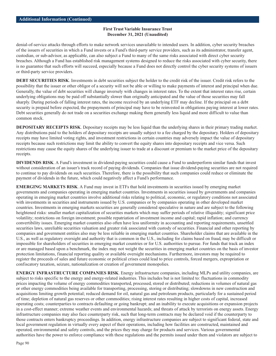denial-of-service attacks through efforts to make network services unavailable to intended users. In addition, cyber security breaches of the issuers of securities in which a Fund invests or a Fund's third-party service providers, such as its administrator, transfer agent, custodian, or sub-advisor, as applicable, can also subject a Fund to many of the same risks associated with direct cyber security breaches. Although a Fund has established risk management systems designed to reduce the risks associated with cyber security, there is no guarantee that such efforts will succeed, especially because a Fund does not directly control the cyber security systems of issuers or third-party service providers.

**DEBT SECURITIES RISK**. Investments in debt securities subject the holder to the credit risk of the issuer. Credit risk refers to the possibility that the issuer or other obligor of a security will not be able or willing to make payments of interest and principal when due. Generally, the value of debt securities will change inversely with changes in interest rates. To the extent that interest rates rise, certain underlying obligations may be paid off substantially slower than originally anticipated and the value of those securities may fall sharply. During periods of falling interest rates, the income received by an underlying ETF may decline. If the principal on a debt security is prepaid before expected, the prepayments of principal may have to be reinvested in obligations paying interest at lower rates. Debt securities generally do not trade on a securities exchange making them generally less liquid and more difficult to value than common stock.

**DEPOSITARY RECEIPTS RISK**. Depositary receipts may be less liquid than the underlying shares in their primary trading market. Any distributions paid to the holders of depositary receipts are usually subject to a fee charged by the depositary. Holders of depositary receipts may have limited voting rights, and investment restrictions in certain countries may adversely impact the value of depositary receipts because such restrictions may limit the ability to convert the equity shares into depositary receipts and vice versa. Such restrictions may cause the equity shares of the underlying issuer to trade at a discount or premium to the market price of the depositary receipts.

**DIVIDENDS RISK**. A Fund's investment in dividend-paying securities could cause a Fund to underperform similar funds that invest without consideration of an issuer's track record of paying dividends. Companies that issue dividend-paying securities are not required to continue to pay dividends on such securities. Therefore, there is the possibility that such companies could reduce or eliminate the payment of dividends in the future, which could negatively affect a Fund's performance.

**EMERGING MARKETS RISK**. A Fund may invest in ETFs that hold investments in securities issued by emerging market governments and companies operating in emerging market countries. Investments in securities issued by governments and companies operating in emerging market countries involve additional risks relating to political, economic, or regulatory conditions not associated with investments in securities and instruments issued by U.S. companies or by companies operating in other developed market countries. Investments in emerging markets securities are generally considered speculative in nature and are subject to the following heightened risks: smaller market capitalization of securities markets which may suffer periods of relative illiquidity; significant price volatility; restrictions on foreign investment; possible repatriation of investment income and capital; rapid inflation; and currency convertibility issues. Emerging market countries also often have less uniformity in accounting and reporting requirements, unsettled securities laws, unreliable securities valuation and greater risk associated with custody of securities. Financial and other reporting by companies and government entities also may be less reliable in emerging market countries. Shareholder claims that are available in the U.S., as well as regulatory oversight and authority that is common in the U.S., including for claims based on fraud, may be difficult or impossible for shareholders of securities in emerging market countries or for U.S. authorities to pursue. For funds that track an index or are managed based upon a benchmark, the index may not weight the securities in emerging market countries on the basis of investor protection limitations, financial reporting quality or available oversight mechanisms. Furthermore, investors may be required to register the proceeds of sales and future economic or political crises could lead to price controls, forced mergers, expropriation or confiscatory taxation, seizure, nationalization or creation of government monopolies.

**ENERGY INFRASTRUCTURE COMPANIES RISK**. Energy infrastructure companies, including MLPs and utility companies, are subject to risks specific to the energy and energy-related industries. This includes but is not limited to: fluctuations in commodity prices impacting the volume of energy commodities transported, processed, stored or distributed; reductions in volumes of natural gas or other energy commodities being available for transporting, processing, storing or distributing; slowdowns in new construction and acquisitions limiting growth potential; reduced demand for oil, natural gas and petroleum products, particularly for a sustained period of time; depletion of natural gas reserves or other commodities; rising interest rates resulting in higher costs of capital, increased operating costs; counterparties to contracts defaulting or going bankrupt; and an inability to execute acquisitions or expansion projects in a cost-effect manner; extreme weather events and environmental hazards; and threats of attack by terrorists on energy assets. Energy infrastructure companies may also face counterparty risk, such that long-term contracts may be declared void if the counterparty to those contracts enters bankruptcy proceedings. In addition, energy infrastructure companies are subject to significant federal, state and local government regulation in virtually every aspect of their operations, including how facilities are constructed, maintained and operated, environmental and safety controls, and the prices they may charge for products and services. Various governmental authorities have the power to enforce compliance with these regulations and the permits issued under them and violators are subject to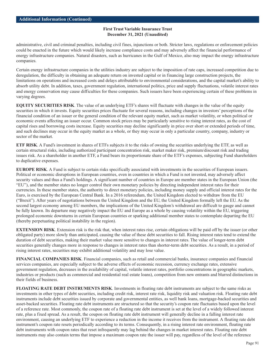administrative, civil and criminal penalties, including civil fines, injunctions or both. Stricter laws, regulations or enforcement policies could be enacted in the future which would likely increase compliance costs and may adversely affect the financial performance of energy infrastructure companies. Natural disasters, such as hurricanes in the Gulf of Mexico, also may impact the energy infrastructure companies.

Certain energy infrastructure companies in the utilities industry are subject to the imposition of rate caps, increased competition due to deregulation, the difficulty in obtaining an adequate return on invested capital or in financing large construction projects, the limitations on operations and increased costs and delays attributable to environmental considerations, and the capital market's ability to absorb utility debt. In addition, taxes, government regulation, international politics, price and supply fluctuations, volatile interest rates and energy conservation may cause difficulties for these companies. Such issuers have been experiencing certain of these problems in varying degrees.

**EQUITY SECURITIES RISK**. The value of an underlying ETF's shares will fluctuate with changes in the value of the equity securities in which it invests. Equity securities prices fluctuate for several reasons, including changes in investors' perceptions of the financial condition of an issuer or the general condition of the relevant equity market, such as market volatility, or when political or economic events affecting an issuer occur. Common stock prices may be particularly sensitive to rising interest rates, as the cost of capital rises and borrowing costs increase. Equity securities may decline significantly in price over short or extended periods of time, and such declines may occur in the equity market as a whole, or they may occur in only a particular country, company, industry or sector of the market.

**ETF RISK**. A Fund's investment in shares of ETFs subjects it to the risks of owning the securities underlying the ETF, as well as certain structural risks, including authorized participant concentration risk, market maker risk, premium/discount risk and trading issues risk. As a shareholder in another ETF, a Fund bears its proportionate share of the ETF's expenses, subjecting Fund shareholders to duplicative expenses.

**EUROPE RISK**. A Fund is subject to certain risks specifically associated with investments in the securities of European issuers. Political or economic disruptions in European countries, even in countries in which a Fund is not invested, may adversely affect security values and thus a Fund's holdings. A significant number of countries in Europe are member states in the European Union (the "EU"), and the member states no longer control their own monetary policies by directing independent interest rates for their currencies. In these member states, the authority to direct monetary policies, including money supply and official interest rates for the Euro, is exercised by the European Central Bank. In a 2016 referendum, the United Kingdom elected to withdraw from the EU ("Brexit"). After years of negotiations between the United Kingdom and the EU, the United Kingdom formally left the EU. As the second largest economy among EU members, the implications of the United Kingdom's withdrawal are difficult to gauge and cannot be fully known. Its departure may negatively impact the EU and Europe as a whole by causing volatility within the EU, triggering prolonged economic downturns in certain European countries or sparking additional member states to contemplate departing the EU (thereby perpetuating political instability in the region).

**EXTENSION RISK**. Extension risk is the risk that, when interest rates rise, certain obligations will be paid off by the issuer (or other obligated party) more slowly than anticipated, causing the value of these debt securities to fall. Rising interest rates tend to extend the duration of debt securities, making their market value more sensitive to changes in interest rates. The value of longer-term debt securities generally changes more in response to changes in interest rates than shorter-term debt securities. As a result, in a period of rising interest rates, securities may exhibit additional volatility and may lose value.

**FINANCIAL COMPANIES RISK**. Financial companies, such as retail and commercial banks, insurance companies and financial services companies, are especially subject to the adverse effects of economic recession, currency exchange rates, extensive government regulation, decreases in the availability of capital, volatile interest rates, portfolio concentrations in geographic markets, industries or products (such as commercial and residential real estate loans), competition from new entrants and blurred distinctions in their fields of business.

**FLOATING RATE DEBT INSTRUMENTS RISK**. Investments in floating rate debt instruments are subject to the same risks as investments in other types of debt securities, including credit risk, interest rate risk, liquidity risk and valuation risk. Floating rate debt instruments include debt securities issued by corporate and governmental entities, as well bank loans, mortgage-backed securities and asset-backed securities. Floating rate debt instruments are structured so that the security's coupon rate fluctuates based upon the level of a reference rate. Most commonly, the coupon rate of a floating rate debt instrument is set at the level of a widely followed interest rate, plus a fixed spread. As a result, the coupon on floating rate debt instrument will generally decline in a falling interest rate environment, causing an underlying ETF to experience a reduction in the income it receives from the instrument. A floating rate debt instrument's coupon rate resets periodically according to its terms. Consequently, in a rising interest rate environment, floating rate debt instruments with coupon rates that reset infrequently may lag behind the changes in market interest rates. Floating rate debt instruments may also contain terms that impose a maximum coupon rate the issuer will pay, regardless of the level of the reference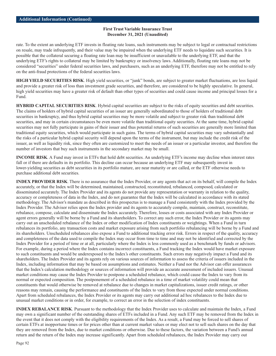rate. To the extent an underlying ETF invests in floating rate loans, such instruments may be subject to legal or contractual restrictions on resale, may trade infrequently, and their value may be impaired when the underlying ETF needs to liquidate such securities. It is possible that the collateral securing a floating rate loan may be insufficient or unavailable to the underlying ETF, and that the underlying ETF's rights to collateral may be limited by bankruptcy or insolvency laws. Additionally, floating rate loans may not be considered "securities" under federal securities laws, and purchasers, such as an underlying ETF, therefore may not be entitled to rely on the anti-fraud protections of the federal securities laws.

**HIGH YIELD SECURITIES RISK**. High yield securities, or "junk" bonds, are subject to greater market fluctuations, are less liquid and provide a greater risk of loss than investment grade securities, and therefore, are considered to be highly speculative. In general, high yield securities may have a greater risk of default than other types of securities and could cause income and principal losses for a Fund.

**HYBRID CAPITAL SECURITIES RISK**. Hybrid capital securities are subject to the risks of equity securities and debt securities. The claims of holders of hybrid capital securities of an issuer are generally subordinated to those of holders of traditional debt securities in bankruptcy, and thus hybrid capital securities may be more volatile and subject to greater risk than traditional debt securities, and may in certain circumstances be even more volatile than traditional equity securities. At the same time, hybrid capital securities may not fully participate in gains of their issuer and thus potential returns of such securities are generally more limited than traditional equity securities, which would participate in such gains. The terms of hybrid capital securities may vary substantially and the risks of a particular hybrid capital security will depend upon the terms of the instrument, but may include the credit risk of the issuer, as well as liquidity risk, since they often are customized to meet the needs of an issuer or a particular investor, and therefore the number of investors that buy such instruments in the secondary market may be small.

**INCOME RISK**. A Fund may invest in ETFs that hold debt securities. An underlying ETF's income may decline when interest rates fall or if there are defaults in its portfolio. This decline can occur because an underlying ETF may subsequently invest in lower-yielding securities as debt securities in its portfolio mature, are near maturity or are called, or the ETF otherwise needs to purchase additional debt securities.

**INDEX PROVIDER RISK**. There is no assurance that the Index Provider, or any agents that act on its behalf, will compile the Index accurately, or that the Index will be determined, maintained, constructed, reconstituted, rebalanced, composed, calculated or disseminated accurately. The Index Provider and its agents do not provide any representation or warranty in relation to the quality, accuracy or completeness of data in the Index, and do not guarantee that the Index will be calculated in accordance with its stated methodology. The Advisor's mandate as described in this prospectus is to manage a Fund consistently with the Index provided by the Index Provider. The Advisor relies upon the Index provider and its agents to accurately compile, maintain, construct, reconstitute, rebalance, compose, calculate and disseminate the Index accurately. Therefore, losses or costs associated with any Index Provider or agent errors generally will be borne by a Fund and its shareholders. To correct any such error, the Index Provider or its agents may carry out an unscheduled rebalance of the Index or other modification of Index constituents or weightings. When a Fund in turn rebalances its portfolio, any transaction costs and market exposure arising from such portfolio rebalancing will be borne by a Fund and its shareholders. Unscheduled rebalances also expose a Fund to additional tracking error risk. Errors in respect of the quality, accuracy and completeness of the data used to compile the Index may occur from time to time and may not be identified and corrected by the Index Provider for a period of time or at all, particularly where the Index is less commonly used as a benchmark by funds or advisors. For example, during a period where the Index contains incorrect constituents, a Fund tracking the Index would have market exposure to such constituents and would be underexposed to the Index's other constituents. Such errors may negatively impact a Fund and its shareholders. The Index Provider and its agents rely on various sources of information to assess the criteria of issuers included in the Index, including information that may be based on assumptions and estimates. Neither a Fund nor the Advisor can offer assurances that the Index's calculation methodology or sources of information will provide an accurate assessment of included issuers. Unusual market conditions may cause the Index Provider to postpone a scheduled rebalance, which could cause the Index to vary from its normal or expected composition. The postponement of a scheduled rebalance in a time of market volatility could mean that constituents that would otherwise be removed at rebalance due to changes in market capitalizations, issuer credit ratings, or other reasons may remain, causing the performance and constituents of the Index to vary from those expected under normal conditions. Apart from scheduled rebalances, the Index Provider or its agents may carry out additional ad hoc rebalances to the Index due to unusual market conditions or in order, for example, to correct an error in the selection of index constituents.

**INDEX REBALANCE RISK**. Pursuant to the methodology that the Index Provider uses to calculate and maintain the Index, a Fund may own a significant number of the outstanding shares of ETFs included in a Fund. Any such ETF may be removed from the Index in the event that it does not comply with the eligibility requirements of the Index. As a result, a Fund may be forced to sell shares of certain ETFs at inopportune times or for prices other than at current market values or may elect not to sell such shares on the day that they are removed from the Index, due to market conditions or otherwise. Due to these factors, the variation between a Fund's annual return and the return of the Index may increase significantly. Apart from scheduled rebalances, the Index Provider may carry out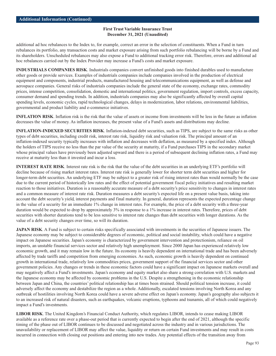additional ad hoc rebalances to the Index to, for example, correct an error in the selection of constituents. When a Fund in turn rebalances its portfolio, any transaction costs and market exposure arising from such portfolio rebalancing will be borne by a Fund and its shareholders. Unscheduled rebalances may also expose a Fund to additional tracking error risk. Therefore, errors and additional ad hoc rebalances carried out by the Index Provider may increase a Fund's costs and market exposure.

**INDUSTRIALS COMPANIES RISK**. Industrials companies convert unfinished goods into finished durables used to manufacture other goods or provide services. Examples of industrials companies include companies involved in the production of electrical equipment and components, industrial products, manufactured housing and telecommunications equipment, as well as defense and aerospace companies. General risks of industrials companies include the general state of the economy, exchange rates, commodity prices, intense competition, consolidation, domestic and international politics, government regulation, import controls, excess capacity, consumer demand and spending trends. In addition, industrials companies may also be significantly affected by overall capital spending levels, economic cycles, rapid technological changes, delays in modernization, labor relations, environmental liabilities, governmental and product liability and e-commerce initiatives.

**INFLATION RISK**. Inflation risk is the risk that the value of assets or income from investments will be less in the future as inflation decreases the value of money. As inflation increases, the present value of a Fund's assets and distributions may decline.

**INFLATION-INDEXED SECURITIES RISK**. Inflation-indexed debt securities, such as TIPS, are subject to the same risks as other types of debt securities, including credit risk, interest rate risk, liquidity risk and valuation risk. The principal amount of an inflation-indexed security typically increases with inflation and decreases with deflation, as measured by a specified index. Although the holders of TIPS receive no less than the par value of the security at maturity, if a Fund purchases TIPS in the secondary market whose principal values have previously been adjusted upward and there is a period of subsequent declining inflation rates, a Fund may receive at maturity less than it invested and incur a loss.

**INTEREST RATE RISK**. Interest rate risk is the risk that the value of the debt securities in an underlying ETF's portfolio will decline because of rising market interest rates. Interest rate risk is generally lower for shorter term debt securities and higher for longer-term debt securities. An underlying ETF may be subject to a greater risk of rising interest rates than would normally be the case due to the current period of historically low rates and the effect of potential government fiscal policy initiatives and resulting market reaction to those initiatives. Duration is a reasonably accurate measure of a debt security's price sensitivity to changes in interest rates and a common measure of interest rate risk. Duration measures a debt security's expected life on a present value basis, taking into account the debt security's yield, interest payments and final maturity. In general, duration represents the expected percentage change in the value of a security for an immediate 1% change in interest rates. For example, the price of a debt security with a three-year duration would be expected to drop by approximately 3% in response to a 1% increase in interest rates. Therefore, prices of debt securities with shorter durations tend to be less sensitive to interest rate changes than debt securities with longer durations. As the value of a debt security changes over time, so will its duration.

**JAPAN RISK**. A Fund is subject to certain risks specifically associated with investments in the securities of Japanese issuers. The Japanese economy may be subject to considerable degrees of economic, political and social instability, which could have a negative impact on Japanese securities. Japan's economy is characterized by government intervention and protectionism, reliance on oil imports, an unstable financial services sector and relatively high unemployment. Since 2000 Japan has experienced relatively low economic growth, and it may remain low in the future. Its economy is heavily dependent on international trade and has been adversely affected by trade tariffs and competition from emerging economies. As such, economic growth is heavily dependent on continued growth in international trade, relatively low commodities prices, government support of the financial services sector and other government policies. Any changes or trends in these economic factors could have a significant impact on Japanese markets overall and may negatively affect a Fund's investments. Japan's economy and equity market also share a strong correlation with U.S. markets and the Japanese economy may be affected by economic problems in the U.S. Despite a strengthening in the economic relationship between Japan and China, the countries' political relationship has at times been strained. Should political tension increase, it could adversely affect the economy and destabilize the region as a whole. Additionally, escalated tensions involving North Korea and any outbreak of hostilities involving North Korea could have a severe adverse effect on Japan's economy. Japan's geography also subjects it to an increased risk of natural disasters, such as earthquakes, volcanic eruptions, typhoons and tsunamis, all of which could negatively impact a Fund's investments.

**LIBOR RISK**. The United Kingdom's Financial Conduct Authority, which regulates LIBOR, intends to cease making LIBOR available as a reference rate over a phase-out period that is currently expected to begin after the end of 2021, although the specific timing of the phase out of LIBOR continues to be discussed and negotiated across the industry and in various jurisdictions. The unavailability or replacement of LIBOR may affect the value, liquidity or return on certain Fund investments and may result in costs incurred in connection with closing out positions and entering into new trades. Any potential effects of the transition away from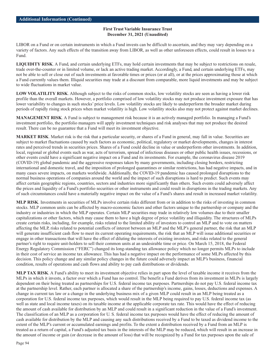LIBOR on a Fund or on certain instruments in which a Fund invests can be difficult to ascertain, and they may vary depending on a variety of factors. Any such effects of the transition away from LIBOR, as well as other unforeseen effects, could result in losses to a Fund.

**LIQUIDITY RISK**. A Fund, and certain underlying ETFs, may hold certain investments that may be subject to restrictions on resale, trade over-the-counter or in limited volume, or lack an active trading market. Accordingly, a Fund, and certain underlying ETFs, may not be able to sell or close out of such investments at favorable times or prices (or at all), or at the prices approximating those at which a Fund currently values them. Illiquid securities may trade at a discount from comparable, more liquid investments and may be subject to wide fluctuations in market value.

**LOW VOLATILITY RISK**. Although subject to the risks of common stocks, low volatility stocks are seen as having a lower risk profile than the overall markets. However, a portfolio comprised of low volatility stocks may not produce investment exposure that has lower variability to changes in such stocks' price levels. Low volatility stocks are likely to underperform the broader market during periods of rapidly rising stock prices when market volatility is high. Low volatility stocks also may not protect against market declines.

**MANAGEMENT RISK**. A Fund is subject to management risk because it is an actively managed portfolio. In managing a Fund's investment portfolio, the portfolio managers will apply investment techniques and risk analyses that may not produce the desired result. There can be no guarantee that a Fund will meet its investment objective.

**MARKET RISK**. Market risk is the risk that a particular security, or shares of a Fund in general, may fall in value. Securities are subject to market fluctuations caused by such factors as economic, political, regulatory or market developments, changes in interest rates and perceived trends in securities prices. Shares of a Fund could decline in value or underperform other investments. In addition, local, regional or global events such as war, acts of terrorism, spread of infectious diseases or other public health issues, recessions, or other events could have a significant negative impact on a Fund and its investments. For example, the coronavirus disease 2019 (COVID-19) global pandemic and the aggressive responses taken by many governments, including closing borders, restricting international and domestic travel, and the imposition of prolonged quarantines or similar restrictions, has had negative impacts, and in many cases severe impacts, on markets worldwide. Additionally, the COVID-19 pandemic has caused prolonged disruptions to the normal business operations of companies around the world and the impact of such disruptions is hard to predict. Such events may affect certain geographic regions, countries, sectors and industries more significantly than others. Such events could adversely affect the prices and liquidity of a Fund's portfolio securities or other instruments and could result in disruptions in the trading markets. Any of such circumstances could have a materially negative impact on the value of a Fund's shares and result in increased market volatility.

**MLP RISK**. Investments in securities of MLPs involve certain risks different from or in addition to the risks of investing in common stocks. MLP common units can be affected by macro-economic factors and other factors unique to the partnership or company and the industry or industries in which the MLP operates. Certain MLP securities may trade in relatively low volumes due to their smaller capitalizations or other factors, which may cause them to have a high degree of price volatility and illiquidity. The structures of MLPs create certain risks, including, for example, risks related to the limited ability of investors to control an MLP and to vote on matters affecting the MLP, risks related to potential conflicts of interest between an MLP and the MLP's general partner, the risk that an MLP will generate insufficient cash flow to meet its current operating requirements, the risk that an MLP will issue additional securities or engage in other transactions that will have the effect of diluting the interests of existing investors, and risks related to the general partner's right to require unit-holders to sell their common units at an undesirable time or price. On March 15, 2018, the Federal Energy Regulatory Commission ("FERC") changed its long-standing tax allowance policy which no longer permits MLPs to include in their cost of service an income tax allowance. This has had a negative impact on the performance of some MLPs affected by this decision. This policy change and any similar policy changes in the future could adversely impact an MLP's business, financial condition, results of operations and cash flows and ability to pay cash distributions or dividends.

**MLP TAX RISK**. A Fund's ability to meet its investment objective relies in part upon the level of taxable income it receives from the MLPs in which it invests, a factor over which a Fund has no control. The benefit a Fund derives from its investment in MLPs is largely dependent on their being treated as partnerships for U.S. federal income tax purposes. Partnerships do not pay U.S. federal income tax at the partnership level. Rather, each partner is allocated a share of the partnership's income, gains, losses, deductions and expenses. A change in current tax law or a change in the underlying business mix of a given MLP could result in an MLP being treated as a corporation for U.S. federal income tax purposes, which would result in the MLP being required to pay U.S. federal income tax (as well as state and local income taxes) on its taxable income at the applicable corporate tax rate. This would have the effect of reducing the amount of cash available for distribution by an MLP and could result in a significant reduction in the value of a Fund's investment. The classification of an MLP as a corporation for U. S. federal income tax purposes would have the effect of reducing the amount of cash available for distribution by the MLP and causing any such distributions received by a Fund to be taxed as dividend income to the extent of the MLP's current or accumulated earnings and profits. To the extent a distribution received by a Fund from an MLP is treated as a return of capital, a Fund's adjusted tax basis in the interests of the MLP may be reduced, which will result in an increase in the amount of income or gain (or decrease in the amount of loss) that will be recognized by a Fund for tax purposes upon the sale of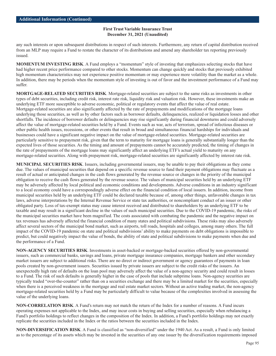any such interests or upon subsequent distributions in respect of such interests. Furthermore, any return of capital distribution received from an MLP may require a Fund to restate the character of its distributions and amend any shareholder tax reporting previously issued.

**MOMENTUM INVESTING RISK**. A Fund employs a "momentum" style of investing that emphasizes selecting stocks that have had higher recent price performance compared to other stocks. Momentum can change quickly and stocks that previously exhibited high momentum characteristics may not experience positive momentum or may experience more volatility than the market as a whole. In addition, there may be periods when the momentum style of investing is out of favor and the investment performance of a Fund may suffer.

**MORTGAGE-RELATED SECURITIES RISK**. Mortgage-related securities are subject to the same risks as investments in other types of debt securities, including credit risk, interest rate risk, liquidity risk and valuation risk. However, these investments make an underlying ETF more susceptible to adverse economic, political or regulatory events that affect the value of real estate. Mortgage-related securities are also significantly affected by the rate of prepayments and modifications of the mortgage loans underlying those securities, as well as by other factors such as borrower defaults, delinquencies, realized or liquidation losses and other shortfalls. The incidence of borrower defaults or delinquencies may rise significantly during financial downturns and could adversely affect the value of mortgage-related securities held by a Fund. Events such as war, acts of terrorism, spread of infectious diseases or other public health issues, recessions, or other events that result in broad and simultaneous financial hardships for individuals and businesses could have a significant negative impact on the value of mortgage-related securities. Mortgage-related securities are particularly sensitive to prepayment risk, given that the term to maturity for mortgage loans is generally substantially longer than the expected lives of those securities. As the timing and amount of prepayments cannot be accurately predicted, the timing of changes in the rate of prepayments of the mortgage loans may significantly affect an underlying ETF's actual yield to maturity on any mortgage-related securities. Along with prepayment risk, mortgage-related securities are significantly affected by interest rate risk.

**MUNICIPAL SECURITIES RISK**. Issuers, including governmental issuers, may be unable to pay their obligations as they come due. The values of municipal securities that depend on a specific revenue source to fund their payment obligations may fluctuate as a result of actual or anticipated changes in the cash flows generated by the revenue source or changes in the priority of the municipal obligation to receive the cash flows generated by the revenue source. The values of municipal securities held by an underlying ETF may be adversely affected by local political and economic conditions and developments. Adverse conditions in an industry significant to a local economy could have a correspondingly adverse effect on the financial condition of local issuers. In addition, income from municipal securities held by an underlying ETF could be declared taxable because of, among other things, unfavorable changes in tax laws, adverse interpretations by the Internal Revenue Service or state tax authorities, or noncompliant conduct of an issuer or other obligated party. Loss of tax-exempt status may cause interest received and distributed to shareholders by an underlying ETF to be taxable and may result in a significant decline in the values of such municipal securities. Due to the COVID-19 pandemic, the risks of the municipal securities market have been magnified. The costs associated with combating the pandemic and the negative impact on tax revenues has adversely affected the financial condition of many states and political subdivisions. These risks may also adversely affect several sectors of the municipal bond market, such as airports, toll roads, hospitals and colleges, among many others. The full impact of the COVID-19 pandemic on state and political subdivisions' ability to make payments on debt obligations is impossible to predict, but could negatively impact the value of bonds, the ability of state and political subdivisions to make payments when due and the performance of a Fund.

**NON-AGENCY SECURITIES RISK**. Investments in asset-backed or mortgage-backed securities offered by non-governmental issuers, such as commercial banks, savings and loans, private mortgage insurance companies, mortgage bankers and other secondary market issuers are subject to additional risks. There are no direct or indirect government or agency guarantees of payments in loan pools created by non-government issuers. Securities issued by private issuers are subject to the credit risks of the issuers. An unexpectedly high rate of defaults on the loan pool may adversely affect the value of a non-agency security and could result in losses to a Fund. The risk of such defaults is generally higher in the case of pools that include subprime loans. Non-agency securities are typically traded "over-the-counter" rather than on a securities exchange and there may be a limited market for the securities, especially when there is a perceived weakness in the mortgage and real estate market sectors. Without an active trading market, the non-agency mortgage-related securities held by a Fund may be particularly difficult to value because of the complexities involved in assessing the value of the underlying loans.

**NON-CORRELATION RISK**. A Fund's return may not match the return of the Index for a number of reasons. A Fund incurs operating expenses not applicable to the Index, and may incur costs in buying and selling securities, especially when rebalancing a Fund's portfolio holdings to reflect changes in the composition of the Index. In addition, a Fund's portfolio holdings may not exactly replicate the securities included in the Index or the ratios between the securities included in the Index.

**NON-DIVERSIFICATION RISK**. A Fund is classified as "non-diversified" under the 1940 Act. As a result, a Fund is only limited as to the percentage of its assets which may be invested in the securities of any one issuer by the diversification requirements imposed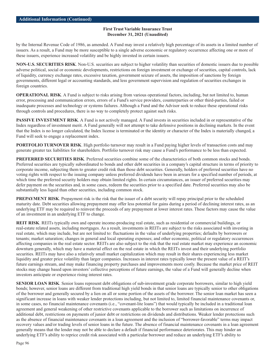by the Internal Revenue Code of 1986, as amended. A Fund may invest a relatively high percentage of its assets in a limited number of issuers. As a result, a Fund may be more susceptible to a single adverse economic or regulatory occurrence affecting one or more of these issuers, experience increased volatility and be highly invested in certain issuers.

**NON-U.S. SECURITIES RISK**. Non-U.S. securities are subject to higher volatility than securities of domestic issuers due to possible adverse political, social or economic developments, restrictions on foreign investment or exchange of securities, capital controls, lack of liquidity, currency exchange rates, excessive taxation, government seizure of assets, the imposition of sanctions by foreign governments, different legal or accounting standards, and less government supervision and regulation of securities exchanges in foreign countries.

**OPERATIONAL RISK.** A Fund is subject to risks arising from various operational factors, including, but not limited to, human error, processing and communication errors, errors of a Fund's service providers, counterparties or other third-parties, failed or inadequate processes and technology or systems failures. Although a Fund and the Advisor seek to reduce these operational risks through controls and procedures, there is no way to completely protect against such risks.

**PASSIVE INVESTMENT RISK**. A Fund is not actively managed. A Fund invests in securities included in or representative of the Index regardless of investment merit. A Fund generally will not attempt to take defensive positions in declining markets. In the event that the Index is no longer calculated, the Index license is terminated or the identity or character of the Index is materially changed, a Fund will seek to engage a replacement index.

**PORTFOLIO TURNOVER RISK**. High portfolio turnover may result in a Fund paying higher levels of transaction costs and may generate greater tax liabilities for shareholders. Portfolio turnover risk may cause a Fund's performance to be less than expected.

**PREFERRED SECURITIES RISK**. Preferred securities combine some of the characteristics of both common stocks and bonds. Preferred securities are typically subordinated to bonds and other debt securities in a company's capital structure in terms of priority to corporate income, subjecting them to greater credit risk than those debt securities. Generally, holders of preferred securities have no voting rights with respect to the issuing company unless preferred dividends have been in arrears for a specified number of periods, at which time the preferred security holders may obtain limited rights. In certain circumstances, an issuer of preferred securities may defer payment on the securities and, in some cases, redeem the securities prior to a specified date. Preferred securities may also be substantially less liquid than other securities, including common stock.

**PREPAYMENT RISK**. Prepayment risk is the risk that the issuer of a debt security will repay principal prior to the scheduled maturity date. Debt securities allowing prepayment may offer less potential for gains during a period of declining interest rates, as an underlying ETF may be required to reinvest the proceeds of any prepayment at lower interest rates. These factors may cause the value of an investment in an underlying ETF to change.

**REIT RISK**. REITs typically own and operate income-producing real estate, such as residential or commercial buildings, or real-estate related assets, including mortgages. As a result, investments in REITs are subject to the risks associated with investing in real estate, which may include, but are not limited to: fluctuations in the value of underlying properties; defaults by borrowers or tenants; market saturation; changes in general and local operating expenses; and other economic, political or regulatory occurrences affecting companies in the real estate sector. REITs are also subject to the risk that the real estate market may experience an economic downturn generally, which may have a material effect on the real estate in which the REITs invest and their underlying portfolio securities. REITs may have also a relatively small market capitalization which may result in their shares experiencing less market liquidity and greater price volatility than larger companies. Increases in interest rates typically lower the present value of a REIT's future earnings stream, and may make financing property purchases and improvements more costly. Because the market price of REIT stocks may change based upon investors' collective perceptions of future earnings, the value of a Fund will generally decline when investors anticipate or experience rising interest rates.

**SENIOR LOAN RISK**. Senior loans represent debt obligations of sub-investment grade corporate borrowers, similar to high yield bonds; however, senior loans are different from traditional high yield bonds in that senior loans are typically senior to other obligations of the borrower and generally secured by a lien on all or some portion of the assets of the borrower. The senior loan market has seen a significant increase in loans with weaker lender protections including, but not limited to, limited financial maintenance covenants or, in some cases, no financial maintenance covenants (i.e., "covenant-lite loans") that would typically be included in a traditional loan agreement and general weakening of other restrictive covenants applicable to the borrower such as limitations on incurrence of additional debt, restrictions on payments of junior debt or restrictions on dividends and distributions. Weaker lender protections such as the absence of financial maintenance covenants in a loan agreement and the inclusion of "borrower-favorable" terms may impact recovery values and/or trading levels of senior loans in the future. The absence of financial maintenance covenants in a loan agreement generally means that the lender may not be able to declare a default if financial performance deteriorates. This may hinder an underlying ETF's ability to reprice credit risk associated with a particular borrower and reduce an underlying ETF's ability to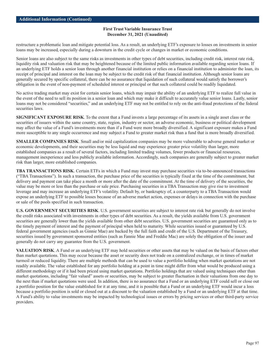restructure a problematic loan and mitigate potential loss. As a result, an underlying ETF's exposure to losses on investments in senior loans may be increased, especially during a downturn in the credit cycle or changes in market or economic conditions.

Senior loans are also subject to the same risks as investments in other types of debt securities, including credit risk, interest rate risk, liquidity risk and valuation risk that may be heightened because of the limited public information available regarding senior loans. If an underlying ETF holds a senior loan through another financial institution or relies on a financial institution to administer the loan, its receipt of principal and interest on the loan may be subject to the credit risk of that financial institution. Although senior loans are generally secured by specific collateral, there can be no assurance that liquidation of such collateral would satisfy the borrower's obligation in the event of non-payment of scheduled interest or principal or that such collateral could be readily liquidated.

No active trading market may exist for certain senior loans, which may impair the ability of an underlying ETF to realize full value in the event of the need to sell its position in a senior loan and which may make it difficult to accurately value senior loans. Lastly, senior loans may not be considered "securities," and an underlying ETF may not be entitled to rely on the anti-fraud protections of the federal securities laws.

**SIGNIFICANT EXPOSURE RISK**. To the extent that a Fund invests a large percentage of its assets in a single asset class or the securities of issuers within the same country, state, region, industry or sector, an adverse economic, business or political development may affect the value of a Fund's investments more than if a Fund were more broadly diversified. A significant exposure makes a Fund more susceptible to any single occurrence and may subject a Fund to greater market risk than a fund that is more broadly diversified.

**SMALLER COMPANIES RISK**. Small and/or mid capitalization companies may be more vulnerable to adverse general market or economic developments, and their securities may be less liquid and may experience greater price volatility than larger, more established companies as a result of several factors, including limited trading volumes, fewer products or financial resources, management inexperience and less publicly available information. Accordingly, such companies are generally subject to greater market risk than larger, more established companies.

**TBA TRANSACTIONS RISK**. Certain ETFs in which a Fund may invest may purchase securities via to-be-announced transactions ("TBA Transactions"). In such a transaction, the purchase price of the securities is typically fixed at the time of the commitment, but delivery and payment can take place a month or more after the date of the commitment. At the time of delivery of the securities, the value may be more or less than the purchase or sale price. Purchasing securities in a TBA Transaction may give rise to investment leverage and may increase an underlying ETF's volatility. Default by, or bankruptcy of, a counterparty to a TBA Transaction would expose an underlying ETF to possible losses because of an adverse market action, expenses or delays in connection with the purchase or sale of the pools specified in such transaction.

**U.S. GOVERNMENT SECURITIES RISK**. U.S. government securities are subject to interest rate risk but generally do not involve the credit risks associated with investments in other types of debt securities. As a result, the yields available from U.S. government securities are generally lower than the yields available from other debt securities. U.S. government securities are guaranteed only as to the timely payment of interest and the payment of principal when held to maturity. While securities issued or guaranteed by U.S. federal government agencies (such as Ginnie Mae) are backed by the full faith and credit of the U.S. Department of the Treasury, securities issued by government sponsored entities (such as Fannie Mae and Freddie Mac) are solely the obligation of the issuer and generally do not carry any guarantee from the U.S. government.

**VALUATION RISK**. A Fund or an underlying ETF may hold securities or other assets that may be valued on the basis of factors other than market quotations. This may occur because the asset or security does not trade on a centralized exchange, or in times of market turmoil or reduced liquidity. There are multiple methods that can be used to value a portfolio holding when market quotations are not readily available. The value established for any portfolio holding at a point in time might differ from what would be produced using a different methodology or if it had been priced using market quotations. Portfolio holdings that are valued using techniques other than market quotations, including "fair valued" assets or securities, may be subject to greater fluctuation in their valuations from one day to the next than if market quotations were used. In addition, there is no assurance that a Fund or an underlying ETF could sell or close out a portfolio position for the value established for it at any time, and it is possible that a Fund or an underlying ETF would incur a loss because a portfolio position is sold or closed out at a discount to the valuation established by a Fund or an underlying ETF at that time. A Fund's ability to value investments may be impacted by technological issues or errors by pricing services or other third-party service providers.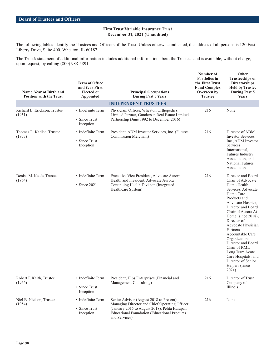The following tables identify the Trustees and Officers of the Trust. Unless otherwise indicated, the address of all persons is 120 East Liberty Drive, Suite 400, Wheaton, IL 60187.

The Trust's statement of additional information includes additional information about the Trustees and is available, without charge, upon request, by calling (800) 988-5891.

| Name, Year of Birth and<br><b>Position with the Trust</b> | <b>Term of Office</b><br>and Year First<br><b>Elected or</b><br><b>Appointed</b> | <b>Principal Occupations</b><br><b>During Past 5 Years</b>                                                                                                                                                         | Number of<br>Portfolios in<br>the First Trust<br><b>Fund Complex</b><br>Overseen by<br><b>Trustee</b> | Other<br><b>Trusteeships or</b><br><b>Directorships</b><br><b>Held by Trustee</b><br><b>During Past 5</b><br>Years                                                                                                                                                                                                                                                                                                      |
|-----------------------------------------------------------|----------------------------------------------------------------------------------|--------------------------------------------------------------------------------------------------------------------------------------------------------------------------------------------------------------------|-------------------------------------------------------------------------------------------------------|-------------------------------------------------------------------------------------------------------------------------------------------------------------------------------------------------------------------------------------------------------------------------------------------------------------------------------------------------------------------------------------------------------------------------|
|                                                           |                                                                                  | <b>INDEPENDENT TRUSTEES</b>                                                                                                                                                                                        |                                                                                                       |                                                                                                                                                                                                                                                                                                                                                                                                                         |
| Richard E. Erickson, Trustee<br>(1951)                    | • Indefinite Term<br>• Since Trust<br>Inception                                  | Physician; Officer, Wheaton Orthopedics;<br>Limited Partner, Gundersen Real Estate Limited<br>Partnership (June 1992 to December 2016)                                                                             | 216                                                                                                   | None                                                                                                                                                                                                                                                                                                                                                                                                                    |
| Thomas R. Kadlec, Trustee<br>(1957)                       | • Indefinite Term<br>• Since Trust<br>Inception                                  | President, ADM Investor Services, Inc. (Futures<br>Commission Merchant)                                                                                                                                            | 216                                                                                                   | Director of ADM<br>Investor Services.<br>Inc., ADM Investor<br>Services<br>International,<br><b>Futures Industry</b><br>Association, and<br><b>National Futures</b><br>Association                                                                                                                                                                                                                                      |
| Denise M. Keefe, Trustee<br>(1964)                        | • Indefinite Term<br>$\cdot$ Since 2021                                          | Executive Vice President, Advocate Aurora<br>Health and President, Advocate Aurora<br>Continuing Health Division (Integrated<br>Healthcare System)                                                                 | 216                                                                                                   | Director and Board<br>Chair of Advocate<br>Home Health<br>Services, Advocate<br>Home Care<br>Products and<br>Advocate Hospice;<br>Director and Board<br>Chair of Aurora At<br>Home (since 2018);<br>Director of<br>Advocate Physician<br>Partners<br>Accountable Care<br>Organization;<br>Director and Board<br>Chair of RML<br>Long Term Acute<br>Care Hospitals; and<br>Director of Senior<br>Helpers (since<br>2021) |
| Robert F. Keith, Trustee<br>(1956)                        | • Indefinite Term<br>• Since Trust<br>Inception                                  | President, Hibs Enterprises (Financial and<br>Management Consulting)                                                                                                                                               | 216                                                                                                   | Director of Trust<br>Company of<br>Illinois                                                                                                                                                                                                                                                                                                                                                                             |
| Niel B. Nielson, Trustee<br>(1954)                        | • Indefinite Term<br>• Since Trust<br>Inception                                  | Senior Advisor (August 2018 to Present),<br>Managing Director and Chief Operating Officer<br>(January 2015 to August 2018), Pelita Harapan<br><b>Educational Foundation (Educational Products</b><br>and Services) | 216                                                                                                   | None                                                                                                                                                                                                                                                                                                                                                                                                                    |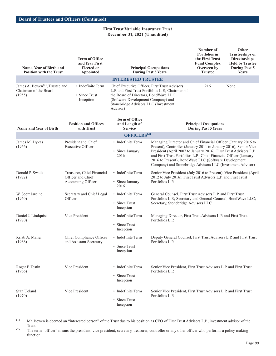| Name, Year of Birth and<br><b>Position with the Trust</b>                      | <b>Term of Office</b><br>and Year First<br><b>Elected or</b><br><b>Appointed</b> |                                                          | <b>Principal Occupations</b><br><b>During Past 5 Years</b>                                                                                                                                                                                                                                                                                                                                         |                                                            | Other<br><b>Trusteeships or</b><br><b>Directorships</b><br><b>Held by Trustee</b><br><b>During Past 5</b><br>Years |
|--------------------------------------------------------------------------------|----------------------------------------------------------------------------------|----------------------------------------------------------|----------------------------------------------------------------------------------------------------------------------------------------------------------------------------------------------------------------------------------------------------------------------------------------------------------------------------------------------------------------------------------------------------|------------------------------------------------------------|--------------------------------------------------------------------------------------------------------------------|
|                                                                                |                                                                                  | <b>INTERESTED TRUSTEE</b>                                |                                                                                                                                                                                                                                                                                                                                                                                                    |                                                            |                                                                                                                    |
| James A. Bowen <sup>(1)</sup> , Trustee and<br>Chairman of the Board<br>(1955) | • Indefinite Term<br>• Since Trust<br>Inception                                  | Advisor)                                                 | Chief Executive Officer, First Trust Advisors<br>216<br>None<br>L.P. and First Trust Portfolios L.P.; Chairman of<br>the Board of Directors, BondWave LLC<br>(Software Development Company) and<br>Stonebridge Advisors LLC (Investment                                                                                                                                                            |                                                            |                                                                                                                    |
| Name and Year of Birth                                                         | <b>Position and Offices</b><br>with Trust                                        | <b>Term of Office</b><br>and Length of<br><b>Service</b> |                                                                                                                                                                                                                                                                                                                                                                                                    | <b>Principal Occupations</b><br><b>During Past 5 Years</b> |                                                                                                                    |
|                                                                                |                                                                                  | OFFICERS <sup>(2)</sup>                                  |                                                                                                                                                                                                                                                                                                                                                                                                    |                                                            |                                                                                                                    |
| James M. Dykas<br>(1966)                                                       | President and Chief<br><b>Executive Officer</b>                                  | • Indefinite Term<br>• Since January<br>2016             | Managing Director and Chief Financial Officer (January 2016 to<br>Present), Controller (January 2011 to January 2016), Senior Vice<br>President (April 2007 to January 2016), First Trust Advisors L.P.<br>and First Trust Portfolios L.P.; Chief Financial Officer (January<br>2016 to Present), BondWave LLC (Software Development<br>Company) and Stonebridge Advisors LLC (Investment Advisor) |                                                            |                                                                                                                    |
| Donald P. Swade<br>(1972)                                                      | Treasurer, Chief Financial<br>Officer and Chief<br>Accounting Officer            | • Indefinite Term<br>• Since January<br>2016             | Senior Vice President (July 2016 to Present), Vice President (April<br>2012 to July 2016), First Trust Advisors L.P. and First Trust<br>Portfolios L.P.                                                                                                                                                                                                                                            |                                                            |                                                                                                                    |
| W. Scott Jardine<br>(1960)                                                     | Secretary and Chief Legal<br>Officer                                             | • Indefinite Term<br>• Since Trust<br>Inception          | General Counsel, First Trust Advisors L.P. and First Trust<br>Portfolios L.P.; Secretary and General Counsel, BondWave LLC;<br>Secretary, Stonebridge Advisors LLC                                                                                                                                                                                                                                 |                                                            |                                                                                                                    |
| Daniel J. Lindquist<br>(1970)                                                  | Vice President                                                                   | • Indefinite Term<br>• Since Trust<br>Inception          | Managing Director, First Trust Advisors L.P. and First Trust<br>Portfolios L.P.                                                                                                                                                                                                                                                                                                                    |                                                            |                                                                                                                    |
| Kristi A. Maher<br>(1966)                                                      | Chief Compliance Officer<br>and Assistant Secretary                              | • Indefinite Term<br>• Since Trust<br>Inception          | Deputy General Counsel, First Trust Advisors L.P. and First Trust<br>Portfolios L.P.                                                                                                                                                                                                                                                                                                               |                                                            |                                                                                                                    |
| Roger F. Testin<br>(1966)                                                      | Vice President                                                                   | • Indefinite Term<br>• Since Trust<br>Inception          | Senior Vice President, First Trust Advisors L.P. and First Trust<br>Portfolios L.P.                                                                                                                                                                                                                                                                                                                |                                                            |                                                                                                                    |
| Stan Ueland<br>(1970)                                                          | Vice President                                                                   | · Indefinite Term<br>• Since Trust<br>Inception          | Senior Vice President, First Trust Advisors L.P. and First Trust<br>Portfolios L.P.                                                                                                                                                                                                                                                                                                                |                                                            |                                                                                                                    |

(1) Mr. Bowen is deemed an "interested person" of the Trust due to his position as CEO of First Trust Advisors L.P., investment advisor of the Trust.

<sup>(2)</sup> The term "officer" means the president, vice president, secretary, treasurer, controller or any other officer who performs a policy making function.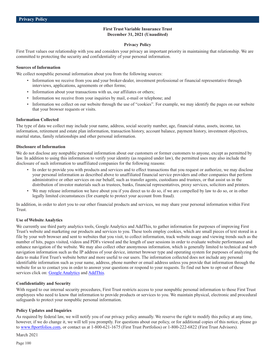#### **Privacy Policy**

First Trust values our relationship with you and considers your privacy an important priority in maintaining that relationship. We are committed to protecting the security and confidentiality of your personal information.

#### **Sources of Information**

We collect nonpublic personal information about you from the following sources:

- Information we receive from you and your broker-dealer, investment professional or financial representative through interviews, applications, agreements or other forms;
- Information about your transactions with us, our affiliates or others;
- Information we receive from your inquiries by mail, e-mail or telephone; and
- Information we collect on our website through the use of "cookies". For example, we may identify the pages on our website that your browser requests or visits.

### **Information Collected**

The type of data we collect may include your name, address, social security number, age, financial status, assets, income, tax information, retirement and estate plan information, transaction history, account balance, payment history, investment objectives, marital status, family relationships and other personal information.

### **Disclosure of Information**

We do not disclose any nonpublic personal information about our customers or former customers to anyone, except as permitted by law. In addition to using this information to verify your identity (as required under law), the permitted uses may also include the disclosure of such information to unaffiliated companies for the following reasons:

- In order to provide you with products and services and to effect transactions that you request or authorize, we may disclose your personal information as described above to unaffiliated financial service providers and other companies that perform administrative or other services on our behalf, such as transfer agents, custodians and trustees, or that assist us in the distribution of investor materials such as trustees, banks, financial representatives, proxy services, solicitors and printers.
- We may release information we have about you if you direct us to do so, if we are compelled by law to do so, or in other legally limited circumstances (for example to protect your account from fraud).

In addition, in order to alert you to our other financial products and services, we may share your personal information within First Trust.

# **Use of Website Analytics**

We currently use third party analytics tools, Google Analytics and AddThis, to gather information for purposes of improving First Trust's website and marketing our products and services to you. These tools employ cookies, which are small pieces of text stored in a file by your web browser and sent to websites that you visit, to collect information, track website usage and viewing trends such as the number of hits, pages visited, videos and PDFs viewed and the length of user sessions in order to evaluate website performance and enhance navigation of the website. We may also collect other anonymous information, which is generally limited to technical and web navigation information such as the IP address of your device, internet browser type and operating system for purposes of analyzing the data to make First Trust's website better and more useful to our users. The information collected does not include any personal identifiable information such as your name, address, phone number or email address unless you provide that information through the website for us to contact you in order to answer your questions or respond to your requests. To find out how to opt-out of these services click on: [Google Analytics](https://support.google.com/analytics/answer/181881?hl=en) and [AddThis.](http://www.addthis.com/privacy/opt-out)

#### **Confidentiality and Security**

With regard to our internal security procedures, First Trust restricts access to your nonpublic personal information to those First Trust employees who need to know that information to provide products or services to you. We maintain physical, electronic and procedural safeguards to protect your nonpublic personal information.

# **Policy Updates and Inquiries**

As required by federal law, we will notify you of our privacy policy annually. We reserve the right to modify this policy at any time, however, if we do change it, we will tell you promptly. For questions about our policy, or for additional copies of this notice, please go to [www.ftportfolios.com,](http://www.ftportfolios.com) or contact us at 1-800-621-1675 (First Trust Portfolios) or 1-800-222-6822 (First Trust Advisors).

March 2021